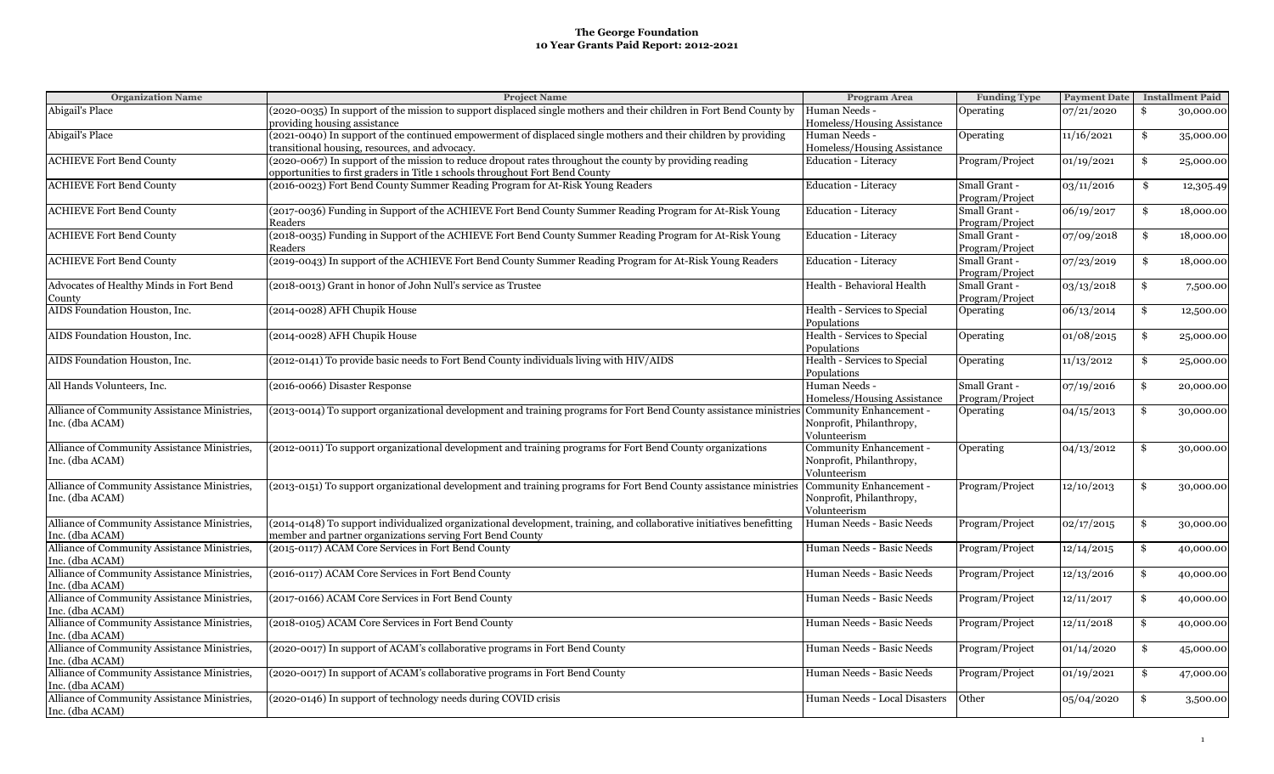| <b>Organization Name</b>                     | <b>Project Name</b>                                                                                                                        | Program Area                  | <b>Funding Type</b> | <b>Payment Date</b> | <b>Installment Paid</b> |
|----------------------------------------------|--------------------------------------------------------------------------------------------------------------------------------------------|-------------------------------|---------------------|---------------------|-------------------------|
| Abigail's Place                              | (2020-0035) In support of the mission to support displaced single mothers and their children in Fort Bend County by                        | Human Needs -                 | Operating           | 07/21/2020          | \$<br>30,000.00         |
|                                              | providing housing assistance                                                                                                               | Homeless/Housing Assistance   |                     |                     |                         |
| Abigail's Place                              | (2021-0040) In support of the continued empowerment of displaced single mothers and their children by providing                            | Human Needs -                 | Operating           | 11/16/2021          | \$<br>35,000.00         |
|                                              | transitional housing, resources, and advocacy.                                                                                             | Homeless/Housing Assistance   |                     |                     |                         |
| <b>ACHIEVE Fort Bend County</b>              | (2020-0067) In support of the mission to reduce dropout rates throughout the county by providing reading                                   | <b>Education - Literacy</b>   | Program/Project     | 01/19/2021          | \$<br>25,000.00         |
|                                              | opportunities to first graders in Title 1 schools throughout Fort Bend County                                                              |                               |                     |                     |                         |
| <b>ACHIEVE Fort Bend County</b>              | (2016-0023) Fort Bend County Summer Reading Program for At-Risk Young Readers                                                              | <b>Education - Literacy</b>   | Small Grant -       | 03/11/2016          | \$<br>12,305.49         |
|                                              |                                                                                                                                            |                               | Program/Project     |                     |                         |
| <b>ACHIEVE Fort Bend County</b>              | (2017-0036) Funding in Support of the ACHIEVE Fort Bend County Summer Reading Program for At-Risk Young                                    | <b>Education - Literacy</b>   | Small Grant -       | 06/19/2017          | \$<br>18,000.00         |
|                                              | Readers                                                                                                                                    |                               | Program/Project     |                     |                         |
| <b>ACHIEVE Fort Bend County</b>              | (2018-0035) Funding in Support of the ACHIEVE Fort Bend County Summer Reading Program for At-Risk Young                                    | Education - Literacy          | Small Grant -       | 07/09/2018          | \$<br>18,000.00         |
|                                              | Readers                                                                                                                                    |                               | Program/Project     |                     |                         |
| <b>ACHIEVE Fort Bend County</b>              | (2019-0043) In support of the ACHIEVE Fort Bend County Summer Reading Program for At-Risk Young Readers                                    | Education - Literacy          | Small Grant -       | 07/23/2019          | \$<br>18,000.00         |
|                                              |                                                                                                                                            |                               | Program/Project     |                     |                         |
| Advocates of Healthy Minds in Fort Bend      | (2018-0013) Grant in honor of John Null's service as Trustee                                                                               | Health - Behavioral Health    | Small Grant -       | 03/13/2018          | \$<br>7,500.00          |
| County                                       |                                                                                                                                            |                               | Program/Project     |                     |                         |
| AIDS Foundation Houston, Inc.                | (2014-0028) AFH Chupik House                                                                                                               | Health - Services to Special  | Operating           | 06/13/2014          | \$<br>12,500.00         |
|                                              |                                                                                                                                            | Populations                   |                     |                     |                         |
| AIDS Foundation Houston, Inc.                | (2014-0028) AFH Chupik House                                                                                                               | Health - Services to Special  | Operating           | 01/08/2015          | \$<br>25,000.00         |
|                                              |                                                                                                                                            | Populations                   |                     |                     |                         |
| AIDS Foundation Houston, Inc.                | (2012-0141) To provide basic needs to Fort Bend County individuals living with HIV/AIDS                                                    | Health - Services to Special  | Operating           | 11/13/2012          | \$<br>25,000.00         |
|                                              |                                                                                                                                            | Populations                   |                     |                     |                         |
| All Hands Volunteers, Inc.                   | (2016-0066) Disaster Response                                                                                                              | Human Needs -                 | Small Grant -       | 07/19/2016          | \$<br>20,000.00         |
|                                              |                                                                                                                                            | Homeless/Housing Assistance   | Program/Project     |                     |                         |
| Alliance of Community Assistance Ministries, | (2013-0014) To support organizational development and training programs for Fort Bend County assistance ministries Community Enhancement - |                               | Operating           | 04/15/2013          | \$<br>30,000.00         |
| Inc. (dba ACAM)                              |                                                                                                                                            | Nonprofit, Philanthropy,      |                     |                     |                         |
|                                              |                                                                                                                                            | Volunteerism                  |                     |                     |                         |
| Alliance of Community Assistance Ministries, | (2012-0011) To support organizational development and training programs for Fort Bend County organizations                                 | Community Enhancement -       | Operating           | 04/13/2012          | \$<br>30,000.00         |
| Inc. (dba ACAM)                              |                                                                                                                                            | Nonprofit, Philanthropy,      |                     |                     |                         |
|                                              |                                                                                                                                            | Volunteerism                  |                     |                     |                         |
| Alliance of Community Assistance Ministries, | (2013-0151) To support organizational development and training programs for Fort Bend County assistance ministries                         | Community Enhancement -       | Program/Project     | 12/10/2013          | \$<br>30,000.00         |
| Inc. (dba ACAM)                              |                                                                                                                                            | Nonprofit, Philanthropy,      |                     |                     |                         |
|                                              |                                                                                                                                            | Volunteerism                  |                     |                     |                         |
| Alliance of Community Assistance Ministries, | (2014-0148) To support individualized organizational development, training, and collaborative initiatives benefitting                      | Human Needs - Basic Needs     | Program/Project     | 02/17/2015          | \$<br>30,000.00         |
| Inc. (dba ACAM)                              | member and partner organizations serving Fort Bend County                                                                                  |                               |                     |                     |                         |
| Alliance of Community Assistance Ministries, | (2015-0117) ACAM Core Services in Fort Bend County                                                                                         | Human Needs - Basic Needs     | Program/Project     | 12/14/2015          | \$<br>40,000.00         |
| Inc. (dba ACAM)                              |                                                                                                                                            |                               |                     |                     |                         |
| Alliance of Community Assistance Ministries, | (2016-0117) ACAM Core Services in Fort Bend County                                                                                         | Human Needs - Basic Needs     | Program/Project     | 12/13/2016          | \$<br>40,000.00         |
| Inc. (dba ACAM)                              |                                                                                                                                            |                               |                     |                     |                         |
| Alliance of Community Assistance Ministries, | (2017-0166) ACAM Core Services in Fort Bend County                                                                                         | Human Needs - Basic Needs     | Program/Project     | 12/11/2017          | \$<br>40,000.00         |
| Inc. (dba ACAM)                              |                                                                                                                                            |                               |                     |                     |                         |
| Alliance of Community Assistance Ministries, | (2018-0105) ACAM Core Services in Fort Bend County                                                                                         | Human Needs - Basic Needs     | Program/Project     | 12/11/2018          | \$<br>40,000.00         |
| Inc. (dba ACAM)                              |                                                                                                                                            |                               |                     |                     |                         |
| Alliance of Community Assistance Ministries, | (2020-0017) In support of ACAM's collaborative programs in Fort Bend County                                                                | Human Needs - Basic Needs     |                     |                     |                         |
|                                              |                                                                                                                                            |                               | Program/Project     | 01/14/2020          | \$<br>45,000.00         |
| Inc. (dba ACAM)                              |                                                                                                                                            |                               |                     |                     |                         |
| Alliance of Community Assistance Ministries, | (2020-0017) In support of ACAM's collaborative programs in Fort Bend County                                                                | Human Needs - Basic Needs     | Program/Project     | 01/19/2021          | \$<br>47,000.00         |
| Inc. (dba ACAM)                              |                                                                                                                                            |                               |                     |                     |                         |
| Alliance of Community Assistance Ministries, | (2020-0146) In support of technology needs during COVID crisis                                                                             | Human Needs - Local Disasters | Other               | 05/04/2020          | \$<br>3,500.00          |
| Inc. (dba ACAM)                              |                                                                                                                                            |                               |                     |                     |                         |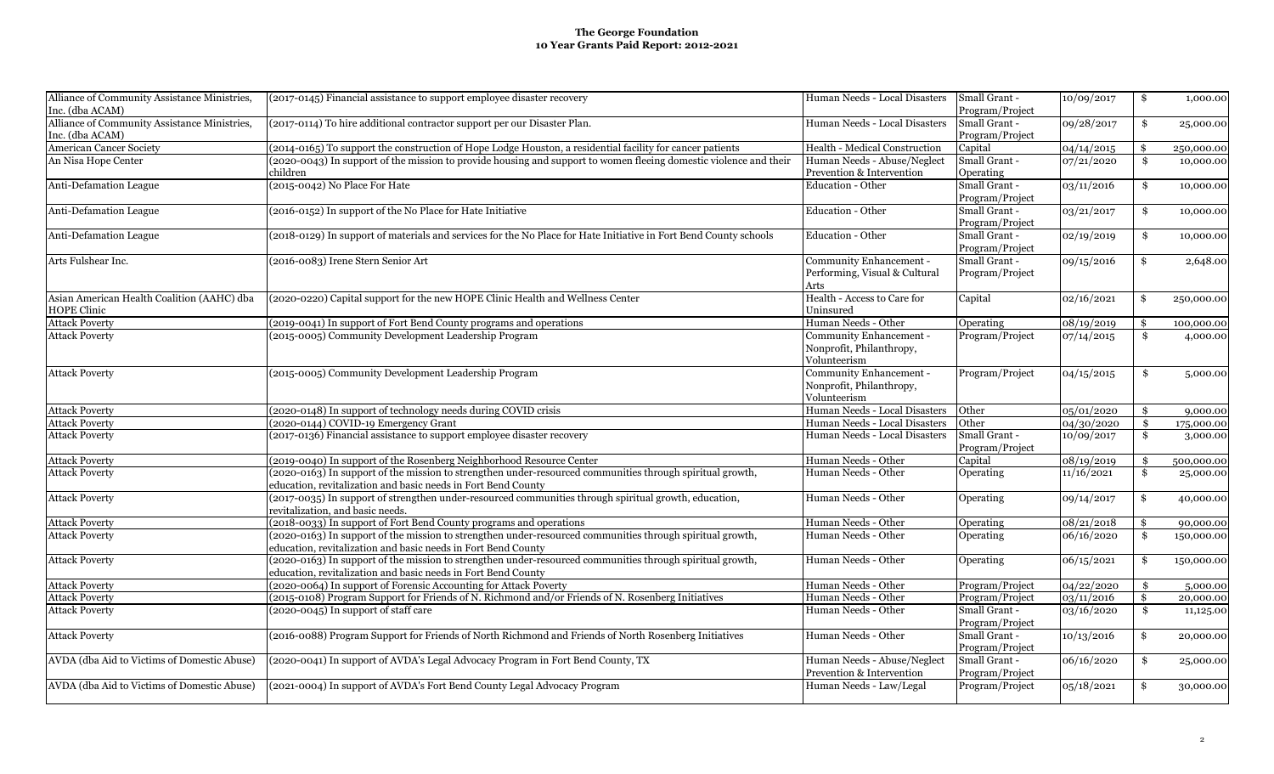| Alliance of Community Assistance Ministries,<br>Inc. (dba ACAM) | (2017-0145) Financial assistance to support employee disaster recovery                                               | Human Needs - Local Disasters | Small Grant -<br>Program/Project | 10/09/2017 | \$                  | 1,000.00   |
|-----------------------------------------------------------------|----------------------------------------------------------------------------------------------------------------------|-------------------------------|----------------------------------|------------|---------------------|------------|
|                                                                 |                                                                                                                      |                               |                                  |            |                     |            |
| Alliance of Community Assistance Ministries,                    | (2017-0114) To hire additional contractor support per our Disaster Plan.                                             | Human Needs - Local Disasters | Small Grant -                    | 09/28/2017 | \$                  | 25,000.00  |
| Inc. (dba ACAM)                                                 |                                                                                                                      |                               | Program/Project                  |            |                     |            |
| American Cancer Society                                         | (2014-0165) To support the construction of Hope Lodge Houston, a residential facility for cancer patients            | Health - Medical Construction | Capital                          | 04/14/2015 | \$                  | 250,000.00 |
| An Nisa Hope Center                                             | (2020-0043) In support of the mission to provide housing and support to women fleeing domestic violence and their    | Human Needs - Abuse/Neglect   | Small Grant -                    | 07/21/2020 | \$                  | 10,000.00  |
|                                                                 | children                                                                                                             | Prevention & Intervention     | Operating                        |            |                     |            |
| Anti-Defamation League                                          | (2015-0042) No Place For Hate                                                                                        | <b>Education - Other</b>      | Small Grant -                    | 03/11/2016 | \$                  | 10,000.00  |
|                                                                 |                                                                                                                      |                               | Program/Project                  |            |                     |            |
| <b>Anti-Defamation League</b>                                   | (2016-0152) In support of the No Place for Hate Initiative                                                           | <b>Education - Other</b>      | Small Grant -                    | 03/21/2017 | \$                  | 10,000.00  |
|                                                                 |                                                                                                                      |                               | Program/Project                  |            |                     |            |
|                                                                 |                                                                                                                      |                               |                                  |            |                     |            |
| <b>Anti-Defamation League</b>                                   | (2018-0129) In support of materials and services for the No Place for Hate Initiative in Fort Bend County schools    | <b>Education - Other</b>      | Small Grant -                    | 02/19/2019 | \$                  | 10,000.00  |
|                                                                 |                                                                                                                      |                               | Program/Project                  |            |                     |            |
| Arts Fulshear Inc.                                              | (2016-0083) Irene Stern Senior Art                                                                                   | Community Enhancement -       | Small Grant -                    | 09/15/2016 | \$                  | 2,648.00   |
|                                                                 |                                                                                                                      | Performing, Visual & Cultural | Program/Project                  |            |                     |            |
|                                                                 |                                                                                                                      | Arts                          |                                  |            |                     |            |
| Asian American Health Coalition (AAHC) dba                      | (2020-0220) Capital support for the new HOPE Clinic Health and Wellness Center                                       | Health - Access to Care for   | Capital                          | 02/16/2021 | \$                  | 250,000.00 |
| HOPE Clinic                                                     |                                                                                                                      | Uninsured                     |                                  |            |                     |            |
| <b>Attack Poverty</b>                                           | (2019-0041) In support of Fort Bend County programs and operations                                                   | Human Needs - Other           | Operating                        | 08/19/2019 | \$                  | 100,000.00 |
| <b>Attack Poverty</b>                                           | (2015-0005) Community Development Leadership Program                                                                 | Community Enhancement -       | Program/Project                  | 07/14/2015 | $\ddot{\mathbf{s}}$ | 4,000.00   |
|                                                                 |                                                                                                                      |                               |                                  |            |                     |            |
|                                                                 |                                                                                                                      | Nonprofit, Philanthropy,      |                                  |            |                     |            |
|                                                                 |                                                                                                                      | Volunteerism                  |                                  |            |                     |            |
| <b>Attack Poverty</b>                                           | (2015-0005) Community Development Leadership Program                                                                 | Community Enhancement -       | Program/Project                  | 04/15/2015 | \$                  | 5,000.00   |
|                                                                 |                                                                                                                      | Nonprofit, Philanthropy,      |                                  |            |                     |            |
|                                                                 |                                                                                                                      | Volunteerism                  |                                  |            |                     |            |
| <b>Attack Poverty</b>                                           | (2020-0148) In support of technology needs during COVID crisis                                                       | Human Needs - Local Disasters | Other                            | 05/01/2020 | \$                  | 9,000.00   |
| <b>Attack Poverty</b>                                           | (2020-0144) COVID-19 Emergency Grant                                                                                 | Human Needs - Local Disasters | Other                            | 04/30/2020 | \$                  | 175,000.00 |
| <b>Attack Poverty</b>                                           | (2017-0136) Financial assistance to support employee disaster recovery                                               | Human Needs - Local Disasters | Small Grant -                    | 10/09/2017 | \$                  | 3,000.00   |
|                                                                 |                                                                                                                      |                               | Program/Project                  |            |                     |            |
| <b>Attack Poverty</b>                                           | (2019-0040) In support of the Rosenberg Neighborhood Resource Center                                                 | Human Needs - Other           | Capital                          | 08/19/2019 | \$                  | 500,000.00 |
| <b>Attack Poverty</b>                                           | (2020-0163) In support of the mission to strengthen under-resourced communities through spiritual growth,            | Human Needs - Other           | Operating                        | 11/16/2021 | \$                  |            |
|                                                                 |                                                                                                                      |                               |                                  |            |                     | 25,000.00  |
|                                                                 | education, revitalization and basic needs in Fort Bend County                                                        |                               |                                  |            |                     |            |
| <b>Attack Poverty</b>                                           | (2017-0035) In support of strengthen under-resourced communities through spiritual growth, education,                | Human Needs - Other           | Operating                        | 09/14/2017 | \$                  | 40,000.00  |
|                                                                 | revitalization, and basic needs.                                                                                     |                               |                                  |            |                     |            |
| <b>Attack Poverty</b>                                           | (2018-0033) In support of Fort Bend County programs and operations                                                   | Human Needs - Other           | Operating                        | 08/21/2018 | \$                  | 90,000.00  |
| <b>Attack Poverty</b>                                           | (2020-0163) In support of the mission to strengthen under-resourced communities through spiritual growth,            | Human Needs - Other           | Operating                        | 06/16/2020 | $\mathbf{\hat{s}}$  | 150,000.00 |
|                                                                 | education, revitalization and basic needs in Fort Bend County                                                        |                               |                                  |            |                     |            |
| <b>Attack Poverty</b>                                           | (2020-0163) In support of the mission to strengthen under-resourced communities through spiritual growth,            | Human Needs - Other           | Operating                        | 06/15/2021 | \$                  | 150,000.00 |
|                                                                 | education, revitalization and basic needs in Fort Bend County                                                        |                               |                                  |            |                     |            |
| <b>Attack Poverty</b>                                           | (2020-0064) In support of Forensic Accounting for Attack Poverty                                                     | Human Needs - Other           | Program/Project                  | 04/22/2020 | \$                  | 5,000.00   |
| <b>Attack Poverty</b>                                           | (2015-0108) Program Support for Friends of N. Richmond and/or Friends of N. Rosenberg Initiatives                    | Human Needs - Other           |                                  |            | \$                  |            |
|                                                                 |                                                                                                                      |                               | Program/Project                  | 03/11/2016 |                     | 20,000.00  |
| <b>Attack Poverty</b>                                           | (2020-0045) In support of staff care                                                                                 | Human Needs - Other           | Small Grant -                    | 03/16/2020 | \$                  | 11,125.00  |
|                                                                 |                                                                                                                      |                               | Program/Project                  |            |                     |            |
| <b>Attack Poverty</b>                                           | (2016-0088) Program Support for Friends of North Richmond and Friends of North Rosenberg Initiatives                 | Human Needs - Other           | Small Grant -                    | 10/13/2016 | \$                  | 20,000.00  |
|                                                                 |                                                                                                                      |                               | Program/Project                  |            |                     |            |
| AVDA (dba Aid to Victims of Domestic Abuse)                     | (2020-0041) In support of AVDA's Legal Advocacy Program in Fort Bend County, TX                                      | Human Needs - Abuse/Neglect   | Small Grant -                    | 06/16/2020 | \$                  | 25,000.00  |
|                                                                 |                                                                                                                      | Prevention & Intervention     | Program/Project                  |            |                     |            |
|                                                                 | AVDA (dba Aid to Victims of Domestic Abuse) (2021-0004) In support of AVDA's Fort Bend County Legal Advocacy Program | Human Needs - Law/Legal       | Program/Project                  | 05/18/2021 | \$                  | 30,000.00  |
|                                                                 |                                                                                                                      |                               |                                  |            |                     |            |
|                                                                 |                                                                                                                      |                               |                                  |            |                     |            |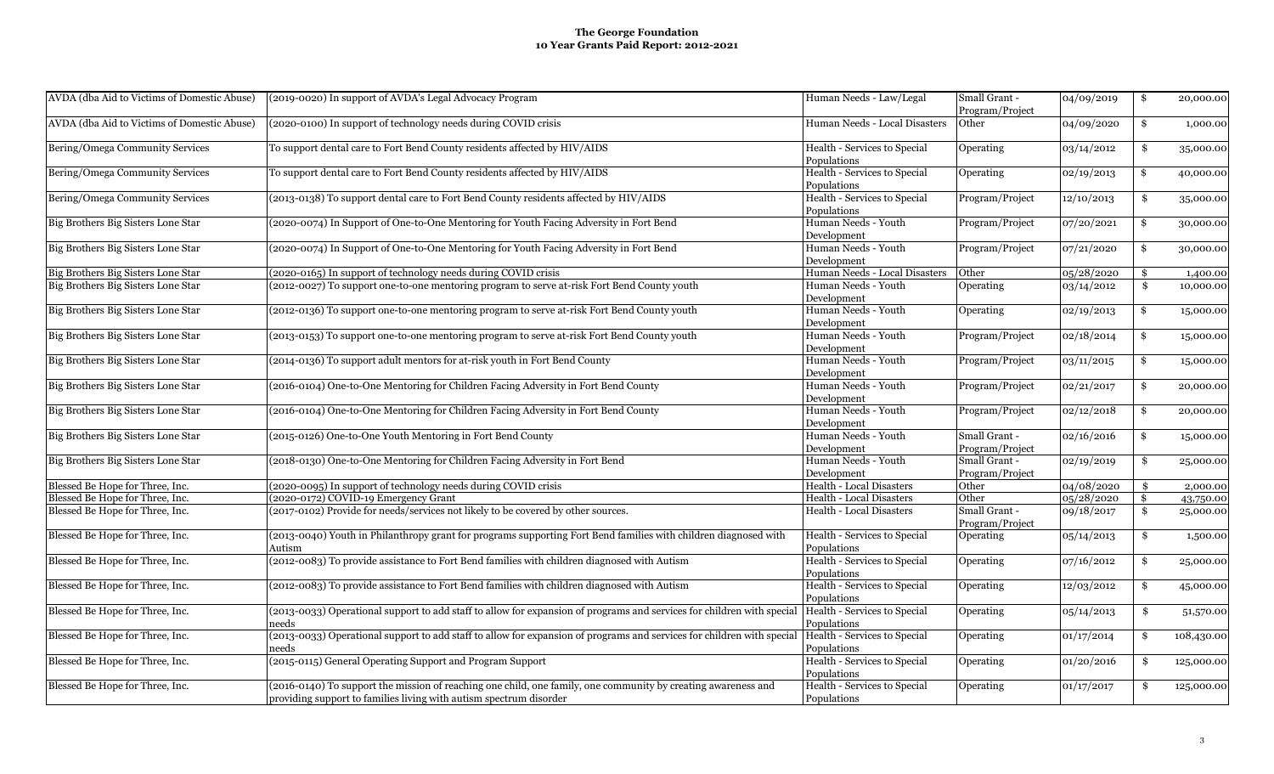| AVDA (dba Aid to Victims of Domestic Abuse) | (2019-0020) In support of AVDA's Legal Advocacy Program                                                                | Human Needs - Law/Legal         | Small Grant -   | 04/09/2019 | \$ | 20,000.00  |
|---------------------------------------------|------------------------------------------------------------------------------------------------------------------------|---------------------------------|-----------------|------------|----|------------|
|                                             |                                                                                                                        |                                 | Program/Project |            |    |            |
|                                             |                                                                                                                        |                                 |                 |            |    |            |
| AVDA (dba Aid to Victims of Domestic Abuse) | (2020-0100) In support of technology needs during COVID crisis                                                         | Human Needs - Local Disasters   | Other           | 04/09/2020 | \$ | 1,000.00   |
| Bering/Omega Community Services             | To support dental care to Fort Bend County residents affected by HIV/AIDS                                              | Health - Services to Special    | Operating       | 03/14/2012 | \$ | 35,000.00  |
|                                             |                                                                                                                        | Populations                     |                 |            |    |            |
| Bering/Omega Community Services             | To support dental care to Fort Bend County residents affected by HIV/AIDS                                              | Health - Services to Special    | Operating       | 02/19/2013 | \$ | 40,000.00  |
|                                             |                                                                                                                        | Populations                     |                 |            |    |            |
| Bering/Omega Community Services             | (2013-0138) To support dental care to Fort Bend County residents affected by HIV/AIDS                                  | Health - Services to Special    | Program/Project | 12/10/2013 | \$ | 35,000.00  |
|                                             |                                                                                                                        | Populations                     |                 |            |    |            |
| Big Brothers Big Sisters Lone Star          | (2020-0074) In Support of One-to-One Mentoring for Youth Facing Adversity in Fort Bend                                 | Human Needs - Youth             | Program/Project | 07/20/2021 | \$ | 30,000.00  |
|                                             |                                                                                                                        | Development                     |                 |            |    |            |
| Big Brothers Big Sisters Lone Star          | (2020-0074) In Support of One-to-One Mentoring for Youth Facing Adversity in Fort Bend                                 | Human Needs - Youth             | Program/Project | 07/21/2020 | \$ | 30,000.00  |
|                                             |                                                                                                                        | Development                     |                 |            |    |            |
| Big Brothers Big Sisters Lone Star          | (2020-0165) In support of technology needs during COVID crisis                                                         | Human Needs - Local Disasters   | Other           | 05/28/2020 | \$ | 1,400.00   |
| Big Brothers Big Sisters Lone Star          | (2012-0027) To support one-to-one mentoring program to serve at-risk Fort Bend County youth                            | Human Needs - Youth             | Operating       | 03/14/2012 | \$ | 10,000.00  |
|                                             |                                                                                                                        | Development                     |                 |            |    |            |
| Big Brothers Big Sisters Lone Star          | (2012-0136) To support one-to-one mentoring program to serve at-risk Fort Bend County youth                            | Human Needs - Youth             | Operating       | 02/19/2013 | \$ | 15,000.00  |
|                                             |                                                                                                                        | Development                     |                 |            |    |            |
| Big Brothers Big Sisters Lone Star          | (2013-0153) To support one-to-one mentoring program to serve at-risk Fort Bend County youth                            | Human Needs - Youth             | Program/Project | 02/18/2014 | \$ | 15,000.00  |
|                                             |                                                                                                                        | Development                     |                 |            |    |            |
| Big Brothers Big Sisters Lone Star          | (2014-0136) To support adult mentors for at-risk youth in Fort Bend County                                             | Human Needs - Youth             | Program/Project | 03/11/2015 | \$ | 15,000.00  |
|                                             |                                                                                                                        | Development                     |                 |            |    |            |
| Big Brothers Big Sisters Lone Star          | (2016-0104) One-to-One Mentoring for Children Facing Adversity in Fort Bend County                                     | Human Needs - Youth             | Program/Project | 02/21/2017 | \$ | 20,000.00  |
|                                             |                                                                                                                        | Development                     |                 |            |    |            |
| Big Brothers Big Sisters Lone Star          | (2016-0104) One-to-One Mentoring for Children Facing Adversity in Fort Bend County                                     | Human Needs - Youth             | Program/Project | 02/12/2018 | \$ | 20,000.00  |
|                                             |                                                                                                                        | Development                     |                 |            |    |            |
| Big Brothers Big Sisters Lone Star          | (2015-0126) One-to-One Youth Mentoring in Fort Bend County                                                             | Human Needs - Youth             | Small Grant -   | 02/16/2016 | \$ | 15,000.00  |
|                                             |                                                                                                                        | Development                     | Program/Project |            |    |            |
| Big Brothers Big Sisters Lone Star          | (2018-0130) One-to-One Mentoring for Children Facing Adversity in Fort Bend                                            | Human Needs - Youth             | Small Grant -   | 02/19/2019 | \$ | 25,000.00  |
|                                             |                                                                                                                        | Development                     | Program/Project |            |    |            |
| Blessed Be Hope for Three, Inc.             | (2020-0095) In support of technology needs during COVID crisis                                                         | <b>Health - Local Disasters</b> | Other           | 04/08/2020 | S. | 2,000.00   |
| Blessed Be Hope for Three, Inc.             | (2020-0172) COVID-19 Emergency Grant                                                                                   | <b>Health - Local Disasters</b> | Other           | 05/28/2020 | \$ | 43,750.00  |
| Blessed Be Hope for Three, Inc.             | (2017-0102) Provide for needs/services not likely to be covered by other sources.                                      | <b>Health - Local Disasters</b> | Small Grant -   | 09/18/2017 | \$ | 25,000.00  |
|                                             |                                                                                                                        |                                 | Program/Project |            |    |            |
| Blessed Be Hope for Three, Inc.             | (2013-0040) Youth in Philanthropy grant for programs supporting Fort Bend families with children diagnosed with        | Health - Services to Special    | Operating       | 05/14/2013 | \$ | 1,500.00   |
|                                             | Autism                                                                                                                 | Populations                     |                 |            |    |            |
| Blessed Be Hope for Three, Inc.             | (2012-0083) To provide assistance to Fort Bend families with children diagnosed with Autism                            | Health - Services to Special    | Operating       | 07/16/2012 | \$ | 25,000.00  |
|                                             |                                                                                                                        | Populations                     |                 |            |    |            |
| Blessed Be Hope for Three, Inc.             | (2012-0083) To provide assistance to Fort Bend families with children diagnosed with Autism                            | Health - Services to Special    | Operating       | 12/03/2012 | \$ | 45,000.00  |
|                                             |                                                                                                                        | Populations                     |                 |            |    |            |
| Blessed Be Hope for Three, Inc.             | (2013-0033) Operational support to add staff to allow for expansion of programs and services for children with special | Health - Services to Special    | Operating       | 05/14/2013 | \$ | 51,570.00  |
|                                             | aeeds                                                                                                                  | Populations                     |                 |            |    |            |
| Blessed Be Hope for Three, Inc.             | (2013-0033) Operational support to add staff to allow for expansion of programs and services for children with special | Health - Services to Special    | Operating       | 01/17/2014 | \$ | 108,430.00 |
|                                             | needs                                                                                                                  | Populations                     |                 |            |    |            |
| Blessed Be Hope for Three, Inc.             | (2015-0115) General Operating Support and Program Support                                                              | Health - Services to Special    | Operating       | 01/20/2016 | \$ | 125,000.00 |
|                                             |                                                                                                                        | Populations                     |                 |            |    |            |
| Blessed Be Hope for Three, Inc.             | (2016-0140) To support the mission of reaching one child, one family, one community by creating awareness and          | Health - Services to Special    | Operating       | 01/17/2017 | \$ | 125,000.00 |
|                                             | providing support to families living with autism spectrum disorder                                                     | Populations                     |                 |            |    |            |
|                                             |                                                                                                                        |                                 |                 |            |    |            |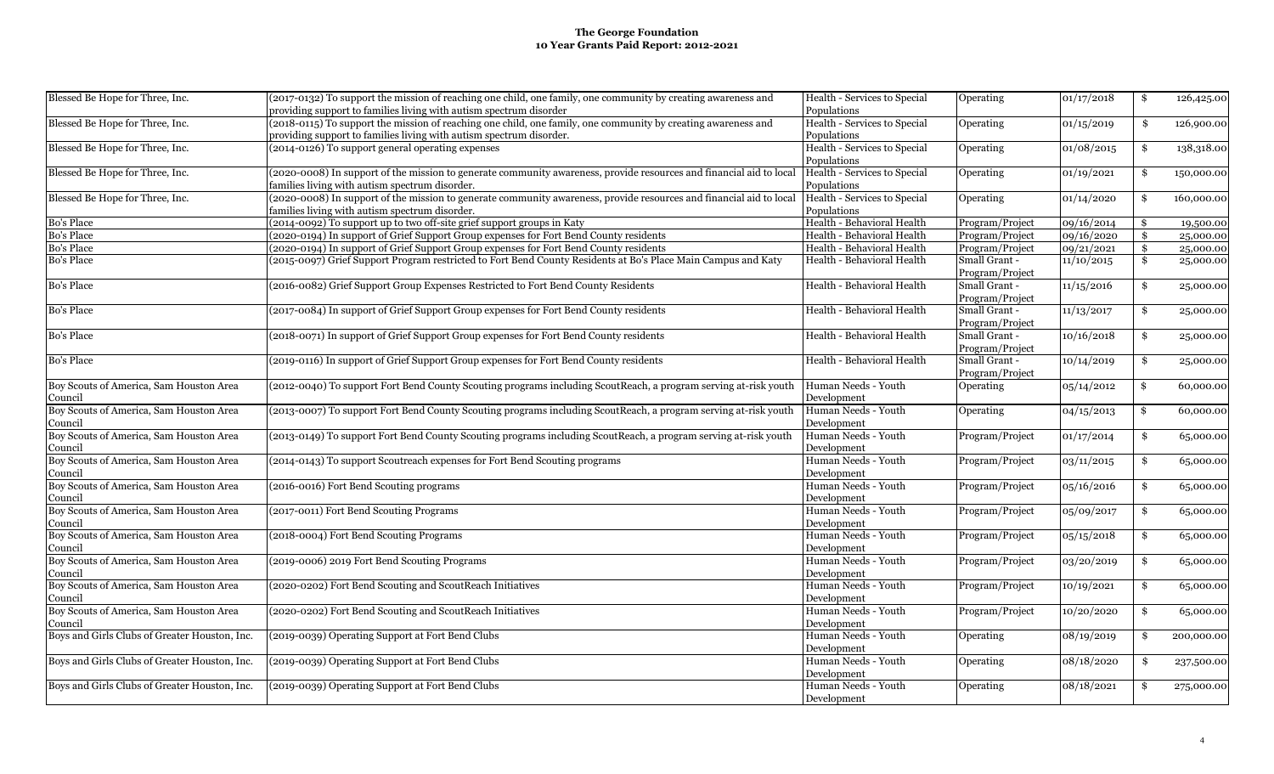| Blessed Be Hope for Three, Inc.               | (2017-0132) To support the mission of reaching one child, one family, one community by creating awareness and       | Health - Services to Special | Operating       | 01/17/2018 | \$  | 126,425.00 |
|-----------------------------------------------|---------------------------------------------------------------------------------------------------------------------|------------------------------|-----------------|------------|-----|------------|
|                                               | providing support to families living with autism spectrum disorder                                                  | Populations                  |                 |            |     |            |
| Blessed Be Hope for Three, Inc.               | (2018-0115) To support the mission of reaching one child, one family, one community by creating awareness and       | Health - Services to Special | Operating       | 01/15/2019 | \$  | 126,900.00 |
|                                               | providing support to families living with autism spectrum disorder.                                                 | Populations                  |                 |            |     |            |
| Blessed Be Hope for Three, Inc.               | (2014-0126) To support general operating expenses                                                                   | Health - Services to Special | Operating       | 01/08/2015 | \$  | 138,318.00 |
|                                               |                                                                                                                     | Populations                  |                 |            |     |            |
| Blessed Be Hope for Three, Inc.               | (2020-0008) In support of the mission to generate community awareness, provide resources and financial aid to local | Health - Services to Special | Operating       | 01/19/2021 | \$  | 150,000.00 |
|                                               | families living with autism spectrum disorder.                                                                      | Populations                  |                 |            |     |            |
| Blessed Be Hope for Three, Inc.               | (2020-0008) In support of the mission to generate community awareness, provide resources and financial aid to local | Health - Services to Special | Operating       | 01/14/2020 | \$  | 160,000.00 |
|                                               | families living with autism spectrum disorder.                                                                      | Populations                  |                 |            |     |            |
| <b>Bo's Place</b>                             | (2014-0092) To support up to two off-site grief support groups in Katy                                              | Health - Behavioral Health   | Program/Project | 09/16/2014 | \$  | 19,500.00  |
| <b>Bo's Place</b>                             | (2020-0194) In support of Grief Support Group expenses for Fort Bend County residents                               | Health - Behavioral Health   | Program/Project | 09/16/2020 | \$. | 25,000.00  |
| <b>Bo's Place</b>                             | (2020-0194) In support of Grief Support Group expenses for Fort Bend County residents                               | Health - Behavioral Health   | Program/Project | 09/21/2021 | \$  | 25,000.00  |
| <b>Bo's Place</b>                             | (2015-0097) Grief Support Program restricted to Fort Bend County Residents at Bo's Place Main Campus and Katy       | Health - Behavioral Health   | Small Grant -   | 11/10/2015 | \$  | 25,000.00  |
|                                               |                                                                                                                     |                              | Program/Project |            |     |            |
| <b>Bo's Place</b>                             | (2016-0082) Grief Support Group Expenses Restricted to Fort Bend County Residents                                   | Health - Behavioral Health   | Small Grant -   | 11/15/2016 | \$  |            |
|                                               |                                                                                                                     |                              |                 |            |     | 25,000.00  |
|                                               |                                                                                                                     |                              | Program/Project |            |     |            |
| <b>Bo's Place</b>                             | (2017-0084) In support of Grief Support Group expenses for Fort Bend County residents                               | Health - Behavioral Health   | Small Grant -   | 11/13/2017 | \$  | 25,000.00  |
|                                               |                                                                                                                     |                              | Program/Project |            |     |            |
| <b>Bo's Place</b>                             | (2018-0071) In support of Grief Support Group expenses for Fort Bend County residents                               | Health - Behavioral Health   | Small Grant -   | 10/16/2018 | \$  | 25,000.00  |
|                                               |                                                                                                                     |                              | Program/Project |            |     |            |
| <b>Bo's Place</b>                             | (2019-0116) In support of Grief Support Group expenses for Fort Bend County residents                               | Health - Behavioral Health   | Small Grant -   | 10/14/2019 | \$  | 25,000.00  |
|                                               |                                                                                                                     |                              | Program/Project |            |     |            |
| Boy Scouts of America, Sam Houston Area       | (2012-0040) To support Fort Bend County Scouting programs including ScoutReach, a program serving at-risk youth     | Human Needs - Youth          | Operating       | 05/14/2012 | \$  | 60,000.00  |
| Council                                       |                                                                                                                     | Development                  |                 |            |     |            |
| Boy Scouts of America, Sam Houston Area       | (2013-0007) To support Fort Bend County Scouting programs including ScoutReach, a program serving at-risk youth     | Human Needs - Youth          | Operating       | 04/15/2013 | \$  | 60,000.00  |
| Council                                       |                                                                                                                     | Development                  |                 |            |     |            |
| Boy Scouts of America, Sam Houston Area       | (2013-0149) To support Fort Bend County Scouting programs including ScoutReach, a program serving at-risk youth     | Human Needs - Youth          | Program/Project | 01/17/2014 | \$  | 65,000.00  |
| Council                                       |                                                                                                                     | Development                  |                 |            |     |            |
| Boy Scouts of America, Sam Houston Area       | (2014-0143) To support Scoutreach expenses for Fort Bend Scouting programs                                          | Human Needs - Youth          | Program/Project | 03/11/2015 | \$  | 65,000.00  |
| Council                                       |                                                                                                                     | Development                  |                 |            |     |            |
| Boy Scouts of America, Sam Houston Area       | (2016-0016) Fort Bend Scouting programs                                                                             | Human Needs - Youth          | Program/Project | 05/16/2016 | \$  | 65,000.00  |
| Council                                       |                                                                                                                     | Development                  |                 |            |     |            |
|                                               | (2017-0011) Fort Bend Scouting Programs                                                                             | Human Needs - Youth          |                 |            |     |            |
| Boy Scouts of America, Sam Houston Area       |                                                                                                                     |                              | Program/Project | 05/09/2017 | \$  | 65,000.00  |
| Council                                       |                                                                                                                     | Development                  |                 |            |     |            |
| Boy Scouts of America, Sam Houston Area       | (2018-0004) Fort Bend Scouting Programs                                                                             | Human Needs - Youth          | Program/Project | 05/15/2018 | \$  | 65,000.00  |
| Council                                       |                                                                                                                     | Development                  |                 |            |     |            |
| Boy Scouts of America, Sam Houston Area       | (2019-0006) 2019 Fort Bend Scouting Programs                                                                        | Human Needs - Youth          | Program/Project | 03/20/2019 | \$  | 65,000.00  |
| Council                                       |                                                                                                                     | Development                  |                 |            |     |            |
| Boy Scouts of America, Sam Houston Area       | (2020-0202) Fort Bend Scouting and ScoutReach Initiatives                                                           | Human Needs - Youth          | Program/Project | 10/19/2021 | \$  | 65,000.00  |
| Council                                       |                                                                                                                     | Development                  |                 |            |     |            |
| Boy Scouts of America, Sam Houston Area       | (2020-0202) Fort Bend Scouting and ScoutReach Initiatives                                                           | Human Needs - Youth          | Program/Project | 10/20/2020 | \$  | 65,000.00  |
| Council                                       |                                                                                                                     | Development                  |                 |            |     |            |
| Boys and Girls Clubs of Greater Houston, Inc. | (2019-0039) Operating Support at Fort Bend Clubs                                                                    | Human Needs - Youth          | Operating       | 08/19/2019 | \$  | 200,000.00 |
|                                               |                                                                                                                     | Development                  |                 |            |     |            |
| Boys and Girls Clubs of Greater Houston, Inc. | (2019-0039) Operating Support at Fort Bend Clubs                                                                    | Human Needs - Youth          | Operating       | 08/18/2020 | \$  | 237,500.00 |
|                                               |                                                                                                                     | Development                  |                 |            |     |            |
| Boys and Girls Clubs of Greater Houston, Inc. | (2019-0039) Operating Support at Fort Bend Clubs                                                                    | Human Needs - Youth          | Operating       | 08/18/2021 | \$  | 275,000.00 |
|                                               |                                                                                                                     | Development                  |                 |            |     |            |
|                                               |                                                                                                                     |                              |                 |            |     |            |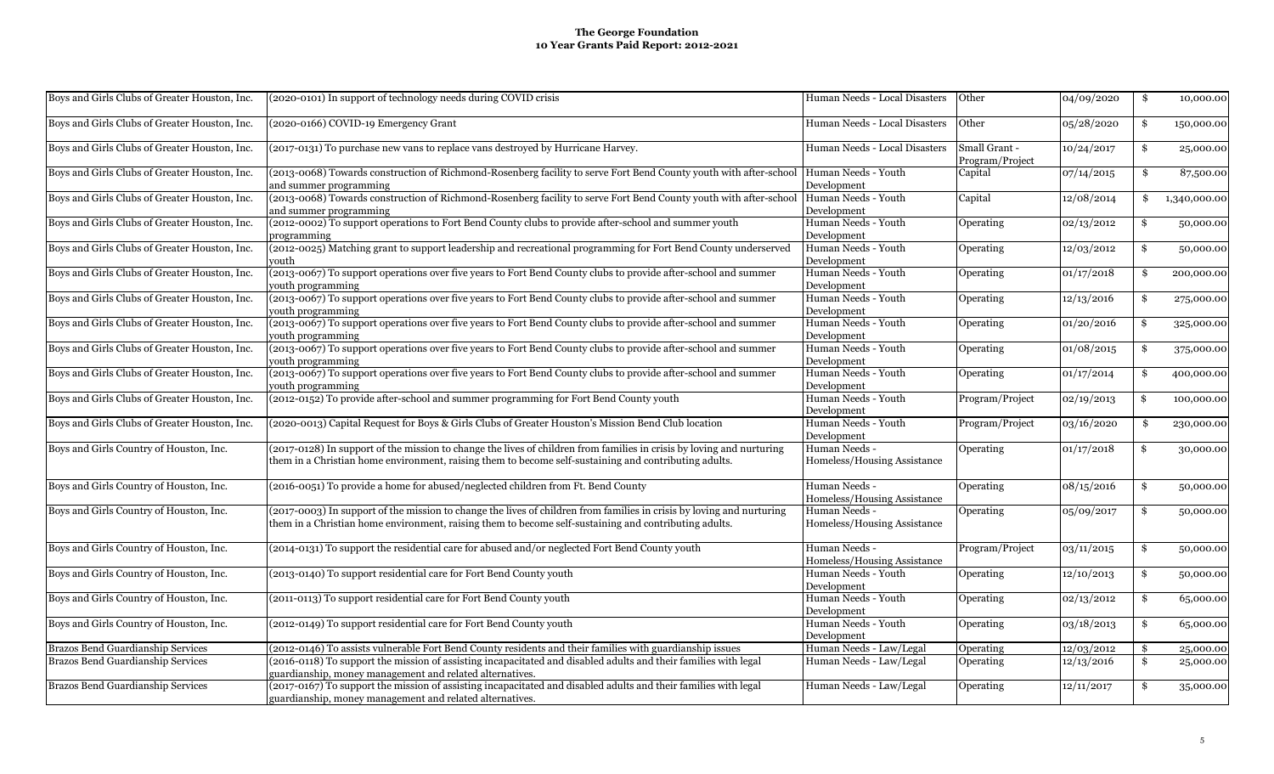| Boys and Girls Clubs of Greater Houston, Inc. | (2020-0101) In support of technology needs during COVID crisis                                                                                                                                                                 | Human Needs - Local Disasters                | Other                            | 04/09/2020 | \$<br>10,000.00    |
|-----------------------------------------------|--------------------------------------------------------------------------------------------------------------------------------------------------------------------------------------------------------------------------------|----------------------------------------------|----------------------------------|------------|--------------------|
| Boys and Girls Clubs of Greater Houston, Inc. | (2020-0166) COVID-19 Emergency Grant                                                                                                                                                                                           | Human Needs - Local Disasters                | Other                            | 05/28/2020 | \$<br>150,000.00   |
| Boys and Girls Clubs of Greater Houston, Inc. | (2017-0131) To purchase new vans to replace vans destroyed by Hurricane Harvey.                                                                                                                                                | Human Needs - Local Disasters                | Small Grant -<br>Program/Project | 10/24/2017 | \$<br>25,000.00    |
| Boys and Girls Clubs of Greater Houston, Inc. | (2013-0068) Towards construction of Richmond-Rosenberg facility to serve Fort Bend County youth with after-school Human Needs - Youth<br>and summer programming                                                                | Development                                  | Capital                          | 07/14/2015 | \$<br>87,500.00    |
| Boys and Girls Clubs of Greater Houston, Inc. | (2013-0068) Towards construction of Richmond-Rosenberg facility to serve Fort Bend County youth with after-school<br>and summer programming                                                                                    | Human Needs - Youth<br>Development           | Capital                          | 12/08/2014 | \$<br>1,340,000.00 |
| Boys and Girls Clubs of Greater Houston, Inc. | (2012-0002) To support operations to Fort Bend County clubs to provide after-school and summer youth<br>programming                                                                                                            | Human Needs - Youth<br>Development           | Operating                        | 02/13/2012 | \$<br>50,000.00    |
| Boys and Girls Clubs of Greater Houston, Inc. | (2012-0025) Matching grant to support leadership and recreational programming for Fort Bend County underserved<br>outh/                                                                                                        | Human Needs - Youth<br>Development           | Operating                        | 12/03/2012 | \$<br>50,000.00    |
| Boys and Girls Clubs of Greater Houston, Inc. | (2013-0067) To support operations over five years to Fort Bend County clubs to provide after-school and summer<br>outh programming                                                                                             | Human Needs - Youth<br>Development           | Operating                        | 01/17/2018 | \$<br>200,000.00   |
| Boys and Girls Clubs of Greater Houston, Inc. | (2013-0067) To support operations over five years to Fort Bend County clubs to provide after-school and summer<br>outh programming                                                                                             | Human Needs - Youth<br>Development           | Operating                        | 12/13/2016 | \$<br>275,000.00   |
| Boys and Girls Clubs of Greater Houston, Inc. | (2013-0067) To support operations over five years to Fort Bend County clubs to provide after-school and summer<br>outh programming                                                                                             | Human Needs - Youth<br>Development           | Operating                        | 01/20/2016 | \$<br>325,000.00   |
| Boys and Girls Clubs of Greater Houston, Inc. | (2013-0067) To support operations over five years to Fort Bend County clubs to provide after-school and summer<br>outh programming                                                                                             | Human Needs - Youth<br>Development           | Operating                        | 01/08/2015 | \$<br>375,000.00   |
| Boys and Girls Clubs of Greater Houston, Inc. | (2013-0067) To support operations over five years to Fort Bend County clubs to provide after-school and summer<br>youth programming                                                                                            | Human Needs - Youth<br>Development           | Operating                        | 01/17/2014 | \$<br>400,000.00   |
| Boys and Girls Clubs of Greater Houston, Inc. | (2012-0152) To provide after-school and summer programming for Fort Bend County youth                                                                                                                                          | Human Needs - Youth<br>Development           | Program/Project                  | 02/19/2013 | \$<br>100,000.00   |
| Boys and Girls Clubs of Greater Houston, Inc. | (2020-0013) Capital Request for Boys & Girls Clubs of Greater Houston's Mission Bend Club location                                                                                                                             | Human Needs - Youth<br>Development           | Program/Project                  | 03/16/2020 | \$<br>230,000.00   |
| Boys and Girls Country of Houston, Inc.       | (2017-0128) In support of the mission to change the lives of children from families in crisis by loving and nurturing<br>them in a Christian home environment, raising them to become self-sustaining and contributing adults. | Human Needs -<br>Homeless/Housing Assistance | Operating                        | 01/17/2018 | \$<br>30,000.00    |
| Boys and Girls Country of Houston, Inc.       | (2016-0051) To provide a home for abused/neglected children from Ft. Bend County                                                                                                                                               | Human Needs -<br>Homeless/Housing Assistance | Operating                        | 08/15/2016 | \$<br>50,000.00    |
| Boys and Girls Country of Houston, Inc.       | (2017-0003) In support of the mission to change the lives of children from families in crisis by loving and nurturing<br>them in a Christian home environment, raising them to become self-sustaining and contributing adults. | Human Needs<br>Homeless/Housing Assistance   | Operating                        | 05/09/2017 | \$<br>50,000.00    |
| Boys and Girls Country of Houston, Inc.       | (2014-0131) To support the residential care for abused and/or neglected Fort Bend County youth                                                                                                                                 | Human Needs -<br>Homeless/Housing Assistance | Program/Project                  | 03/11/2015 | \$<br>50,000.00    |
| Boys and Girls Country of Houston, Inc.       | (2013-0140) To support residential care for Fort Bend County youth                                                                                                                                                             | Human Needs - Youth<br>Development           | Operating                        | 12/10/2013 | \$<br>50,000.00    |
| Boys and Girls Country of Houston, Inc.       | (2011-0113) To support residential care for Fort Bend County youth                                                                                                                                                             | Human Needs - Youth<br>Development           | Operating                        | 02/13/2012 | \$<br>65,000.00    |
| Boys and Girls Country of Houston, Inc.       | (2012-0149) To support residential care for Fort Bend County youth                                                                                                                                                             | Human Needs - Youth<br>Development           | Operating                        | 03/18/2013 | \$<br>65,000.00    |
| Brazos Bend Guardianship Services             | (2012-0146) To assists vulnerable Fort Bend County residents and their families with guardianship issues                                                                                                                       | Human Needs - Law/Legal                      | Operating                        | 12/03/2012 | \$<br>25,000.00    |
| Brazos Bend Guardianship Services             | (2016-0118) To support the mission of assisting incapacitated and disabled adults and their families with legal<br>uardianship, money management and related alternatives.                                                     | Human Needs - Law/Legal                      | Operating                        | 12/13/2016 | \$<br>25,000.00    |
| Brazos Bend Guardianship Services             | (2017-0167) To support the mission of assisting incapacitated and disabled adults and their families with legal<br>guardianship, money management and related alternatives.                                                    | Human Needs - Law/Legal                      | Operating                        | 12/11/2017 | \$<br>35,000.00    |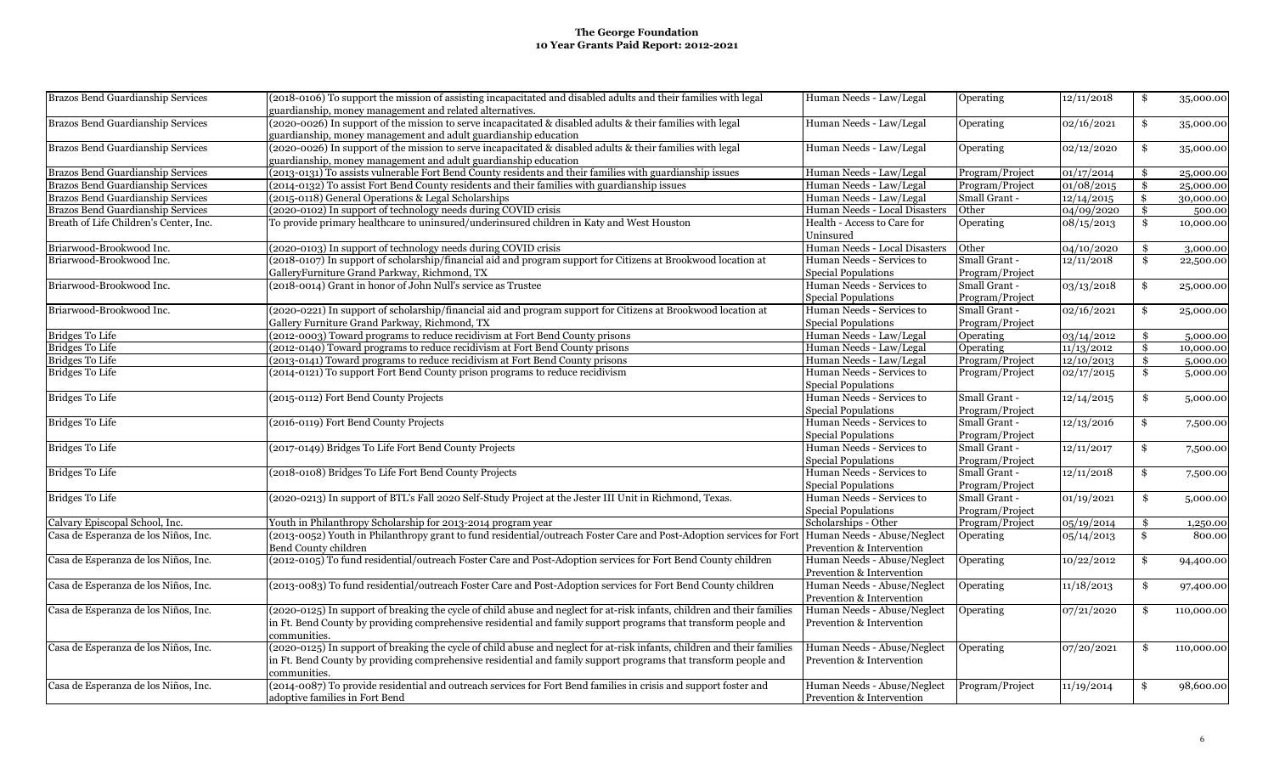| Brazos Bend Guardianship Services      | (2018-0106) To support the mission of assisting incapacitated and disabled adults and their families with legal<br>guardianship, money management and related alternatives. | Human Needs - Law/Legal                                 | Operating       | 12/11/2018          | \$<br>35,000.00  |
|----------------------------------------|-----------------------------------------------------------------------------------------------------------------------------------------------------------------------------|---------------------------------------------------------|-----------------|---------------------|------------------|
| Brazos Bend Guardianship Services      | (2020-0026) In support of the mission to serve incapacitated & disabled adults & their families with legal                                                                  | Human Needs - Law/Legal                                 | Operating       | 02/16/2021          | \$<br>35,000.00  |
|                                        | guardianship, money management and adult guardianship education                                                                                                             |                                                         |                 |                     |                  |
| Brazos Bend Guardianship Services      | (2020-0026) In support of the mission to serve incapacitated & disabled adults & their families with legal                                                                  | Human Needs - Law/Legal                                 | Operating       | 02/12/2020          | \$<br>35,000.00  |
|                                        | guardianship, money management and adult guardianship education                                                                                                             |                                                         |                 |                     |                  |
| Brazos Bend Guardianship Services      | (2013-0131) To assists vulnerable Fort Bend County residents and their families with guardianship issues                                                                    | Human Needs - Law/Legal                                 | Program/Project | 01/17/2014          | \$<br>25,000.00  |
| Brazos Bend Guardianship Services      | (2014-0132) To assist Fort Bend County residents and their families with guardianship issues                                                                                | Human Needs - Law/Legal                                 | Program/Project | 01/08/2015          | \$<br>25,000.00  |
| Brazos Bend Guardianship Services      | (2015-0118) General Operations & Legal Scholarships                                                                                                                         | Human Needs - Law/Legal                                 | Small Grant -   | $\sqrt{12}/14/2015$ | \$<br>30,000.00  |
| Brazos Bend Guardianship Services      | (2020-0102) In support of technology needs during COVID crisis                                                                                                              | Human Needs - Local Disasters                           | Other           | 04/09/2020          | \$<br>500.00     |
| Breath of Life Children's Center, Inc. | To provide primary healthcare to uninsured/underinsured children in Katy and West Houston                                                                                   | Health - Access to Care for<br>Uninsured                | Operating       | 08/15/2013          | \$<br>10,000.00  |
| Briarwood-Brookwood Inc.               | (2020-0103) In support of technology needs during COVID crisis                                                                                                              | Human Needs - Local Disasters                           | Other           | 04/10/2020          | \$<br>3,000.00   |
| Briarwood-Brookwood Inc.               | (2018-0107) In support of scholarship/financial aid and program support for Citizens at Brookwood location at                                                               | Human Needs - Services to                               | Small Grant -   | 12/11/2018          | \$<br>22,500.00  |
|                                        | GalleryFurniture Grand Parkway, Richmond, TX                                                                                                                                | <b>Special Populations</b>                              | Program/Project |                     |                  |
| Briarwood-Brookwood Inc.               | (2018-0014) Grant in honor of John Null's service as Trustee                                                                                                                | Human Needs - Services to                               | Small Grant -   | 03/13/2018          | \$<br>25,000.00  |
|                                        |                                                                                                                                                                             | <b>Special Populations</b>                              | Program/Project |                     |                  |
| Briarwood-Brookwood Inc.               | (2020-0221) In support of scholarship/financial aid and program support for Citizens at Brookwood location at                                                               | Human Needs - Services to                               | Small Grant -   | 02/16/2021          | \$<br>25,000.00  |
|                                        | Gallery Furniture Grand Parkway, Richmond, TX                                                                                                                               | Special Populations                                     | Program/Project |                     |                  |
| <b>Bridges To Life</b>                 | (2012-0003) Toward programs to reduce recidivism at Fort Bend County prisons                                                                                                | Human Needs - Law/Legal                                 | Operating       | 03/14/2012          | \$<br>5,000.00   |
| <b>Bridges To Life</b>                 | (2012-0140) Toward programs to reduce recidivism at Fort Bend County prisons                                                                                                | Human Needs - Law/Legal                                 | Operating       | 11/13/2012          | \$<br>10,000.00  |
| <b>Bridges To Life</b>                 | (2013-0141) Toward programs to reduce recidivism at Fort Bend County prisons                                                                                                | Human Needs - Law/Legal                                 | Program/Project |                     | \$               |
|                                        |                                                                                                                                                                             |                                                         |                 | 12/10/2013          | 5,000.00         |
| <b>Bridges To Life</b>                 | (2014-0121) To support Fort Bend County prison programs to reduce recidivism                                                                                                | Human Needs - Services to<br><b>Special Populations</b> | Program/Project | 02/17/2015          | \$<br>5,000.00   |
| <b>Bridges To Life</b>                 | (2015-0112) Fort Bend County Projects                                                                                                                                       | Human Needs - Services to                               | Small Grant -   | 12/14/2015          | \$<br>5,000.00   |
|                                        |                                                                                                                                                                             | <b>Special Populations</b>                              | Program/Project |                     |                  |
| <b>Bridges To Life</b>                 | (2016-0119) Fort Bend County Projects                                                                                                                                       | Human Needs - Services to                               | Small Grant -   | 12/13/2016          | \$<br>7,500.00   |
|                                        |                                                                                                                                                                             | <b>Special Populations</b>                              | Program/Project |                     |                  |
| <b>Bridges To Life</b>                 | (2017-0149) Bridges To Life Fort Bend County Projects                                                                                                                       | Human Needs - Services to                               | Small Grant -   | 12/11/2017          | \$<br>7,500.00   |
|                                        |                                                                                                                                                                             | <b>Special Populations</b>                              | Program/Project |                     |                  |
| <b>Bridges To Life</b>                 | (2018-0108) Bridges To Life Fort Bend County Projects                                                                                                                       | Human Needs - Services to                               | Small Grant -   | 12/11/2018          | \$<br>7,500.00   |
|                                        |                                                                                                                                                                             | <b>Special Populations</b>                              | Program/Project |                     |                  |
| <b>Bridges To Life</b>                 | (2020-0213) In support of BTL's Fall 2020 Self-Study Project at the Jester III Unit in Richmond, Texas.                                                                     | Human Needs - Services to                               | Small Grant -   | 01/19/2021          | \$<br>5,000.00   |
|                                        |                                                                                                                                                                             | Special Populations                                     | Program/Project |                     |                  |
| Calvary Episcopal School, Inc.         | Youth in Philanthropy Scholarship for 2013-2014 program year                                                                                                                | Scholarships - Other                                    | Program/Project | 05/19/2014          | \$<br>1,250.00   |
| Casa de Esperanza de los Niños, Inc.   | (2013-0052) Youth in Philanthropy grant to fund residential/outreach Foster Care and Post-Adoption services for Fort                                                        | Human Needs - Abuse/Neglect                             | Operating       | 05/14/2013          | \$<br>800.00     |
|                                        | Bend County children                                                                                                                                                        | Prevention & Intervention                               |                 |                     |                  |
| Casa de Esperanza de los Niños, Inc.   | (2012-0105) To fund residential/outreach Foster Care and Post-Adoption services for Fort Bend County children                                                               | Human Needs - Abuse/Neglect                             | Operating       | 10/22/2012          | \$<br>94,400.00  |
|                                        |                                                                                                                                                                             | Prevention & Intervention                               |                 |                     |                  |
| Casa de Esperanza de los Niños, Inc.   | (2013-0083) To fund residential/outreach Foster Care and Post-Adoption services for Fort Bend County children                                                               | Human Needs - Abuse/Neglect                             | Operating       | 11/18/2013          | \$<br>97,400.00  |
|                                        |                                                                                                                                                                             | Prevention & Intervention                               |                 |                     |                  |
| Casa de Esperanza de los Niños, Inc.   | (2020-0125) In support of breaking the cycle of child abuse and neglect for at-risk infants, children and their families                                                    | Human Needs - Abuse/Neglect                             | Operating       | 07/21/2020          | \$<br>110,000.00 |
|                                        | in Ft. Bend County by providing comprehensive residential and family support programs that transform people and<br>communities.                                             | Prevention & Intervention                               |                 |                     |                  |
| Casa de Esperanza de los Niños, Inc.   | (2020-0125) In support of breaking the cycle of child abuse and neglect for at-risk infants, children and their families                                                    | Human Needs - Abuse/Neglect                             | Operating       | 07/20/2021          | \$<br>110,000.00 |
|                                        | in Ft. Bend County by providing comprehensive residential and family support programs that transform people and                                                             | Prevention & Intervention                               |                 |                     |                  |
|                                        | communities.                                                                                                                                                                |                                                         |                 |                     |                  |
| Casa de Esperanza de los Niños, Inc.   | (2014-0087) To provide residential and outreach services for Fort Bend families in crisis and support foster and                                                            | Human Needs - Abuse/Neglect                             | Program/Project | 11/19/2014          | \$<br>98,600.00  |
|                                        | adoptive families in Fort Bend                                                                                                                                              | Prevention & Intervention                               |                 |                     |                  |
|                                        |                                                                                                                                                                             |                                                         |                 |                     |                  |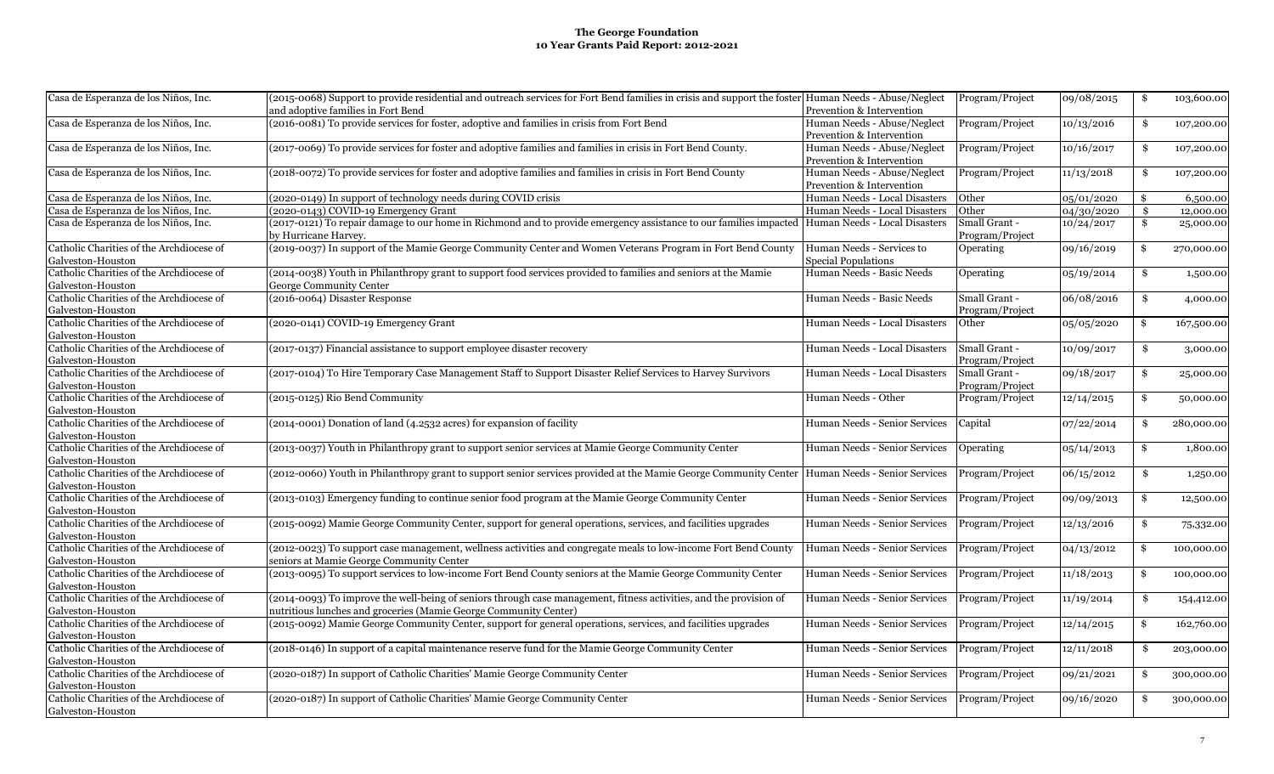| Casa de Esperanza de los Niños, Inc.                          | (2015-0068) Support to provide residential and outreach services for Fort Bend families in crisis and support the foster Human Needs - Abuse/Neglect |                               | Program/Project | 09/08/2015 | \$<br>103,600.00 |
|---------------------------------------------------------------|------------------------------------------------------------------------------------------------------------------------------------------------------|-------------------------------|-----------------|------------|------------------|
|                                                               | and adoptive families in Fort Bend                                                                                                                   | Prevention & Intervention     |                 |            |                  |
| Casa de Esperanza de los Niños, Inc.                          | (2016-0081) To provide services for foster, adoptive and families in crisis from Fort Bend                                                           | Human Needs - Abuse/Neglect   | Program/Project | 10/13/2016 | \$<br>107,200.00 |
|                                                               |                                                                                                                                                      | Prevention & Intervention     |                 |            |                  |
| Casa de Esperanza de los Niños, Inc.                          | (2017-0069) To provide services for foster and adoptive families and families in crisis in Fort Bend County.                                         | Human Needs - Abuse/Neglect   | Program/Project | 10/16/2017 | \$<br>107,200.00 |
|                                                               |                                                                                                                                                      | Prevention & Intervention     |                 |            |                  |
| Casa de Esperanza de los Niños, Inc.                          | (2018-0072) To provide services for foster and adoptive families and families in crisis in Fort Bend County                                          | Human Needs - Abuse/Neglect   | Program/Project | 11/13/2018 | \$<br>107,200.00 |
|                                                               |                                                                                                                                                      | Prevention & Intervention     |                 |            |                  |
| Casa de Esperanza de los Niños, Inc.                          | (2020-0149) In support of technology needs during COVID crisis                                                                                       | Human Needs - Local Disasters | Other           | 05/01/2020 | \$<br>6,500.00   |
| Casa de Esperanza de los Niños, Inc.                          | (2020-0143) COVID-19 Emergency Grant                                                                                                                 | Human Needs - Local Disasters | Other           | 04/30/2020 | \$<br>12,000.00  |
| Casa de Esperanza de los Niños, Inc.                          | (2017-0121) To repair damage to our home in Richmond and to provide emergency assistance to our families impacted Human Needs - Local Disasters      |                               | Small Grant -   | 10/24/2017 | \$<br>25,000.00  |
|                                                               | by Hurricane Harvey.                                                                                                                                 |                               | Program/Project |            |                  |
| Catholic Charities of the Archdiocese of                      | (2019-0037) In support of the Mamie George Community Center and Women Veterans Program in Fort Bend County                                           | Human Needs - Services to     | Operating       | 09/16/2019 | \$<br>270,000.00 |
| Galveston-Houston                                             |                                                                                                                                                      | Special Populations           |                 |            |                  |
| Catholic Charities of the Archdiocese of                      | (2014-0038) Youth in Philanthropy grant to support food services provided to families and seniors at the Mamie                                       | Human Needs - Basic Needs     | Operating       | 05/19/2014 | \$<br>1,500.00   |
| Galveston-Houston                                             | George Community Center                                                                                                                              |                               |                 |            |                  |
| Catholic Charities of the Archdiocese of                      | (2016-0064) Disaster Response                                                                                                                        | Human Needs - Basic Needs     | Small Grant -   | 06/08/2016 | \$<br>4,000.00   |
| Galveston-Houston                                             |                                                                                                                                                      |                               | Program/Project |            |                  |
| Catholic Charities of the Archdiocese of                      | (2020-0141) COVID-19 Emergency Grant                                                                                                                 | Human Needs - Local Disasters | Other           | 05/05/2020 | \$<br>167,500.00 |
| Galveston-Houston                                             |                                                                                                                                                      |                               |                 |            |                  |
| Catholic Charities of the Archdiocese of                      | (2017-0137) Financial assistance to support employee disaster recovery                                                                               | Human Needs - Local Disasters | Small Grant -   | 10/09/2017 | \$<br>3,000.00   |
| Galveston-Houston                                             |                                                                                                                                                      |                               | Program/Project |            |                  |
| Catholic Charities of the Archdiocese of                      | (2017-0104) To Hire Temporary Case Management Staff to Support Disaster Relief Services to Harvey Survivors                                          | Human Needs - Local Disasters | Small Grant -   | 09/18/2017 | \$<br>25,000.00  |
| Galveston-Houston                                             |                                                                                                                                                      |                               | Program/Project |            |                  |
| Catholic Charities of the Archdiocese of                      | (2015-0125) Rio Bend Community                                                                                                                       | Human Needs - Other           | Program/Project | 12/14/2015 | \$<br>50,000.00  |
| Galveston-Houston                                             |                                                                                                                                                      |                               |                 |            |                  |
| Catholic Charities of the Archdiocese of                      | (2014-0001) Donation of land (4.2532 acres) for expansion of facility                                                                                | Human Needs - Senior Services | Capital         | 07/22/2014 | \$<br>280,000.00 |
| Galveston-Houston<br>Catholic Charities of the Archdiocese of |                                                                                                                                                      |                               |                 |            |                  |
|                                                               | (2013-0037) Youth in Philanthropy grant to support senior services at Mamie George Community Center                                                  | Human Needs - Senior Services | Operating       | 05/14/2013 | \$<br>1,800.00   |
| Galveston-Houston<br>Catholic Charities of the Archdiocese of |                                                                                                                                                      |                               |                 |            |                  |
|                                                               | (2012-0060) Youth in Philanthropy grant to support senior services provided at the Mamie George Community Center Human Needs - Senior Services       |                               | Program/Project | 06/15/2012 | \$<br>1,250.00   |
| Galveston-Houston<br>Catholic Charities of the Archdiocese of | (2013-0103) Emergency funding to continue senior food program at the Mamie George Community Center                                                   | Human Needs - Senior Services |                 |            |                  |
| Galveston-Houston                                             |                                                                                                                                                      |                               | Program/Project | 09/09/2013 | \$<br>12,500.00  |
| Catholic Charities of the Archdiocese of                      | (2015-0092) Mamie George Community Center, support for general operations, services, and facilities upgrades                                         | Human Needs - Senior Services | Program/Project | 12/13/2016 |                  |
| Galveston-Houston                                             |                                                                                                                                                      |                               |                 |            | \$<br>75,332.00  |
| Catholic Charities of the Archdiocese of                      | (2012-0023) To support case management, wellness activities and congregate meals to low-income Fort Bend County                                      | Human Needs - Senior Services | Program/Project | 04/13/2012 | \$<br>100,000.00 |
| Galveston-Houston                                             | seniors at Mamie George Community Center                                                                                                             |                               |                 |            |                  |
| Catholic Charities of the Archdiocese of                      | (2013-0095) To support services to low-income Fort Bend County seniors at the Mamie George Community Center                                          | Human Needs - Senior Services | Program/Project | 11/18/2013 | \$<br>100,000.00 |
| Galveston-Houston                                             |                                                                                                                                                      |                               |                 |            |                  |
| Catholic Charities of the Archdiocese of                      | (2014-0093) To improve the well-being of seniors through case management, fitness activities, and the provision of                                   | Human Needs - Senior Services | Program/Project | 11/19/2014 | \$<br>154,412.00 |
| Galveston-Houston                                             | nutritious lunches and groceries (Mamie George Community Center)                                                                                     |                               |                 |            |                  |
| Catholic Charities of the Archdiocese of                      | (2015-0092) Mamie George Community Center, support for general operations, services, and facilities upgrades                                         | Human Needs - Senior Services | Program/Project | 12/14/2015 | \$<br>162,760.00 |
| Galveston-Houston                                             |                                                                                                                                                      |                               |                 |            |                  |
| Catholic Charities of the Archdiocese of                      | (2018-0146) In support of a capital maintenance reserve fund for the Mamie George Community Center                                                   | Human Needs - Senior Services | Program/Project | 12/11/2018 | \$<br>203,000.00 |
| Galveston-Houston                                             |                                                                                                                                                      |                               |                 |            |                  |
| Catholic Charities of the Archdiocese of                      | (2020-0187) In support of Catholic Charities' Mamie George Community Center                                                                          | Human Needs - Senior Services | Program/Project | 09/21/2021 | \$<br>300,000.00 |
| Galveston-Houston                                             |                                                                                                                                                      |                               |                 |            |                  |
| Catholic Charities of the Archdiocese of                      | (2020-0187) In support of Catholic Charities' Mamie George Community Center                                                                          | Human Needs - Senior Services | Program/Project | 09/16/2020 | \$<br>300,000.00 |
| Galveston-Houston                                             |                                                                                                                                                      |                               |                 |            |                  |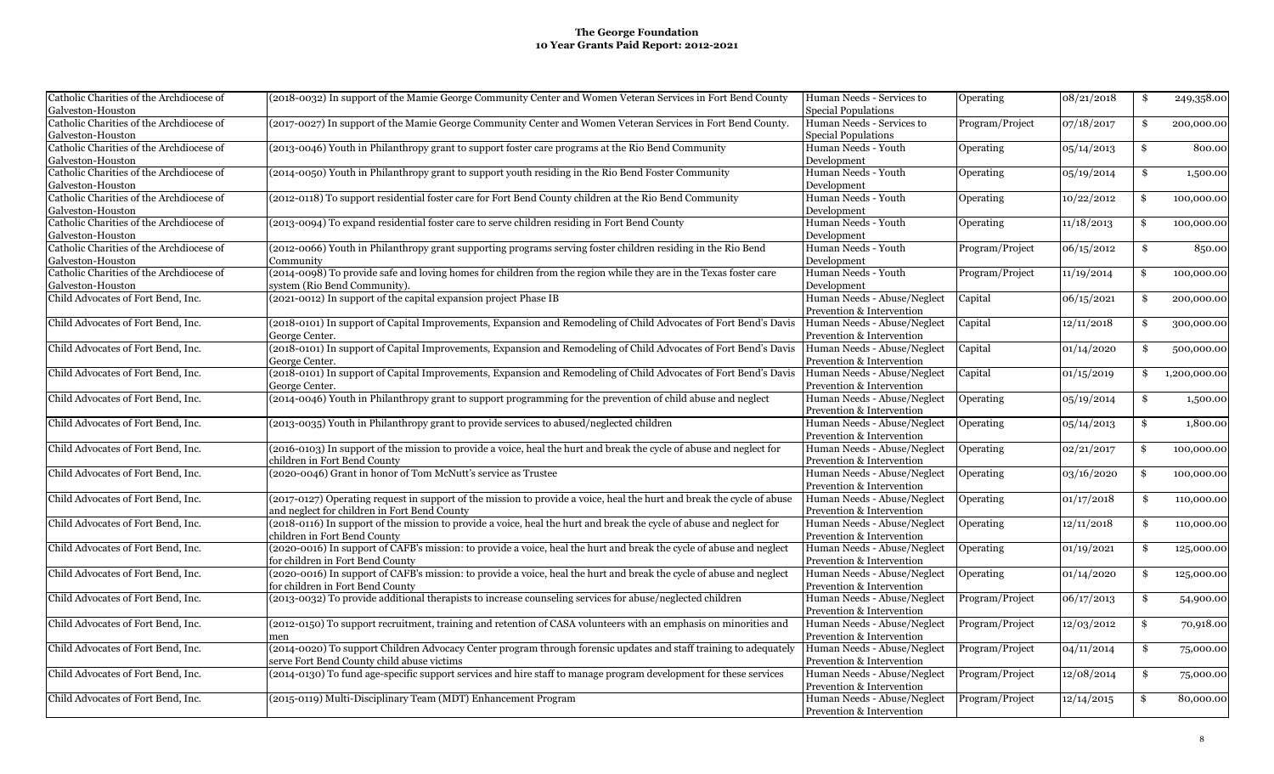| Catholic Charities of the Archdiocese of | (2018-0032) In support of the Mamie George Community Center and Women Veteran Services in Fort Bend County             | Human Needs - Services to   | Operating       | 08/21/2018                   | \$<br>249,358.00   |
|------------------------------------------|------------------------------------------------------------------------------------------------------------------------|-----------------------------|-----------------|------------------------------|--------------------|
| Galveston-Houston                        |                                                                                                                        | Special Populations         |                 |                              |                    |
| Catholic Charities of the Archdiocese of | (2017-0027) In support of the Mamie George Community Center and Women Veteran Services in Fort Bend County.            | Human Needs - Services to   | Program/Project | 07/18/2017                   | \$<br>200,000.00   |
| Galveston-Houston                        |                                                                                                                        | Special Populations         |                 |                              |                    |
| Catholic Charities of the Archdiocese of | (2013-0046) Youth in Philanthropy grant to support foster care programs at the Rio Bend Community                      | Human Needs - Youth         | Operating       | 05/14/2013                   | \$<br>800.00       |
| Galveston-Houston                        |                                                                                                                        | Development                 |                 |                              |                    |
| Catholic Charities of the Archdiocese of | (2014-0050) Youth in Philanthropy grant to support youth residing in the Rio Bend Foster Community                     | Human Needs - Youth         | Operating       | 05/19/2014                   | \$<br>1,500.00     |
| Galveston-Houston                        |                                                                                                                        | Development                 |                 |                              |                    |
| Catholic Charities of the Archdiocese of | (2012-0118) To support residential foster care for Fort Bend County children at the Rio Bend Community                 | Human Needs - Youth         | Operating       | 10/22/2012                   | \$<br>100,000.00   |
| Galveston-Houston                        |                                                                                                                        | Development                 |                 |                              |                    |
| Catholic Charities of the Archdiocese of | (2013-0094) To expand residential foster care to serve children residing in Fort Bend County                           | Human Needs - Youth         | Operating       | 11/18/2013                   | \$<br>100,000.00   |
| Galveston-Houston                        |                                                                                                                        | Development                 |                 |                              |                    |
| Catholic Charities of the Archdiocese of | (2012-0066) Youth in Philanthropy grant supporting programs serving foster children residing in the Rio Bend           | Human Needs - Youth         | Program/Project | 06/15/2012                   | \$<br>850.00       |
| Galveston-Houston                        | Community                                                                                                              | Development                 |                 |                              |                    |
| Catholic Charities of the Archdiocese of | (2014-0098) To provide safe and loving homes for children from the region while they are in the Texas foster care      | Human Needs - Youth         | Program/Project | 11/19/2014                   | \$<br>100,000.00   |
| Galveston-Houston                        | system (Rio Bend Community).                                                                                           | Development                 |                 |                              |                    |
| Child Advocates of Fort Bend, Inc.       | (2021-0012) In support of the capital expansion project Phase IB                                                       | Human Needs - Abuse/Neglect | Capital         | 06/15/2021                   | \$<br>200,000.00   |
|                                          |                                                                                                                        | Prevention & Intervention   |                 |                              |                    |
| Child Advocates of Fort Bend, Inc.       | (2018-0101) In support of Capital Improvements, Expansion and Remodeling of Child Advocates of Fort Bend's Davis       | Human Needs - Abuse/Neglect | Capital         | 12/11/2018                   | \$<br>300,000.00   |
|                                          | George Center.                                                                                                         | Prevention & Intervention   |                 |                              |                    |
| Child Advocates of Fort Bend, Inc.       | (2018-0101) In support of Capital Improvements, Expansion and Remodeling of Child Advocates of Fort Bend's Davis       | Human Needs - Abuse/Neglect | Capital         | 01/14/2020                   | \$<br>500,000.00   |
|                                          | George Center.                                                                                                         | Prevention & Intervention   |                 |                              |                    |
| Child Advocates of Fort Bend, Inc.       | (2018-0101) In support of Capital Improvements, Expansion and Remodeling of Child Advocates of Fort Bend's Davis       | Human Needs - Abuse/Neglect | Capital         | 01/15/2019                   | \$<br>1,200,000.00 |
|                                          | George Center.                                                                                                         | Prevention & Intervention   |                 |                              |                    |
| Child Advocates of Fort Bend, Inc.       | (2014-0046) Youth in Philanthropy grant to support programming for the prevention of child abuse and neglect           | Human Needs - Abuse/Neglect | Operating       | 05/19/2014                   | \$<br>1,500.00     |
|                                          |                                                                                                                        | Prevention & Intervention   |                 |                              |                    |
| Child Advocates of Fort Bend, Inc.       | (2013-0035) Youth in Philanthropy grant to provide services to abused/neglected children                               | Human Needs - Abuse/Neglect | Operating       | 05/14/2013                   | \$<br>1,800.00     |
|                                          |                                                                                                                        | Prevention & Intervention   |                 |                              |                    |
| Child Advocates of Fort Bend, Inc.       | (2016-0103) In support of the mission to provide a voice, heal the hurt and break the cycle of abuse and neglect for   | Human Needs - Abuse/Neglect | Operating       | 02/21/2017                   | \$<br>100,000.00   |
|                                          | children in Fort Bend County                                                                                           | Prevention & Intervention   |                 |                              |                    |
| Child Advocates of Fort Bend, Inc.       | (2020-0046) Grant in honor of Tom McNutt's service as Trustee                                                          | Human Needs - Abuse/Neglect | Operating       | 03/16/2020                   | \$<br>100,000.00   |
|                                          |                                                                                                                        | Prevention & Intervention   |                 |                              |                    |
| Child Advocates of Fort Bend, Inc.       | (2017-0127) Operating request in support of the mission to provide a voice, heal the hurt and break the cycle of abuse | Human Needs - Abuse/Neglect | Operating       | 01/17/2018                   | \$<br>110,000.00   |
|                                          | and neglect for children in Fort Bend County                                                                           | Prevention & Intervention   |                 |                              |                    |
| Child Advocates of Fort Bend, Inc.       | (2018-0116) In support of the mission to provide a voice, heal the hurt and break the cycle of abuse and neglect for   | Human Needs - Abuse/Neglect | Operating       | 12/11/2018                   | \$<br>110,000.00   |
|                                          | children in Fort Bend County                                                                                           | Prevention & Intervention   |                 |                              |                    |
| Child Advocates of Fort Bend, Inc.       | (2020-0016) In support of CAFB's mission: to provide a voice, heal the hurt and break the cycle of abuse and neglect   | Human Needs - Abuse/Neglect | Operating       | 01/19/2021                   | \$<br>125,000.00   |
|                                          | for children in Fort Bend County                                                                                       | Prevention & Intervention   |                 |                              |                    |
| Child Advocates of Fort Bend, Inc.       | (2020-0016) In support of CAFB's mission: to provide a voice, heal the hurt and break the cycle of abuse and neglect   | Human Needs - Abuse/Neglect | Operating       | 01/14/2020                   | \$<br>125,000.00   |
|                                          | for children in Fort Bend County                                                                                       | Prevention & Intervention   |                 |                              |                    |
| Child Advocates of Fort Bend, Inc.       | (2013-0032) To provide additional therapists to increase counseling services for abuse/neglected children              | Human Needs - Abuse/Neglect | Program/Project | $\frac{06}{17}{\sqrt{2013}}$ | \$<br>54,900.00    |
|                                          |                                                                                                                        | Prevention & Intervention   |                 |                              |                    |
| Child Advocates of Fort Bend, Inc.       | (2012-0150) To support recruitment, training and retention of CASA volunteers with an emphasis on minorities and       | Human Needs - Abuse/Neglect | Program/Project | 12/03/2012                   |                    |
|                                          |                                                                                                                        |                             |                 |                              | \$<br>70,918.00    |
|                                          |                                                                                                                        | Prevention & Intervention   |                 |                              |                    |
| Child Advocates of Fort Bend, Inc.       | (2014-0020) To support Children Advocacy Center program through forensic updates and staff training to adequately      | Human Needs - Abuse/Neglect | Program/Project | 04/11/2014                   | \$<br>75,000.00    |
|                                          | serve Fort Bend County child abuse victims                                                                             | Prevention & Intervention   |                 |                              |                    |
| Child Advocates of Fort Bend, Inc.       | (2014-0130) To fund age-specific support services and hire staff to manage program development for these services      | Human Needs - Abuse/Neglect | Program/Project | 12/08/2014                   | \$<br>75,000.00    |
|                                          |                                                                                                                        | Prevention & Intervention   |                 |                              |                    |
| Child Advocates of Fort Bend, Inc.       | (2015-0119) Multi-Disciplinary Team (MDT) Enhancement Program                                                          | Human Needs - Abuse/Neglect | Program/Project | 12/14/2015                   | \$<br>80,000.00    |
|                                          |                                                                                                                        | Prevention & Intervention   |                 |                              |                    |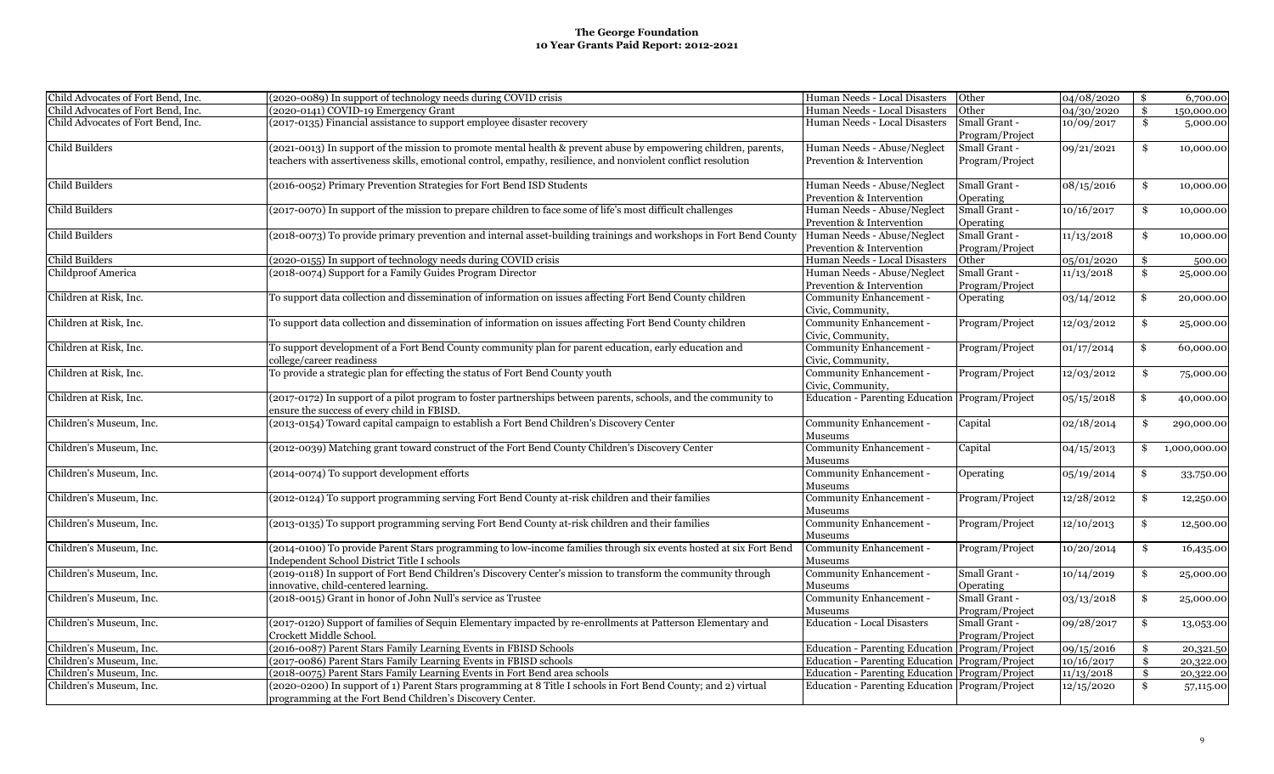| Child Advocates of Fort Bend, Inc. | (2020-0089) In support of technology needs during COVID crisis                                                    | Human Needs - Local Disasters                   | Other           | 04/08/2020 | $\mathbf{\$}$ | 6,700.00     |
|------------------------------------|-------------------------------------------------------------------------------------------------------------------|-------------------------------------------------|-----------------|------------|---------------|--------------|
| Child Advocates of Fort Bend, Inc. | (2020-0141) COVID-19 Emergency Grant                                                                              | Human Needs - Local Disasters                   | Other           | 04/30/2020 | \$            | 150,000.00   |
| Child Advocates of Fort Bend, Inc. | (2017-0135) Financial assistance to support employee disaster recovery                                            | Human Needs - Local Disasters                   | Small Grant -   | 10/09/2017 | \$            | 5,000.00     |
|                                    |                                                                                                                   |                                                 | Program/Project |            |               |              |
| Child Builders                     | (2021-0013) In support of the mission to promote mental health & prevent abuse by empowering children, parents,   | Human Needs - Abuse/Neglect                     | Small Grant -   | 09/21/2021 | \$            | 10,000.00    |
|                                    | teachers with assertiveness skills, emotional control, empathy, resilience, and nonviolent conflict resolution    | Prevention & Intervention                       | Program/Project |            |               |              |
|                                    |                                                                                                                   |                                                 |                 |            |               |              |
| Child Builders                     | (2016-0052) Primary Prevention Strategies for Fort Bend ISD Students                                              | Human Needs - Abuse/Neglect                     | Small Grant -   | 08/15/2016 | \$            | 10,000.00    |
|                                    |                                                                                                                   | Prevention & Intervention                       | Operating       |            |               |              |
| <b>Child Builders</b>              | (2017-0070) In support of the mission to prepare children to face some of life's most difficult challenges        | Human Needs - Abuse/Neglect                     | Small Grant -   | 10/16/2017 | \$            | 10,000.00    |
|                                    |                                                                                                                   | Prevention & Intervention                       | Operating       |            |               |              |
| <b>Child Builders</b>              | (2018-0073) To provide primary prevention and internal asset-building trainings and workshops in Fort Bend County | Human Needs - Abuse/Neglect                     | Small Grant -   | 11/13/2018 | \$            | 10,000.00    |
|                                    |                                                                                                                   | Prevention & Intervention                       | Program/Project |            |               |              |
| <b>Child Builders</b>              | (2020-0155) In support of technology needs during COVID crisis                                                    | Human Needs - Local Disasters                   | Other           | 05/01/2020 | \$            | 500.00       |
| <b>Childproof America</b>          | (2018-0074) Support for a Family Guides Program Director                                                          | Human Needs - Abuse/Neglect                     | Small Grant -   | 11/13/2018 | \$            |              |
|                                    |                                                                                                                   |                                                 |                 |            |               | 25,000.00    |
|                                    |                                                                                                                   | Prevention & Intervention                       | Program/Project |            |               |              |
| Children at Risk, Inc.             | To support data collection and dissemination of information on issues affecting Fort Bend County children         | Community Enhancement -                         | Operating       | 03/14/2012 | \$            | 20,000.00    |
|                                    |                                                                                                                   | Civic, Community,                               |                 |            |               |              |
| Children at Risk, Inc.             | To support data collection and dissemination of information on issues affecting Fort Bend County children         | Community Enhancement -                         | Program/Project | 12/03/2012 | \$            | 25,000.00    |
|                                    |                                                                                                                   | Civic, Community,                               |                 |            |               |              |
| Children at Risk, Inc.             | To support development of a Fort Bend County community plan for parent education, early education and             | Community Enhancement -                         | Program/Project | 01/17/2014 | \$            | 60,000.00    |
|                                    | college/career readiness                                                                                          | Civic, Community,                               |                 |            |               |              |
| Children at Risk, Inc.             | To provide a strategic plan for effecting the status of Fort Bend County youth                                    | Community Enhancement -                         | Program/Project | 12/03/2012 | \$            | 75,000.00    |
|                                    |                                                                                                                   | Civic, Community,                               |                 |            |               |              |
| Children at Risk, Inc.             | (2017-0172) In support of a pilot program to foster partnerships between parents, schools, and the community to   | Education - Parenting Education Program/Project |                 | 05/15/2018 | \$            | 40,000.00    |
|                                    | ensure the success of every child in FBISD.                                                                       |                                                 |                 |            |               |              |
| Children's Museum, Inc.            | (2013-0154) Toward capital campaign to establish a Fort Bend Children's Discovery Center                          | Community Enhancement -                         | Capital         | 02/18/2014 | \$            | 290,000.00   |
|                                    |                                                                                                                   | Museums                                         |                 |            |               |              |
| Children's Museum, Inc.            | (2012-0039) Matching grant toward construct of the Fort Bend County Children's Discovery Center                   | Community Enhancement -                         | Capital         | 04/15/2013 | \$            | 1,000,000.00 |
|                                    |                                                                                                                   | Museums                                         |                 |            |               |              |
|                                    |                                                                                                                   |                                                 |                 |            |               |              |
| Children's Museum, Inc.            | (2014-0074) To support development efforts                                                                        | Community Enhancement -                         | Operating       | 05/19/2014 | \$            | 33,750.00    |
|                                    |                                                                                                                   | Museums                                         |                 |            |               |              |
| Children's Museum, Inc.            | (2012-0124) To support programming serving Fort Bend County at-risk children and their families                   | Community Enhancement -                         | Program/Project | 12/28/2012 | \$            | 12,250.00    |
|                                    |                                                                                                                   | Museums                                         |                 |            |               |              |
| Children's Museum, Inc.            | (2013-0135) To support programming serving Fort Bend County at-risk children and their families                   | Community Enhancement -                         | Program/Project | 12/10/2013 | \$            | 12,500.00    |
|                                    |                                                                                                                   | Museums                                         |                 |            |               |              |
| Children's Museum, Inc.            | (2014-0100) To provide Parent Stars programming to low-income families through six events hosted at six Fort Bend | Community Enhancement -                         | Program/Project | 10/20/2014 | \$            | 16,435.00    |
|                                    | Independent School District Title I schools                                                                       | Museums                                         |                 |            |               |              |
| Children's Museum, Inc.            | (2019-0118) In support of Fort Bend Children's Discovery Center's mission to transform the community through      | Community Enhancement -                         | Small Grant -   | 10/14/2019 | \$            | 25,000.00    |
|                                    | innovative, child-centered learning.                                                                              | Museums                                         | Operating       |            |               |              |
| Children's Museum, Inc.            | (2018-0015) Grant in honor of John Null's service as Trustee                                                      | Community Enhancement -                         | Small Grant -   | 03/13/2018 | \$            | 25,000.00    |
|                                    |                                                                                                                   | Museums                                         | Program/Project |            |               |              |
| Children's Museum, Inc.            | (2017-0120) Support of families of Sequin Elementary impacted by re-enrollments at Patterson Elementary and       | <b>Education - Local Disasters</b>              | Small Grant -   | 09/28/2017 | \$            | 13,053.00    |
|                                    | Crockett Middle School                                                                                            |                                                 | Program/Project |            |               |              |
| Children's Museum, Inc.            | (2016-0087) Parent Stars Family Learning Events in FBISD Schools                                                  | Education - Parenting Education Program/Project |                 | 09/15/2016 |               |              |
| Children's Museum, Inc.            | (2017-0086) Parent Stars Family Learning Events in FBISD schools                                                  | Education - Parenting Education Program/Project |                 |            |               | 20,321.50    |
|                                    |                                                                                                                   |                                                 |                 | 10/16/2017 |               | 20,322.00    |
| Children's Museum, Inc.            | (2018-0075) Parent Stars Family Learning Events in Fort Bend area schools                                         | Education - Parenting Education Program/Project |                 | 11/13/2018 | \$            | 20,322.00    |
| Children's Museum, Inc.            | (2020-0200) In support of 1) Parent Stars programming at 8 Title I schools in Fort Bend County; and 2) virtual    | Education - Parenting Education Program/Project |                 | 12/15/2020 | \$            | 57,115.00    |
|                                    | programming at the Fort Bend Children's Discovery Center.                                                         |                                                 |                 |            |               |              |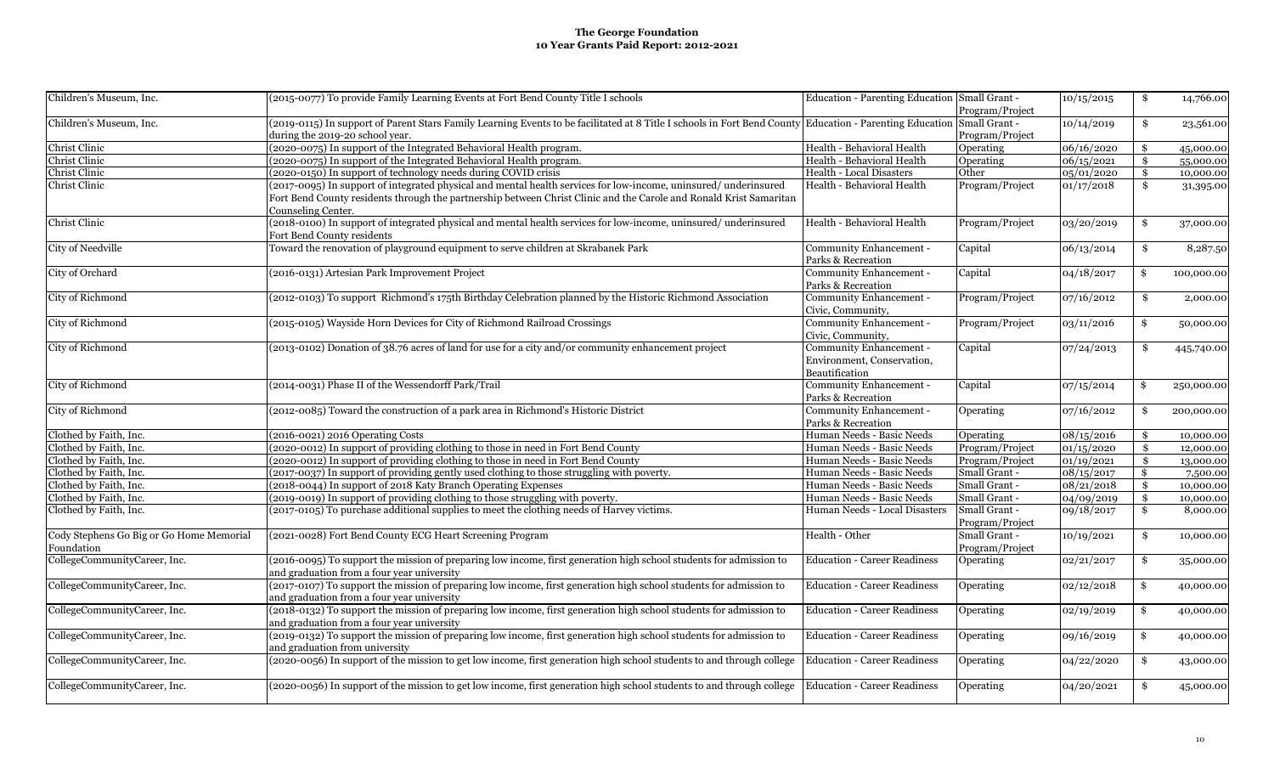| Children's Museum, Inc.                                | (2015-0077) To provide Family Learning Events at Fort Bend County Title I schools                                                                                                                                                                           | Education - Parenting Education Small Grant -                           | Program/Project                  | 10/15/2015 | \$<br>14,766.00  |
|--------------------------------------------------------|-------------------------------------------------------------------------------------------------------------------------------------------------------------------------------------------------------------------------------------------------------------|-------------------------------------------------------------------------|----------------------------------|------------|------------------|
| Children's Museum, Inc.                                | (2019-0115) In support of Parent Stars Family Learning Events to be facilitated at 8 Title I schools in Fort Bend County Education - Parenting Education<br>during the 2019-20 school year.                                                                 |                                                                         | Small Grant -<br>Program/Project | 10/14/2019 | \$<br>23,561.00  |
| Christ Clinic                                          | (2020-0075) In support of the Integrated Behavioral Health program.                                                                                                                                                                                         | Health - Behavioral Health                                              | Operating                        | 06/16/2020 | \$<br>45,000.00  |
| Christ Clinic                                          | (2020-0075) In support of the Integrated Behavioral Health program.                                                                                                                                                                                         | Health - Behavioral Health                                              | Operating                        | 06/15/2021 | \$<br>55,000.00  |
| Christ Clinic                                          | (2020-0150) In support of technology needs during COVID crisis                                                                                                                                                                                              | <b>Health - Local Disasters</b>                                         | Other                            | 05/01/2020 | \$<br>10,000.00  |
| Christ Clinic                                          | (2017-0095) In support of integrated physical and mental health services for low-income, uninsured/underinsured<br>Fort Bend County residents through the partnership between Christ Clinic and the Carole and Ronald Krist Samaritan<br>Counseling Center. | Health - Behavioral Health                                              | Program/Project                  | 01/17/2018 | \$<br>31,395.00  |
| Christ Clinic                                          | (2018-0100) In support of integrated physical and mental health services for low-income, uninsured/underinsured<br>Fort Bend County residents                                                                                                               | Health - Behavioral Health                                              | Program/Project                  | 03/20/2019 | \$<br>37,000.00  |
| <b>City of Needville</b>                               | Toward the renovation of playground equipment to serve children at Skrabanek Park                                                                                                                                                                           | Community Enhancement -<br>Parks & Recreation                           | Capital                          | 06/13/2014 | \$<br>8,287.50   |
| City of Orchard                                        | (2016-0131) Artesian Park Improvement Project                                                                                                                                                                                                               | Community Enhancement -<br>Parks & Recreation                           | Capital                          | 04/18/2017 | \$<br>100,000.00 |
| City of Richmond                                       | (2012-0103) To support Richmond's 175th Birthday Celebration planned by the Historic Richmond Association                                                                                                                                                   | Community Enhancement -<br>Civic, Community,                            | Program/Project                  | 07/16/2012 | \$<br>2,000.00   |
| City of Richmond                                       | (2015-0105) Wayside Horn Devices for City of Richmond Railroad Crossings                                                                                                                                                                                    | Community Enhancement -<br>Civic, Community,                            | Program/Project                  | 03/11/2016 | \$<br>50,000.00  |
| City of Richmond                                       | (2013-0102) Donation of 38.76 acres of land for use for a city and/or community enhancement project                                                                                                                                                         | Community Enhancement -<br>Environment, Conservation,<br>Beautification | Capital                          | 07/24/2013 | \$<br>445,740.00 |
| City of Richmond                                       | (2014-0031) Phase II of the Wessendorff Park/Trail                                                                                                                                                                                                          | Community Enhancement -<br>Parks & Recreation                           | Capital                          | 07/15/2014 | \$<br>250,000.00 |
| City of Richmond                                       | (2012-0085) Toward the construction of a park area in Richmond's Historic District                                                                                                                                                                          | Community Enhancement -<br>Parks & Recreation                           | Operating                        | 07/16/2012 | \$<br>200,000.00 |
| Clothed by Faith, Inc.                                 | (2016-0021) 2016 Operating Costs                                                                                                                                                                                                                            | Human Needs - Basic Needs                                               | Operating                        | 08/15/2016 | \$<br>10,000.00  |
| Clothed by Faith, Inc.                                 | (2020-0012) In support of providing clothing to those in need in Fort Bend County                                                                                                                                                                           | Human Needs - Basic Needs                                               | Program/Project                  | 01/15/2020 | \$<br>12,000.00  |
| Clothed by Faith, Inc.                                 | (2020-0012) In support of providing clothing to those in need in Fort Bend County                                                                                                                                                                           | Human Needs - Basic Needs                                               | Program/Project                  | 01/19/2021 | \$<br>13,000.00  |
| Clothed by Faith, Inc.                                 | (2017-0037) In support of providing gently used clothing to those struggling with poverty.                                                                                                                                                                  | Human Needs - Basic Needs                                               | Small Grant -                    | 08/15/2017 | \$<br>7,500.00   |
| Clothed by Faith, Inc.                                 | (2018-0044) In support of 2018 Katy Branch Operating Expenses                                                                                                                                                                                               | Human Needs - Basic Needs                                               | Small Grant -                    | 08/21/2018 | \$<br>10,000.00  |
| Clothed by Faith, Inc.                                 | (2019-0019) In support of providing clothing to those struggling with poverty.                                                                                                                                                                              | Human Needs - Basic Needs                                               | Small Grant -                    | 04/09/2019 | \$<br>10,000.00  |
| Clothed by Faith, Inc.                                 | (2017-0105) To purchase additional supplies to meet the clothing needs of Harvey victims.                                                                                                                                                                   | Human Needs - Local Disasters                                           | Small Grant -<br>Program/Project | 09/18/2017 | \$<br>8,000.00   |
| Cody Stephens Go Big or Go Home Memorial<br>Foundation | (2021-0028) Fort Bend County ECG Heart Screening Program                                                                                                                                                                                                    | Health - Other                                                          | Small Grant -<br>Program/Project | 10/19/2021 | \$<br>10,000.00  |
| CollegeCommunityCareer, Inc.                           | (2016-0095) To support the mission of preparing low income, first generation high school students for admission to<br>and graduation from a four year university                                                                                            | <b>Education - Career Readiness</b>                                     | Operating                        | 02/21/2017 | \$<br>35,000.00  |
| CollegeCommunityCareer, Inc.                           | (2017-0107) To support the mission of preparing low income, first generation high school students for admission to<br>and graduation from a four year university                                                                                            | <b>Education - Career Readiness</b>                                     | Operating                        | 02/12/2018 | \$<br>40,000.00  |
| CollegeCommunityCareer, Inc.                           | (2018-0132) To support the mission of preparing low income, first generation high school students for admission to<br>and graduation from a four year university                                                                                            | <b>Education - Career Readiness</b>                                     | Operating                        | 02/19/2019 | \$<br>40,000.00  |
| CollegeCommunityCareer, Inc.                           | (2019-0132) To support the mission of preparing low income, first generation high school students for admission to<br>and graduation from university                                                                                                        | <b>Education - Career Readiness</b>                                     | Operating                        | 09/16/2019 | \$<br>40,000.00  |
| CollegeCommunityCareer, Inc.                           | (2020-0056) In support of the mission to get low income, first generation high school students to and through college                                                                                                                                       | <b>Education - Career Readiness</b>                                     | Operating                        | 04/22/2020 | \$<br>43,000.00  |
| CollegeCommunityCareer, Inc.                           | (2020-0056) In support of the mission to get low income, first generation high school students to and through college                                                                                                                                       | <b>Education - Career Readiness</b>                                     | Operating                        | 04/20/2021 | \$<br>45,000.00  |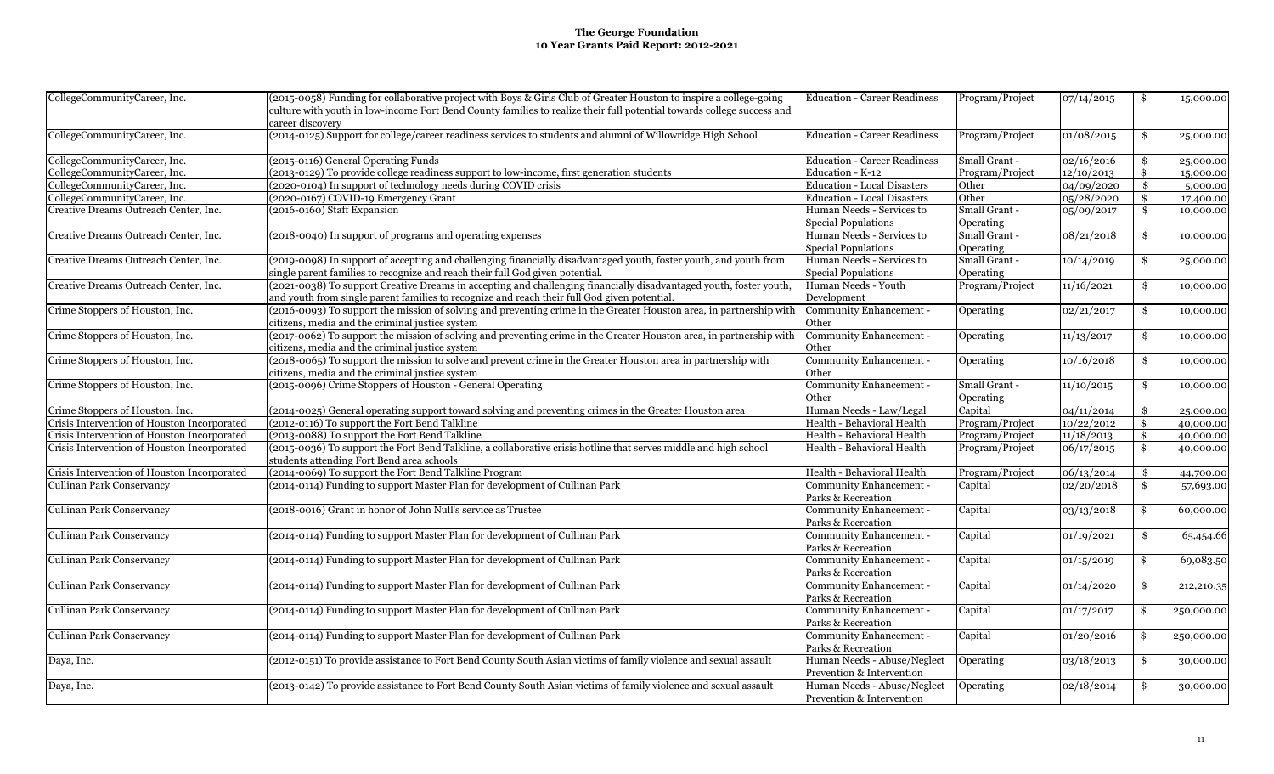| CollegeCommunityCareer, Inc.                | (2015-0058) Funding for collaborative project with Boys & Girls Club of Greater Houston to inspire a college-going     | <b>Education - Career Readiness</b> | Program/Project  | 07/14/2015 | \$<br>15,000.00  |
|---------------------------------------------|------------------------------------------------------------------------------------------------------------------------|-------------------------------------|------------------|------------|------------------|
|                                             | culture with youth in low-income Fort Bend County families to realize their full potential towards college success and |                                     |                  |            |                  |
|                                             | career discovery                                                                                                       |                                     |                  |            |                  |
| CollegeCommunityCareer, Inc.                | (2014-0125) Support for college/career readiness services to students and alumni of Willowridge High School            | <b>Education - Career Readiness</b> | Program/Project  | 01/08/2015 | \$<br>25,000.00  |
|                                             |                                                                                                                        |                                     |                  |            |                  |
| CollegeCommunityCareer, Inc.                | (2015-0116) General Operating Funds                                                                                    | <b>Education - Career Readiness</b> | Small Grant -    | 02/16/2016 | \$<br>25,000.00  |
| CollegeCommunityCareer, Inc.                | (2013-0129) To provide college readiness support to low-income, first generation students                              | Education - K-12                    | Program/Project  | 12/10/2013 | \$<br>15,000.00  |
| CollegeCommunityCareer, Inc.                | (2020-0104) In support of technology needs during COVID crisis                                                         | <b>Education - Local Disasters</b>  | Other            | 04/09/2020 | \$<br>5,000.00   |
| CollegeCommunityCareer, Inc.                | (2020-0167) COVID-19 Emergency Grant                                                                                   | <b>Education - Local Disasters</b>  | Other            | 05/28/2020 | \$<br>17,400.00  |
| Creative Dreams Outreach Center, Inc.       | (2016-0160) Staff Expansion                                                                                            | Human Needs - Services to           | Small Grant -    | 05/09/2017 | \$<br>10,000.00  |
|                                             |                                                                                                                        | Special Populations                 | Operating        |            |                  |
| Creative Dreams Outreach Center, Inc.       | (2018-0040) In support of programs and operating expenses                                                              | Human Needs - Services to           | Small Grant -    | 08/21/2018 | \$<br>10,000.00  |
|                                             |                                                                                                                        | <b>Special Populations</b>          | Operating        |            |                  |
| Creative Dreams Outreach Center, Inc.       | (2019-0098) In support of accepting and challenging financially disadvantaged youth, foster youth, and youth from      | Human Needs - Services to           | Small Grant -    | 10/14/2019 | \$<br>25,000.00  |
|                                             | single parent families to recognize and reach their full God given potential.                                          | Special Populations                 | Operating        |            |                  |
| Creative Dreams Outreach Center, Inc.       | (2021-0038) To support Creative Dreams in accepting and challenging financially disadvantaged youth, foster youth,     | Human Needs - Youth                 | Program/Project  | 11/16/2021 | \$<br>10,000.00  |
|                                             | and youth from single parent families to recognize and reach their full God given potential.                           | Development                         |                  |            |                  |
| Crime Stoppers of Houston, Inc.             | (2016-0093) To support the mission of solving and preventing crime in the Greater Houston area, in partnership with    | Community Enhancement -             |                  |            | \$               |
|                                             |                                                                                                                        |                                     | Operating        | 02/21/2017 | 10,000.00        |
|                                             | citizens, media and the criminal justice system                                                                        | Other                               |                  |            |                  |
| Crime Stoppers of Houston, Inc.             | (2017-0062) To support the mission of solving and preventing crime in the Greater Houston area, in partnership with    | Community Enhancement -             | Operating        | 11/13/2017 | \$<br>10,000.00  |
|                                             | citizens, media and the criminal justice system                                                                        | Other                               |                  |            |                  |
| Crime Stoppers of Houston, Inc.             | (2018-0065) To support the mission to solve and prevent crime in the Greater Houston area in partnership with          | Community Enhancement -             | <b>Operating</b> | 10/16/2018 | \$<br>10,000.00  |
|                                             | citizens, media and the criminal justice system                                                                        | Other                               |                  |            |                  |
| Crime Stoppers of Houston, Inc.             | (2015-0096) Crime Stoppers of Houston - General Operating                                                              | Community Enhancement -             | Small Grant -    | 11/10/2015 | \$<br>10,000.00  |
|                                             |                                                                                                                        | Other                               | Operating        |            |                  |
| Crime Stoppers of Houston, Inc.             | (2014-0025) General operating support toward solving and preventing crimes in the Greater Houston area                 | Human Needs - Law/Legal             | Capital          | 04/11/2014 | \$<br>25,000.00  |
| Crisis Intervention of Houston Incorporated | (2012-0116) To support the Fort Bend Talkline                                                                          | Health - Behavioral Health          | Program/Project  | 10/22/2012 | \$<br>40,000.00  |
| Crisis Intervention of Houston Incorporated | (2013-0088) To support the Fort Bend Talkline                                                                          | Health - Behavioral Health          | Program/Project  | 11/18/2013 | \$<br>40,000.00  |
| Crisis Intervention of Houston Incorporated | (2015-0036) To support the Fort Bend Talkline, a collaborative crisis hotline that serves middle and high school       | Health - Behavioral Health          | Program/Project  | 06/17/2015 | \$<br>40,000.00  |
|                                             | students attending Fort Bend area schools                                                                              |                                     |                  |            |                  |
| Crisis Intervention of Houston Incorporated | (2014-0069) To support the Fort Bend Talkline Program                                                                  | Health - Behavioral Health          | Program/Project  | 06/13/2014 | \$<br>44,700.00  |
| <b>Cullinan Park Conservancy</b>            | (2014-0114) Funding to support Master Plan for development of Cullinan Park                                            | Community Enhancement -             | Capital          | 02/20/2018 | \$<br>57,693.00  |
|                                             |                                                                                                                        | Parks & Recreation                  |                  |            |                  |
| Cullinan Park Conservancy                   | (2018-0016) Grant in honor of John Null's service as Trustee                                                           | Community Enhancement -             | Capital          | 03/13/2018 | \$<br>60,000.00  |
|                                             |                                                                                                                        | Parks & Recreation                  |                  |            |                  |
| Cullinan Park Conservancy                   | (2014-0114) Funding to support Master Plan for development of Cullinan Park                                            | Community Enhancement -             | Capital          | 01/19/2021 | \$<br>65,454.66  |
|                                             |                                                                                                                        | Parks & Recreation                  |                  |            |                  |
| Cullinan Park Conservancy                   | (2014-0114) Funding to support Master Plan for development of Cullinan Park                                            | Community Enhancement -             | Capital          | 01/15/2019 | \$<br>69,083.50  |
|                                             |                                                                                                                        | Parks & Recreation                  |                  |            |                  |
| Cullinan Park Conservancy                   | (2014-0114) Funding to support Master Plan for development of Cullinan Park                                            | Community Enhancement -             | Capital          | 01/14/2020 | \$<br>212,210.35 |
|                                             |                                                                                                                        | Parks & Recreation                  |                  |            |                  |
| Cullinan Park Conservancy                   | (2014-0114) Funding to support Master Plan for development of Cullinan Park                                            | Community Enhancement -             | Capital          | 01/17/2017 | \$<br>250,000.00 |
|                                             |                                                                                                                        | Parks & Recreation                  |                  |            |                  |
| Cullinan Park Conservancy                   | (2014-0114) Funding to support Master Plan for development of Cullinan Park                                            | Community Enhancement -             | Capital          | 01/20/2016 | \$<br>250,000.00 |
|                                             |                                                                                                                        | Parks & Recreation                  |                  |            |                  |
| Daya, Inc.                                  | (2012-0151) To provide assistance to Fort Bend County South Asian victims of family violence and sexual assault        | Human Needs - Abuse/Neglect         | Operating        | 03/18/2013 | \$<br>30,000.00  |
|                                             |                                                                                                                        | Prevention & Intervention           |                  |            |                  |
| Daya, Inc.                                  | (2013-0142) To provide assistance to Fort Bend County South Asian victims of family violence and sexual assault        | Human Needs - Abuse/Neglect         | Operating        | 02/18/2014 | \$<br>30,000.00  |
|                                             |                                                                                                                        | Prevention & Intervention           |                  |            |                  |
|                                             |                                                                                                                        |                                     |                  |            |                  |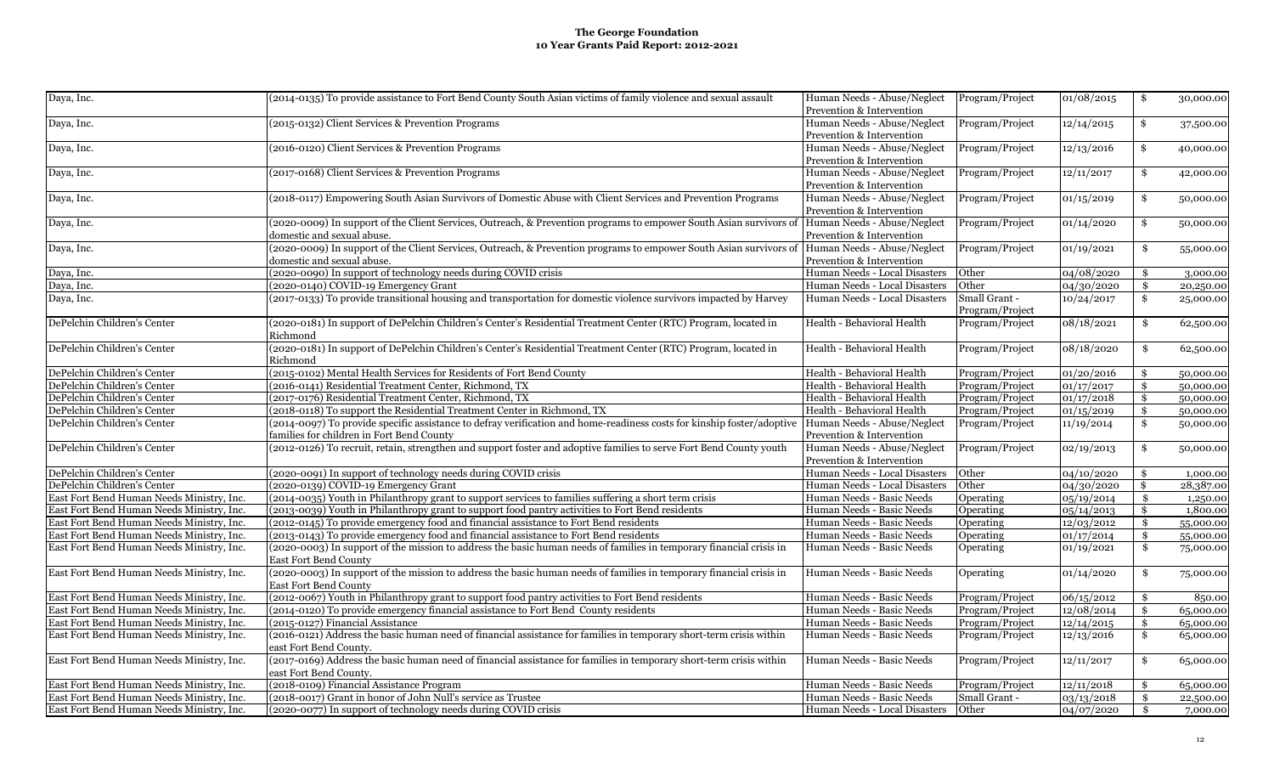| Daya, Inc.                                | (2014-0135) To provide assistance to Fort Bend County South Asian victims of family violence and sexual assault                                                              | Human Needs - Abuse/Neglect<br>Prevention & Intervention | Program/Project                  | 01/08/2015          | \$  | 30,000.00 |
|-------------------------------------------|------------------------------------------------------------------------------------------------------------------------------------------------------------------------------|----------------------------------------------------------|----------------------------------|---------------------|-----|-----------|
| Daya, Inc.                                | (2015-0132) Client Services & Prevention Programs                                                                                                                            | Human Needs - Abuse/Neglect<br>Prevention & Intervention | Program/Project                  | 12/14/2015          | \$  | 37,500.00 |
| Daya, Inc.                                | (2016-0120) Client Services & Prevention Programs                                                                                                                            | Human Needs - Abuse/Neglect<br>Prevention & Intervention | Program/Project                  | 12/13/2016          | \$  | 40,000.00 |
| Daya, Inc.                                | (2017-0168) Client Services & Prevention Programs                                                                                                                            | Human Needs - Abuse/Neglect<br>Prevention & Intervention | Program/Project                  | 12/11/2017          | \$  | 42,000.00 |
| Daya, Inc.                                | (2018-0117) Empowering South Asian Survivors of Domestic Abuse with Client Services and Prevention Programs                                                                  | Human Needs - Abuse/Neglect<br>Prevention & Intervention | Program/Project                  | 01/15/2019          | \$  | 50,000.00 |
| Daya, Inc.                                | (2020-0009) In support of the Client Services, Outreach, & Prevention programs to empower South Asian survivors of Human Needs - Abuse/Neglect<br>domestic and sexual abuse. | Prevention & Intervention                                | Program/Project                  | 01/14/2020          | \$  | 50,000.00 |
| Daya, Inc.                                | (2020-0009) In support of the Client Services, Outreach, & Prevention programs to empower South Asian survivors of Human Needs - Abuse/Neglect<br>domestic and sexual abuse. | Prevention & Intervention                                | Program/Project                  | 01/19/2021          | \$  | 55,000.00 |
| Daya, Inc.                                | (2020-0090) In support of technology needs during COVID crisis                                                                                                               | Human Needs - Local Disasters                            | Other                            | 04/08/2020          | \$  | 3,000.00  |
| Daya, Inc.                                | (2020-0140) COVID-19 Emergency Grant                                                                                                                                         | Human Needs - Local Disasters                            | Other                            | 04/30/2020          | \$  | 20,250.00 |
| Daya, Inc.                                | (2017-0133) To provide transitional housing and transportation for domestic violence survivors impacted by Harvey                                                            | Human Needs - Local Disasters                            | Small Grant -<br>Program/Project | 10/24/2017          | \$  | 25,000.00 |
| DePelchin Children's Center               | (2020-0181) In support of DePelchin Children's Center's Residential Treatment Center (RTC) Program, located in<br>Richmond                                                   | Health - Behavioral Health                               | Program/Project                  | 08/18/2021          | \$  | 62,500.00 |
| DePelchin Children's Center               | (2020-0181) In support of DePelchin Children's Center's Residential Treatment Center (RTC) Program, located in<br>Richmond                                                   | Health - Behavioral Health                               | Program/Project                  | 08/18/2020          | \$  | 62,500.00 |
| DePelchin Children's Center               | (2015-0102) Mental Health Services for Residents of Fort Bend County                                                                                                         | Health - Behavioral Health                               | Program/Project                  | 01/20/2016          | \$  | 50,000.00 |
| DePelchin Children's Center               | (2016-0141) Residential Treatment Center, Richmond, TX                                                                                                                       | Health - Behavioral Health                               | Program/Project                  | 01/17/2017          | \$  | 50,000.00 |
| DePelchin Children's Center               | (2017-0176) Residential Treatment Center, Richmond, TX                                                                                                                       | Health - Behavioral Health                               | Program/Project                  | 01/17/2018          | \$  | 50,000.00 |
| DePelchin Children's Center               | (2018-0118) To support the Residential Treatment Center in Richmond, TX                                                                                                      | Health - Behavioral Health                               | Program/Project                  | $\sqrt{01/15}/2019$ | \$  | 50,000.00 |
| DePelchin Children's Center               | (2014-0097) To provide specific assistance to defray verification and home-readiness costs for kinship foster/adoptive<br>families for children in Fort Bend County          | Human Needs - Abuse/Neglect<br>Prevention & Intervention | Program/Project                  | 11/19/2014          | \$  | 50,000.00 |
| DePelchin Children's Center               | (2012-0126) To recruit, retain, strengthen and support foster and adoptive families to serve Fort Bend County youth                                                          | Human Needs - Abuse/Neglect<br>Prevention & Intervention | Program/Project                  | 02/19/2013          | \$  | 50,000.00 |
| DePelchin Children's Center               | (2020-0091) In support of technology needs during COVID crisis                                                                                                               | Human Needs - Local Disasters                            | Other                            | 04/10/2020          | \$  | 1,000.00  |
| DePelchin Children's Center               | (2020-0139) COVID-19 Emergency Grant                                                                                                                                         | Human Needs - Local Disasters                            | Other                            | 04/30/2020          | \$  | 28,387.00 |
| East Fort Bend Human Needs Ministry, Inc. | (2014-0035) Youth in Philanthropy grant to support services to families suffering a short term crisis                                                                        | Human Needs - Basic Needs                                | Operating                        | 05/19/2014          | \$  | 1,250.00  |
| East Fort Bend Human Needs Ministry, Inc. | (2013-0039) Youth in Philanthropy grant to support food pantry activities to Fort Bend residents                                                                             | Human Needs - Basic Needs                                | Operating                        | 05/14/2013          | \$  | 1,800.00  |
| East Fort Bend Human Needs Ministry, Inc. | (2012-0145) To provide emergency food and financial assistance to Fort Bend residents                                                                                        | Human Needs - Basic Needs                                | Operating                        | 12/03/2012          | -\$ | 55,000.00 |
| East Fort Bend Human Needs Ministry, Inc. | (2013-0143) To provide emergency food and financial assistance to Fort Bend residents                                                                                        | Human Needs - Basic Needs                                | Operating                        | 01/17/2014          | \$  | 55,000.00 |
| East Fort Bend Human Needs Ministry, Inc. | (2020-0003) In support of the mission to address the basic human needs of families in temporary financial crisis in<br><b>East Fort Bend County</b>                          | Human Needs - Basic Needs                                | Operating                        | 01/19/2021          | \$  | 75,000.00 |
| East Fort Bend Human Needs Ministry, Inc. | (2020-0003) In support of the mission to address the basic human needs of families in temporary financial crisis in<br><b>East Fort Bend County</b>                          | Human Needs - Basic Needs                                | Operating                        | 01/14/2020          | \$  | 75,000.00 |
| East Fort Bend Human Needs Ministry, Inc. | (2012-0067) Youth in Philanthropy grant to support food pantry activities to Fort Bend residents                                                                             | Human Needs - Basic Needs                                | Program/Project                  | 06/15/2012          | \$  | 850.00    |
| East Fort Bend Human Needs Ministry, Inc. | 2014-0120) To provide emergency financial assistance to Fort Bend County residents                                                                                           | Human Needs - Basic Needs                                | Program/Project                  | 12/08/2014          | \$  | 65,000.00 |
| East Fort Bend Human Needs Ministry, Inc. | (2015-0127) Financial Assistance                                                                                                                                             | Human Needs - Basic Needs                                | Program/Project                  | 12/14/2015          |     | 65,000.00 |
| East Fort Bend Human Needs Ministry, Inc. | (2016-0121) Address the basic human need of financial assistance for families in temporary short-term crisis within<br>east Fort Bend County.                                | Human Needs - Basic Needs                                | Program/Project                  | 12/13/2016          | \$  | 65,000.00 |
| East Fort Bend Human Needs Ministry, Inc. | (2017-0169) Address the basic human need of financial assistance for families in temporary short-term crisis within<br>east Fort Bend County.                                | Human Needs - Basic Needs                                | Program/Project                  | 12/11/2017          |     | 65,000.00 |
| East Fort Bend Human Needs Ministry, Inc. | (2018-0109) Financial Assistance Program                                                                                                                                     | Human Needs - Basic Needs                                | Program/Project                  | 12/11/2018          | \$  | 65,000.00 |
| East Fort Bend Human Needs Ministry, Inc. | (2018-0017) Grant in honor of John Null's service as Trustee                                                                                                                 | Human Needs - Basic Needs                                | Small Grant -                    | 03/13/2018          | \$  | 22,500.00 |
| East Fort Bend Human Needs Ministry, Inc. | (2020-0077) In support of technology needs during COVID crisis                                                                                                               | Human Needs - Local Disasters   Other                    |                                  | 04/07/2020          | \$  | 7,000.00  |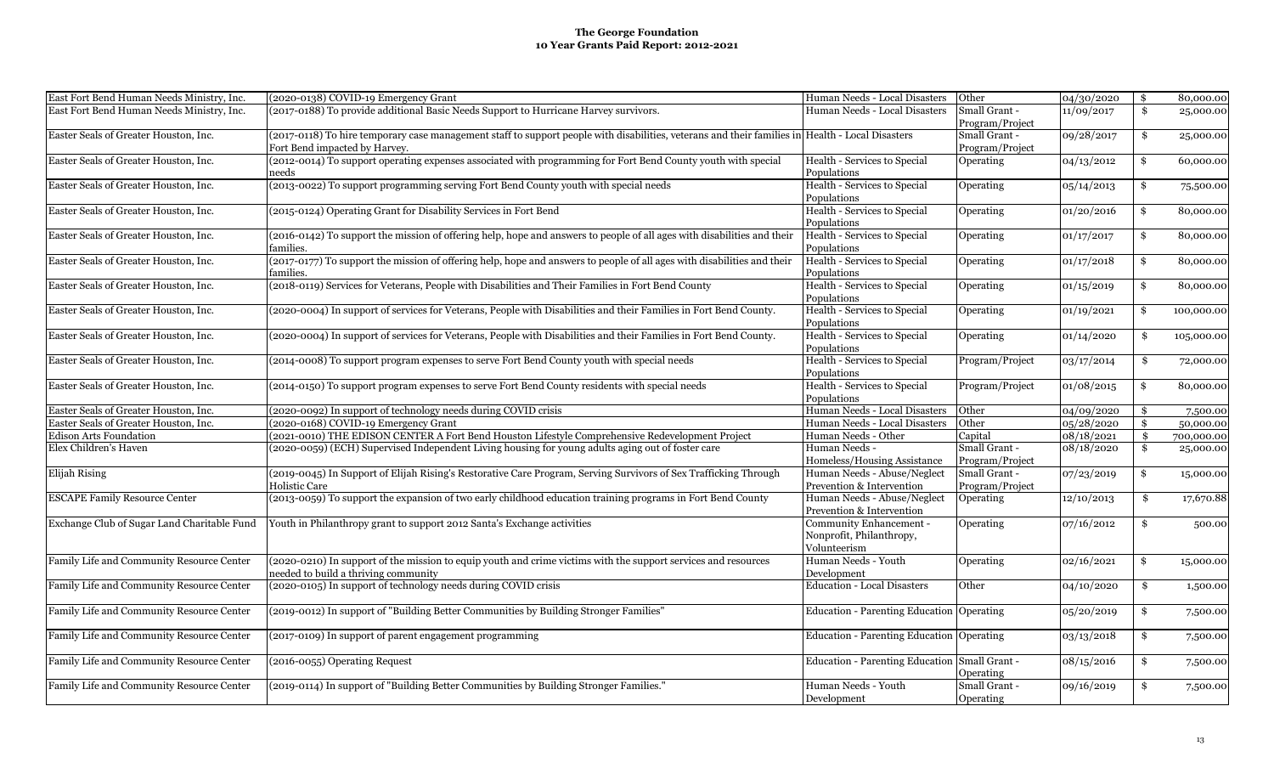| East Fort Bend Human Needs Ministry, Inc.   | (2020-0138) COVID-19 Emergency Grant                                                                                                             | Human Needs - Local Disasters                 | Other            | 04/30/2020 | \$<br>80,000.00  |
|---------------------------------------------|--------------------------------------------------------------------------------------------------------------------------------------------------|-----------------------------------------------|------------------|------------|------------------|
| East Fort Bend Human Needs Ministry, Inc.   | (2017-0188) To provide additional Basic Needs Support to Hurricane Harvey survivors.                                                             | Human Needs - Local Disasters                 | Small Grant -    | 11/09/2017 | \$<br>25,000.00  |
|                                             |                                                                                                                                                  |                                               | Program/Project  |            |                  |
| Easter Seals of Greater Houston, Inc.       | (2017-0118) To hire temporary case management staff to support people with disabilities, veterans and their families in Health - Local Disasters |                                               | Small Grant -    | 09/28/2017 | \$<br>25,000.00  |
|                                             | Fort Bend impacted by Harvey.                                                                                                                    |                                               | Program/Project  |            |                  |
| Easter Seals of Greater Houston, Inc.       | (2012-0014) To support operating expenses associated with programming for Fort Bend County youth with special                                    | Health - Services to Special                  | Operating        | 04/13/2012 | \$<br>60,000.00  |
|                                             | needs                                                                                                                                            | Populations                                   |                  |            |                  |
| Easter Seals of Greater Houston, Inc.       | (2013-0022) To support programming serving Fort Bend County youth with special needs                                                             | Health - Services to Special                  | Operating        | 05/14/2013 | \$<br>75,500.00  |
|                                             |                                                                                                                                                  | Populations                                   |                  |            |                  |
| Easter Seals of Greater Houston, Inc.       | (2015-0124) Operating Grant for Disability Services in Fort Bend                                                                                 | Health - Services to Special                  | Operating        | 01/20/2016 | \$<br>80,000.00  |
|                                             |                                                                                                                                                  | Populations                                   |                  |            |                  |
| Easter Seals of Greater Houston, Inc.       | (2016-0142) To support the mission of offering help, hope and answers to people of all ages with disabilities and their                          | Health - Services to Special                  | <b>Operating</b> | 01/17/2017 | \$<br>80,000.00  |
|                                             | families.                                                                                                                                        | Populations                                   |                  |            |                  |
| Easter Seals of Greater Houston, Inc.       | (2017-0177) To support the mission of offering help, hope and answers to people of all ages with disabilities and their                          | Health - Services to Special                  | <b>Operating</b> | 01/17/2018 | \$<br>80,000.00  |
|                                             | families.                                                                                                                                        | Populations                                   |                  |            |                  |
| Easter Seals of Greater Houston, Inc.       | (2018-0119) Services for Veterans, People with Disabilities and Their Families in Fort Bend County                                               | Health - Services to Special                  | <b>Operating</b> | 01/15/2019 | \$<br>80,000.00  |
| Easter Seals of Greater Houston, Inc.       | (2020-0004) In support of services for Veterans, People with Disabilities and their Families in Fort Bend County.                                | Populations<br>Health - Services to Special   |                  |            |                  |
|                                             |                                                                                                                                                  | Populations                                   | Operating        | 01/19/2021 | \$<br>100,000.00 |
| Easter Seals of Greater Houston, Inc.       | (2020-0004) In support of services for Veterans, People with Disabilities and their Families in Fort Bend County.                                | Health - Services to Special                  |                  | 01/14/2020 | \$               |
|                                             |                                                                                                                                                  | Populations                                   | Operating        |            | 105,000.00       |
| Easter Seals of Greater Houston, Inc.       | (2014-0008) To support program expenses to serve Fort Bend County youth with special needs                                                       | Health - Services to Special                  | Program/Project  | 03/17/2014 | \$<br>72,000.00  |
|                                             |                                                                                                                                                  | Populations                                   |                  |            |                  |
| Easter Seals of Greater Houston, Inc.       | (2014-0150) To support program expenses to serve Fort Bend County residents with special needs                                                   | Health - Services to Special                  | Program/Project  | 01/08/2015 | \$<br>80,000.00  |
|                                             |                                                                                                                                                  | Populations                                   |                  |            |                  |
| Easter Seals of Greater Houston, Inc.       | (2020-0092) In support of technology needs during COVID crisis                                                                                   | Human Needs - Local Disasters                 | Other            | 04/09/2020 | \$<br>7,500.00   |
| Easter Seals of Greater Houston, Inc.       | (2020-0168) COVID-19 Emergency Grant                                                                                                             | Human Needs - Local Disasters                 | Other            | 05/28/2020 | \$<br>50,000.00  |
| <b>Edison Arts Foundation</b>               | (2021-0010) THE EDISON CENTER A Fort Bend Houston Lifestyle Comprehensive Redevelopment Project                                                  | Human Needs - Other                           | Capital          | 08/18/2021 | \$<br>700,000.00 |
| Elex Children's Haven                       | (2020-0059) (ECH) Supervised Independent Living housing for young adults aging out of foster care                                                | Human Needs -                                 | Small Grant -    | 08/18/2020 | \$<br>25,000.00  |
|                                             |                                                                                                                                                  | Homeless/Housing Assistance                   | Program/Project  |            |                  |
| Elijah Rising                               | (2019-0045) In Support of Elijah Rising's Restorative Care Program, Serving Survivors of Sex Trafficking Through                                 | Human Needs - Abuse/Neglect                   | Small Grant -    | 07/23/2019 | \$<br>15,000.00  |
|                                             | Holistic Care                                                                                                                                    | Prevention & Intervention                     | Program/Project  |            |                  |
| <b>ESCAPE Family Resource Center</b>        | (2013-0059) To support the expansion of two early childhood education training programs in Fort Bend County                                      | Human Needs - Abuse/Neglect                   | Operating        | 12/10/2013 | \$<br>17,670.88  |
|                                             |                                                                                                                                                  | Prevention & Intervention                     |                  |            |                  |
| Exchange Club of Sugar Land Charitable Fund | Youth in Philanthropy grant to support 2012 Santa's Exchange activities                                                                          | Community Enhancement -                       | Operating        | 07/16/2012 | \$<br>500.00     |
|                                             |                                                                                                                                                  | Nonprofit, Philanthropy,                      |                  |            |                  |
|                                             |                                                                                                                                                  | Volunteerism                                  |                  |            |                  |
| Family Life and Community Resource Center   | (2020-0210) In support of the mission to equip youth and crime victims with the support services and resources                                   | Human Needs - Youth                           | Operating        | 02/16/2021 | \$<br>15,000.00  |
|                                             | needed to build a thriving community                                                                                                             | Development                                   |                  |            |                  |
| Family Life and Community Resource Center   | (2020-0105) In support of technology needs during COVID crisis                                                                                   | <b>Education - Local Disasters</b>            | Other            | 04/10/2020 | \$<br>1,500.00   |
| Family Life and Community Resource Center   | (2019-0012) In support of "Building Better Communities by Building Stronger Families"                                                            | Education - Parenting Education Operating     |                  | 05/20/2019 | \$<br>7,500.00   |
|                                             |                                                                                                                                                  |                                               |                  |            |                  |
| Family Life and Community Resource Center   | (2017-0109) In support of parent engagement programming                                                                                          | Education - Parenting Education Operating     |                  | 03/13/2018 | \$<br>7,500.00   |
|                                             |                                                                                                                                                  |                                               |                  |            |                  |
| Family Life and Community Resource Center   | (2016-0055) Operating Request                                                                                                                    | Education - Parenting Education Small Grant - |                  | 08/15/2016 | \$<br>7,500.00   |
|                                             |                                                                                                                                                  |                                               | Operating        |            |                  |
| Family Life and Community Resource Center   | (2019-0114) In support of "Building Better Communities by Building Stronger Families.'                                                           | Human Needs - Youth                           | Small Grant -    | 09/16/2019 | \$<br>7,500.00   |
|                                             |                                                                                                                                                  | Development                                   | Operating        |            |                  |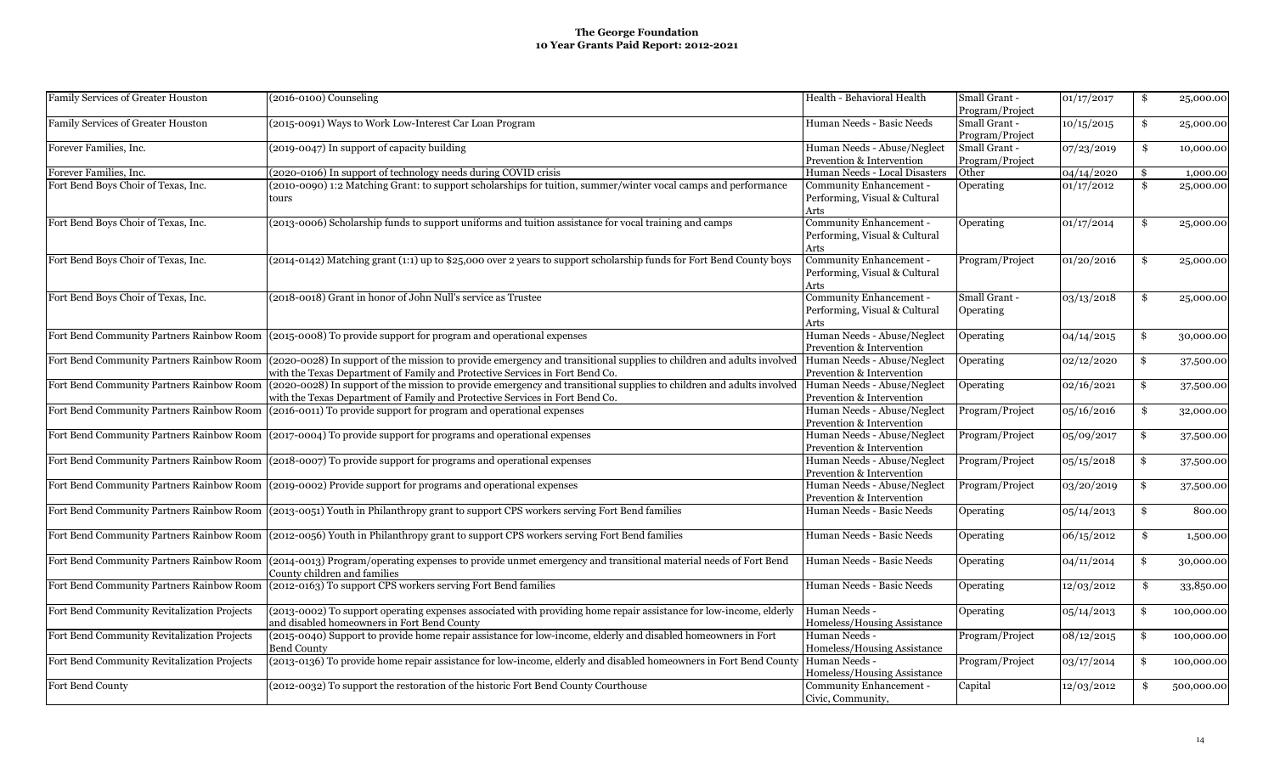| Family Services of Greater Houston          | $(2016-0100)$ Counseling                                                                                                                                                                                                                       | Health - Behavioral Health                                       | Small Grant -<br>Program/Project | 01/17/2017 | \$            | 25,000.00  |
|---------------------------------------------|------------------------------------------------------------------------------------------------------------------------------------------------------------------------------------------------------------------------------------------------|------------------------------------------------------------------|----------------------------------|------------|---------------|------------|
| Family Services of Greater Houston          | (2015-0091) Ways to Work Low-Interest Car Loan Program                                                                                                                                                                                         | Human Needs - Basic Needs                                        | Small Grant -<br>Program/Project | 10/15/2015 | \$            | 25,000.00  |
| Forever Families, Inc.                      | (2019-0047) In support of capacity building                                                                                                                                                                                                    | Human Needs - Abuse/Neglect<br>Prevention & Intervention         | Small Grant -<br>Program/Project | 07/23/2019 | \$            | 10,000.00  |
| Forever Families, Inc.                      | (2020-0106) In support of technology needs during COVID crisis                                                                                                                                                                                 | Human Needs - Local Disasters                                    | Other                            | 04/14/2020 | \$            | 1,000.00   |
| Fort Bend Boys Choir of Texas, Inc.         | (2010-0090) 1:2 Matching Grant: to support scholarships for tuition, summer/winter vocal camps and performance<br>tours                                                                                                                        | Community Enhancement -<br>Performing, Visual & Cultural<br>Arts | Operating                        | 01/17/2012 | $\mathbf{\$}$ | 25,000.00  |
| Fort Bend Boys Choir of Texas, Inc.         | (2013-0006) Scholarship funds to support uniforms and tuition assistance for vocal training and camps                                                                                                                                          | Community Enhancement -<br>Performing, Visual & Cultural<br>Arts | Operating                        | 01/17/2014 | \$            | 25,000.00  |
| Fort Bend Boys Choir of Texas, Inc.         | (2014-0142) Matching grant (1:1) up to \$25,000 over 2 years to support scholarship funds for Fort Bend County boys                                                                                                                            | Community Enhancement -<br>Performing, Visual & Cultural<br>Arts | Program/Project                  | 01/20/2016 | $\frac{3}{2}$ | 25,000.00  |
| Fort Bend Boys Choir of Texas, Inc.         | (2018-0018) Grant in honor of John Null's service as Trustee                                                                                                                                                                                   | Community Enhancement -<br>Performing, Visual & Cultural<br>Arts | Small Grant -<br>Operating       | 03/13/2018 | \$            | 25,000.00  |
|                                             | Fort Bend Community Partners Rainbow Room (2015-0008) To provide support for program and operational expenses                                                                                                                                  | Human Needs - Abuse/Neglect<br>Prevention & Intervention         | Operating                        | 04/14/2015 | \$            | 30,000.00  |
|                                             | Fort Bend Community Partners Rainbow Room (2020-0028) In support of the mission to provide emergency and transitional supplies to children and adults involved<br>with the Texas Department of Family and Protective Services in Fort Bend Co. | Human Needs - Abuse/Neglect<br>Prevention & Intervention         | Operating                        | 02/12/2020 | S.            | 37,500.00  |
| Fort Bend Community Partners Rainbow Room   | (2020-0028) In support of the mission to provide emergency and transitional supplies to children and adults involved<br>with the Texas Department of Family and Protective Services in Fort Bend Co.                                           | Human Needs - Abuse/Neglect<br>Prevention & Intervention         | Operating                        | 02/16/2021 | \$            | 37,500.00  |
| Fort Bend Community Partners Rainbow Room   | (2016-0011) To provide support for program and operational expenses                                                                                                                                                                            | Human Needs - Abuse/Neglect<br>Prevention & Intervention         | Program/Project                  | 05/16/2016 | -\$           | 32,000.00  |
|                                             | Fort Bend Community Partners Rainbow Room (2017-0004) To provide support for programs and operational expenses                                                                                                                                 | Human Needs - Abuse/Neglect<br>Prevention & Intervention         | Program/Project                  | 05/09/2017 | \$            | 37,500.00  |
|                                             | Fort Bend Community Partners Rainbow Room (2018-0007) To provide support for programs and operational expenses                                                                                                                                 | Human Needs - Abuse/Neglect<br>Prevention & Intervention         | Program/Project                  | 05/15/2018 | \$            | 37,500.00  |
|                                             | Fort Bend Community Partners Rainbow Room (2019-0002) Provide support for programs and operational expenses                                                                                                                                    | Human Needs - Abuse/Neglect<br>Prevention & Intervention         | Program/Project                  | 03/20/2019 | \$            | 37,500.00  |
|                                             | Fort Bend Community Partners Rainbow Room (2013-0051) Youth in Philanthropy grant to support CPS workers serving Fort Bend families                                                                                                            | Human Needs - Basic Needs                                        | Operating                        | 05/14/2013 | \$            | 800.00     |
|                                             | Fort Bend Community Partners Rainbow Room (2012-0056) Youth in Philanthropy grant to support CPS workers serving Fort Bend families                                                                                                            | Human Needs - Basic Needs                                        | Operating                        | 06/15/2012 | \$            | 1,500.00   |
| Fort Bend Community Partners Rainbow Room   | (2014-0013) Program/operating expenses to provide unmet emergency and transitional material needs of Fort Bend<br>County children and families                                                                                                 | Human Needs - Basic Needs                                        | Operating                        | 04/11/2014 | \$            | 30,000.00  |
| Fort Bend Community Partners Rainbow Room   | (2012-0163) To support CPS workers serving Fort Bend families                                                                                                                                                                                  | Human Needs - Basic Needs                                        | Operating                        | 12/03/2012 | \$            | 33,850.00  |
| Fort Bend Community Revitalization Projects | (2013-0002) To support operating expenses associated with providing home repair assistance for low-income, elderly<br>and disabled homeowners in Fort Bend County                                                                              | Human Needs -<br>Homeless/Housing Assistance                     | Operating                        | 05/14/2013 | \$            | 100,000.00 |
| Fort Bend Community Revitalization Projects | (2015-0040) Support to provide home repair assistance for low-income, elderly and disabled homeowners in Fort<br><b>Bend County</b>                                                                                                            | Human Needs -<br>Homeless/Housing Assistance                     | Program/Project                  | 08/12/2015 | \$            | 100,000.00 |
| Fort Bend Community Revitalization Projects | (2013-0136) To provide home repair assistance for low-income, elderly and disabled homeowners in Fort Bend Count                                                                                                                               | Human Needs -<br>Homeless/Housing Assistance                     | Program/Project                  | 03/17/2014 | \$            | 100,000.00 |
| Fort Bend County                            | (2012-0032) To support the restoration of the historic Fort Bend County Courthouse                                                                                                                                                             | Community Enhancement -<br>Civic, Community,                     | Capital                          | 12/03/2012 | \$            | 500,000.00 |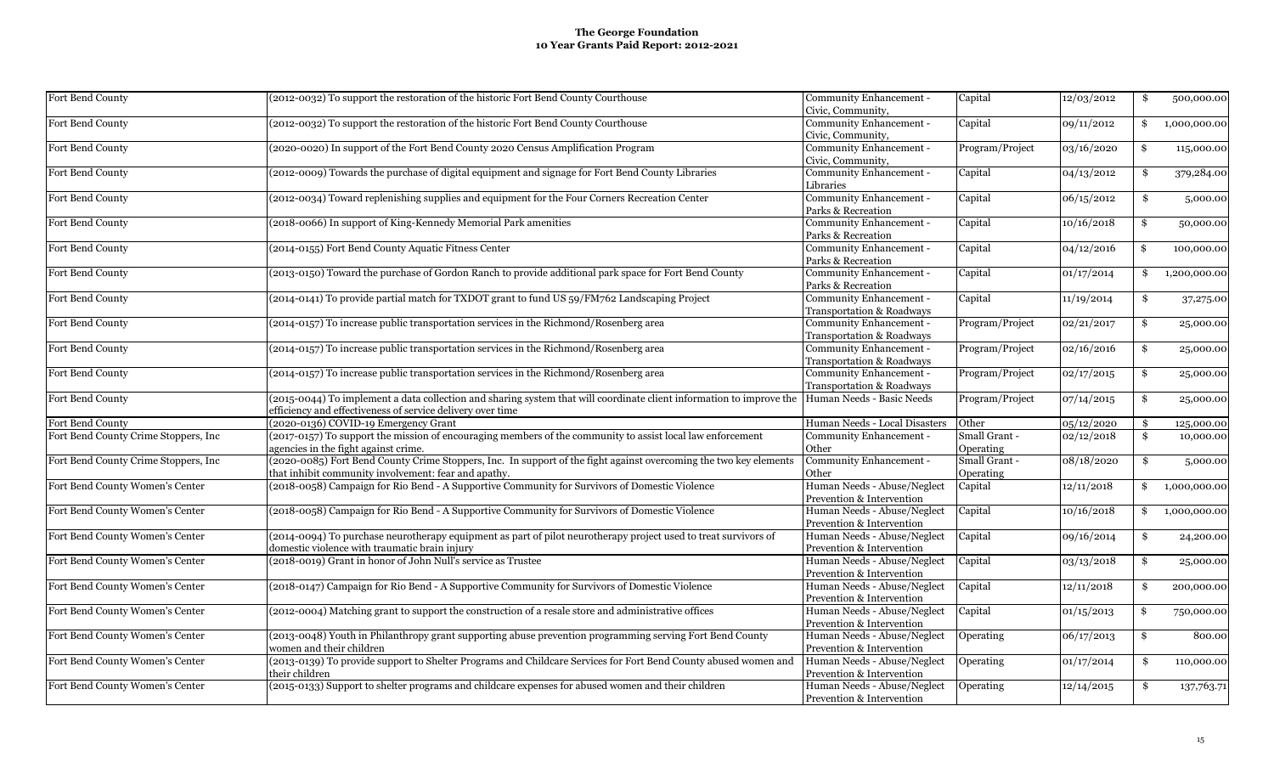| Fort Bend County                      | (2012-0032) To support the restoration of the historic Fort Bend County Courthouse                                                                                                                           | Community Enhancement -<br>Civic, Community,             | Capital                    | 12/03/2012 | \$<br>500,000.00   |
|---------------------------------------|--------------------------------------------------------------------------------------------------------------------------------------------------------------------------------------------------------------|----------------------------------------------------------|----------------------------|------------|--------------------|
| Fort Bend County                      | (2012-0032) To support the restoration of the historic Fort Bend County Courthouse                                                                                                                           | Community Enhancement -<br>Civic, Community,             | Capital                    | 09/11/2012 | 1,000,000.00       |
| Fort Bend County                      | (2020-0020) In support of the Fort Bend County 2020 Census Amplification Program                                                                                                                             | Community Enhancement -<br>Civic, Community,             | Program/Project            | 03/16/2020 | \$<br>115,000.00   |
| Fort Bend County                      | (2012-0009) Towards the purchase of digital equipment and signage for Fort Bend County Libraries                                                                                                             | Community Enhancement -<br>Libraries                     | Capital                    | 04/13/2012 | \$<br>379,284.00   |
| Fort Bend County                      | (2012-0034) Toward replenishing supplies and equipment for the Four Corners Recreation Center                                                                                                                | Community Enhancement -<br>Parks & Recreation            | Capital                    | 06/15/2012 | \$<br>5,000.00     |
| Fort Bend County                      | (2018-0066) In support of King-Kennedy Memorial Park amenities                                                                                                                                               | Community Enhancement -<br>Parks & Recreation            | Capital                    | 10/16/2018 | \$<br>50,000.00    |
| Fort Bend County                      | (2014-0155) Fort Bend County Aquatic Fitness Center                                                                                                                                                          | Community Enhancement -<br>Parks & Recreation            | Capital                    | 04/12/2016 | \$<br>100,000.00   |
| Fort Bend County                      | (2013-0150) Toward the purchase of Gordon Ranch to provide additional park space for Fort Bend County                                                                                                        | Community Enhancement -<br>Parks & Recreation            | Capital                    | 01/17/2014 | \$<br>1,200,000.00 |
| Fort Bend County                      | (2014-0141) To provide partial match for TXDOT grant to fund US 59/FM762 Landscaping Project                                                                                                                 | Community Enhancement -<br>Transportation & Roadways     | Capital                    | 11/19/2014 | \$<br>37,275.00    |
| Fort Bend County                      | (2014-0157) To increase public transportation services in the Richmond/Rosenberg area                                                                                                                        | Community Enhancement -<br>Transportation & Roadways     | Program/Project            | 02/21/2017 | \$<br>25,000.00    |
| Fort Bend County                      | (2014-0157) To increase public transportation services in the Richmond/Rosenberg area                                                                                                                        | Community Enhancement -<br>Transportation & Roadways     | Program/Project            | 02/16/2016 | \$<br>25,000.00    |
| Fort Bend County                      | (2014-0157) To increase public transportation services in the Richmond/Rosenberg area                                                                                                                        | Community Enhancement -<br>Transportation & Roadways     | Program/Project            | 02/17/2015 | \$<br>25,000.00    |
| Fort Bend County                      | (2015-0044) To implement a data collection and sharing system that will coordinate client information to improve the Human Needs - Basic Needs<br>efficiency and effectiveness of service delivery over time |                                                          | Program/Project            | 07/14/2015 | \$<br>25,000.00    |
| Fort Bend County                      | (2020-0136) COVID-19 Emergency Grant                                                                                                                                                                         | Human Needs - Local Disasters                            | Other                      | 05/12/2020 | \$<br>125,000.00   |
| Fort Bend County Crime Stoppers, Inc. | (2017-0157) To support the mission of encouraging members of the community to assist local law enforcement<br>agencies in the fight against crime.                                                           | Community Enhancement -<br>Other                         | Small Grant -<br>Operating | 02/12/2018 | 10,000.00          |
| Fort Bend County Crime Stoppers, Inc. | (2020-0085) Fort Bend County Crime Stoppers, Inc. In support of the fight against overcoming the two key elements<br>that inhibit community involvement: fear and apathy.                                    | Community Enhancement -<br>Other                         | Small Grant -<br>Operating | 08/18/2020 | \$<br>5,000.00     |
| Fort Bend County Women's Center       | (2018-0058) Campaign for Rio Bend - A Supportive Community for Survivors of Domestic Violence                                                                                                                | Human Needs - Abuse/Neglect<br>Prevention & Intervention | Capital                    | 12/11/2018 | \$<br>1,000,000.00 |
| Fort Bend County Women's Center       | (2018-0058) Campaign for Rio Bend - A Supportive Community for Survivors of Domestic Violence                                                                                                                | Human Needs - Abuse/Neglect<br>Prevention & Intervention | Capital                    | 10/16/2018 | \$<br>1,000,000.00 |
| Fort Bend County Women's Center       | (2014-0094) To purchase neurotherapy equipment as part of pilot neurotherapy project used to treat survivors of<br>domestic violence with traumatic brain injury                                             | Human Needs - Abuse/Neglect<br>Prevention & Intervention | Capital                    | 09/16/2014 | \$<br>24,200.00    |
| Fort Bend County Women's Center       | (2018-0019) Grant in honor of John Null's service as Trustee                                                                                                                                                 | Human Needs - Abuse/Neglect<br>Prevention & Intervention | Capital                    | 03/13/2018 | \$<br>25,000.00    |
| Fort Bend County Women's Center       | (2018-0147) Campaign for Rio Bend - A Supportive Community for Survivors of Domestic Violence                                                                                                                | Human Needs - Abuse/Neglect<br>Prevention & Intervention | Capital                    | 12/11/2018 | \$<br>200,000.00   |
| Fort Bend County Women's Center       | (2012-0004) Matching grant to support the construction of a resale store and administrative offices                                                                                                          | Human Needs - Abuse/Neglect<br>Prevention & Intervention | Capital                    | 01/15/2013 | \$<br>750,000.00   |
| Fort Bend County Women's Center       | (2013-0048) Youth in Philanthropy grant supporting abuse prevention programming serving Fort Bend County<br>women and their children                                                                         | Human Needs - Abuse/Neglect<br>Prevention & Intervention | Operating                  | 06/17/2013 | \$<br>800.00       |
| Fort Bend County Women's Center       | (2013-0139) To provide support to Shelter Programs and Childcare Services for Fort Bend County abused women and<br>their children                                                                            | Human Needs - Abuse/Neglect<br>Prevention & Intervention | Operating                  | 01/17/2014 | \$<br>110,000.00   |
| Fort Bend County Women's Center       | (2015-0133) Support to shelter programs and childcare expenses for abused women and their children                                                                                                           | Human Needs - Abuse/Neglect<br>Prevention & Intervention | Operating                  | 12/14/2015 | \$<br>137,763.71   |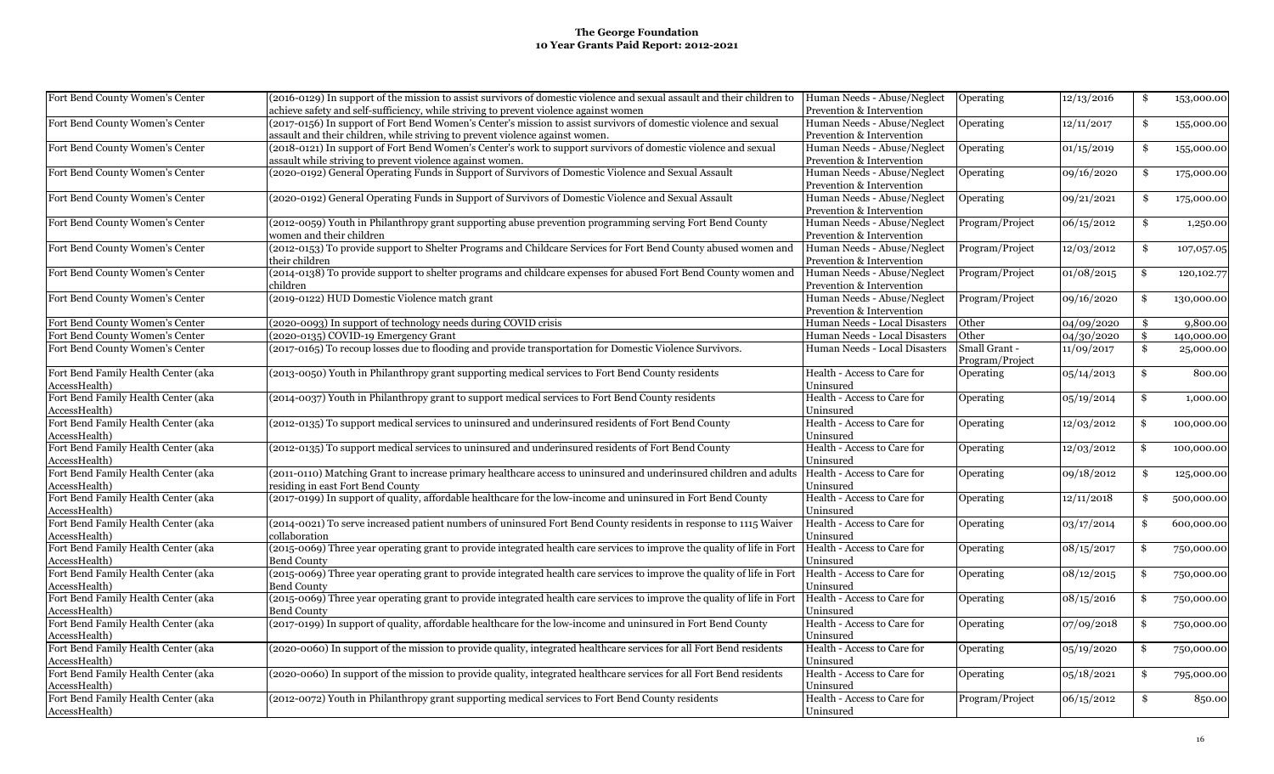| Fort Bend County Women's Center                      | (2016-0129) In support of the mission to assist survivors of domestic violence and sexual assault and their children to                        | Human Needs - Abuse/Neglect   | Operating       | 12/13/2016 | \$<br>153,000.00   |
|------------------------------------------------------|------------------------------------------------------------------------------------------------------------------------------------------------|-------------------------------|-----------------|------------|--------------------|
|                                                      | achieve safety and self-sufficiency, while striving to prevent violence against women                                                          | Prevention & Intervention     |                 |            |                    |
| Fort Bend County Women's Center                      | (2017-0156) In support of Fort Bend Women's Center's mission to assist survivors of domestic violence and sexual                               | Human Needs - Abuse/Neglect   | Operating       | 12/11/2017 | \$<br>155,000.00   |
|                                                      | assault and their children, while striving to prevent violence against women.                                                                  | Prevention & Intervention     |                 |            |                    |
| Fort Bend County Women's Center                      | (2018-0121) In support of Fort Bend Women's Center's work to support survivors of domestic violence and sexual                                 | Human Needs - Abuse/Neglect   | Operating       | 01/15/2019 | \$<br>155,000.00   |
|                                                      | assault while striving to prevent violence against women.                                                                                      | Prevention & Intervention     |                 |            |                    |
| Fort Bend County Women's Center                      | (2020-0192) General Operating Funds in Support of Survivors of Domestic Violence and Sexual Assault                                            | Human Needs - Abuse/Neglect   | Operating       | 09/16/2020 | \$<br>175,000.00   |
|                                                      |                                                                                                                                                | Prevention & Intervention     |                 |            |                    |
| Fort Bend County Women's Center                      | (2020-0192) General Operating Funds in Support of Survivors of Domestic Violence and Sexual Assault                                            | Human Needs - Abuse/Neglect   | Operating       | 09/21/2021 | \$<br>175,000.00   |
|                                                      |                                                                                                                                                | Prevention & Intervention     |                 |            |                    |
| Fort Bend County Women's Center                      | (2012-0059) Youth in Philanthropy grant supporting abuse prevention programming serving Fort Bend County                                       | Human Needs - Abuse/Neglect   | Program/Project | 06/15/2012 | \$<br>1,250.00     |
|                                                      | women and their children                                                                                                                       | Prevention & Intervention     |                 |            |                    |
| Fort Bend County Women's Center                      | (2012-0153) To provide support to Shelter Programs and Childcare Services for Fort Bend County abused women and                                | Human Needs - Abuse/Neglect   | Program/Project | 12/03/2012 | \$<br>107,057.05   |
|                                                      | their children                                                                                                                                 | Prevention & Intervention     |                 |            |                    |
| Fort Bend County Women's Center                      | (2014-0138) To provide support to shelter programs and childcare expenses for abused Fort Bend County women and                                | Human Needs - Abuse/Neglect   | Program/Project | 01/08/2015 | \$<br>120, 102. 77 |
|                                                      | children                                                                                                                                       | Prevention & Intervention     |                 |            |                    |
| Fort Bend County Women's Center                      | (2019-0122) HUD Domestic Violence match grant                                                                                                  | Human Needs - Abuse/Neglect   | Program/Project | 09/16/2020 | \$<br>130,000.00   |
|                                                      |                                                                                                                                                | Prevention & Intervention     |                 |            |                    |
| Fort Bend County Women's Center                      | (2020-0093) In support of technology needs during COVID crisis                                                                                 | Human Needs - Local Disasters | Other           | 04/09/2020 | \$<br>9,800.00     |
| Fort Bend County Women's Center                      | (2020-0135) COVID-19 Emergency Grant                                                                                                           | Human Needs - Local Disasters | Other           | 04/30/2020 | \$<br>140,000.00   |
| Fort Bend County Women's Center                      | (2017-0165) To recoup losses due to flooding and provide transportation for Domestic Violence Survivors.                                       | Human Needs - Local Disasters | Small Grant -   | 11/09/2017 | \$<br>25,000.00    |
|                                                      |                                                                                                                                                |                               | Program/Project |            |                    |
| Fort Bend Family Health Center (aka                  | (2013-0050) Youth in Philanthropy grant supporting medical services to Fort Bend County residents                                              | Health - Access to Care for   | Operating       | 05/14/2013 | \$<br>800.00       |
| AccessHealth)                                        |                                                                                                                                                | Uninsured                     |                 |            |                    |
| Fort Bend Family Health Center (aka                  | (2014-0037) Youth in Philanthropy grant to support medical services to Fort Bend County residents                                              | Health - Access to Care for   | Operating       | 05/19/2014 | \$<br>1,000.00     |
| AccessHealth)                                        |                                                                                                                                                | Uninsured                     |                 |            |                    |
| Fort Bend Family Health Center (aka                  | (2012-0135) To support medical services to uninsured and underinsured residents of Fort Bend County                                            | Health - Access to Care for   | Operating       | 12/03/2012 | \$<br>100,000.00   |
| AccessHealth)                                        |                                                                                                                                                | Uninsured                     |                 |            |                    |
| Fort Bend Family Health Center (aka                  | (2012-0135) To support medical services to uninsured and underinsured residents of Fort Bend County                                            | Health - Access to Care for   | Operating       | 12/03/2012 | \$<br>100,000.00   |
| AccessHealth)                                        |                                                                                                                                                | Uninsured                     |                 |            |                    |
| Fort Bend Family Health Center (aka                  | (2011-0110) Matching Grant to increase primary healthcare access to uninsured and underinsured children and adults                             | Health - Access to Care for   | Operating       | 09/18/2012 | \$<br>125,000.00   |
| AccessHealth)                                        | residing in east Fort Bend County                                                                                                              | Uninsured                     |                 |            |                    |
| Fort Bend Family Health Center (aka                  | (2017-0199) In support of quality, affordable healthcare for the low-income and uninsured in Fort Bend County                                  | Health - Access to Care for   | Operating       | 12/11/2018 | \$<br>500,000.00   |
| AccessHealth)                                        |                                                                                                                                                | Uninsured                     |                 |            |                    |
| Fort Bend Family Health Center (aka                  | (2014-0021) To serve increased patient numbers of uninsured Fort Bend County residents in response to 1115 Waiver                              | Health - Access to Care for   | Operating       |            | \$                 |
| AccessHealth)                                        | collaboration                                                                                                                                  | Uninsured                     |                 | 03/17/2014 | 600,000.00         |
| Fort Bend Family Health Center (aka                  | (2015-0069) Three year operating grant to provide integrated health care services to improve the quality of life in Fort                       | Health - Access to Care for   | Operating       | 08/15/2017 |                    |
|                                                      |                                                                                                                                                | Uninsured                     |                 |            | \$<br>750,000.00   |
| AccessHealth)<br>Fort Bend Family Health Center (aka | <b>Bend County</b><br>(2015-0069) Three year operating grant to provide integrated health care services to improve the quality of life in Fort | Health - Access to Care for   |                 |            |                    |
|                                                      |                                                                                                                                                |                               | Operating       | 08/12/2015 | \$<br>750,000.00   |
| AccessHealth)                                        | <b>Bend County</b>                                                                                                                             | Uninsured                     |                 |            |                    |
| Fort Bend Family Health Center (aka                  | (2015-0069) Three year operating grant to provide integrated health care services to improve the quality of life in Fort                       | Health - Access to Care for   | Operating       | 08/15/2016 | \$<br>750,000.00   |
| AccessHealth)                                        | <b>Bend County</b>                                                                                                                             | Uninsured                     |                 |            |                    |
| Fort Bend Family Health Center (aka                  | (2017-0199) In support of quality, affordable healthcare for the low-income and uninsured in Fort Bend County                                  | Health - Access to Care for   | Operating       | 07/09/2018 | \$<br>750,000.00   |
| AccessHealth)                                        |                                                                                                                                                | Uninsured                     |                 |            |                    |
| Fort Bend Family Health Center (aka                  | (2020-0060) In support of the mission to provide quality, integrated healthcare services for all Fort Bend residents                           | Health - Access to Care for   | Operating       | 05/19/2020 | \$<br>750,000.00   |
| AccessHealth)                                        |                                                                                                                                                | Uninsured                     |                 |            |                    |
| Fort Bend Family Health Center (aka                  | (2020-0060) In support of the mission to provide quality, integrated healthcare services for all Fort Bend residents                           | Health - Access to Care for   | Operating       | 05/18/2021 | \$<br>795,000.00   |
| AccessHealth)                                        |                                                                                                                                                | Uninsured                     |                 |            |                    |
| Fort Bend Family Health Center (aka                  | (2012-0072) Youth in Philanthropy grant supporting medical services to Fort Bend County residents                                              | Health - Access to Care for   | Program/Project | 06/15/2012 | \$<br>850.00       |
| AccessHealth)                                        |                                                                                                                                                | Uninsured                     |                 |            |                    |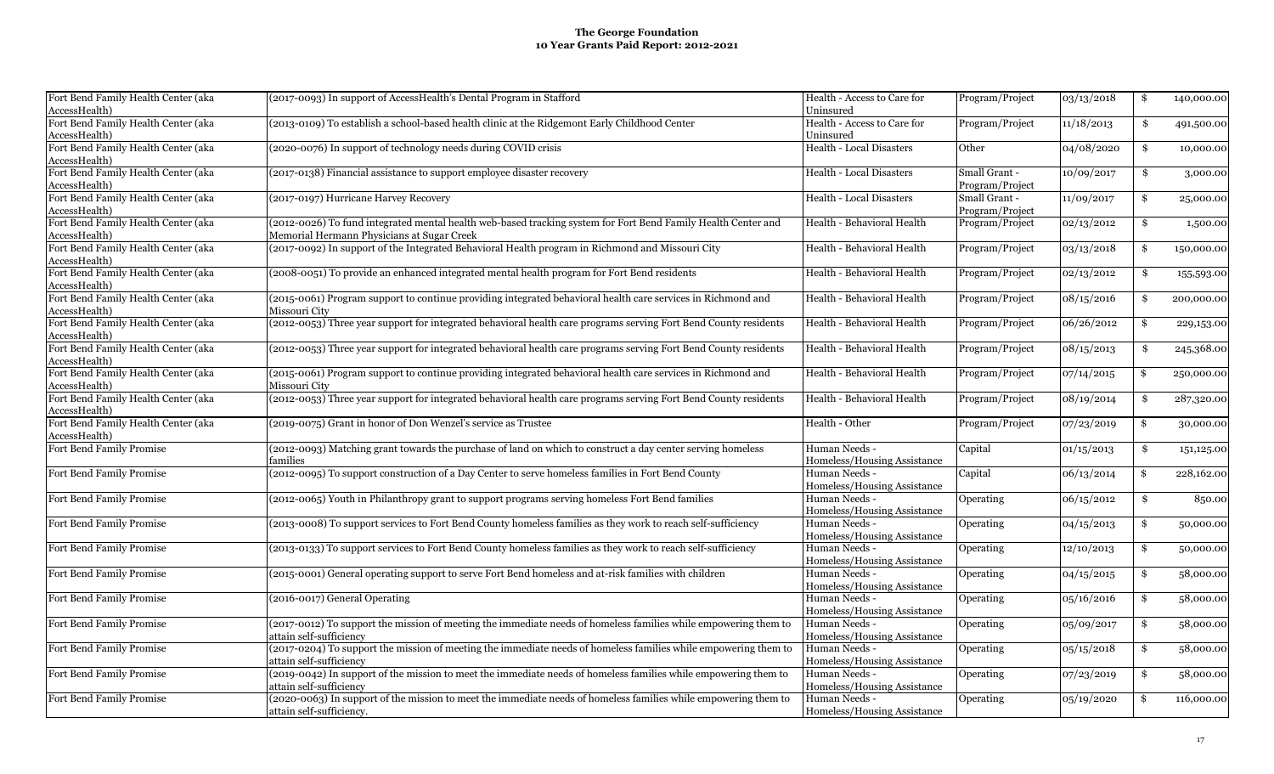| Fort Bend Family Health Center (aka | (2017-0093) In support of AccessHealth's Dental Program in Stafford                                              | Health - Access to Care for     | Program/Project | 03/13/2018 | \$  | 140,000.00             |
|-------------------------------------|------------------------------------------------------------------------------------------------------------------|---------------------------------|-----------------|------------|-----|------------------------|
| AccessHealth)                       |                                                                                                                  | Uninsured                       |                 |            |     |                        |
| Fort Bend Family Health Center (aka | (2013-0109) To establish a school-based health clinic at the Ridgemont Early Childhood Center                    | Health - Access to Care for     | Program/Project | 11/18/2013 | \$  | 491,500.00             |
| AccessHealth)                       |                                                                                                                  | Uninsured                       |                 |            |     |                        |
| Fort Bend Family Health Center (aka | (2020-0076) In support of technology needs during COVID crisis                                                   | Health - Local Disasters        | Other           | 04/08/2020 | \$  | 10,000.00              |
| AccessHealth)                       |                                                                                                                  |                                 |                 |            |     |                        |
| Fort Bend Family Health Center (aka | (2017-0138) Financial assistance to support employee disaster recovery                                           | <b>Health - Local Disasters</b> | Small Grant -   | 10/09/2017 | \$  | 3,000.00               |
| AccessHealth)                       |                                                                                                                  |                                 | Program/Project |            |     |                        |
| Fort Bend Family Health Center (aka | (2017-0197) Hurricane Harvey Recovery                                                                            | Health - Local Disasters        | Small Grant -   | 11/09/2017 | \$  | 25,000.00              |
| AccessHealth)                       |                                                                                                                  |                                 | Program/Project |            |     |                        |
| Fort Bend Family Health Center (aka | (2012-0026) To fund integrated mental health web-based tracking system for Fort Bend Family Health Center and    | Health - Behavioral Health      | Program/Project | 02/13/2012 | \$  | 1,500.00               |
| AccessHealth)                       | Memorial Hermann Physicians at Sugar Creek                                                                       |                                 |                 |            |     |                        |
| Fort Bend Family Health Center (aka | (2017-0092) In support of the Integrated Behavioral Health program in Richmond and Missouri City                 | Health - Behavioral Health      | Program/Project | 03/13/2018 | \$  | 150,000.00             |
| AccessHealth)                       |                                                                                                                  |                                 |                 |            |     |                        |
| Fort Bend Family Health Center (aka | (2008-0051) To provide an enhanced integrated mental health program for Fort Bend residents                      | Health - Behavioral Health      | Program/Project | 02/13/2012 | \$  | 155,593.00             |
| AccessHealth)                       |                                                                                                                  |                                 |                 |            |     |                        |
| Fort Bend Family Health Center (aka | (2015-0061) Program support to continue providing integrated behavioral health care services in Richmond and     | Health - Behavioral Health      | Program/Project | 08/15/2016 | \$  | 200,000.00             |
| AccessHealth)                       | Missouri City                                                                                                    |                                 |                 |            |     |                        |
| Fort Bend Family Health Center (aka | (2012-0053) Three year support for integrated behavioral health care programs serving Fort Bend County residents | Health - Behavioral Health      | Program/Project | 06/26/2012 | -\$ | 229,153.00             |
| AccessHealth)                       |                                                                                                                  |                                 |                 |            |     |                        |
| Fort Bend Family Health Center (aka | (2012-0053) Three year support for integrated behavioral health care programs serving Fort Bend County residents | Health - Behavioral Health      | Program/Project | 08/15/2013 | \$  | 245,368.00             |
| AccessHealth)                       |                                                                                                                  |                                 |                 |            |     |                        |
| Fort Bend Family Health Center (aka | (2015-0061) Program support to continue providing integrated behavioral health care services in Richmond and     | Health - Behavioral Health      | Program/Project | 07/14/2015 | \$  | 250,000.00             |
| AccessHealth)                       | Missouri Citv                                                                                                    |                                 |                 |            |     |                        |
|                                     | (2012-0053) Three year support for integrated behavioral health care programs serving Fort Bend County residents |                                 |                 |            |     |                        |
| Fort Bend Family Health Center (aka |                                                                                                                  | Health - Behavioral Health      | Program/Project | 08/19/2014 | \$  | 287,320.00             |
| AccessHealth)                       |                                                                                                                  |                                 |                 |            |     |                        |
| Fort Bend Family Health Center (aka | (2019-0075) Grant in honor of Don Wenzel's service as Trustee                                                    | Health - Other                  | Program/Project | 07/23/2019 | \$  | 30,000.00              |
| AccessHealth)                       |                                                                                                                  |                                 |                 |            |     |                        |
| Fort Bend Family Promise            | (2012-0093) Matching grant towards the purchase of land on which to construct a day center serving homeless      | Human Needs -                   | Capital         | 01/15/2013 | \$  | 151,125.00             |
|                                     | families                                                                                                         | Homeless/Housing Assistance     |                 |            |     |                        |
| Fort Bend Family Promise            | (2012-0095) To support construction of a Day Center to serve homeless families in Fort Bend County               | Human Needs -                   | Capital         | 06/13/2014 | \$  | 228,162.00             |
|                                     |                                                                                                                  | Homeless/Housing Assistance     |                 |            |     |                        |
| Fort Bend Family Promise            | (2012-0065) Youth in Philanthropy grant to support programs serving homeless Fort Bend families                  | Human Needs -                   | Operating       | 06/15/2012 | \$  | 850.00                 |
|                                     |                                                                                                                  | Homeless/Housing Assistance     |                 |            |     |                        |
| Fort Bend Family Promise            | (2013-0008) To support services to Fort Bend County homeless families as they work to reach self-sufficiency     | Human Needs -                   | Operating       | 04/15/2013 | \$  | 50,000.00              |
|                                     |                                                                                                                  | Homeless/Housing Assistance     |                 |            |     |                        |
| Fort Bend Family Promise            | (2013-0133) To support services to Fort Bend County homeless families as they work to reach self-sufficiency     | Human Needs -                   | Operating       | 12/10/2013 | \$  | 50,000.00              |
|                                     |                                                                                                                  | Homeless/Housing Assistance     |                 |            |     |                        |
| Fort Bend Family Promise            | (2015-0001) General operating support to serve Fort Bend homeless and at-risk families with children             | Human Needs -                   | Operating       | 04/15/2015 | -\$ | 58,000.00              |
|                                     |                                                                                                                  | Homeless/Housing Assistance     |                 |            |     |                        |
| Fort Bend Family Promise            | (2016-0017) General Operating                                                                                    | Human Needs -                   | Operating       | 05/16/2016 | \$  | $\overline{58,000.00}$ |
|                                     |                                                                                                                  | Homeless/Housing Assistance     |                 |            |     |                        |
| Fort Bend Family Promise            | (2017-0012) To support the mission of meeting the immediate needs of homeless families while empowering them to  | Human Needs -                   | Operating       | 05/09/2017 | \$  | 58,000.00              |
|                                     | attain self-sufficiencv                                                                                          | Homeless/Housing Assistance     |                 |            |     |                        |
| Fort Bend Family Promise            | (2017-0204) To support the mission of meeting the immediate needs of homeless families while empowering them to  | Human Needs -                   | Operating       | 05/15/2018 | \$  | 58,000.00              |
|                                     | attain self-sufficiency                                                                                          | Homeless/Housing Assistance     |                 |            |     |                        |
| Fort Bend Family Promise            | (2019-0042) In support of the mission to meet the immediate needs of homeless families while empowering them to  | Human Needs -                   | Operating       | 07/23/2019 | \$  | 58,000.00              |
|                                     | attain self-sufficiencv                                                                                          | Homeless/Housing Assistance     |                 |            |     |                        |
| Fort Bend Family Promise            | (2020-0063) In support of the mission to meet the immediate needs of homeless families while empowering them to  | Human Needs -                   | Operating       | 05/19/2020 | \$  | 116,000.00             |
|                                     |                                                                                                                  |                                 |                 |            |     |                        |
|                                     | attain self-sufficiency.                                                                                         | Homeless/Housing Assistance     |                 |            |     |                        |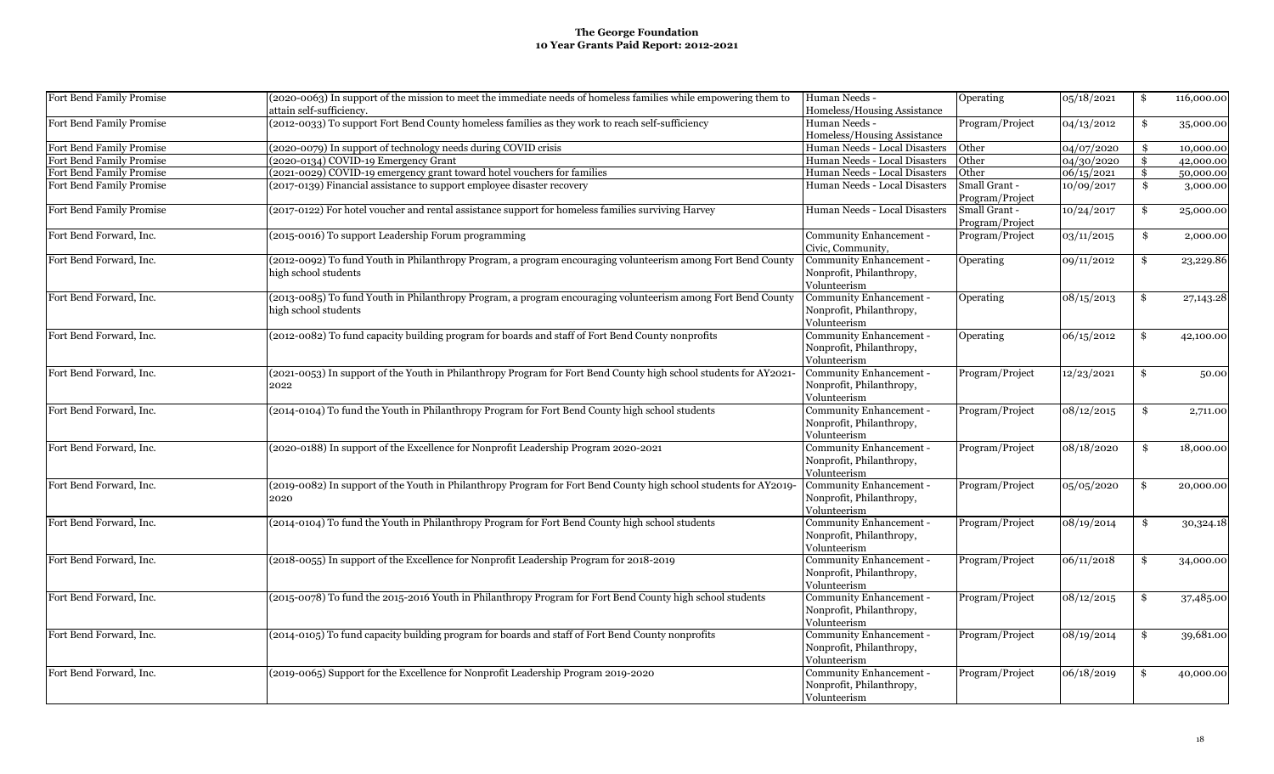| Fort Bend Family Promise | (2020-0063) In support of the mission to meet the immediate needs of homeless families while empowering them to<br>attain self-sufficiency. | Human Needs -<br>Homeless/Housing Assistance | Operating       | 05/18/2021 | \$       | 116,000.00             |
|--------------------------|---------------------------------------------------------------------------------------------------------------------------------------------|----------------------------------------------|-----------------|------------|----------|------------------------|
| Fort Bend Family Promise | (2012-0033) To support Fort Bend County homeless families as they work to reach self-sufficiency                                            | Human Needs -<br>Homeless/Housing Assistance | Program/Project | 04/13/2012 | \$       | 35,000.00              |
| Fort Bend Family Promise | (2020-0079) In support of technology needs during COVID crisis                                                                              | Human Needs - Local Disasters                | Other           | 04/07/2020 |          |                        |
| Fort Bend Family Promise | (2020-0134) COVID-19 Emergency Grant                                                                                                        | Human Needs - Local Disasters                | Other           | 04/30/2020 | \$<br>\$ | 10,000.00<br>42,000.00 |
| Fort Bend Family Promise | (2021-0029) COVID-19 emergency grant toward hotel vouchers for families                                                                     | Human Needs - Local Disasters                | Other           | 06/15/2021 | \$       | 50,000.00              |
| Fort Bend Family Promise | (2017-0139) Financial assistance to support employee disaster recovery                                                                      | Human Needs - Local Disasters                | Small Grant -   | 10/09/2017 | \$       |                        |
|                          |                                                                                                                                             |                                              | Program/Project |            |          | 3,000.00               |
| Fort Bend Family Promise | (2017-0122) For hotel voucher and rental assistance support for homeless families surviving Harvey                                          | Human Needs - Local Disasters                | Small Grant -   | 10/24/2017 | \$       | 25,000.00              |
|                          |                                                                                                                                             |                                              | Program/Project |            |          |                        |
| Fort Bend Forward, Inc.  | (2015-0016) To support Leadership Forum programming                                                                                         | Community Enhancement -                      | Program/Project | 03/11/2015 | \$       | 2,000.00               |
|                          |                                                                                                                                             | Civic, Community,                            |                 |            |          |                        |
| Fort Bend Forward, Inc.  | (2012-0092) To fund Youth in Philanthropy Program, a program encouraging volunteerism among Fort Bend County                                | Community Enhancement -                      | Operating       | 09/11/2012 | \$       | 23,229.86              |
|                          | high school students                                                                                                                        | Nonprofit, Philanthropy,                     |                 |            |          |                        |
|                          |                                                                                                                                             | Volunteerism                                 |                 |            |          |                        |
| Fort Bend Forward, Inc.  | (2013-0085) To fund Youth in Philanthropy Program, a program encouraging volunteerism among Fort Bend County                                | Community Enhancement -                      | Operating       | 08/15/2013 | \$       | 27,143.28              |
|                          | high school students                                                                                                                        | Nonprofit, Philanthropy,                     |                 |            |          |                        |
|                          |                                                                                                                                             | Volunteerism                                 |                 |            |          |                        |
| Fort Bend Forward, Inc.  | (2012-0082) To fund capacity building program for boards and staff of Fort Bend County nonprofits                                           | Community Enhancement -                      | Operating       | 06/15/2012 | -\$      | 42,100.00              |
|                          |                                                                                                                                             | Nonprofit, Philanthropy,                     |                 |            |          |                        |
|                          |                                                                                                                                             | Volunteerism                                 |                 |            |          |                        |
| Fort Bend Forward, Inc.  | (2021-0053) In support of the Youth in Philanthropy Program for Fort Bend County high school students for AY2021-                           | Community Enhancement -                      | Program/Project | 12/23/2021 | \$       | 50.00                  |
|                          | 2022                                                                                                                                        | Nonprofit, Philanthropy,                     |                 |            |          |                        |
|                          |                                                                                                                                             | Volunteerism                                 |                 |            |          |                        |
| Fort Bend Forward, Inc.  | (2014-0104) To fund the Youth in Philanthropy Program for Fort Bend County high school students                                             | Community Enhancement -                      | Program/Project | 08/12/2015 | \$       | 2,711.00               |
|                          |                                                                                                                                             | Nonprofit, Philanthropy,                     |                 |            |          |                        |
|                          |                                                                                                                                             | Volunteerism                                 |                 |            |          |                        |
| Fort Bend Forward, Inc.  | (2020-0188) In support of the Excellence for Nonprofit Leadership Program 2020-2021                                                         | Community Enhancement -                      | Program/Project | 08/18/2020 | \$       | 18,000.00              |
|                          |                                                                                                                                             | Nonprofit, Philanthropy,                     |                 |            |          |                        |
|                          |                                                                                                                                             | Volunteerism                                 |                 |            |          |                        |
| Fort Bend Forward, Inc.  | (2019-0082) In support of the Youth in Philanthropy Program for Fort Bend County high school students for AY2019-                           | Community Enhancement -                      | Program/Project | 05/05/2020 | \$       | 20,000.00              |
|                          | 2020                                                                                                                                        | Nonprofit, Philanthropy,                     |                 |            |          |                        |
|                          |                                                                                                                                             | Volunteerism                                 |                 |            |          |                        |
| Fort Bend Forward, Inc.  | (2014-0104) To fund the Youth in Philanthropy Program for Fort Bend County high school students                                             | Community Enhancement -                      | Program/Project | 08/19/2014 | \$       | 30,324.18              |
|                          |                                                                                                                                             | Nonprofit, Philanthropy,                     |                 |            |          |                        |
|                          |                                                                                                                                             | Volunteerism                                 |                 |            |          |                        |
| Fort Bend Forward, Inc.  | (2018-0055) In support of the Excellence for Nonprofit Leadership Program for 2018-2019                                                     | Community Enhancement -                      | Program/Project | 06/11/2018 | \$       | 34,000.00              |
|                          |                                                                                                                                             | Nonprofit, Philanthropy,                     |                 |            |          |                        |
|                          |                                                                                                                                             | Volunteerism                                 |                 |            |          |                        |
| Fort Bend Forward, Inc.  | (2015-0078) To fund the 2015-2016 Youth in Philanthropy Program for Fort Bend County high school students                                   | Community Enhancement -                      | Program/Project | 08/12/2015 | \$       | 37,485.00              |
|                          |                                                                                                                                             | Nonprofit, Philanthropy,                     |                 |            |          |                        |
|                          |                                                                                                                                             | Volunteerism                                 |                 |            |          |                        |
| Fort Bend Forward, Inc.  | (2014-0105) To fund capacity building program for boards and staff of Fort Bend County nonprofits                                           | Community Enhancement -                      | Program/Project | 08/19/2014 | \$       | 39,681.00              |
|                          |                                                                                                                                             | Nonprofit, Philanthropy,                     |                 |            |          |                        |
|                          |                                                                                                                                             | Volunteerism                                 |                 |            |          |                        |
| Fort Bend Forward, Inc.  | (2019-0065) Support for the Excellence for Nonprofit Leadership Program 2019-2020                                                           | Community Enhancement -                      | Program/Project | 06/18/2019 | -\$      |                        |
|                          |                                                                                                                                             | Nonprofit, Philanthropy,                     |                 |            |          | 40,000.00              |
|                          |                                                                                                                                             |                                              |                 |            |          |                        |
|                          |                                                                                                                                             | Volunteerism                                 |                 |            |          |                        |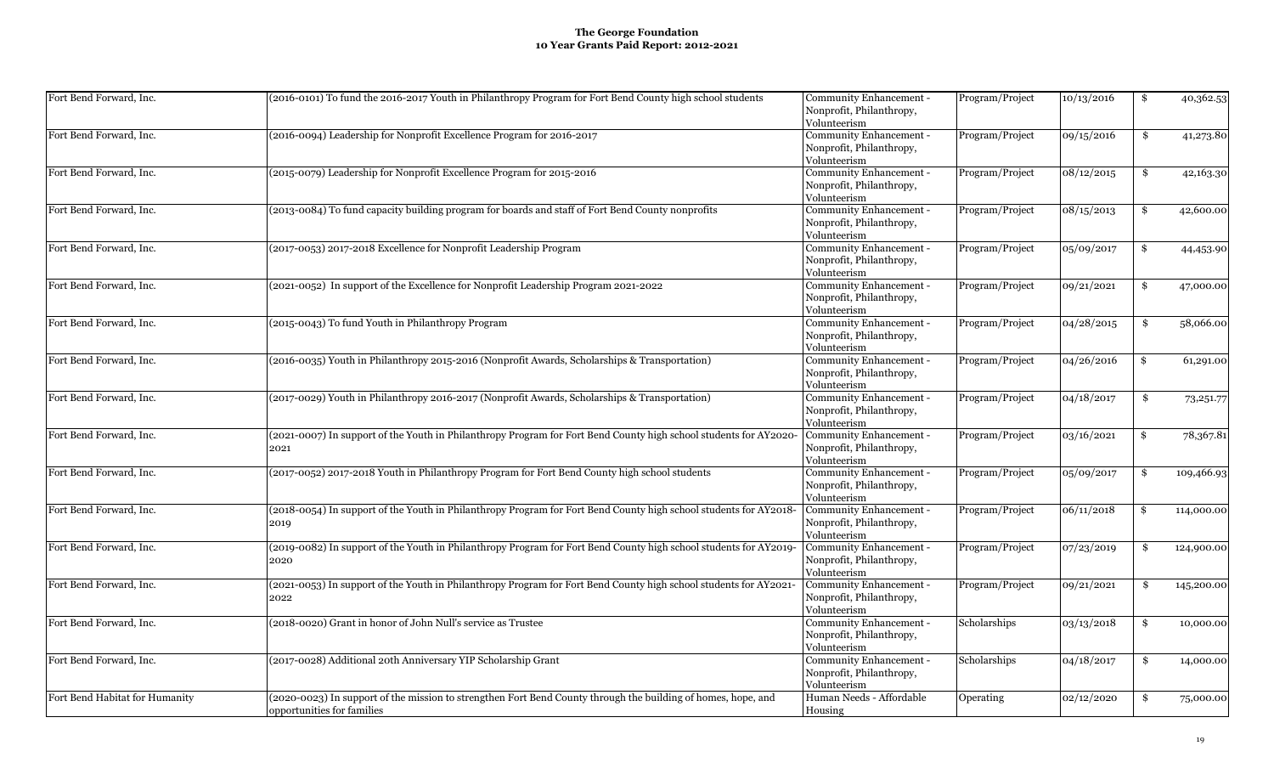| Fort Bend Forward, Inc.        | (2016-0101) To fund the 2016-2017 Youth in Philanthropy Program for Fort Bend County high school students                                   | Community Enhancement -<br>Nonprofit, Philanthropy,<br>Volunteerism        | Program/Project | 10/13/2016 | \$  | 40,362.53   |
|--------------------------------|---------------------------------------------------------------------------------------------------------------------------------------------|----------------------------------------------------------------------------|-----------------|------------|-----|-------------|
| Fort Bend Forward, Inc.        | (2016-0094) Leadership for Nonprofit Excellence Program for 2016-2017                                                                       | Community Enhancement -<br>Nonprofit, Philanthropy,<br>Volunteerism        | Program/Project | 09/15/2016 | \$  | 41,273.80   |
| Fort Bend Forward, Inc.        | (2015-0079) Leadership for Nonprofit Excellence Program for 2015-2016                                                                       | Community Enhancement -<br>Nonprofit, Philanthropy,<br>Volunteerism        | Program/Project | 08/12/2015 | \$  | 42,163.30   |
| Fort Bend Forward, Inc.        | (2013-0084) To fund capacity building program for boards and staff of Fort Bend County nonprofits                                           | Community Enhancement -<br>Nonprofit, Philanthropy,<br>Volunteerism        | Program/Project | 08/15/2013 | \$  | 42,600.00   |
| Fort Bend Forward, Inc.        | (2017-0053) 2017-2018 Excellence for Nonprofit Leadership Program                                                                           | Community Enhancement -<br>Nonprofit, Philanthropy,<br>Volunteerism        | Program/Project | 05/09/2017 | \$  | 44,453.90   |
| Fort Bend Forward, Inc.        | (2021-0052) In support of the Excellence for Nonprofit Leadership Program 2021-2022                                                         | Community Enhancement -<br>Nonprofit, Philanthropy,<br>Volunteerism        | Program/Project | 09/21/2021 | \$  | 47,000.00   |
| Fort Bend Forward, Inc.        | (2015-0043) To fund Youth in Philanthropy Program                                                                                           | Community Enhancement -<br>Nonprofit, Philanthropy,<br>Volunteerism        | Program/Project | 04/28/2015 | \$  | 58,066.00   |
| Fort Bend Forward, Inc.        | (2016-0035) Youth in Philanthropy 2015-2016 (Nonprofit Awards, Scholarships & Transportation)                                               | Community Enhancement -<br>Nonprofit, Philanthropy,<br>Volunteerism        | Program/Project | 04/26/2016 | \$  | 61,291.00   |
| Fort Bend Forward, Inc.        | (2017-0029) Youth in Philanthropy 2016-2017 (Nonprofit Awards, Scholarships & Transportation)                                               | Community Enhancement -<br>Nonprofit, Philanthropy,<br>Volunteerism        | Program/Project | 04/18/2017 | \$  | 73, 251. 77 |
| Fort Bend Forward, Inc.        | (2021-0007) In support of the Youth in Philanthropy Program for Fort Bend County high school students for AY2020<br>2021                    | Community Enhancement -<br>Nonprofit, Philanthropy,<br>Volunteerism        | Program/Project | 03/16/2021 | \$  | 78,367.81   |
| Fort Bend Forward, Inc.        | (2017-0052) 2017-2018 Youth in Philanthropy Program for Fort Bend County high school students                                               | <b>Community Enhancement -</b><br>Nonprofit, Philanthropy,<br>Volunteerism | Program/Project | 05/09/2017 | -\$ | 109,466.93  |
| Fort Bend Forward, Inc.        | (2018-0054) In support of the Youth in Philanthropy Program for Fort Bend County high school students for AY2018<br>2019                    | Community Enhancement -<br>Nonprofit, Philanthropy,<br>Volunteerism        | Program/Project | 06/11/2018 | -\$ | 114,000.00  |
| Fort Bend Forward, Inc.        | (2019-0082) In support of the Youth in Philanthropy Program for Fort Bend County high school students for AY2019<br>2020                    | Community Enhancement -<br>Nonprofit, Philanthropy,<br>Volunteerism        | Program/Project | 07/23/2019 | \$  | 124,900.00  |
| Fort Bend Forward, Inc.        | (2021-0053) In support of the Youth in Philanthropy Program for Fort Bend County high school students for AY2021-<br>2022                   | Community Enhancement -<br>Nonprofit, Philanthropy,<br>Volunteerism        | Program/Project | 09/21/2021 | \$  | 145,200.00  |
| Fort Bend Forward, Inc.        | (2018-0020) Grant in honor of John Null's service as Trustee                                                                                | Community Enhancement -<br>Nonprofit, Philanthropy,<br>Volunteerism        | Scholarships    | 03/13/2018 | \$  | 10,000.00   |
| Fort Bend Forward, Inc.        | (2017-0028) Additional 20th Anniversary YIP Scholarship Grant                                                                               | Community Enhancement -<br>Nonprofit, Philanthropy,<br>Volunteerism        | Scholarships    | 04/18/2017 | \$  | 14,000.00   |
| Fort Bend Habitat for Humanity | (2020-0023) In support of the mission to strengthen Fort Bend County through the building of homes, hope, and<br>opportunities for families | Human Needs - Affordable<br>Housing                                        | Operating       | 02/12/2020 | \$  | 75,000.00   |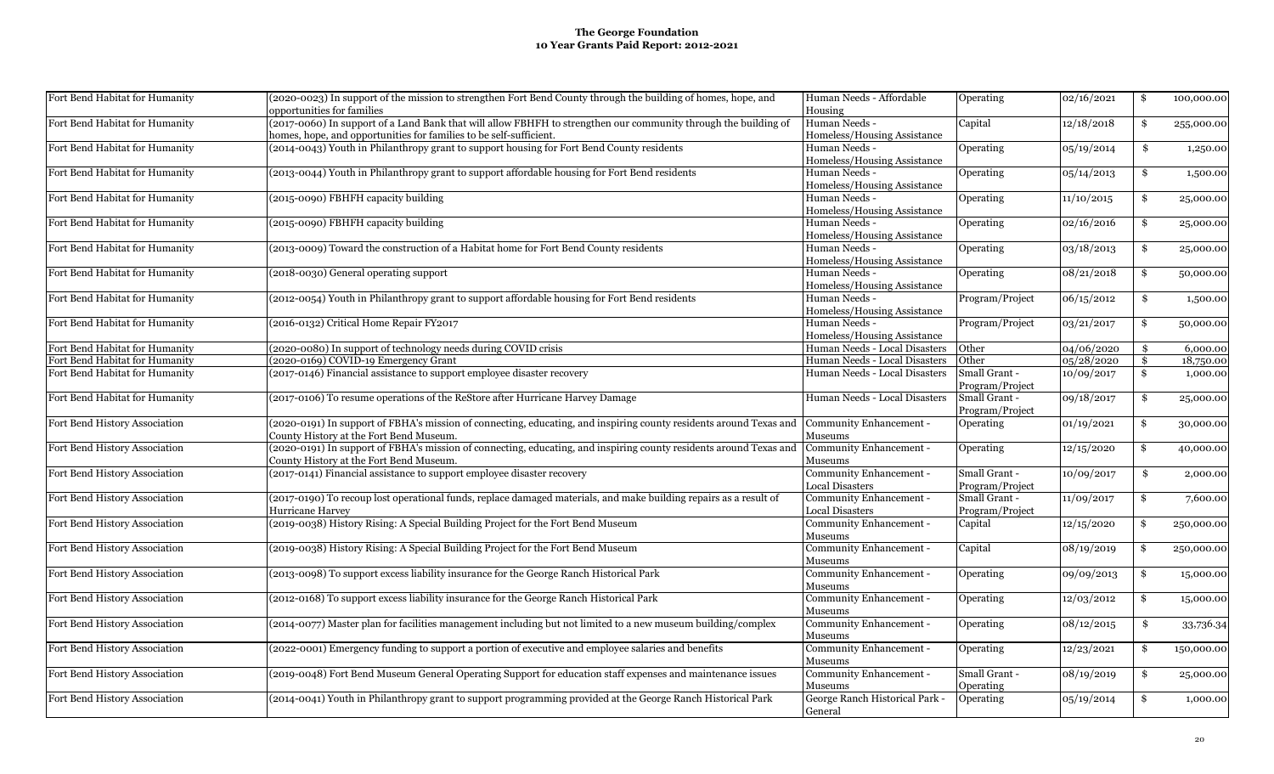| Fort Bend Habitat for Humanity | (2020-0023) In support of the mission to strengthen Fort Bend County through the building of homes, hope, and                                                                         | Human Needs - Affordable                     | Operating        | 02/16/2021 | \$<br>100,000.00 |
|--------------------------------|---------------------------------------------------------------------------------------------------------------------------------------------------------------------------------------|----------------------------------------------|------------------|------------|------------------|
|                                | opportunities for families                                                                                                                                                            | Housing                                      |                  |            |                  |
| Fort Bend Habitat for Humanity | (2017-0060) In support of a Land Bank that will allow FBHFH to strengthen our community through the building of<br>homes, hope, and opportunities for families to be self-sufficient. | Human Needs -<br>Homeless/Housing Assistance | Capital          | 12/18/2018 | \$<br>255,000.00 |
| Fort Bend Habitat for Humanity | (2014-0043) Youth in Philanthropy grant to support housing for Fort Bend County residents                                                                                             | Human Needs -                                | Operating        | 05/19/2014 | \$<br>1,250.00   |
|                                |                                                                                                                                                                                       | Homeless/Housing Assistance                  |                  |            |                  |
| Fort Bend Habitat for Humanity | (2013-0044) Youth in Philanthropy grant to support affordable housing for Fort Bend residents                                                                                         | Human Needs -                                | Operating        | 05/14/2013 | \$<br>1,500.00   |
|                                |                                                                                                                                                                                       | Homeless/Housing Assistance                  |                  |            |                  |
| Fort Bend Habitat for Humanity | (2015-0090) FBHFH capacity building                                                                                                                                                   | Human Needs -                                | Operating        | 11/10/2015 | \$<br>25,000.00  |
|                                |                                                                                                                                                                                       | Homeless/Housing Assistance                  |                  |            |                  |
| Fort Bend Habitat for Humanity | (2015-0090) FBHFH capacity building                                                                                                                                                   | Human Needs -                                | Operating        | 02/16/2016 | \$<br>25,000.00  |
|                                |                                                                                                                                                                                       | Homeless/Housing Assistance                  |                  |            |                  |
| Fort Bend Habitat for Humanity | (2013-0009) Toward the construction of a Habitat home for Fort Bend County residents                                                                                                  | Human Needs -                                | Operating        | 03/18/2013 | \$<br>25,000.00  |
|                                |                                                                                                                                                                                       | Homeless/Housing Assistance                  |                  |            |                  |
| Fort Bend Habitat for Humanity | (2018-0030) General operating support                                                                                                                                                 | Human Needs -                                | Operating        | 08/21/2018 | \$<br>50,000.00  |
|                                |                                                                                                                                                                                       | Homeless/Housing Assistance                  |                  |            |                  |
| Fort Bend Habitat for Humanity | (2012-0054) Youth in Philanthropy grant to support affordable housing for Fort Bend residents                                                                                         | Human Needs -                                | Program/Project  | 06/15/2012 | \$<br>1,500.00   |
|                                |                                                                                                                                                                                       | Homeless/Housing Assistance                  |                  |            |                  |
|                                |                                                                                                                                                                                       |                                              |                  |            |                  |
| Fort Bend Habitat for Humanity | (2016-0132) Critical Home Repair FY2017                                                                                                                                               | Human Needs -                                | Program/Project  | 03/21/2017 | \$<br>50,000.00  |
|                                |                                                                                                                                                                                       | Homeless/Housing Assistance                  |                  |            |                  |
| Fort Bend Habitat for Humanity | (2020-0080) In support of technology needs during COVID crisis                                                                                                                        | Human Needs - Local Disasters                | Other            | 04/06/2020 | \$<br>6,000.00   |
| Fort Bend Habitat for Humanity | (2020-0169) COVID-19 Emergency Grant                                                                                                                                                  | Human Needs - Local Disasters                | Other            | 05/28/2020 | \$<br>18,750.00  |
| Fort Bend Habitat for Humanity | (2017-0146) Financial assistance to support employee disaster recovery                                                                                                                | Human Needs - Local Disasters                | Small Grant -    | 10/09/2017 | \$<br>1,000.00   |
|                                |                                                                                                                                                                                       |                                              | Program/Project  |            |                  |
| Fort Bend Habitat for Humanity | (2017-0106) To resume operations of the ReStore after Hurricane Harvey Damage                                                                                                         | Human Needs - Local Disasters                | Small Grant -    | 09/18/2017 | \$<br>25,000.00  |
|                                |                                                                                                                                                                                       |                                              | Program/Project  |            |                  |
| Fort Bend History Association  | (2020-0191) In support of FBHA's mission of connecting, educating, and inspiring county residents around Texas and                                                                    | Community Enhancement -                      | <b>Operating</b> | 01/19/2021 | \$<br>30,000.00  |
|                                | County History at the Fort Bend Museum.                                                                                                                                               | Museums                                      |                  |            |                  |
| Fort Bend History Association  | (2020-0191) In support of FBHA's mission of connecting, educating, and inspiring county residents around Texas and                                                                    | Community Enhancement -                      | Operating        | 12/15/2020 | \$<br>40,000.00  |
|                                |                                                                                                                                                                                       |                                              |                  |            |                  |
|                                | County History at the Fort Bend Museum.                                                                                                                                               | Museums                                      |                  |            |                  |
| Fort Bend History Association  | (2017-0141) Financial assistance to support employee disaster recovery                                                                                                                | Community Enhancement -                      | Small Grant -    | 10/09/2017 | \$<br>2,000.00   |
|                                |                                                                                                                                                                                       | <b>Local Disasters</b>                       | Program/Project  |            |                  |
| Fort Bend History Association  | (2017-0190) To recoup lost operational funds, replace damaged materials, and make building repairs as a result of                                                                     | Community Enhancement -                      | Small Grant -    | 11/09/2017 | \$<br>7,600.00   |
|                                | Hurricane Harvey                                                                                                                                                                      | <b>Local Disasters</b>                       | Program/Project  |            |                  |
| Fort Bend History Association  | (2019-0038) History Rising: A Special Building Project for the Fort Bend Museum                                                                                                       | Community Enhancement -                      | Capital          | 12/15/2020 | \$<br>250,000.00 |
|                                |                                                                                                                                                                                       | Museums                                      |                  |            |                  |
| Fort Bend History Association  | (2019-0038) History Rising: A Special Building Project for the Fort Bend Museum                                                                                                       | Community Enhancement -                      | Capital          | 08/19/2019 | \$<br>250,000.00 |
|                                |                                                                                                                                                                                       | Museums                                      |                  |            |                  |
| Fort Bend History Association  | (2013-0098) To support excess liability insurance for the George Ranch Historical Park                                                                                                | Community Enhancement -                      | Operating        | 09/09/2013 | \$<br>15,000.00  |
|                                |                                                                                                                                                                                       | Museums                                      |                  |            |                  |
|                                |                                                                                                                                                                                       | Community Enhancement -                      |                  |            |                  |
| Fort Bend History Association  | (2012-0168) To support excess liability insurance for the George Ranch Historical Park                                                                                                |                                              | Operating        | 12/03/2012 | \$<br>15,000.00  |
|                                |                                                                                                                                                                                       | Museums                                      |                  |            |                  |
| Fort Bend History Association  | (2014-0077) Master plan for facilities management including but not limited to a new museum building/complex                                                                          | Community Enhancement -                      | <b>Operating</b> | 08/12/2015 | \$<br>33,736.34  |
|                                |                                                                                                                                                                                       | Museums                                      |                  |            |                  |
| Fort Bend History Association  | (2022-0001) Emergency funding to support a portion of executive and employee salaries and benefits                                                                                    | Community Enhancement -                      | <b>Operating</b> | 12/23/2021 | \$<br>150,000.00 |
|                                |                                                                                                                                                                                       | Museums                                      |                  |            |                  |
| Fort Bend History Association  | (2019-0048) Fort Bend Museum General Operating Support for education staff expenses and maintenance issues                                                                            | Community Enhancement -                      | Small Grant -    | 08/19/2019 | \$<br>25,000.00  |
|                                |                                                                                                                                                                                       | Museums                                      | Operating        |            |                  |
| Fort Bend History Association  | (2014-0041) Youth in Philanthropy grant to support programming provided at the George Ranch Historical Park                                                                           | George Ranch Historical Park -               | Operating        | 05/19/2014 | \$<br>1,000.00   |
|                                |                                                                                                                                                                                       | General                                      |                  |            |                  |
|                                |                                                                                                                                                                                       |                                              |                  |            |                  |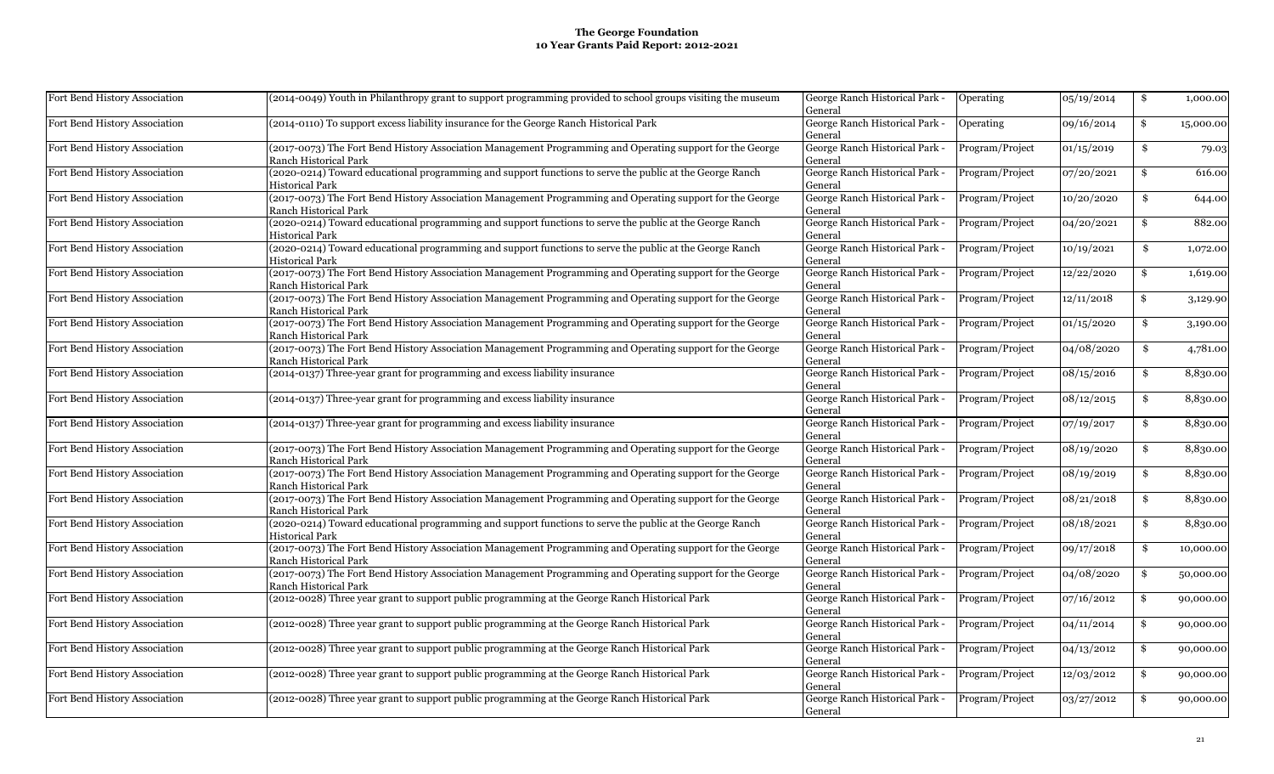| Fort Bend History Association | (2014-0049) Youth in Philanthropy grant to support programming provided to school groups visiting the museum                              | George Ranch Historical Park -<br>General | Operating       | 05/19/2014 | \$<br>1,000.00  |
|-------------------------------|-------------------------------------------------------------------------------------------------------------------------------------------|-------------------------------------------|-----------------|------------|-----------------|
| Fort Bend History Association | (2014-0110) To support excess liability insurance for the George Ranch Historical Park                                                    | George Ranch Historical Park -<br>General | Operating       | 09/16/2014 | \$<br>15,000.00 |
| Fort Bend History Association | (2017-0073) The Fort Bend History Association Management Programming and Operating support for the George<br>Ranch Historical Park        | George Ranch Historical Park -<br>General | Program/Project | 01/15/2019 | \$<br>79.03     |
| Fort Bend History Association | (2020-0214) Toward educational programming and support functions to serve the public at the George Ranch<br><b>Historical Park</b>        | George Ranch Historical Park -<br>General | Program/Project | 07/20/2021 | \$<br>616.00    |
| Fort Bend History Association | (2017-0073) The Fort Bend History Association Management Programming and Operating support for the George<br>Ranch Historical Park        | George Ranch Historical Park -<br>General | Program/Project | 10/20/2020 | \$<br>644.00    |
| Fort Bend History Association | (2020-0214) Toward educational programming and support functions to serve the public at the George Ranch<br><b>Historical Park</b>        | George Ranch Historical Park -<br>General | Program/Project | 04/20/2021 | \$<br>882.00    |
| Fort Bend History Association | (2020-0214) Toward educational programming and support functions to serve the public at the George Ranch<br><b>Historical Park</b>        | George Ranch Historical Park -<br>General | Program/Project | 10/19/2021 | \$<br>1,072.00  |
| Fort Bend History Association | (2017-0073) The Fort Bend History Association Management Programming and Operating support for the George<br>Ranch Historical Park        | George Ranch Historical Park -<br>General | Program/Project | 12/22/2020 | \$<br>1,619.00  |
| Fort Bend History Association | (2017-0073) The Fort Bend History Association Management Programming and Operating support for the George<br>Ranch Historical Park        | George Ranch Historical Park -<br>General | Program/Project | 12/11/2018 | \$<br>3,129.90  |
| Fort Bend History Association | (2017-0073) The Fort Bend History Association Management Programming and Operating support for the George<br>Ranch Historical Park        | George Ranch Historical Park -<br>General | Program/Project | 01/15/2020 | \$<br>3,190.00  |
| Fort Bend History Association | (2017-0073) The Fort Bend History Association Management Programming and Operating support for the George<br><b>Ranch Historical Park</b> | George Ranch Historical Park -<br>General | Program/Project | 04/08/2020 | \$<br>4,781.00  |
| Fort Bend History Association | (2014-0137) Three-year grant for programming and excess liability insurance                                                               | George Ranch Historical Park -<br>General | Program/Project | 08/15/2016 | \$<br>8,830.00  |
| Fort Bend History Association | (2014-0137) Three-year grant for programming and excess liability insurance                                                               | George Ranch Historical Park -<br>General | Program/Project | 08/12/2015 | \$<br>8,830.00  |
| Fort Bend History Association | (2014-0137) Three-year grant for programming and excess liability insurance                                                               | George Ranch Historical Park -<br>General | Program/Project | 07/19/2017 | \$<br>8,830.00  |
| Fort Bend History Association | (2017-0073) The Fort Bend History Association Management Programming and Operating support for the George<br>Ranch Historical Park        | George Ranch Historical Park -<br>General | Program/Project | 08/19/2020 | \$<br>8,830.00  |
| Fort Bend History Association | (2017-0073) The Fort Bend History Association Management Programming and Operating support for the George<br>Ranch Historical Park        | George Ranch Historical Park -<br>General | Program/Project | 08/19/2019 | \$<br>8,830.00  |
| Fort Bend History Association | (2017-0073) The Fort Bend History Association Management Programming and Operating support for the George<br>Ranch Historical Park        | George Ranch Historical Park -<br>General | Program/Project | 08/21/2018 | \$<br>8,830.00  |
| Fort Bend History Association | (2020-0214) Toward educational programming and support functions to serve the public at the George Ranch<br><b>Historical Park</b>        | George Ranch Historical Park -<br>General | Program/Project | 08/18/2021 | \$<br>8,830.00  |
| Fort Bend History Association | (2017-0073) The Fort Bend History Association Management Programming and Operating support for the George<br>Ranch Historical Park        | George Ranch Historical Park -<br>General | Program/Project | 09/17/2018 | \$<br>10,000.00 |
| Fort Bend History Association | (2017-0073) The Fort Bend History Association Management Programming and Operating support for the George<br>Ranch Historical Park        | George Ranch Historical Park -<br>General | Program/Project | 04/08/2020 | \$<br>50,000.00 |
| Fort Bend History Association | (2012-0028) Three year grant to support public programming at the George Ranch Historical Park                                            | George Ranch Historical Park -<br>General | Program/Project | 07/16/2012 | \$<br>90,000.00 |
| Fort Bend History Association | (2012-0028) Three year grant to support public programming at the George Ranch Historical Park                                            | George Ranch Historical Park -<br>General | Program/Project | 04/11/2014 | \$<br>90,000.00 |
| Fort Bend History Association | (2012-0028) Three year grant to support public programming at the George Ranch Historical Park                                            | George Ranch Historical Park -<br>General | Program/Project | 04/13/2012 | \$<br>90,000.00 |
| Fort Bend History Association | (2012-0028) Three year grant to support public programming at the George Ranch Historical Park                                            | George Ranch Historical Park -<br>General | Program/Project | 12/03/2012 | \$<br>90,000.00 |
| Fort Bend History Association | (2012-0028) Three year grant to support public programming at the George Ranch Historical Park                                            | George Ranch Historical Park -<br>General | Program/Project | 03/27/2012 | \$<br>90,000.00 |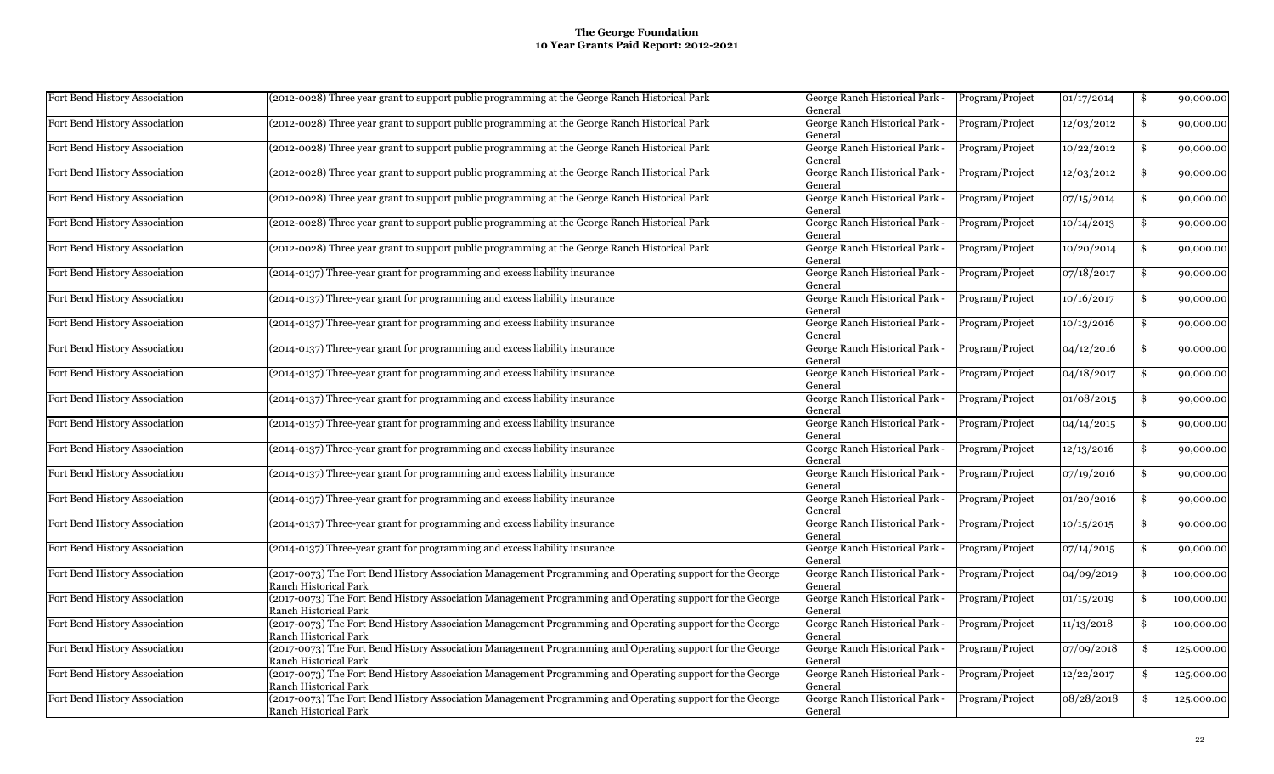| Fort Bend History Association | (2012-0028) Three year grant to support public programming at the George Ranch Historical Park                                            | George Ranch Historical Park -<br>General | Program/Project | 01/17/2014 | \$<br>90,000.00  |
|-------------------------------|-------------------------------------------------------------------------------------------------------------------------------------------|-------------------------------------------|-----------------|------------|------------------|
| Fort Bend History Association | (2012-0028) Three year grant to support public programming at the George Ranch Historical Park                                            | George Ranch Historical Park -<br>General | Program/Project | 12/03/2012 | \$<br>90,000.00  |
| Fort Bend History Association | (2012-0028) Three year grant to support public programming at the George Ranch Historical Park                                            | George Ranch Historical Park -<br>General | Program/Project | 10/22/2012 | \$<br>90,000.00  |
| Fort Bend History Association | (2012-0028) Three year grant to support public programming at the George Ranch Historical Park                                            | George Ranch Historical Park -<br>General | Program/Project | 12/03/2012 | \$<br>90,000.00  |
| Fort Bend History Association | (2012-0028) Three year grant to support public programming at the George Ranch Historical Park                                            | George Ranch Historical Park -<br>General | Program/Project | 07/15/2014 | \$<br>90,000.00  |
| Fort Bend History Association | (2012-0028) Three year grant to support public programming at the George Ranch Historical Park                                            | George Ranch Historical Park -<br>General | Program/Project | 10/14/2013 | \$<br>90,000.00  |
| Fort Bend History Association | (2012-0028) Three year grant to support public programming at the George Ranch Historical Park                                            | George Ranch Historical Park -<br>General | Program/Project | 10/20/2014 | \$<br>90,000.00  |
| Fort Bend History Association | (2014-0137) Three-year grant for programming and excess liability insurance                                                               | George Ranch Historical Park -<br>General | Program/Project | 07/18/2017 | \$<br>90,000.00  |
| Fort Bend History Association | (2014-0137) Three-year grant for programming and excess liability insurance                                                               | George Ranch Historical Park -<br>General | Program/Project | 10/16/2017 | \$<br>90,000.00  |
| Fort Bend History Association | (2014-0137) Three-year grant for programming and excess liability insurance                                                               | George Ranch Historical Park -<br>General | Program/Project | 10/13/2016 | \$<br>90,000.00  |
| Fort Bend History Association | (2014-0137) Three-year grant for programming and excess liability insurance                                                               | George Ranch Historical Park -<br>General | Program/Project | 04/12/2016 | \$<br>90,000.00  |
| Fort Bend History Association | (2014-0137) Three-year grant for programming and excess liability insurance                                                               | George Ranch Historical Park -<br>General | Program/Project | 04/18/2017 | \$<br>90,000.00  |
| Fort Bend History Association | (2014-0137) Three-year grant for programming and excess liability insurance                                                               | George Ranch Historical Park -<br>General | Program/Project | 01/08/2015 | \$<br>90,000.00  |
| Fort Bend History Association | (2014-0137) Three-year grant for programming and excess liability insurance                                                               | George Ranch Historical Park -<br>General | Program/Project | 04/14/2015 | \$<br>90,000.00  |
| Fort Bend History Association | (2014-0137) Three-year grant for programming and excess liability insurance                                                               | George Ranch Historical Park -<br>General | Program/Project | 12/13/2016 | \$<br>90,000.00  |
| Fort Bend History Association | (2014-0137) Three-year grant for programming and excess liability insurance                                                               | George Ranch Historical Park -<br>General | Program/Project | 07/19/2016 | \$<br>90,000.00  |
| Fort Bend History Association | (2014-0137) Three-year grant for programming and excess liability insurance                                                               | George Ranch Historical Park -<br>General | Program/Project | 01/20/2016 | \$<br>90,000.00  |
| Fort Bend History Association | (2014-0137) Three-year grant for programming and excess liability insurance                                                               | George Ranch Historical Park -<br>General | Program/Project | 10/15/2015 | \$<br>90,000.00  |
| Fort Bend History Association | (2014-0137) Three-year grant for programming and excess liability insurance                                                               | George Ranch Historical Park -<br>General | Program/Project | 07/14/2015 | \$<br>90,000.00  |
| Fort Bend History Association | (2017-0073) The Fort Bend History Association Management Programming and Operating support for the George<br>Ranch Historical Park        | George Ranch Historical Park -<br>General | Program/Project | 04/09/2019 | \$<br>100,000.00 |
| Fort Bend History Association | (2017-0073) The Fort Bend History Association Management Programming and Operating support for the George<br>Ranch Historical Park        | George Ranch Historical Park -<br>General | Program/Project | 01/15/2019 | \$<br>100,000.00 |
| Fort Bend History Association | (2017-0073) The Fort Bend History Association Management Programming and Operating support for the George<br><b>Ranch Historical Park</b> | George Ranch Historical Park -<br>General | Program/Project | 11/13/2018 | \$<br>100,000.00 |
| Fort Bend History Association | (2017-0073) The Fort Bend History Association Management Programming and Operating support for the George<br>Ranch Historical Park        | George Ranch Historical Park -<br>General | Program/Project | 07/09/2018 | \$<br>125,000.00 |
| Fort Bend History Association | (2017-0073) The Fort Bend History Association Management Programming and Operating support for the George<br>Ranch Historical Park        | George Ranch Historical Park -<br>General | Program/Project | 12/22/2017 | \$<br>125,000.00 |
| Fort Bend History Association | (2017-0073) The Fort Bend History Association Management Programming and Operating support for the George<br>Ranch Historical Park        | George Ranch Historical Park -<br>General | Program/Project | 08/28/2018 | \$<br>125,000.00 |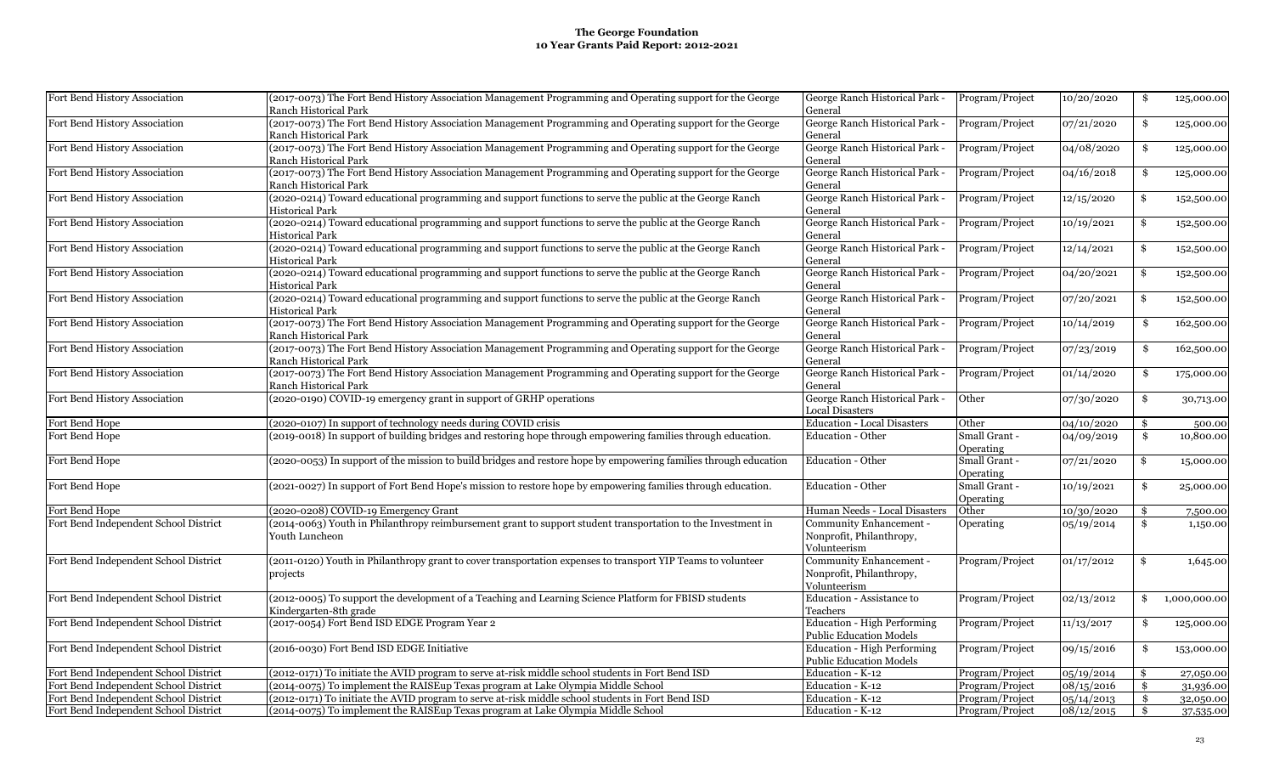| Fort Bend History Association         | (2017-0073) The Fort Bend History Association Management Programming and Operating support for the George<br>Ranch Historical Park | George Ranch Historical Park -<br>General                           | Program/Project            | 10/20/2020 | \$  | 125,000.00   |
|---------------------------------------|------------------------------------------------------------------------------------------------------------------------------------|---------------------------------------------------------------------|----------------------------|------------|-----|--------------|
| Fort Bend History Association         | (2017-0073) The Fort Bend History Association Management Programming and Operating support for the George<br>Ranch Historical Park | George Ranch Historical Park -<br>General                           | Program/Project            | 07/21/2020 | \$  | 125,000.00   |
| Fort Bend History Association         | (2017-0073) The Fort Bend History Association Management Programming and Operating support for the George<br>Ranch Historical Park | George Ranch Historical Park -<br>General                           | Program/Project            | 04/08/2020 | \$  | 125,000.00   |
| Fort Bend History Association         | (2017-0073) The Fort Bend History Association Management Programming and Operating support for the George<br>Ranch Historical Park | George Ranch Historical Park -<br>General                           | Program/Project            | 04/16/2018 | \$  | 125,000.00   |
| Fort Bend History Association         | (2020-0214) Toward educational programming and support functions to serve the public at the George Ranch<br>Historical Park        | George Ranch Historical Park -<br>General                           | Program/Project            | 12/15/2020 | \$  | 152,500.00   |
| Fort Bend History Association         | (2020-0214) Toward educational programming and support functions to serve the public at the George Ranch<br>Historical Park        | George Ranch Historical Park -<br>General                           | Program/Project            | 10/19/2021 | \$  | 152,500.00   |
| Fort Bend History Association         | (2020-0214) Toward educational programming and support functions to serve the public at the George Ranch<br>Historical Park        | George Ranch Historical Park -<br>General                           | Program/Project            | 12/14/2021 | \$  | 152,500.00   |
| Fort Bend History Association         | (2020-0214) Toward educational programming and support functions to serve the public at the George Ranch<br>Historical Park        | George Ranch Historical Park -<br>General                           | Program/Project            | 04/20/2021 | \$  | 152,500.00   |
| Fort Bend History Association         | (2020-0214) Toward educational programming and support functions to serve the public at the George Ranch<br>Historical Park        | George Ranch Historical Park -<br>General                           | Program/Project            | 07/20/2021 | \$  | 152,500.00   |
| Fort Bend History Association         | (2017-0073) The Fort Bend History Association Management Programming and Operating support for the George<br>Ranch Historical Park | George Ranch Historical Park -<br>General                           | Program/Project            | 10/14/2019 | -\$ | 162,500.00   |
| Fort Bend History Association         | (2017-0073) The Fort Bend History Association Management Programming and Operating support for the George<br>Ranch Historical Park | George Ranch Historical Park -<br>General                           | Program/Project            | 07/23/2019 | \$  | 162,500.00   |
| Fort Bend History Association         | (2017-0073) The Fort Bend History Association Management Programming and Operating support for the George<br>Ranch Historical Park | George Ranch Historical Park -<br>General                           | Program/Project            | 01/14/2020 | \$  | 175,000.00   |
| Fort Bend History Association         | (2020-0190) COVID-19 emergency grant in support of GRHP operations                                                                 | George Ranch Historical Park -<br><b>Local Disasters</b>            | Other                      | 07/30/2020 | \$  | 30,713.00    |
| Fort Bend Hope                        | (2020-0107) In support of technology needs during COVID crisis                                                                     | <b>Education - Local Disasters</b>                                  | Other                      | 04/10/2020 | \$  | 500.00       |
| Fort Bend Hope                        | (2019-0018) In support of building bridges and restoring hope through empowering families through education.                       | Education - Other                                                   | Small Grant -<br>Operating | 04/09/2019 | \$  | 10,800.00    |
| Fort Bend Hope                        | (2020-0053) In support of the mission to build bridges and restore hope by empowering families through education                   | Education - Other                                                   | Small Grant -<br>Operating | 07/21/2020 | \$  | 15,000.00    |
| Fort Bend Hope                        | (2021-0027) In support of Fort Bend Hope's mission to restore hope by empowering families through education.                       | Education - Other                                                   | Small Grant -<br>Operating | 10/19/2021 | \$  | 25,000.00    |
| Fort Bend Hope                        | (2020-0208) COVID-19 Emergency Grant                                                                                               | Human Needs - Local Disasters                                       | Other                      | 10/30/2020 | \$  | 7,500.00     |
| Fort Bend Independent School District | (2014-0063) Youth in Philanthropy reimbursement grant to support student transportation to the Investment in<br>Youth Luncheon     | Community Enhancement -<br>Nonprofit, Philanthropy,<br>Volunteerism | Operating                  | 05/19/2014 | \$  | 1,150.00     |
| Fort Bend Independent School District | (2011-0120) Youth in Philanthropy grant to cover transportation expenses to transport YIP Teams to volunteer<br>projects           | Community Enhancement -<br>Nonprofit, Philanthropy,<br>Volunteerism | Program/Project            | 01/17/2012 | \$  | 1,645.00     |
| Fort Bend Independent School District | (2012-0005) To support the development of a Teaching and Learning Science Platform for FBISD students<br>Kindergarten-8th grade    | Education - Assistance to<br>Teachers                               | Program/Project            | 02/13/2012 | \$  | 1,000,000.00 |
| Fort Bend Independent School District | (2017-0054) Fort Bend ISD EDGE Program Year 2                                                                                      | Education - High Performing<br><b>Public Education Models</b>       | Program/Project            | 11/13/2017 | \$  | 125,000.00   |
| Fort Bend Independent School District | (2016-0030) Fort Bend ISD EDGE Initiative                                                                                          | Education - High Performing<br><b>Public Education Models</b>       | Program/Project            | 09/15/2016 | \$  | 153,000.00   |
| Fort Bend Independent School District | (2012-0171) To initiate the AVID program to serve at-risk middle school students in Fort Bend ISD                                  | Education - K-12                                                    | Program/Project            | 05/19/2014 | \$  | 27,050.00    |
| Fort Bend Independent School District | (2014-0075) To implement the RAISEup Texas program at Lake Olympia Middle School                                                   | Education - K-12                                                    | Program/Project            | 08/15/2016 | \$  | 31,936.00    |
| Fort Bend Independent School District | (2012-0171) To initiate the AVID program to serve at-risk middle school students in Fort Bend ISD                                  | Education - K-12                                                    | Program/Project            | 05/14/2013 | \$  | 32,050.00    |
| Fort Bend Independent School District | (2014-0075) To implement the RAISEup Texas program at Lake Olympia Middle School                                                   | Education - K-12                                                    | Program/Project            | 08/12/2015 | -\$ | 37,535.00    |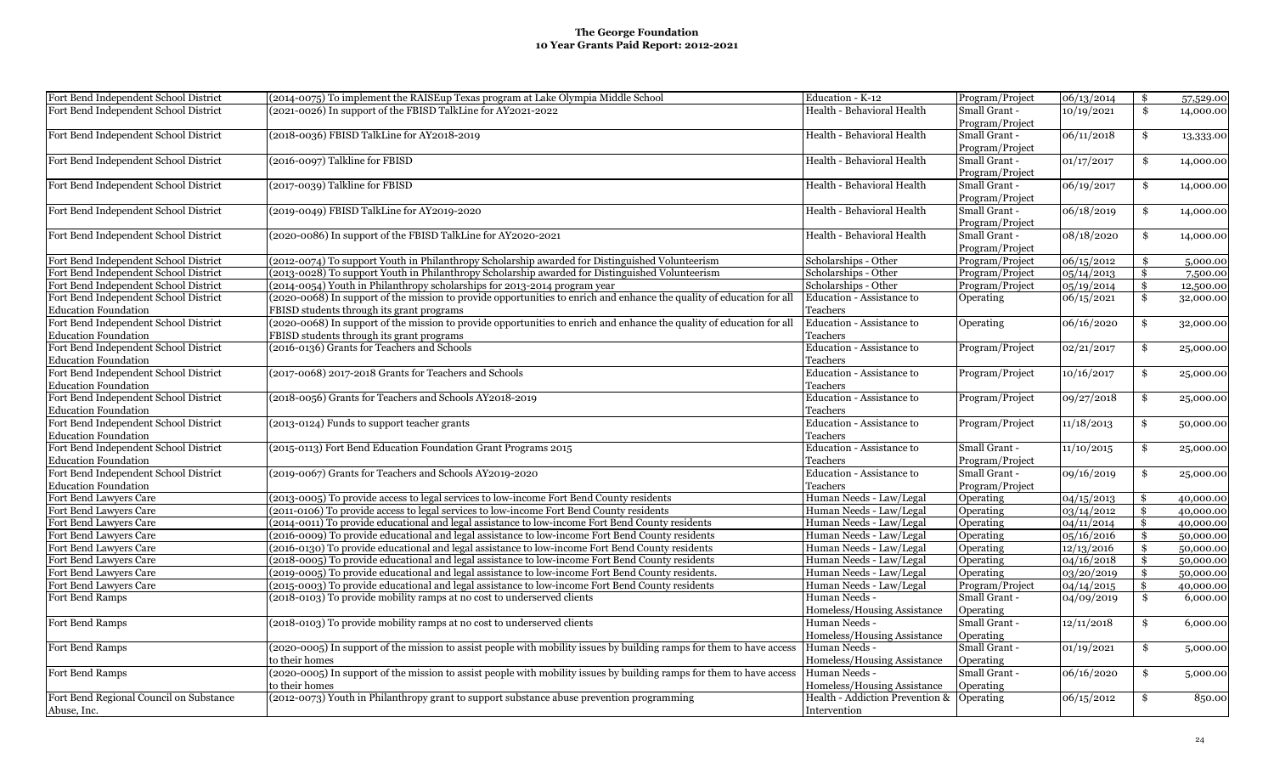| Fort Bend Independent School District<br>(2021-0026) In support of the FBISD TalkLine for AY2021-2022<br>Health - Behavioral Health<br>Small Grant -<br>$\ddot{\mathbf{s}}$<br>10/19/2021<br>14,000.00<br>Program/Project<br>Small Grant -<br>06/11/2018<br>Fort Bend Independent School District<br>(2018-0036) FBISD TalkLine for AY2018-2019<br>Health - Behavioral Health<br>\$<br>13,333.00<br>Program/Project<br>Fort Bend Independent School District<br>(2016-0097) Talkline for FBISD<br>Health - Behavioral Health<br>Small Grant -<br>01/17/2017<br>$\mathbf{\$}$<br>14,000.00<br>Program/Project<br>Fort Bend Independent School District<br>(2017-0039) Talkline for FBISD<br>Health - Behavioral Health<br>Small Grant -<br>06/19/2017<br>\$<br>14,000.00<br>Program/Project<br>Health - Behavioral Health<br>Small Grant -<br>06/18/2019<br>Fort Bend Independent School District<br>(2019-0049) FBISD TalkLine for AY2019-2020<br>\$<br>14,000.00<br>Program/Project<br>Small Grant -<br>08/18/2020<br>Fort Bend Independent School District<br>(2020-0086) In support of the FBISD TalkLine for AY2020-2021<br>Health - Behavioral Health<br>$\mathbf{\$}$<br>14,000.00<br>Program/Project<br>(2012-0074) To support Youth in Philanthropy Scholarship awarded for Distinguished Volunteerism<br>Fort Bend Independent School District<br>Scholarships - Other<br>Program/Project<br>06/15/2012<br>\$<br>5,000.00<br>Fort Bend Independent School District<br>(2013-0028) To support Youth in Philanthropy Scholarship awarded for Distinguished Volunteerism<br>Scholarships - Other<br>05/14/2013<br>Program/Project<br>\$<br>7,500.00<br>Fort Bend Independent School District<br>(2014-0054) Youth in Philanthropy scholarships for 2013-2014 program year<br>Scholarships - Other<br>Program/Project<br>05/19/2014<br>\$<br>12,500.00<br>Fort Bend Independent School District<br>(2020-0068) In support of the mission to provide opportunities to enrich and enhance the quality of education for all<br>Education - Assistance to<br>Operating<br>06/15/2021<br>\$<br>32,000.00<br><b>Education Foundation</b><br>FBISD students through its grant programs<br>Teachers<br>(2020-0068) In support of the mission to provide opportunities to enrich and enhance the quality of education for all<br>Fort Bend Independent School District<br>Education - Assistance to<br>06/16/2020<br>\$<br>Operating<br>32,000.00<br><b>Education Foundation</b><br>FBISD students through its grant programs<br>Teachers<br>(2016-0136) Grants for Teachers and Schools<br>Fort Bend Independent School District<br>Education - Assistance to<br>Program/Project<br>02/21/2017<br>\$<br>25,000.00<br><b>Education Foundation</b><br>Teachers<br>Fort Bend Independent School District<br>(2017-0068) 2017-2018 Grants for Teachers and Schools<br>Education - Assistance to<br>10/16/2017<br>Program/Project<br>\$<br>25,000.00<br><b>Education Foundation</b><br>Teachers<br>Fort Bend Independent School District<br>(2018-0056) Grants for Teachers and Schools AY2018-2019<br>Education - Assistance to<br>Program/Project<br>09/27/2018<br>\$<br>25,000.00<br>Teachers<br>Fort Bend Independent School District<br>(2013-0124) Funds to support teacher grants<br>Education - Assistance to<br>Program/Project<br>11/18/2013<br>\$<br>50,000.00<br>Teachers<br>Fort Bend Independent School District<br>(2015-0113) Fort Bend Education Foundation Grant Programs 2015<br>Education - Assistance to<br>Small Grant -<br>11/10/2015<br>\$<br>25,000.00<br>Teachers<br><b>Education Foundation</b><br>Program/Project<br>Fort Bend Independent School District<br>(2019-0067) Grants for Teachers and Schools AY2019-2020<br>Education - Assistance to<br>Small Grant -<br>09/16/2019<br>\$<br>25,000.00<br><b>Education Foundation</b><br>Teachers<br>Program/Project<br>Fort Bend Lawyers Care<br>(2013-0005) To provide access to legal services to low-income Fort Bend County residents<br>Human Needs - Law/Legal<br>Operating<br>04/15/2013<br>\$<br>40,000.00<br>Fort Bend Lawyers Care<br>(2011-0106) To provide access to legal services to low-income Fort Bend County residents<br>Human Needs - Law/Legal<br>Operating<br>03/14/2012<br>\$<br>40,000.00<br>(2014-0011) To provide educational and legal assistance to low-income Fort Bend County residents<br>Fort Bend Lawyers Care<br>Human Needs - Law/Legal<br>Operating<br>04/11/2014<br>\$<br>40,000.00<br>Fort Bend Lawyers Care<br>(2016-0009) To provide educational and legal assistance to low-income Fort Bend County residents<br>Human Needs - Law/Legal<br>Operating<br>05/16/2016<br>\$<br>50,000.00<br>Fort Bend Lawyers Care<br>(2016-0130) To provide educational and legal assistance to low-income Fort Bend County residents<br>Human Needs - Law/Legal<br>Operating<br>12/13/2016<br>\$<br>50,000.00<br>Fort Bend Lawvers Care<br>(2018-0005) To provide educational and legal assistance to low-income Fort Bend County residents<br>Human Needs - Law/Legal<br>Operating<br>04/16/2018<br>\$<br>50,000.00<br>Fort Bend Lawyers Care<br>(2019-0005) To provide educational and legal assistance to low-income Fort Bend County residents.<br>Human Needs - Law/Legal<br>Operating<br>03/20/2019<br>\$<br>50,000.00<br>(2015-0003) To provide educational and legal assistance to low-income Fort Bend County residents<br>Program/Project<br>Fort Bend Lawyers Care<br>Human Needs - Law/Legal<br>04/14/2015<br>\$<br>40,000.00<br>(2018-0103) To provide mobility ramps at no cost to underserved clients<br>Human Needs -<br>Small Grant -<br>Fort Bend Ramps<br>04/09/2019<br>\$<br>6,000.00<br>Homeless/Housing Assistance<br>Operating<br>(2018-0103) To provide mobility ramps at no cost to underserved clients<br>Fort Bend Ramps<br>Human Needs -<br>Small Grant -<br>12/11/2018<br>\$<br>6,000.00<br>Homeless/Housing Assistance<br>Operating<br>(2020-0005) In support of the mission to assist people with mobility issues by building ramps for them to have access<br>Human Needs -<br>Small Grant -<br>01/19/2021<br>\$<br>5,000.00<br>to their homes<br>Homeless/Housing Assistance<br>Operating<br>(2020-0005) In support of the mission to assist people with mobility issues by building ramps for them to have access<br>Human Needs -<br>Small Grant -<br>06/16/2020<br>\$<br>5,000.00<br>Homeless/Housing Assistance<br>to their homes<br>Operating<br>Fort Bend Regional Council on Substance<br>(2012-0073) Youth in Philanthropy grant to support substance abuse prevention programming<br>Health - Addiction Prevention & Operating<br>06/15/2012<br>850.00<br>\$ |                                       |                                                                                  |                  |                 |            |               |           |
|----------------------------------------------------------------------------------------------------------------------------------------------------------------------------------------------------------------------------------------------------------------------------------------------------------------------------------------------------------------------------------------------------------------------------------------------------------------------------------------------------------------------------------------------------------------------------------------------------------------------------------------------------------------------------------------------------------------------------------------------------------------------------------------------------------------------------------------------------------------------------------------------------------------------------------------------------------------------------------------------------------------------------------------------------------------------------------------------------------------------------------------------------------------------------------------------------------------------------------------------------------------------------------------------------------------------------------------------------------------------------------------------------------------------------------------------------------------------------------------------------------------------------------------------------------------------------------------------------------------------------------------------------------------------------------------------------------------------------------------------------------------------------------------------------------------------------------------------------------------------------------------------------------------------------------------------------------------------------------------------------------------------------------------------------------------------------------------------------------------------------------------------------------------------------------------------------------------------------------------------------------------------------------------------------------------------------------------------------------------------------------------------------------------------------------------------------------------------------------------------------------------------------------------------------------------------------------------------------------------------------------------------------------------------------------------------------------------------------------------------------------------------------------------------------------------------------------------------------------------------------------------------------------------------------------------------------------------------------------------------------------------------------------------------------------------------------------------------------------------------------------------------------------------------------------------------------------------------------------------------------------------------------------------------------------------------------------------------------------------------------------------------------------------------------------------------------------------------------------------------------------------------------------------------------------------------------------------------------------------------------------------------------------------------------------------------------------------------------------------------------------------------------------------------------------------------------------------------------------------------------------------------------------------------------------------------------------------------------------------------------------------------------------------------------------------------------------------------------------------------------------------------------------------------------------------------------------------------------------------------------------------------------------------------------------------------------------------------------------------------------------------------------------------------------------------------------------------------------------------------------------------------------------------------------------------------------------------------------------------------------------------------------------------------------------------------------------------------------------------------------------------------------------------------------------------------------------------------------------------------------------------------------------------------------------------------------------------------------------------------------------------------------------------------------------------------------------------------------------------------------------------------------------------------------------------------------------------------------------------------------------------------------------------------------------------------------------------------------------------------------------------------------------------------------------------------------------------------------------------------------------------------------------------------------------------------------------------------------------------------------------------------------------------------------------------------------------------------------------------------------------------------------------------------------------------------------------------------------------------------------------------------------------------------------------------------------------------------------------------------------------------------------------------------------------------------------------------------------------------------------------------------------------------------------------------------------------------------------------------------------------------------------------------------------------------------------------------------------------------------------------------------------------------------------------------------------------------------------------------------------------------------------------------------------------------------------------------------------------------------------------------------------------------------------------------------------|---------------------------------------|----------------------------------------------------------------------------------|------------------|-----------------|------------|---------------|-----------|
|                                                                                                                                                                                                                                                                                                                                                                                                                                                                                                                                                                                                                                                                                                                                                                                                                                                                                                                                                                                                                                                                                                                                                                                                                                                                                                                                                                                                                                                                                                                                                                                                                                                                                                                                                                                                                                                                                                                                                                                                                                                                                                                                                                                                                                                                                                                                                                                                                                                                                                                                                                                                                                                                                                                                                                                                                                                                                                                                                                                                                                                                                                                                                                                                                                                                                                                                                                                                                                                                                                                                                                                                                                                                                                                                                                                                                                                                                                                                                                                                                                                                                                                                                                                                                                                                                                                                                                                                                                                                                                                                                                                                                                                                                                                                                                                                                                                                                                                                                                                                                                                                                                                                                                                                                                                                                                                                                                                                                                                                                                                                                                                                                                                                                                                                                                                                                                                                                                                                                                                                                                                                                                                                                                                                                                                                                                                                                                                                                                                                                                                                                                                                                                                                                                    | Fort Bend Independent School District | (2014-0075) To implement the RAISEup Texas program at Lake Olympia Middle School | Education - K-12 | Program/Project | 06/13/2014 | $\mathbf{\$}$ | 57,529.00 |
|                                                                                                                                                                                                                                                                                                                                                                                                                                                                                                                                                                                                                                                                                                                                                                                                                                                                                                                                                                                                                                                                                                                                                                                                                                                                                                                                                                                                                                                                                                                                                                                                                                                                                                                                                                                                                                                                                                                                                                                                                                                                                                                                                                                                                                                                                                                                                                                                                                                                                                                                                                                                                                                                                                                                                                                                                                                                                                                                                                                                                                                                                                                                                                                                                                                                                                                                                                                                                                                                                                                                                                                                                                                                                                                                                                                                                                                                                                                                                                                                                                                                                                                                                                                                                                                                                                                                                                                                                                                                                                                                                                                                                                                                                                                                                                                                                                                                                                                                                                                                                                                                                                                                                                                                                                                                                                                                                                                                                                                                                                                                                                                                                                                                                                                                                                                                                                                                                                                                                                                                                                                                                                                                                                                                                                                                                                                                                                                                                                                                                                                                                                                                                                                                                                    |                                       |                                                                                  |                  |                 |            |               |           |
|                                                                                                                                                                                                                                                                                                                                                                                                                                                                                                                                                                                                                                                                                                                                                                                                                                                                                                                                                                                                                                                                                                                                                                                                                                                                                                                                                                                                                                                                                                                                                                                                                                                                                                                                                                                                                                                                                                                                                                                                                                                                                                                                                                                                                                                                                                                                                                                                                                                                                                                                                                                                                                                                                                                                                                                                                                                                                                                                                                                                                                                                                                                                                                                                                                                                                                                                                                                                                                                                                                                                                                                                                                                                                                                                                                                                                                                                                                                                                                                                                                                                                                                                                                                                                                                                                                                                                                                                                                                                                                                                                                                                                                                                                                                                                                                                                                                                                                                                                                                                                                                                                                                                                                                                                                                                                                                                                                                                                                                                                                                                                                                                                                                                                                                                                                                                                                                                                                                                                                                                                                                                                                                                                                                                                                                                                                                                                                                                                                                                                                                                                                                                                                                                                                    |                                       |                                                                                  |                  |                 |            |               |           |
|                                                                                                                                                                                                                                                                                                                                                                                                                                                                                                                                                                                                                                                                                                                                                                                                                                                                                                                                                                                                                                                                                                                                                                                                                                                                                                                                                                                                                                                                                                                                                                                                                                                                                                                                                                                                                                                                                                                                                                                                                                                                                                                                                                                                                                                                                                                                                                                                                                                                                                                                                                                                                                                                                                                                                                                                                                                                                                                                                                                                                                                                                                                                                                                                                                                                                                                                                                                                                                                                                                                                                                                                                                                                                                                                                                                                                                                                                                                                                                                                                                                                                                                                                                                                                                                                                                                                                                                                                                                                                                                                                                                                                                                                                                                                                                                                                                                                                                                                                                                                                                                                                                                                                                                                                                                                                                                                                                                                                                                                                                                                                                                                                                                                                                                                                                                                                                                                                                                                                                                                                                                                                                                                                                                                                                                                                                                                                                                                                                                                                                                                                                                                                                                                                                    |                                       |                                                                                  |                  |                 |            |               |           |
|                                                                                                                                                                                                                                                                                                                                                                                                                                                                                                                                                                                                                                                                                                                                                                                                                                                                                                                                                                                                                                                                                                                                                                                                                                                                                                                                                                                                                                                                                                                                                                                                                                                                                                                                                                                                                                                                                                                                                                                                                                                                                                                                                                                                                                                                                                                                                                                                                                                                                                                                                                                                                                                                                                                                                                                                                                                                                                                                                                                                                                                                                                                                                                                                                                                                                                                                                                                                                                                                                                                                                                                                                                                                                                                                                                                                                                                                                                                                                                                                                                                                                                                                                                                                                                                                                                                                                                                                                                                                                                                                                                                                                                                                                                                                                                                                                                                                                                                                                                                                                                                                                                                                                                                                                                                                                                                                                                                                                                                                                                                                                                                                                                                                                                                                                                                                                                                                                                                                                                                                                                                                                                                                                                                                                                                                                                                                                                                                                                                                                                                                                                                                                                                                                                    |                                       |                                                                                  |                  |                 |            |               |           |
|                                                                                                                                                                                                                                                                                                                                                                                                                                                                                                                                                                                                                                                                                                                                                                                                                                                                                                                                                                                                                                                                                                                                                                                                                                                                                                                                                                                                                                                                                                                                                                                                                                                                                                                                                                                                                                                                                                                                                                                                                                                                                                                                                                                                                                                                                                                                                                                                                                                                                                                                                                                                                                                                                                                                                                                                                                                                                                                                                                                                                                                                                                                                                                                                                                                                                                                                                                                                                                                                                                                                                                                                                                                                                                                                                                                                                                                                                                                                                                                                                                                                                                                                                                                                                                                                                                                                                                                                                                                                                                                                                                                                                                                                                                                                                                                                                                                                                                                                                                                                                                                                                                                                                                                                                                                                                                                                                                                                                                                                                                                                                                                                                                                                                                                                                                                                                                                                                                                                                                                                                                                                                                                                                                                                                                                                                                                                                                                                                                                                                                                                                                                                                                                                                                    |                                       |                                                                                  |                  |                 |            |               |           |
|                                                                                                                                                                                                                                                                                                                                                                                                                                                                                                                                                                                                                                                                                                                                                                                                                                                                                                                                                                                                                                                                                                                                                                                                                                                                                                                                                                                                                                                                                                                                                                                                                                                                                                                                                                                                                                                                                                                                                                                                                                                                                                                                                                                                                                                                                                                                                                                                                                                                                                                                                                                                                                                                                                                                                                                                                                                                                                                                                                                                                                                                                                                                                                                                                                                                                                                                                                                                                                                                                                                                                                                                                                                                                                                                                                                                                                                                                                                                                                                                                                                                                                                                                                                                                                                                                                                                                                                                                                                                                                                                                                                                                                                                                                                                                                                                                                                                                                                                                                                                                                                                                                                                                                                                                                                                                                                                                                                                                                                                                                                                                                                                                                                                                                                                                                                                                                                                                                                                                                                                                                                                                                                                                                                                                                                                                                                                                                                                                                                                                                                                                                                                                                                                                                    |                                       |                                                                                  |                  |                 |            |               |           |
|                                                                                                                                                                                                                                                                                                                                                                                                                                                                                                                                                                                                                                                                                                                                                                                                                                                                                                                                                                                                                                                                                                                                                                                                                                                                                                                                                                                                                                                                                                                                                                                                                                                                                                                                                                                                                                                                                                                                                                                                                                                                                                                                                                                                                                                                                                                                                                                                                                                                                                                                                                                                                                                                                                                                                                                                                                                                                                                                                                                                                                                                                                                                                                                                                                                                                                                                                                                                                                                                                                                                                                                                                                                                                                                                                                                                                                                                                                                                                                                                                                                                                                                                                                                                                                                                                                                                                                                                                                                                                                                                                                                                                                                                                                                                                                                                                                                                                                                                                                                                                                                                                                                                                                                                                                                                                                                                                                                                                                                                                                                                                                                                                                                                                                                                                                                                                                                                                                                                                                                                                                                                                                                                                                                                                                                                                                                                                                                                                                                                                                                                                                                                                                                                                                    |                                       |                                                                                  |                  |                 |            |               |           |
|                                                                                                                                                                                                                                                                                                                                                                                                                                                                                                                                                                                                                                                                                                                                                                                                                                                                                                                                                                                                                                                                                                                                                                                                                                                                                                                                                                                                                                                                                                                                                                                                                                                                                                                                                                                                                                                                                                                                                                                                                                                                                                                                                                                                                                                                                                                                                                                                                                                                                                                                                                                                                                                                                                                                                                                                                                                                                                                                                                                                                                                                                                                                                                                                                                                                                                                                                                                                                                                                                                                                                                                                                                                                                                                                                                                                                                                                                                                                                                                                                                                                                                                                                                                                                                                                                                                                                                                                                                                                                                                                                                                                                                                                                                                                                                                                                                                                                                                                                                                                                                                                                                                                                                                                                                                                                                                                                                                                                                                                                                                                                                                                                                                                                                                                                                                                                                                                                                                                                                                                                                                                                                                                                                                                                                                                                                                                                                                                                                                                                                                                                                                                                                                                                                    |                                       |                                                                                  |                  |                 |            |               |           |
|                                                                                                                                                                                                                                                                                                                                                                                                                                                                                                                                                                                                                                                                                                                                                                                                                                                                                                                                                                                                                                                                                                                                                                                                                                                                                                                                                                                                                                                                                                                                                                                                                                                                                                                                                                                                                                                                                                                                                                                                                                                                                                                                                                                                                                                                                                                                                                                                                                                                                                                                                                                                                                                                                                                                                                                                                                                                                                                                                                                                                                                                                                                                                                                                                                                                                                                                                                                                                                                                                                                                                                                                                                                                                                                                                                                                                                                                                                                                                                                                                                                                                                                                                                                                                                                                                                                                                                                                                                                                                                                                                                                                                                                                                                                                                                                                                                                                                                                                                                                                                                                                                                                                                                                                                                                                                                                                                                                                                                                                                                                                                                                                                                                                                                                                                                                                                                                                                                                                                                                                                                                                                                                                                                                                                                                                                                                                                                                                                                                                                                                                                                                                                                                                                                    |                                       |                                                                                  |                  |                 |            |               |           |
|                                                                                                                                                                                                                                                                                                                                                                                                                                                                                                                                                                                                                                                                                                                                                                                                                                                                                                                                                                                                                                                                                                                                                                                                                                                                                                                                                                                                                                                                                                                                                                                                                                                                                                                                                                                                                                                                                                                                                                                                                                                                                                                                                                                                                                                                                                                                                                                                                                                                                                                                                                                                                                                                                                                                                                                                                                                                                                                                                                                                                                                                                                                                                                                                                                                                                                                                                                                                                                                                                                                                                                                                                                                                                                                                                                                                                                                                                                                                                                                                                                                                                                                                                                                                                                                                                                                                                                                                                                                                                                                                                                                                                                                                                                                                                                                                                                                                                                                                                                                                                                                                                                                                                                                                                                                                                                                                                                                                                                                                                                                                                                                                                                                                                                                                                                                                                                                                                                                                                                                                                                                                                                                                                                                                                                                                                                                                                                                                                                                                                                                                                                                                                                                                                                    |                                       |                                                                                  |                  |                 |            |               |           |
|                                                                                                                                                                                                                                                                                                                                                                                                                                                                                                                                                                                                                                                                                                                                                                                                                                                                                                                                                                                                                                                                                                                                                                                                                                                                                                                                                                                                                                                                                                                                                                                                                                                                                                                                                                                                                                                                                                                                                                                                                                                                                                                                                                                                                                                                                                                                                                                                                                                                                                                                                                                                                                                                                                                                                                                                                                                                                                                                                                                                                                                                                                                                                                                                                                                                                                                                                                                                                                                                                                                                                                                                                                                                                                                                                                                                                                                                                                                                                                                                                                                                                                                                                                                                                                                                                                                                                                                                                                                                                                                                                                                                                                                                                                                                                                                                                                                                                                                                                                                                                                                                                                                                                                                                                                                                                                                                                                                                                                                                                                                                                                                                                                                                                                                                                                                                                                                                                                                                                                                                                                                                                                                                                                                                                                                                                                                                                                                                                                                                                                                                                                                                                                                                                                    |                                       |                                                                                  |                  |                 |            |               |           |
|                                                                                                                                                                                                                                                                                                                                                                                                                                                                                                                                                                                                                                                                                                                                                                                                                                                                                                                                                                                                                                                                                                                                                                                                                                                                                                                                                                                                                                                                                                                                                                                                                                                                                                                                                                                                                                                                                                                                                                                                                                                                                                                                                                                                                                                                                                                                                                                                                                                                                                                                                                                                                                                                                                                                                                                                                                                                                                                                                                                                                                                                                                                                                                                                                                                                                                                                                                                                                                                                                                                                                                                                                                                                                                                                                                                                                                                                                                                                                                                                                                                                                                                                                                                                                                                                                                                                                                                                                                                                                                                                                                                                                                                                                                                                                                                                                                                                                                                                                                                                                                                                                                                                                                                                                                                                                                                                                                                                                                                                                                                                                                                                                                                                                                                                                                                                                                                                                                                                                                                                                                                                                                                                                                                                                                                                                                                                                                                                                                                                                                                                                                                                                                                                                                    |                                       |                                                                                  |                  |                 |            |               |           |
|                                                                                                                                                                                                                                                                                                                                                                                                                                                                                                                                                                                                                                                                                                                                                                                                                                                                                                                                                                                                                                                                                                                                                                                                                                                                                                                                                                                                                                                                                                                                                                                                                                                                                                                                                                                                                                                                                                                                                                                                                                                                                                                                                                                                                                                                                                                                                                                                                                                                                                                                                                                                                                                                                                                                                                                                                                                                                                                                                                                                                                                                                                                                                                                                                                                                                                                                                                                                                                                                                                                                                                                                                                                                                                                                                                                                                                                                                                                                                                                                                                                                                                                                                                                                                                                                                                                                                                                                                                                                                                                                                                                                                                                                                                                                                                                                                                                                                                                                                                                                                                                                                                                                                                                                                                                                                                                                                                                                                                                                                                                                                                                                                                                                                                                                                                                                                                                                                                                                                                                                                                                                                                                                                                                                                                                                                                                                                                                                                                                                                                                                                                                                                                                                                                    |                                       |                                                                                  |                  |                 |            |               |           |
|                                                                                                                                                                                                                                                                                                                                                                                                                                                                                                                                                                                                                                                                                                                                                                                                                                                                                                                                                                                                                                                                                                                                                                                                                                                                                                                                                                                                                                                                                                                                                                                                                                                                                                                                                                                                                                                                                                                                                                                                                                                                                                                                                                                                                                                                                                                                                                                                                                                                                                                                                                                                                                                                                                                                                                                                                                                                                                                                                                                                                                                                                                                                                                                                                                                                                                                                                                                                                                                                                                                                                                                                                                                                                                                                                                                                                                                                                                                                                                                                                                                                                                                                                                                                                                                                                                                                                                                                                                                                                                                                                                                                                                                                                                                                                                                                                                                                                                                                                                                                                                                                                                                                                                                                                                                                                                                                                                                                                                                                                                                                                                                                                                                                                                                                                                                                                                                                                                                                                                                                                                                                                                                                                                                                                                                                                                                                                                                                                                                                                                                                                                                                                                                                                                    |                                       |                                                                                  |                  |                 |            |               |           |
|                                                                                                                                                                                                                                                                                                                                                                                                                                                                                                                                                                                                                                                                                                                                                                                                                                                                                                                                                                                                                                                                                                                                                                                                                                                                                                                                                                                                                                                                                                                                                                                                                                                                                                                                                                                                                                                                                                                                                                                                                                                                                                                                                                                                                                                                                                                                                                                                                                                                                                                                                                                                                                                                                                                                                                                                                                                                                                                                                                                                                                                                                                                                                                                                                                                                                                                                                                                                                                                                                                                                                                                                                                                                                                                                                                                                                                                                                                                                                                                                                                                                                                                                                                                                                                                                                                                                                                                                                                                                                                                                                                                                                                                                                                                                                                                                                                                                                                                                                                                                                                                                                                                                                                                                                                                                                                                                                                                                                                                                                                                                                                                                                                                                                                                                                                                                                                                                                                                                                                                                                                                                                                                                                                                                                                                                                                                                                                                                                                                                                                                                                                                                                                                                                                    |                                       |                                                                                  |                  |                 |            |               |           |
|                                                                                                                                                                                                                                                                                                                                                                                                                                                                                                                                                                                                                                                                                                                                                                                                                                                                                                                                                                                                                                                                                                                                                                                                                                                                                                                                                                                                                                                                                                                                                                                                                                                                                                                                                                                                                                                                                                                                                                                                                                                                                                                                                                                                                                                                                                                                                                                                                                                                                                                                                                                                                                                                                                                                                                                                                                                                                                                                                                                                                                                                                                                                                                                                                                                                                                                                                                                                                                                                                                                                                                                                                                                                                                                                                                                                                                                                                                                                                                                                                                                                                                                                                                                                                                                                                                                                                                                                                                                                                                                                                                                                                                                                                                                                                                                                                                                                                                                                                                                                                                                                                                                                                                                                                                                                                                                                                                                                                                                                                                                                                                                                                                                                                                                                                                                                                                                                                                                                                                                                                                                                                                                                                                                                                                                                                                                                                                                                                                                                                                                                                                                                                                                                                                    |                                       |                                                                                  |                  |                 |            |               |           |
|                                                                                                                                                                                                                                                                                                                                                                                                                                                                                                                                                                                                                                                                                                                                                                                                                                                                                                                                                                                                                                                                                                                                                                                                                                                                                                                                                                                                                                                                                                                                                                                                                                                                                                                                                                                                                                                                                                                                                                                                                                                                                                                                                                                                                                                                                                                                                                                                                                                                                                                                                                                                                                                                                                                                                                                                                                                                                                                                                                                                                                                                                                                                                                                                                                                                                                                                                                                                                                                                                                                                                                                                                                                                                                                                                                                                                                                                                                                                                                                                                                                                                                                                                                                                                                                                                                                                                                                                                                                                                                                                                                                                                                                                                                                                                                                                                                                                                                                                                                                                                                                                                                                                                                                                                                                                                                                                                                                                                                                                                                                                                                                                                                                                                                                                                                                                                                                                                                                                                                                                                                                                                                                                                                                                                                                                                                                                                                                                                                                                                                                                                                                                                                                                                                    |                                       |                                                                                  |                  |                 |            |               |           |
|                                                                                                                                                                                                                                                                                                                                                                                                                                                                                                                                                                                                                                                                                                                                                                                                                                                                                                                                                                                                                                                                                                                                                                                                                                                                                                                                                                                                                                                                                                                                                                                                                                                                                                                                                                                                                                                                                                                                                                                                                                                                                                                                                                                                                                                                                                                                                                                                                                                                                                                                                                                                                                                                                                                                                                                                                                                                                                                                                                                                                                                                                                                                                                                                                                                                                                                                                                                                                                                                                                                                                                                                                                                                                                                                                                                                                                                                                                                                                                                                                                                                                                                                                                                                                                                                                                                                                                                                                                                                                                                                                                                                                                                                                                                                                                                                                                                                                                                                                                                                                                                                                                                                                                                                                                                                                                                                                                                                                                                                                                                                                                                                                                                                                                                                                                                                                                                                                                                                                                                                                                                                                                                                                                                                                                                                                                                                                                                                                                                                                                                                                                                                                                                                                                    |                                       |                                                                                  |                  |                 |            |               |           |
|                                                                                                                                                                                                                                                                                                                                                                                                                                                                                                                                                                                                                                                                                                                                                                                                                                                                                                                                                                                                                                                                                                                                                                                                                                                                                                                                                                                                                                                                                                                                                                                                                                                                                                                                                                                                                                                                                                                                                                                                                                                                                                                                                                                                                                                                                                                                                                                                                                                                                                                                                                                                                                                                                                                                                                                                                                                                                                                                                                                                                                                                                                                                                                                                                                                                                                                                                                                                                                                                                                                                                                                                                                                                                                                                                                                                                                                                                                                                                                                                                                                                                                                                                                                                                                                                                                                                                                                                                                                                                                                                                                                                                                                                                                                                                                                                                                                                                                                                                                                                                                                                                                                                                                                                                                                                                                                                                                                                                                                                                                                                                                                                                                                                                                                                                                                                                                                                                                                                                                                                                                                                                                                                                                                                                                                                                                                                                                                                                                                                                                                                                                                                                                                                                                    |                                       |                                                                                  |                  |                 |            |               |           |
|                                                                                                                                                                                                                                                                                                                                                                                                                                                                                                                                                                                                                                                                                                                                                                                                                                                                                                                                                                                                                                                                                                                                                                                                                                                                                                                                                                                                                                                                                                                                                                                                                                                                                                                                                                                                                                                                                                                                                                                                                                                                                                                                                                                                                                                                                                                                                                                                                                                                                                                                                                                                                                                                                                                                                                                                                                                                                                                                                                                                                                                                                                                                                                                                                                                                                                                                                                                                                                                                                                                                                                                                                                                                                                                                                                                                                                                                                                                                                                                                                                                                                                                                                                                                                                                                                                                                                                                                                                                                                                                                                                                                                                                                                                                                                                                                                                                                                                                                                                                                                                                                                                                                                                                                                                                                                                                                                                                                                                                                                                                                                                                                                                                                                                                                                                                                                                                                                                                                                                                                                                                                                                                                                                                                                                                                                                                                                                                                                                                                                                                                                                                                                                                                                                    |                                       |                                                                                  |                  |                 |            |               |           |
|                                                                                                                                                                                                                                                                                                                                                                                                                                                                                                                                                                                                                                                                                                                                                                                                                                                                                                                                                                                                                                                                                                                                                                                                                                                                                                                                                                                                                                                                                                                                                                                                                                                                                                                                                                                                                                                                                                                                                                                                                                                                                                                                                                                                                                                                                                                                                                                                                                                                                                                                                                                                                                                                                                                                                                                                                                                                                                                                                                                                                                                                                                                                                                                                                                                                                                                                                                                                                                                                                                                                                                                                                                                                                                                                                                                                                                                                                                                                                                                                                                                                                                                                                                                                                                                                                                                                                                                                                                                                                                                                                                                                                                                                                                                                                                                                                                                                                                                                                                                                                                                                                                                                                                                                                                                                                                                                                                                                                                                                                                                                                                                                                                                                                                                                                                                                                                                                                                                                                                                                                                                                                                                                                                                                                                                                                                                                                                                                                                                                                                                                                                                                                                                                                                    |                                       |                                                                                  |                  |                 |            |               |           |
|                                                                                                                                                                                                                                                                                                                                                                                                                                                                                                                                                                                                                                                                                                                                                                                                                                                                                                                                                                                                                                                                                                                                                                                                                                                                                                                                                                                                                                                                                                                                                                                                                                                                                                                                                                                                                                                                                                                                                                                                                                                                                                                                                                                                                                                                                                                                                                                                                                                                                                                                                                                                                                                                                                                                                                                                                                                                                                                                                                                                                                                                                                                                                                                                                                                                                                                                                                                                                                                                                                                                                                                                                                                                                                                                                                                                                                                                                                                                                                                                                                                                                                                                                                                                                                                                                                                                                                                                                                                                                                                                                                                                                                                                                                                                                                                                                                                                                                                                                                                                                                                                                                                                                                                                                                                                                                                                                                                                                                                                                                                                                                                                                                                                                                                                                                                                                                                                                                                                                                                                                                                                                                                                                                                                                                                                                                                                                                                                                                                                                                                                                                                                                                                                                                    |                                       |                                                                                  |                  |                 |            |               |           |
|                                                                                                                                                                                                                                                                                                                                                                                                                                                                                                                                                                                                                                                                                                                                                                                                                                                                                                                                                                                                                                                                                                                                                                                                                                                                                                                                                                                                                                                                                                                                                                                                                                                                                                                                                                                                                                                                                                                                                                                                                                                                                                                                                                                                                                                                                                                                                                                                                                                                                                                                                                                                                                                                                                                                                                                                                                                                                                                                                                                                                                                                                                                                                                                                                                                                                                                                                                                                                                                                                                                                                                                                                                                                                                                                                                                                                                                                                                                                                                                                                                                                                                                                                                                                                                                                                                                                                                                                                                                                                                                                                                                                                                                                                                                                                                                                                                                                                                                                                                                                                                                                                                                                                                                                                                                                                                                                                                                                                                                                                                                                                                                                                                                                                                                                                                                                                                                                                                                                                                                                                                                                                                                                                                                                                                                                                                                                                                                                                                                                                                                                                                                                                                                                                                    |                                       |                                                                                  |                  |                 |            |               |           |
|                                                                                                                                                                                                                                                                                                                                                                                                                                                                                                                                                                                                                                                                                                                                                                                                                                                                                                                                                                                                                                                                                                                                                                                                                                                                                                                                                                                                                                                                                                                                                                                                                                                                                                                                                                                                                                                                                                                                                                                                                                                                                                                                                                                                                                                                                                                                                                                                                                                                                                                                                                                                                                                                                                                                                                                                                                                                                                                                                                                                                                                                                                                                                                                                                                                                                                                                                                                                                                                                                                                                                                                                                                                                                                                                                                                                                                                                                                                                                                                                                                                                                                                                                                                                                                                                                                                                                                                                                                                                                                                                                                                                                                                                                                                                                                                                                                                                                                                                                                                                                                                                                                                                                                                                                                                                                                                                                                                                                                                                                                                                                                                                                                                                                                                                                                                                                                                                                                                                                                                                                                                                                                                                                                                                                                                                                                                                                                                                                                                                                                                                                                                                                                                                                                    |                                       |                                                                                  |                  |                 |            |               |           |
|                                                                                                                                                                                                                                                                                                                                                                                                                                                                                                                                                                                                                                                                                                                                                                                                                                                                                                                                                                                                                                                                                                                                                                                                                                                                                                                                                                                                                                                                                                                                                                                                                                                                                                                                                                                                                                                                                                                                                                                                                                                                                                                                                                                                                                                                                                                                                                                                                                                                                                                                                                                                                                                                                                                                                                                                                                                                                                                                                                                                                                                                                                                                                                                                                                                                                                                                                                                                                                                                                                                                                                                                                                                                                                                                                                                                                                                                                                                                                                                                                                                                                                                                                                                                                                                                                                                                                                                                                                                                                                                                                                                                                                                                                                                                                                                                                                                                                                                                                                                                                                                                                                                                                                                                                                                                                                                                                                                                                                                                                                                                                                                                                                                                                                                                                                                                                                                                                                                                                                                                                                                                                                                                                                                                                                                                                                                                                                                                                                                                                                                                                                                                                                                                                                    |                                       |                                                                                  |                  |                 |            |               |           |
|                                                                                                                                                                                                                                                                                                                                                                                                                                                                                                                                                                                                                                                                                                                                                                                                                                                                                                                                                                                                                                                                                                                                                                                                                                                                                                                                                                                                                                                                                                                                                                                                                                                                                                                                                                                                                                                                                                                                                                                                                                                                                                                                                                                                                                                                                                                                                                                                                                                                                                                                                                                                                                                                                                                                                                                                                                                                                                                                                                                                                                                                                                                                                                                                                                                                                                                                                                                                                                                                                                                                                                                                                                                                                                                                                                                                                                                                                                                                                                                                                                                                                                                                                                                                                                                                                                                                                                                                                                                                                                                                                                                                                                                                                                                                                                                                                                                                                                                                                                                                                                                                                                                                                                                                                                                                                                                                                                                                                                                                                                                                                                                                                                                                                                                                                                                                                                                                                                                                                                                                                                                                                                                                                                                                                                                                                                                                                                                                                                                                                                                                                                                                                                                                                                    | <b>Education Foundation</b>           |                                                                                  |                  |                 |            |               |           |
|                                                                                                                                                                                                                                                                                                                                                                                                                                                                                                                                                                                                                                                                                                                                                                                                                                                                                                                                                                                                                                                                                                                                                                                                                                                                                                                                                                                                                                                                                                                                                                                                                                                                                                                                                                                                                                                                                                                                                                                                                                                                                                                                                                                                                                                                                                                                                                                                                                                                                                                                                                                                                                                                                                                                                                                                                                                                                                                                                                                                                                                                                                                                                                                                                                                                                                                                                                                                                                                                                                                                                                                                                                                                                                                                                                                                                                                                                                                                                                                                                                                                                                                                                                                                                                                                                                                                                                                                                                                                                                                                                                                                                                                                                                                                                                                                                                                                                                                                                                                                                                                                                                                                                                                                                                                                                                                                                                                                                                                                                                                                                                                                                                                                                                                                                                                                                                                                                                                                                                                                                                                                                                                                                                                                                                                                                                                                                                                                                                                                                                                                                                                                                                                                                                    |                                       |                                                                                  |                  |                 |            |               |           |
|                                                                                                                                                                                                                                                                                                                                                                                                                                                                                                                                                                                                                                                                                                                                                                                                                                                                                                                                                                                                                                                                                                                                                                                                                                                                                                                                                                                                                                                                                                                                                                                                                                                                                                                                                                                                                                                                                                                                                                                                                                                                                                                                                                                                                                                                                                                                                                                                                                                                                                                                                                                                                                                                                                                                                                                                                                                                                                                                                                                                                                                                                                                                                                                                                                                                                                                                                                                                                                                                                                                                                                                                                                                                                                                                                                                                                                                                                                                                                                                                                                                                                                                                                                                                                                                                                                                                                                                                                                                                                                                                                                                                                                                                                                                                                                                                                                                                                                                                                                                                                                                                                                                                                                                                                                                                                                                                                                                                                                                                                                                                                                                                                                                                                                                                                                                                                                                                                                                                                                                                                                                                                                                                                                                                                                                                                                                                                                                                                                                                                                                                                                                                                                                                                                    | <b>Education Foundation</b>           |                                                                                  |                  |                 |            |               |           |
|                                                                                                                                                                                                                                                                                                                                                                                                                                                                                                                                                                                                                                                                                                                                                                                                                                                                                                                                                                                                                                                                                                                                                                                                                                                                                                                                                                                                                                                                                                                                                                                                                                                                                                                                                                                                                                                                                                                                                                                                                                                                                                                                                                                                                                                                                                                                                                                                                                                                                                                                                                                                                                                                                                                                                                                                                                                                                                                                                                                                                                                                                                                                                                                                                                                                                                                                                                                                                                                                                                                                                                                                                                                                                                                                                                                                                                                                                                                                                                                                                                                                                                                                                                                                                                                                                                                                                                                                                                                                                                                                                                                                                                                                                                                                                                                                                                                                                                                                                                                                                                                                                                                                                                                                                                                                                                                                                                                                                                                                                                                                                                                                                                                                                                                                                                                                                                                                                                                                                                                                                                                                                                                                                                                                                                                                                                                                                                                                                                                                                                                                                                                                                                                                                                    |                                       |                                                                                  |                  |                 |            |               |           |
|                                                                                                                                                                                                                                                                                                                                                                                                                                                                                                                                                                                                                                                                                                                                                                                                                                                                                                                                                                                                                                                                                                                                                                                                                                                                                                                                                                                                                                                                                                                                                                                                                                                                                                                                                                                                                                                                                                                                                                                                                                                                                                                                                                                                                                                                                                                                                                                                                                                                                                                                                                                                                                                                                                                                                                                                                                                                                                                                                                                                                                                                                                                                                                                                                                                                                                                                                                                                                                                                                                                                                                                                                                                                                                                                                                                                                                                                                                                                                                                                                                                                                                                                                                                                                                                                                                                                                                                                                                                                                                                                                                                                                                                                                                                                                                                                                                                                                                                                                                                                                                                                                                                                                                                                                                                                                                                                                                                                                                                                                                                                                                                                                                                                                                                                                                                                                                                                                                                                                                                                                                                                                                                                                                                                                                                                                                                                                                                                                                                                                                                                                                                                                                                                                                    |                                       |                                                                                  |                  |                 |            |               |           |
|                                                                                                                                                                                                                                                                                                                                                                                                                                                                                                                                                                                                                                                                                                                                                                                                                                                                                                                                                                                                                                                                                                                                                                                                                                                                                                                                                                                                                                                                                                                                                                                                                                                                                                                                                                                                                                                                                                                                                                                                                                                                                                                                                                                                                                                                                                                                                                                                                                                                                                                                                                                                                                                                                                                                                                                                                                                                                                                                                                                                                                                                                                                                                                                                                                                                                                                                                                                                                                                                                                                                                                                                                                                                                                                                                                                                                                                                                                                                                                                                                                                                                                                                                                                                                                                                                                                                                                                                                                                                                                                                                                                                                                                                                                                                                                                                                                                                                                                                                                                                                                                                                                                                                                                                                                                                                                                                                                                                                                                                                                                                                                                                                                                                                                                                                                                                                                                                                                                                                                                                                                                                                                                                                                                                                                                                                                                                                                                                                                                                                                                                                                                                                                                                                                    |                                       |                                                                                  |                  |                 |            |               |           |
|                                                                                                                                                                                                                                                                                                                                                                                                                                                                                                                                                                                                                                                                                                                                                                                                                                                                                                                                                                                                                                                                                                                                                                                                                                                                                                                                                                                                                                                                                                                                                                                                                                                                                                                                                                                                                                                                                                                                                                                                                                                                                                                                                                                                                                                                                                                                                                                                                                                                                                                                                                                                                                                                                                                                                                                                                                                                                                                                                                                                                                                                                                                                                                                                                                                                                                                                                                                                                                                                                                                                                                                                                                                                                                                                                                                                                                                                                                                                                                                                                                                                                                                                                                                                                                                                                                                                                                                                                                                                                                                                                                                                                                                                                                                                                                                                                                                                                                                                                                                                                                                                                                                                                                                                                                                                                                                                                                                                                                                                                                                                                                                                                                                                                                                                                                                                                                                                                                                                                                                                                                                                                                                                                                                                                                                                                                                                                                                                                                                                                                                                                                                                                                                                                                    |                                       |                                                                                  |                  |                 |            |               |           |
|                                                                                                                                                                                                                                                                                                                                                                                                                                                                                                                                                                                                                                                                                                                                                                                                                                                                                                                                                                                                                                                                                                                                                                                                                                                                                                                                                                                                                                                                                                                                                                                                                                                                                                                                                                                                                                                                                                                                                                                                                                                                                                                                                                                                                                                                                                                                                                                                                                                                                                                                                                                                                                                                                                                                                                                                                                                                                                                                                                                                                                                                                                                                                                                                                                                                                                                                                                                                                                                                                                                                                                                                                                                                                                                                                                                                                                                                                                                                                                                                                                                                                                                                                                                                                                                                                                                                                                                                                                                                                                                                                                                                                                                                                                                                                                                                                                                                                                                                                                                                                                                                                                                                                                                                                                                                                                                                                                                                                                                                                                                                                                                                                                                                                                                                                                                                                                                                                                                                                                                                                                                                                                                                                                                                                                                                                                                                                                                                                                                                                                                                                                                                                                                                                                    |                                       |                                                                                  |                  |                 |            |               |           |
|                                                                                                                                                                                                                                                                                                                                                                                                                                                                                                                                                                                                                                                                                                                                                                                                                                                                                                                                                                                                                                                                                                                                                                                                                                                                                                                                                                                                                                                                                                                                                                                                                                                                                                                                                                                                                                                                                                                                                                                                                                                                                                                                                                                                                                                                                                                                                                                                                                                                                                                                                                                                                                                                                                                                                                                                                                                                                                                                                                                                                                                                                                                                                                                                                                                                                                                                                                                                                                                                                                                                                                                                                                                                                                                                                                                                                                                                                                                                                                                                                                                                                                                                                                                                                                                                                                                                                                                                                                                                                                                                                                                                                                                                                                                                                                                                                                                                                                                                                                                                                                                                                                                                                                                                                                                                                                                                                                                                                                                                                                                                                                                                                                                                                                                                                                                                                                                                                                                                                                                                                                                                                                                                                                                                                                                                                                                                                                                                                                                                                                                                                                                                                                                                                                    |                                       |                                                                                  |                  |                 |            |               |           |
|                                                                                                                                                                                                                                                                                                                                                                                                                                                                                                                                                                                                                                                                                                                                                                                                                                                                                                                                                                                                                                                                                                                                                                                                                                                                                                                                                                                                                                                                                                                                                                                                                                                                                                                                                                                                                                                                                                                                                                                                                                                                                                                                                                                                                                                                                                                                                                                                                                                                                                                                                                                                                                                                                                                                                                                                                                                                                                                                                                                                                                                                                                                                                                                                                                                                                                                                                                                                                                                                                                                                                                                                                                                                                                                                                                                                                                                                                                                                                                                                                                                                                                                                                                                                                                                                                                                                                                                                                                                                                                                                                                                                                                                                                                                                                                                                                                                                                                                                                                                                                                                                                                                                                                                                                                                                                                                                                                                                                                                                                                                                                                                                                                                                                                                                                                                                                                                                                                                                                                                                                                                                                                                                                                                                                                                                                                                                                                                                                                                                                                                                                                                                                                                                                                    |                                       |                                                                                  |                  |                 |            |               |           |
|                                                                                                                                                                                                                                                                                                                                                                                                                                                                                                                                                                                                                                                                                                                                                                                                                                                                                                                                                                                                                                                                                                                                                                                                                                                                                                                                                                                                                                                                                                                                                                                                                                                                                                                                                                                                                                                                                                                                                                                                                                                                                                                                                                                                                                                                                                                                                                                                                                                                                                                                                                                                                                                                                                                                                                                                                                                                                                                                                                                                                                                                                                                                                                                                                                                                                                                                                                                                                                                                                                                                                                                                                                                                                                                                                                                                                                                                                                                                                                                                                                                                                                                                                                                                                                                                                                                                                                                                                                                                                                                                                                                                                                                                                                                                                                                                                                                                                                                                                                                                                                                                                                                                                                                                                                                                                                                                                                                                                                                                                                                                                                                                                                                                                                                                                                                                                                                                                                                                                                                                                                                                                                                                                                                                                                                                                                                                                                                                                                                                                                                                                                                                                                                                                                    |                                       |                                                                                  |                  |                 |            |               |           |
|                                                                                                                                                                                                                                                                                                                                                                                                                                                                                                                                                                                                                                                                                                                                                                                                                                                                                                                                                                                                                                                                                                                                                                                                                                                                                                                                                                                                                                                                                                                                                                                                                                                                                                                                                                                                                                                                                                                                                                                                                                                                                                                                                                                                                                                                                                                                                                                                                                                                                                                                                                                                                                                                                                                                                                                                                                                                                                                                                                                                                                                                                                                                                                                                                                                                                                                                                                                                                                                                                                                                                                                                                                                                                                                                                                                                                                                                                                                                                                                                                                                                                                                                                                                                                                                                                                                                                                                                                                                                                                                                                                                                                                                                                                                                                                                                                                                                                                                                                                                                                                                                                                                                                                                                                                                                                                                                                                                                                                                                                                                                                                                                                                                                                                                                                                                                                                                                                                                                                                                                                                                                                                                                                                                                                                                                                                                                                                                                                                                                                                                                                                                                                                                                                                    |                                       |                                                                                  |                  |                 |            |               |           |
|                                                                                                                                                                                                                                                                                                                                                                                                                                                                                                                                                                                                                                                                                                                                                                                                                                                                                                                                                                                                                                                                                                                                                                                                                                                                                                                                                                                                                                                                                                                                                                                                                                                                                                                                                                                                                                                                                                                                                                                                                                                                                                                                                                                                                                                                                                                                                                                                                                                                                                                                                                                                                                                                                                                                                                                                                                                                                                                                                                                                                                                                                                                                                                                                                                                                                                                                                                                                                                                                                                                                                                                                                                                                                                                                                                                                                                                                                                                                                                                                                                                                                                                                                                                                                                                                                                                                                                                                                                                                                                                                                                                                                                                                                                                                                                                                                                                                                                                                                                                                                                                                                                                                                                                                                                                                                                                                                                                                                                                                                                                                                                                                                                                                                                                                                                                                                                                                                                                                                                                                                                                                                                                                                                                                                                                                                                                                                                                                                                                                                                                                                                                                                                                                                                    |                                       |                                                                                  |                  |                 |            |               |           |
|                                                                                                                                                                                                                                                                                                                                                                                                                                                                                                                                                                                                                                                                                                                                                                                                                                                                                                                                                                                                                                                                                                                                                                                                                                                                                                                                                                                                                                                                                                                                                                                                                                                                                                                                                                                                                                                                                                                                                                                                                                                                                                                                                                                                                                                                                                                                                                                                                                                                                                                                                                                                                                                                                                                                                                                                                                                                                                                                                                                                                                                                                                                                                                                                                                                                                                                                                                                                                                                                                                                                                                                                                                                                                                                                                                                                                                                                                                                                                                                                                                                                                                                                                                                                                                                                                                                                                                                                                                                                                                                                                                                                                                                                                                                                                                                                                                                                                                                                                                                                                                                                                                                                                                                                                                                                                                                                                                                                                                                                                                                                                                                                                                                                                                                                                                                                                                                                                                                                                                                                                                                                                                                                                                                                                                                                                                                                                                                                                                                                                                                                                                                                                                                                                                    |                                       |                                                                                  |                  |                 |            |               |           |
|                                                                                                                                                                                                                                                                                                                                                                                                                                                                                                                                                                                                                                                                                                                                                                                                                                                                                                                                                                                                                                                                                                                                                                                                                                                                                                                                                                                                                                                                                                                                                                                                                                                                                                                                                                                                                                                                                                                                                                                                                                                                                                                                                                                                                                                                                                                                                                                                                                                                                                                                                                                                                                                                                                                                                                                                                                                                                                                                                                                                                                                                                                                                                                                                                                                                                                                                                                                                                                                                                                                                                                                                                                                                                                                                                                                                                                                                                                                                                                                                                                                                                                                                                                                                                                                                                                                                                                                                                                                                                                                                                                                                                                                                                                                                                                                                                                                                                                                                                                                                                                                                                                                                                                                                                                                                                                                                                                                                                                                                                                                                                                                                                                                                                                                                                                                                                                                                                                                                                                                                                                                                                                                                                                                                                                                                                                                                                                                                                                                                                                                                                                                                                                                                                                    |                                       |                                                                                  |                  |                 |            |               |           |
|                                                                                                                                                                                                                                                                                                                                                                                                                                                                                                                                                                                                                                                                                                                                                                                                                                                                                                                                                                                                                                                                                                                                                                                                                                                                                                                                                                                                                                                                                                                                                                                                                                                                                                                                                                                                                                                                                                                                                                                                                                                                                                                                                                                                                                                                                                                                                                                                                                                                                                                                                                                                                                                                                                                                                                                                                                                                                                                                                                                                                                                                                                                                                                                                                                                                                                                                                                                                                                                                                                                                                                                                                                                                                                                                                                                                                                                                                                                                                                                                                                                                                                                                                                                                                                                                                                                                                                                                                                                                                                                                                                                                                                                                                                                                                                                                                                                                                                                                                                                                                                                                                                                                                                                                                                                                                                                                                                                                                                                                                                                                                                                                                                                                                                                                                                                                                                                                                                                                                                                                                                                                                                                                                                                                                                                                                                                                                                                                                                                                                                                                                                                                                                                                                                    |                                       |                                                                                  |                  |                 |            |               |           |
|                                                                                                                                                                                                                                                                                                                                                                                                                                                                                                                                                                                                                                                                                                                                                                                                                                                                                                                                                                                                                                                                                                                                                                                                                                                                                                                                                                                                                                                                                                                                                                                                                                                                                                                                                                                                                                                                                                                                                                                                                                                                                                                                                                                                                                                                                                                                                                                                                                                                                                                                                                                                                                                                                                                                                                                                                                                                                                                                                                                                                                                                                                                                                                                                                                                                                                                                                                                                                                                                                                                                                                                                                                                                                                                                                                                                                                                                                                                                                                                                                                                                                                                                                                                                                                                                                                                                                                                                                                                                                                                                                                                                                                                                                                                                                                                                                                                                                                                                                                                                                                                                                                                                                                                                                                                                                                                                                                                                                                                                                                                                                                                                                                                                                                                                                                                                                                                                                                                                                                                                                                                                                                                                                                                                                                                                                                                                                                                                                                                                                                                                                                                                                                                                                                    |                                       |                                                                                  |                  |                 |            |               |           |
|                                                                                                                                                                                                                                                                                                                                                                                                                                                                                                                                                                                                                                                                                                                                                                                                                                                                                                                                                                                                                                                                                                                                                                                                                                                                                                                                                                                                                                                                                                                                                                                                                                                                                                                                                                                                                                                                                                                                                                                                                                                                                                                                                                                                                                                                                                                                                                                                                                                                                                                                                                                                                                                                                                                                                                                                                                                                                                                                                                                                                                                                                                                                                                                                                                                                                                                                                                                                                                                                                                                                                                                                                                                                                                                                                                                                                                                                                                                                                                                                                                                                                                                                                                                                                                                                                                                                                                                                                                                                                                                                                                                                                                                                                                                                                                                                                                                                                                                                                                                                                                                                                                                                                                                                                                                                                                                                                                                                                                                                                                                                                                                                                                                                                                                                                                                                                                                                                                                                                                                                                                                                                                                                                                                                                                                                                                                                                                                                                                                                                                                                                                                                                                                                                                    |                                       |                                                                                  |                  |                 |            |               |           |
|                                                                                                                                                                                                                                                                                                                                                                                                                                                                                                                                                                                                                                                                                                                                                                                                                                                                                                                                                                                                                                                                                                                                                                                                                                                                                                                                                                                                                                                                                                                                                                                                                                                                                                                                                                                                                                                                                                                                                                                                                                                                                                                                                                                                                                                                                                                                                                                                                                                                                                                                                                                                                                                                                                                                                                                                                                                                                                                                                                                                                                                                                                                                                                                                                                                                                                                                                                                                                                                                                                                                                                                                                                                                                                                                                                                                                                                                                                                                                                                                                                                                                                                                                                                                                                                                                                                                                                                                                                                                                                                                                                                                                                                                                                                                                                                                                                                                                                                                                                                                                                                                                                                                                                                                                                                                                                                                                                                                                                                                                                                                                                                                                                                                                                                                                                                                                                                                                                                                                                                                                                                                                                                                                                                                                                                                                                                                                                                                                                                                                                                                                                                                                                                                                                    |                                       |                                                                                  |                  |                 |            |               |           |
|                                                                                                                                                                                                                                                                                                                                                                                                                                                                                                                                                                                                                                                                                                                                                                                                                                                                                                                                                                                                                                                                                                                                                                                                                                                                                                                                                                                                                                                                                                                                                                                                                                                                                                                                                                                                                                                                                                                                                                                                                                                                                                                                                                                                                                                                                                                                                                                                                                                                                                                                                                                                                                                                                                                                                                                                                                                                                                                                                                                                                                                                                                                                                                                                                                                                                                                                                                                                                                                                                                                                                                                                                                                                                                                                                                                                                                                                                                                                                                                                                                                                                                                                                                                                                                                                                                                                                                                                                                                                                                                                                                                                                                                                                                                                                                                                                                                                                                                                                                                                                                                                                                                                                                                                                                                                                                                                                                                                                                                                                                                                                                                                                                                                                                                                                                                                                                                                                                                                                                                                                                                                                                                                                                                                                                                                                                                                                                                                                                                                                                                                                                                                                                                                                                    |                                       |                                                                                  |                  |                 |            |               |           |
|                                                                                                                                                                                                                                                                                                                                                                                                                                                                                                                                                                                                                                                                                                                                                                                                                                                                                                                                                                                                                                                                                                                                                                                                                                                                                                                                                                                                                                                                                                                                                                                                                                                                                                                                                                                                                                                                                                                                                                                                                                                                                                                                                                                                                                                                                                                                                                                                                                                                                                                                                                                                                                                                                                                                                                                                                                                                                                                                                                                                                                                                                                                                                                                                                                                                                                                                                                                                                                                                                                                                                                                                                                                                                                                                                                                                                                                                                                                                                                                                                                                                                                                                                                                                                                                                                                                                                                                                                                                                                                                                                                                                                                                                                                                                                                                                                                                                                                                                                                                                                                                                                                                                                                                                                                                                                                                                                                                                                                                                                                                                                                                                                                                                                                                                                                                                                                                                                                                                                                                                                                                                                                                                                                                                                                                                                                                                                                                                                                                                                                                                                                                                                                                                                                    | Fort Bend Ramps                       |                                                                                  |                  |                 |            |               |           |
|                                                                                                                                                                                                                                                                                                                                                                                                                                                                                                                                                                                                                                                                                                                                                                                                                                                                                                                                                                                                                                                                                                                                                                                                                                                                                                                                                                                                                                                                                                                                                                                                                                                                                                                                                                                                                                                                                                                                                                                                                                                                                                                                                                                                                                                                                                                                                                                                                                                                                                                                                                                                                                                                                                                                                                                                                                                                                                                                                                                                                                                                                                                                                                                                                                                                                                                                                                                                                                                                                                                                                                                                                                                                                                                                                                                                                                                                                                                                                                                                                                                                                                                                                                                                                                                                                                                                                                                                                                                                                                                                                                                                                                                                                                                                                                                                                                                                                                                                                                                                                                                                                                                                                                                                                                                                                                                                                                                                                                                                                                                                                                                                                                                                                                                                                                                                                                                                                                                                                                                                                                                                                                                                                                                                                                                                                                                                                                                                                                                                                                                                                                                                                                                                                                    |                                       |                                                                                  |                  |                 |            |               |           |
|                                                                                                                                                                                                                                                                                                                                                                                                                                                                                                                                                                                                                                                                                                                                                                                                                                                                                                                                                                                                                                                                                                                                                                                                                                                                                                                                                                                                                                                                                                                                                                                                                                                                                                                                                                                                                                                                                                                                                                                                                                                                                                                                                                                                                                                                                                                                                                                                                                                                                                                                                                                                                                                                                                                                                                                                                                                                                                                                                                                                                                                                                                                                                                                                                                                                                                                                                                                                                                                                                                                                                                                                                                                                                                                                                                                                                                                                                                                                                                                                                                                                                                                                                                                                                                                                                                                                                                                                                                                                                                                                                                                                                                                                                                                                                                                                                                                                                                                                                                                                                                                                                                                                                                                                                                                                                                                                                                                                                                                                                                                                                                                                                                                                                                                                                                                                                                                                                                                                                                                                                                                                                                                                                                                                                                                                                                                                                                                                                                                                                                                                                                                                                                                                                                    | Fort Bend Ramps                       |                                                                                  |                  |                 |            |               |           |
|                                                                                                                                                                                                                                                                                                                                                                                                                                                                                                                                                                                                                                                                                                                                                                                                                                                                                                                                                                                                                                                                                                                                                                                                                                                                                                                                                                                                                                                                                                                                                                                                                                                                                                                                                                                                                                                                                                                                                                                                                                                                                                                                                                                                                                                                                                                                                                                                                                                                                                                                                                                                                                                                                                                                                                                                                                                                                                                                                                                                                                                                                                                                                                                                                                                                                                                                                                                                                                                                                                                                                                                                                                                                                                                                                                                                                                                                                                                                                                                                                                                                                                                                                                                                                                                                                                                                                                                                                                                                                                                                                                                                                                                                                                                                                                                                                                                                                                                                                                                                                                                                                                                                                                                                                                                                                                                                                                                                                                                                                                                                                                                                                                                                                                                                                                                                                                                                                                                                                                                                                                                                                                                                                                                                                                                                                                                                                                                                                                                                                                                                                                                                                                                                                                    |                                       |                                                                                  |                  |                 |            |               |           |
|                                                                                                                                                                                                                                                                                                                                                                                                                                                                                                                                                                                                                                                                                                                                                                                                                                                                                                                                                                                                                                                                                                                                                                                                                                                                                                                                                                                                                                                                                                                                                                                                                                                                                                                                                                                                                                                                                                                                                                                                                                                                                                                                                                                                                                                                                                                                                                                                                                                                                                                                                                                                                                                                                                                                                                                                                                                                                                                                                                                                                                                                                                                                                                                                                                                                                                                                                                                                                                                                                                                                                                                                                                                                                                                                                                                                                                                                                                                                                                                                                                                                                                                                                                                                                                                                                                                                                                                                                                                                                                                                                                                                                                                                                                                                                                                                                                                                                                                                                                                                                                                                                                                                                                                                                                                                                                                                                                                                                                                                                                                                                                                                                                                                                                                                                                                                                                                                                                                                                                                                                                                                                                                                                                                                                                                                                                                                                                                                                                                                                                                                                                                                                                                                                                    |                                       |                                                                                  |                  |                 |            |               |           |
|                                                                                                                                                                                                                                                                                                                                                                                                                                                                                                                                                                                                                                                                                                                                                                                                                                                                                                                                                                                                                                                                                                                                                                                                                                                                                                                                                                                                                                                                                                                                                                                                                                                                                                                                                                                                                                                                                                                                                                                                                                                                                                                                                                                                                                                                                                                                                                                                                                                                                                                                                                                                                                                                                                                                                                                                                                                                                                                                                                                                                                                                                                                                                                                                                                                                                                                                                                                                                                                                                                                                                                                                                                                                                                                                                                                                                                                                                                                                                                                                                                                                                                                                                                                                                                                                                                                                                                                                                                                                                                                                                                                                                                                                                                                                                                                                                                                                                                                                                                                                                                                                                                                                                                                                                                                                                                                                                                                                                                                                                                                                                                                                                                                                                                                                                                                                                                                                                                                                                                                                                                                                                                                                                                                                                                                                                                                                                                                                                                                                                                                                                                                                                                                                                                    | Abuse, Inc.                           |                                                                                  | Intervention     |                 |            |               |           |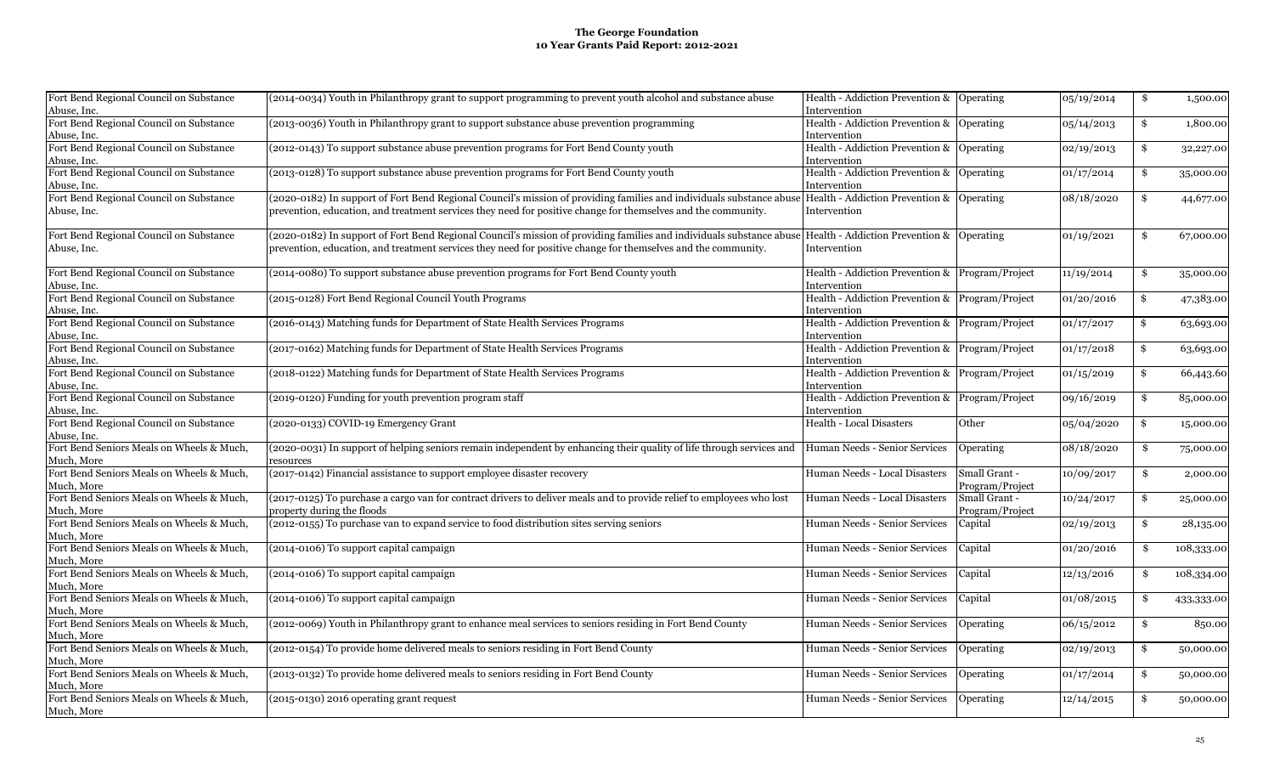| Fort Bend Regional Council on Substance   | (2014-0034) Youth in Philanthropy grant to support programming to prevent youth alcohol and substance abuse                                                     | Health - Addiction Prevention & Operating       |                 | 05/19/2014 | \$<br>1,500.00   |
|-------------------------------------------|-----------------------------------------------------------------------------------------------------------------------------------------------------------------|-------------------------------------------------|-----------------|------------|------------------|
| Abuse, Inc.                               |                                                                                                                                                                 | Intervention                                    |                 |            |                  |
| Fort Bend Regional Council on Substance   | (2013-0036) Youth in Philanthropy grant to support substance abuse prevention programming                                                                       | Health - Addiction Prevention & Operating       |                 | 05/14/2013 | \$<br>1,800.00   |
| Abuse, Inc.                               |                                                                                                                                                                 | Intervention                                    |                 |            |                  |
| Fort Bend Regional Council on Substance   | (2012-0143) To support substance abuse prevention programs for Fort Bend County youth                                                                           | Health - Addiction Prevention & Operating       |                 | 02/19/2013 | \$<br>32,227.00  |
| Abuse, Inc.                               |                                                                                                                                                                 | Intervention                                    |                 |            |                  |
| Fort Bend Regional Council on Substance   | (2013-0128) To support substance abuse prevention programs for Fort Bend County youth                                                                           | Health - Addiction Prevention & Operating       |                 | 01/17/2014 | \$<br>35,000.00  |
| Abuse, Inc.                               |                                                                                                                                                                 | Intervention                                    |                 |            |                  |
| Fort Bend Regional Council on Substance   | (2020-0182) In support of Fort Bend Regional Council's mission of providing families and individuals substance abuse  Health - Addiction Prevention & Operating |                                                 |                 | 08/18/2020 | \$<br>44,677.00  |
| Abuse, Inc.                               | prevention, education, and treatment services they need for positive change for themselves and the community.                                                   | Intervention                                    |                 |            |                  |
| Fort Bend Regional Council on Substance   | (2020-0182) In support of Fort Bend Regional Council's mission of providing families and individuals substance abuse  Health - Addiction Prevention & Operating |                                                 |                 | 01/19/2021 | \$<br>67,000.00  |
| Abuse, Inc.                               | prevention, education, and treatment services they need for positive change for themselves and the community.                                                   | Intervention                                    |                 |            |                  |
|                                           |                                                                                                                                                                 |                                                 |                 |            |                  |
| Fort Bend Regional Council on Substance   | (2014-0080) To support substance abuse prevention programs for Fort Bend County youth                                                                           | Health - Addiction Prevention & Program/Project |                 | 11/19/2014 | \$<br>35,000.00  |
| Abuse, Inc.                               |                                                                                                                                                                 | Intervention                                    |                 |            |                  |
| Fort Bend Regional Council on Substance   | (2015-0128) Fort Bend Regional Council Youth Programs                                                                                                           | Health - Addiction Prevention & Program/Project |                 | 01/20/2016 | \$<br>47,383.00  |
| Abuse, Inc.                               |                                                                                                                                                                 | Intervention                                    |                 |            |                  |
| Fort Bend Regional Council on Substance   | (2016-0143) Matching funds for Department of State Health Services Programs                                                                                     | Health - Addiction Prevention & Program/Project |                 | 01/17/2017 | \$<br>63,693.00  |
| Abuse, Inc.                               |                                                                                                                                                                 | Intervention                                    |                 |            |                  |
| Fort Bend Regional Council on Substance   | (2017-0162) Matching funds for Department of State Health Services Programs                                                                                     | Health - Addiction Prevention & Program/Project |                 | 01/17/2018 | \$<br>63,693.00  |
| Abuse, Inc.                               |                                                                                                                                                                 | Intervention                                    |                 |            |                  |
| Fort Bend Regional Council on Substance   | (2018-0122) Matching funds for Department of State Health Services Programs                                                                                     | Health - Addiction Prevention & Program/Project |                 | 01/15/2019 | \$<br>66,443.60  |
| Abuse, Inc.                               |                                                                                                                                                                 | Intervention                                    |                 |            |                  |
| Fort Bend Regional Council on Substance   | (2019-0120) Funding for youth prevention program staff                                                                                                          | Health - Addiction Prevention & Program/Project |                 | 09/16/2019 | \$<br>85,000.00  |
| Abuse, Inc.                               |                                                                                                                                                                 | Intervention                                    |                 |            |                  |
| Fort Bend Regional Council on Substance   | (2020-0133) COVID-19 Emergency Grant                                                                                                                            | Health - Local Disasters                        | Other           | 05/04/2020 | \$<br>15,000.00  |
| Abuse, Inc.                               |                                                                                                                                                                 |                                                 |                 |            |                  |
| Fort Bend Seniors Meals on Wheels & Much, | (2020-0031) In support of helping seniors remain independent by enhancing their quality of life through services and                                            | Human Needs - Senior Services                   | Operating       | 08/18/2020 | \$<br>75,000.00  |
| Much, More                                | resources                                                                                                                                                       |                                                 |                 |            |                  |
| Fort Bend Seniors Meals on Wheels & Much, | (2017-0142) Financial assistance to support employee disaster recovery                                                                                          | Human Needs - Local Disasters                   | Small Grant -   | 10/09/2017 | \$<br>2,000.00   |
| Much, More                                |                                                                                                                                                                 |                                                 | Program/Project |            |                  |
| Fort Bend Seniors Meals on Wheels & Much, | (2017-0125) To purchase a cargo van for contract drivers to deliver meals and to provide relief to employees who lost                                           | Human Needs - Local Disasters                   | Small Grant -   | 10/24/2017 | \$               |
| Much, More                                | property during the floods                                                                                                                                      |                                                 | Program/Project |            | 25,000.00        |
| Fort Bend Seniors Meals on Wheels & Much, | (2012-0155) To purchase van to expand service to food distribution sites serving seniors                                                                        | Human Needs - Senior Services                   |                 |            | \$               |
| Much, More                                |                                                                                                                                                                 |                                                 | Capital         | 02/19/2013 | 28,135.00        |
| Fort Bend Seniors Meals on Wheels & Much, | (2014-0106) To support capital campaign                                                                                                                         | Human Needs - Senior Services                   | Capital         | 01/20/2016 | \$<br>108,333.00 |
| Much, More                                |                                                                                                                                                                 |                                                 |                 |            |                  |
| Fort Bend Seniors Meals on Wheels & Much, | (2014-0106) To support capital campaign                                                                                                                         | Human Needs - Senior Services                   | Capital         | 12/13/2016 | \$<br>108,334.00 |
| Much, More                                |                                                                                                                                                                 |                                                 |                 |            |                  |
| Fort Bend Seniors Meals on Wheels & Much, | (2014-0106) To support capital campaign                                                                                                                         | Human Needs - Senior Services                   | Capital         | 01/08/2015 | \$<br>433,333.00 |
| Much, More                                |                                                                                                                                                                 |                                                 |                 |            |                  |
| Fort Bend Seniors Meals on Wheels & Much, | (2012-0069) Youth in Philanthropy grant to enhance meal services to seniors residing in Fort Bend County                                                        | Human Needs - Senior Services                   | Operating       | 06/15/2012 | \$<br>850.00     |
| Much, More                                |                                                                                                                                                                 |                                                 |                 |            |                  |
| Fort Bend Seniors Meals on Wheels & Much, | (2012-0154) To provide home delivered meals to seniors residing in Fort Bend County                                                                             | Human Needs - Senior Services                   | Operating       | 02/19/2013 | \$<br>50,000.00  |
| Much, More                                |                                                                                                                                                                 |                                                 |                 |            |                  |
| Fort Bend Seniors Meals on Wheels & Much, | (2013-0132) To provide home delivered meals to seniors residing in Fort Bend County                                                                             | Human Needs - Senior Services                   | Operating       | 01/17/2014 | \$<br>50,000.00  |
| Much, More                                |                                                                                                                                                                 |                                                 |                 |            |                  |
| Fort Bend Seniors Meals on Wheels & Much, | (2015-0130) 2016 operating grant request                                                                                                                        | Human Needs - Senior Services                   | Operating       | 12/14/2015 | \$<br>50,000.00  |
| Much, More                                |                                                                                                                                                                 |                                                 |                 |            |                  |
|                                           |                                                                                                                                                                 |                                                 |                 |            |                  |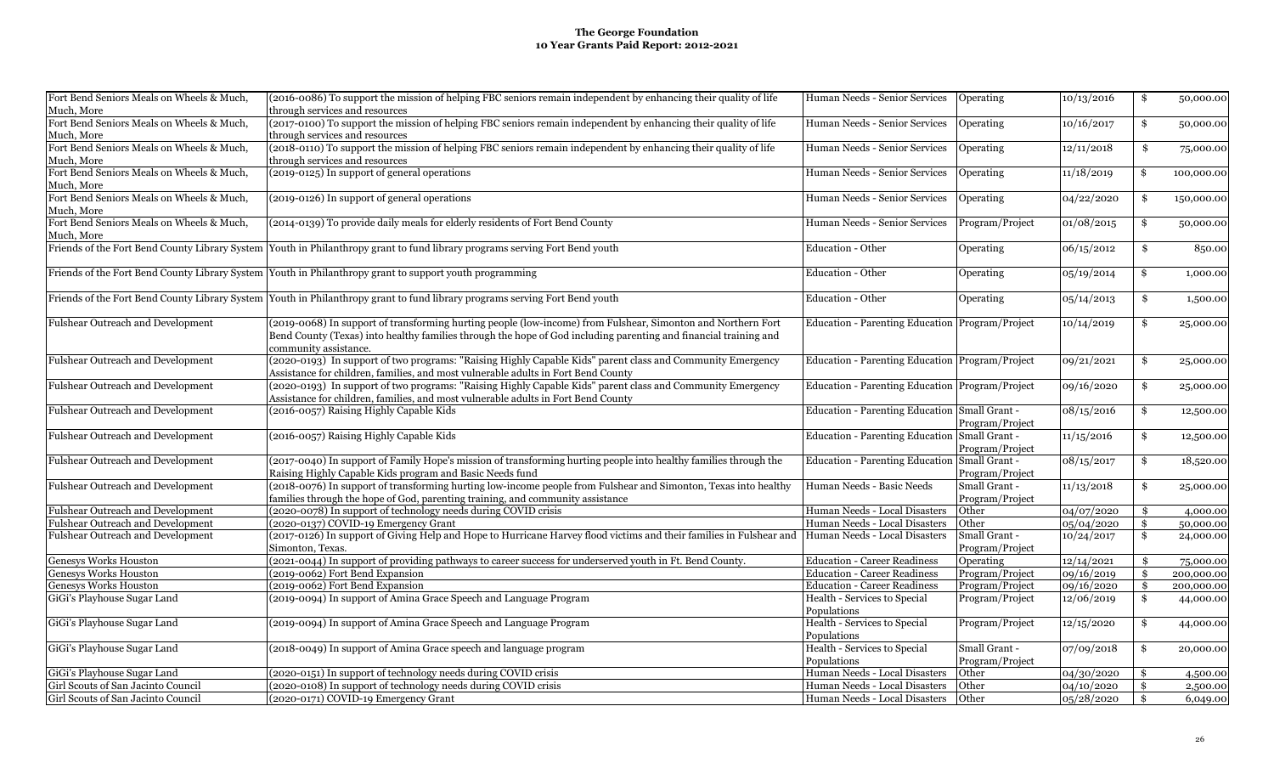| Fort Bend Seniors Meals on Wheels & Much, | (2016-0086) To support the mission of helping FBC seniors remain independent by enhancing their quality of life                                                                                                                                           | Human Needs - Senior Services                   | Operating                        | 10/13/2016 | \$<br>50,000.00  |
|-------------------------------------------|-----------------------------------------------------------------------------------------------------------------------------------------------------------------------------------------------------------------------------------------------------------|-------------------------------------------------|----------------------------------|------------|------------------|
| Much, More                                | through services and resources                                                                                                                                                                                                                            |                                                 |                                  |            |                  |
| Fort Bend Seniors Meals on Wheels & Much, | (2017-0100) To support the mission of helping FBC seniors remain independent by enhancing their quality of life                                                                                                                                           | Human Needs - Senior Services                   | Operating                        | 10/16/2017 | \$<br>50,000.00  |
| Much, More                                | through services and resources                                                                                                                                                                                                                            |                                                 |                                  |            |                  |
| Fort Bend Seniors Meals on Wheels & Much, | (2018-0110) To support the mission of helping FBC seniors remain independent by enhancing their quality of life                                                                                                                                           | Human Needs - Senior Services                   | Operating                        | 12/11/2018 | \$<br>75,000.00  |
| Much, More                                | through services and resources                                                                                                                                                                                                                            |                                                 |                                  |            |                  |
| Fort Bend Seniors Meals on Wheels & Much, | (2019-0125) In support of general operations                                                                                                                                                                                                              | Human Needs - Senior Services                   | Operating                        | 11/18/2019 | \$<br>100,000.00 |
| Much, More                                |                                                                                                                                                                                                                                                           |                                                 |                                  |            |                  |
| Fort Bend Seniors Meals on Wheels & Much, | (2019-0126) In support of general operations                                                                                                                                                                                                              | Human Needs - Senior Services                   | Operating                        | 04/22/2020 | \$<br>150,000.00 |
| Much, More                                |                                                                                                                                                                                                                                                           |                                                 |                                  |            |                  |
| Fort Bend Seniors Meals on Wheels & Much, | (2014-0139) To provide daily meals for elderly residents of Fort Bend County                                                                                                                                                                              | Human Needs - Senior Services                   | Program/Project                  | 01/08/2015 | \$<br>50,000.00  |
| Much, More                                |                                                                                                                                                                                                                                                           |                                                 |                                  |            |                  |
|                                           | Friends of the Fort Bend County Library System Youth in Philanthropy grant to fund library programs serving Fort Bend youth                                                                                                                               | Education - Other                               | <b>Operating</b>                 | 06/15/2012 | \$<br>850.00     |
|                                           | Friends of the Fort Bend County Library System Youth in Philanthropy grant to support youth programming                                                                                                                                                   | <b>Education - Other</b>                        | Operating                        | 05/19/2014 | \$<br>1,000.00   |
|                                           | Friends of the Fort Bend County Library System Youth in Philanthropy grant to fund library programs serving Fort Bend youth                                                                                                                               | <b>Education - Other</b>                        | Operating                        | 05/14/2013 | \$<br>1,500.00   |
| Fulshear Outreach and Development         | (2019-0068) In support of transforming hurting people (low-income) from Fulshear, Simonton and Northern Fort<br>Bend County (Texas) into healthy families through the hope of God including parenting and financial training and<br>community assistance. | Education - Parenting Education Program/Project |                                  | 10/14/2019 | \$<br>25,000.00  |
| Fulshear Outreach and Development         | (2020-0193) In support of two programs: "Raising Highly Capable Kids" parent class and Community Emergency<br>Assistance for children, families, and most vulnerable adults in Fort Bend County                                                           | Education - Parenting Education Program/Project |                                  | 09/21/2021 | \$<br>25,000.00  |
| Fulshear Outreach and Development         | (2020-0193) In support of two programs: "Raising Highly Capable Kids" parent class and Community Emergency<br>Assistance for children, families, and most vulnerable adults in Fort Bend County                                                           | Education - Parenting Education Program/Project |                                  | 09/16/2020 | \$<br>25,000.00  |
| Fulshear Outreach and Development         | (2016-0057) Raising Highly Capable Kids                                                                                                                                                                                                                   | Education - Parenting Education Small Grant -   | Program/Project                  | 08/15/2016 | \$<br>12,500.00  |
| Fulshear Outreach and Development         | (2016-0057) Raising Highly Capable Kids                                                                                                                                                                                                                   | Education - Parenting Education Small Grant -   | Program/Project                  | 11/15/2016 | \$<br>12,500.00  |
| Fulshear Outreach and Development         | (2017-0040) In support of Family Hope's mission of transforming hurting people into healthy families through the<br>Raising Highly Capable Kids program and Basic Needs fund                                                                              | Education - Parenting Education Small Grant -   | Program/Project                  | 08/15/2017 | \$<br>18,520.00  |
| Fulshear Outreach and Development         | (2018-0076) In support of transforming hurting low-income people from Fulshear and Simonton, Texas into healthy<br>families through the hope of God, parenting training, and community assistance                                                         | Human Needs - Basic Needs                       | Small Grant -<br>Program/Project | 11/13/2018 | \$<br>25,000.00  |
| Fulshear Outreach and Development         | (2020-0078) In support of technology needs during COVID crisis                                                                                                                                                                                            | Human Needs - Local Disasters                   | Other                            | 04/07/2020 | \$<br>4,000.00   |
| <b>Fulshear Outreach and Development</b>  | (2020-0137) COVID-19 Emergency Grant                                                                                                                                                                                                                      | Human Needs - Local Disasters                   | Other                            | 05/04/2020 | \$<br>50,000.00  |
| Fulshear Outreach and Development         | (2017-0126) In support of Giving Help and Hope to Hurricane Harvey flood victims and their families in Fulshear and<br>Simonton, Texas.                                                                                                                   | Human Needs - Local Disasters                   | Small Grant -<br>Program/Project | 10/24/2017 | \$<br>24,000.00  |
| <b>Genesys Works Houston</b>              | (2021-0044) In support of providing pathways to career success for underserved youth in Ft. Bend County.                                                                                                                                                  | <b>Education - Career Readiness</b>             | Operating                        | 12/14/2021 | \$<br>75,000.00  |
| <b>Genesys Works Houston</b>              | (2019-0062) Fort Bend Expansion                                                                                                                                                                                                                           | <b>Education - Career Readiness</b>             | Program/Project                  | 09/16/2019 | \$<br>200,000.00 |
| <b>Genesys Works Houston</b>              | (2019-0062) Fort Bend Expansion                                                                                                                                                                                                                           | <b>Education - Career Readiness</b>             | Program/Project                  | 09/16/2020 | \$<br>200,000.00 |
| GiGi's Playhouse Sugar Land               | (2019-0094) In support of Amina Grace Speech and Language Program                                                                                                                                                                                         | Health - Services to Special                    | Program/Project                  | 12/06/2019 | \$<br>44,000.00  |
|                                           |                                                                                                                                                                                                                                                           | Populations                                     |                                  |            |                  |
| GiGi's Playhouse Sugar Land               | (2019-0094) In support of Amina Grace Speech and Language Program                                                                                                                                                                                         | Health - Services to Special                    | Program/Project                  | 12/15/2020 | \$<br>44,000.00  |
|                                           |                                                                                                                                                                                                                                                           | Populations                                     |                                  |            |                  |
| GiGi's Playhouse Sugar Land               | (2018-0049) In support of Amina Grace speech and language program                                                                                                                                                                                         | Health - Services to Special                    | Small Grant -                    | 07/09/2018 | \$<br>20,000.00  |
|                                           |                                                                                                                                                                                                                                                           | Populations                                     | Program/Project                  |            |                  |
| GiGi's Playhouse Sugar Land               | (2020-0151) In support of technology needs during COVID crisis                                                                                                                                                                                            | Human Needs - Local Disasters                   | Other                            | 04/30/2020 | \$<br>4,500.00   |
| Girl Scouts of San Jacinto Council        | (2020-0108) In support of technology needs during COVID crisis                                                                                                                                                                                            | Human Needs - Local Disasters                   | Other                            | 04/10/2020 | \$<br>2,500.00   |
| Girl Scouts of San Jacinto Council        | (2020-0171) COVID-19 Emergency Grant                                                                                                                                                                                                                      | Human Needs - Local Disasters                   | Other                            | 05/28/2020 | \$<br>6,049.00   |
|                                           |                                                                                                                                                                                                                                                           |                                                 |                                  |            |                  |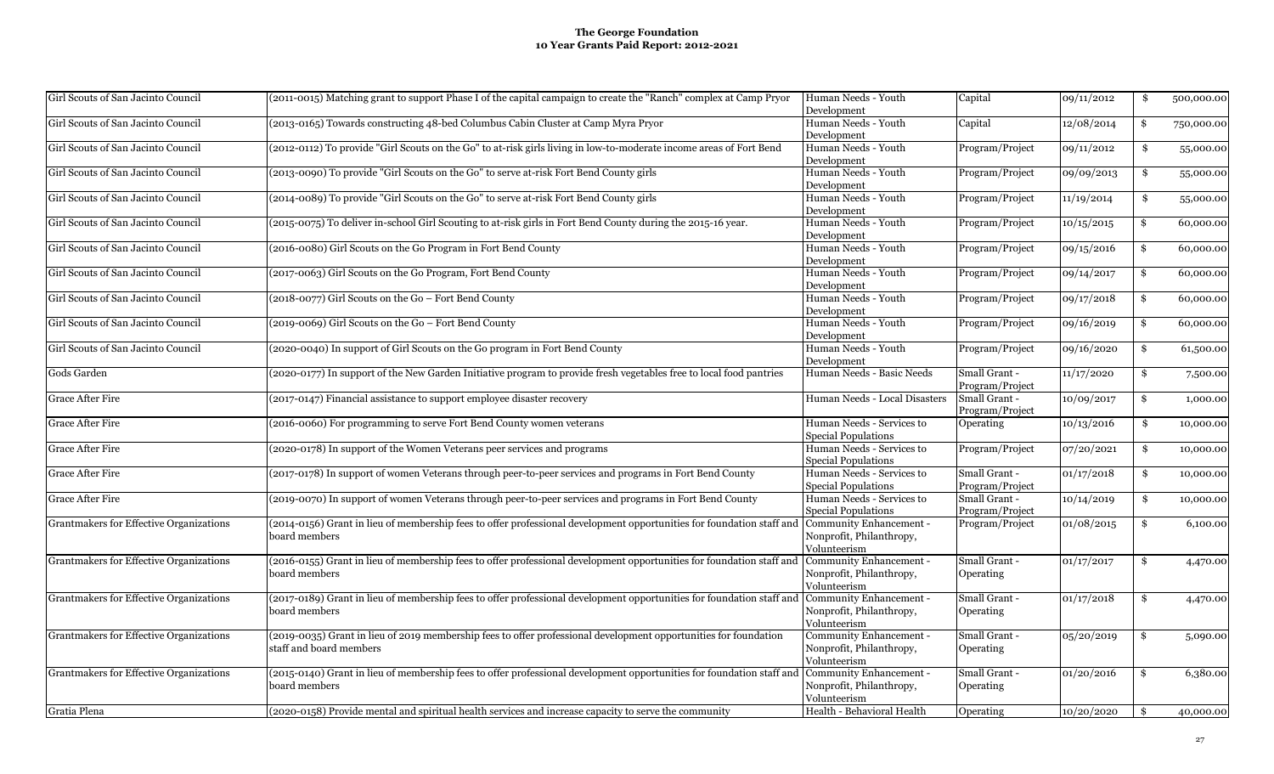| Girl Scouts of San Jacinto Council      | (2011-0015) Matching grant to support Phase I of the capital campaign to create the "Ranch" complex at Camp Pryor     | Human Needs - Youth<br>Development | Capital         | 09/11/2012 | \$<br>500,000.00 |
|-----------------------------------------|-----------------------------------------------------------------------------------------------------------------------|------------------------------------|-----------------|------------|------------------|
|                                         |                                                                                                                       |                                    |                 |            |                  |
| Girl Scouts of San Jacinto Council      | (2013-0165) Towards constructing 48-bed Columbus Cabin Cluster at Camp Myra Pryor                                     | Human Needs - Youth<br>Development | Capital         | 12/08/2014 | \$<br>750,000.00 |
| Girl Scouts of San Jacinto Council      | (2012-0112) To provide "Girl Scouts on the Go" to at-risk girls living in low-to-moderate income areas of Fort Bend   | Human Needs - Youth                | Program/Project | 09/11/2012 | \$               |
|                                         |                                                                                                                       | Development                        |                 |            | 55,000.00        |
| Girl Scouts of San Jacinto Council      | (2013-0090) To provide "Girl Scouts on the Go" to serve at-risk Fort Bend County girls                                | Human Needs - Youth                | Program/Project | 09/09/2013 | \$<br>55,000.00  |
|                                         |                                                                                                                       | Development                        |                 |            |                  |
| Girl Scouts of San Jacinto Council      | (2014-0089) To provide "Girl Scouts on the Go" to serve at-risk Fort Bend County girls                                | Human Needs - Youth                | Program/Project | 11/19/2014 | \$<br>55,000.00  |
|                                         |                                                                                                                       | Development                        |                 |            |                  |
| Girl Scouts of San Jacinto Council      | (2015-0075) To deliver in-school Girl Scouting to at-risk girls in Fort Bend County during the 2015-16 year.          | Human Needs - Youth                | Program/Project | 10/15/2015 | \$<br>60,000.00  |
|                                         |                                                                                                                       | Development                        |                 |            |                  |
| Girl Scouts of San Jacinto Council      | (2016-0080) Girl Scouts on the Go Program in Fort Bend County                                                         | Human Needs - Youth                | Program/Project | 09/15/2016 | \$<br>60,000.00  |
|                                         |                                                                                                                       | Development                        |                 |            |                  |
| Girl Scouts of San Jacinto Council      | (2017-0063) Girl Scouts on the Go Program, Fort Bend County                                                           | Human Needs - Youth                | Program/Project | 09/14/2017 | \$<br>60,000.00  |
|                                         |                                                                                                                       | Development                        |                 |            |                  |
| Girl Scouts of San Jacinto Council      | (2018-0077) Girl Scouts on the Go - Fort Bend County                                                                  | Human Needs - Youth                | Program/Project | 09/17/2018 | \$<br>60,000.00  |
|                                         |                                                                                                                       | Development                        |                 |            |                  |
| Girl Scouts of San Jacinto Council      | (2019-0069) Girl Scouts on the Go - Fort Bend County                                                                  | Human Needs - Youth                | Program/Project | 09/16/2019 | \$<br>60,000.00  |
|                                         |                                                                                                                       | Development                        |                 |            |                  |
| Girl Scouts of San Jacinto Council      | (2020-0040) In support of Girl Scouts on the Go program in Fort Bend County                                           | Human Needs - Youth                | Program/Project | 09/16/2020 | \$               |
|                                         |                                                                                                                       |                                    |                 |            | 61,500.00        |
|                                         |                                                                                                                       | Development                        |                 |            |                  |
| Gods Garden                             | (2020-0177) In support of the New Garden Initiative program to provide fresh vegetables free to local food pantries   | Human Needs - Basic Needs          | Small Grant -   | 11/17/2020 | \$<br>7,500.00   |
|                                         |                                                                                                                       |                                    | Program/Project |            |                  |
| Grace After Fire                        | (2017-0147) Financial assistance to support employee disaster recovery                                                | Human Needs - Local Disasters      | Small Grant -   | 10/09/2017 | \$<br>1,000.00   |
|                                         |                                                                                                                       |                                    | Program/Project |            |                  |
| <b>Grace After Fire</b>                 | (2016-0060) For programming to serve Fort Bend County women veterans                                                  | Human Needs - Services to          | Operating       | 10/13/2016 | \$<br>10,000.00  |
|                                         |                                                                                                                       | <b>Special Populations</b>         |                 |            |                  |
| Grace After Fire                        | (2020-0178) In support of the Women Veterans peer services and programs                                               | Human Needs - Services to          | Program/Project | 07/20/2021 | \$<br>10,000.00  |
|                                         |                                                                                                                       | Special Populations                |                 |            |                  |
| <b>Grace After Fire</b>                 | (2017-0178) In support of women Veterans through peer-to-peer services and programs in Fort Bend County               | Human Needs - Services to          | Small Grant -   | 01/17/2018 | \$<br>10,000.00  |
|                                         |                                                                                                                       | <b>Special Populations</b>         | Program/Project |            |                  |
| Grace After Fire                        | (2019-0070) In support of women Veterans through peer-to-peer services and programs in Fort Bend County               | Human Needs - Services to          | Small Grant -   | 10/14/2019 | \$<br>10,000.00  |
|                                         |                                                                                                                       | <b>Special Populations</b>         | Program/Project |            |                  |
|                                         |                                                                                                                       | Community Enhancement -            |                 |            |                  |
| Grantmakers for Effective Organizations | (2014-0156) Grant in lieu of membership fees to offer professional development opportunities for foundation staff and |                                    | Program/Project | 01/08/2015 | \$<br>6,100.00   |
|                                         | board members                                                                                                         | Nonprofit, Philanthropy,           |                 |            |                  |
|                                         |                                                                                                                       | Volunteerism                       |                 |            |                  |
| Grantmakers for Effective Organizations | (2016-0155) Grant in lieu of membership fees to offer professional development opportunities for foundation staff and | Community Enhancement -            | Small Grant -   | 01/17/2017 | \$<br>4,470.00   |
|                                         | board members                                                                                                         | Nonprofit, Philanthropy,           | Operating       |            |                  |
|                                         |                                                                                                                       | Volunteerism                       |                 |            |                  |
| Grantmakers for Effective Organizations | (2017-0189) Grant in lieu of membership fees to offer professional development opportunities for foundation staff and | Community Enhancement -            | Small Grant -   | 01/17/2018 | \$<br>4,470.00   |
|                                         | board members                                                                                                         | Nonprofit, Philanthropy,           | Operating       |            |                  |
|                                         |                                                                                                                       | Volunteerism                       |                 |            |                  |
| Grantmakers for Effective Organizations | (2019-0035) Grant in lieu of 2019 membership fees to offer professional development opportunities for foundation      | Community Enhancement -            | Small Grant -   | 05/20/2019 | \$<br>5,090.00   |
|                                         |                                                                                                                       |                                    |                 |            |                  |
|                                         | staff and board members                                                                                               | Nonprofit, Philanthropy,           | Operating       |            |                  |
|                                         |                                                                                                                       | Volunteerism                       |                 |            |                  |
| Grantmakers for Effective Organizations | (2015-0140) Grant in lieu of membership fees to offer professional development opportunities for foundation staff and | Community Enhancement -            | Small Grant -   | 01/20/2016 | \$<br>6,380.00   |
|                                         | board members                                                                                                         | Nonprofit, Philanthropy,           | Operating       |            |                  |
|                                         |                                                                                                                       | Volunteerism                       |                 |            |                  |
| Gratia Plena                            | (2020-0158) Provide mental and spiritual health services and increase capacity to serve the community                 | Health - Behavioral Health         | Operating       | 10/20/2020 | \$<br>40,000.00  |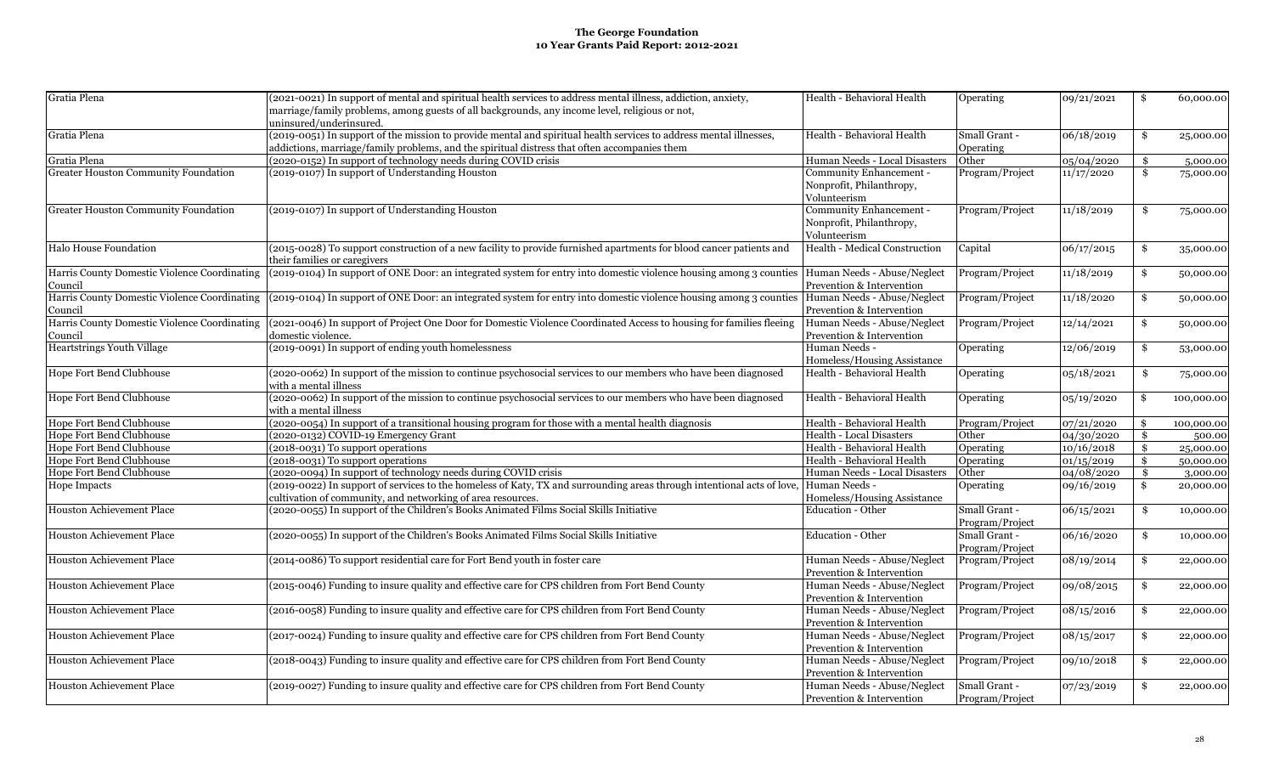| Gratia Plena                                 | (2021-0021) In support of mental and spiritual health services to address mental illness, addiction, anxiety,         | Health - Behavioral Health    | Operating       | 09/21/2021 | \$                  | 60,000.00  |
|----------------------------------------------|-----------------------------------------------------------------------------------------------------------------------|-------------------------------|-----------------|------------|---------------------|------------|
|                                              | marriage/family problems, among guests of all backgrounds, any income level, religious or not,                        |                               |                 |            |                     |            |
|                                              | uninsured/underinsured.                                                                                               |                               |                 |            |                     |            |
| Gratia Plena                                 | (2019-0051) In support of the mission to provide mental and spiritual health services to address mental illnesses,    | Health - Behavioral Health    | Small Grant -   | 06/18/2019 | \$                  | 25,000.00  |
|                                              | addictions, marriage/family problems, and the spiritual distress that often accompanies them                          |                               | Operating       |            |                     |            |
| Gratia Plena                                 | (2020-0152) In support of technology needs during COVID crisis                                                        | Human Needs - Local Disasters | Other           | 05/04/2020 | \$                  | 5,000.00   |
| <b>Greater Houston Community Foundation</b>  | (2019-0107) In support of Understanding Houston                                                                       | Community Enhancement -       | Program/Project | 11/17/2020 | \$                  | 75,000.00  |
|                                              |                                                                                                                       | Nonprofit, Philanthropy,      |                 |            |                     |            |
|                                              |                                                                                                                       | Volunteerism                  |                 |            |                     |            |
| Greater Houston Community Foundation         | (2019-0107) In support of Understanding Houston                                                                       | Community Enhancement -       | Program/Project | 11/18/2019 | -\$                 | 75,000.00  |
|                                              |                                                                                                                       | Nonprofit, Philanthropy,      |                 |            |                     |            |
|                                              |                                                                                                                       | Volunteerism                  |                 |            |                     |            |
| Halo House Foundation                        | (2015-0028) To support construction of a new facility to provide furnished apartments for blood cancer patients and   | Health - Medical Construction | Capital         | 06/17/2015 | \$                  | 35,000.00  |
|                                              | their families or caregivers                                                                                          |                               |                 |            |                     |            |
| Harris County Domestic Violence Coordinating | (2019-0104) In support of ONE Door: an integrated system for entry into domestic violence housing among 3 counties    | Human Needs - Abuse/Neglect   | Program/Project | 11/18/2019 | \$                  | 50,000.00  |
| Council                                      |                                                                                                                       | Prevention & Intervention     |                 |            |                     |            |
| Harris County Domestic Violence Coordinating | (2019-0104) In support of ONE Door: an integrated system for entry into domestic violence housing among 3 counties    | Human Needs - Abuse/Neglect   | Program/Project | 11/18/2020 | \$                  | 50,000.00  |
| Council                                      |                                                                                                                       | Prevention & Intervention     |                 |            |                     |            |
| Harris County Domestic Violence Coordinating | (2021-0046) In support of Project One Door for Domestic Violence Coordinated Access to housing for families fleeing   | Human Needs - Abuse/Neglect   | Program/Project | 12/14/2021 | \$                  | 50,000.00  |
| Council                                      | domestic violence.                                                                                                    | Prevention & Intervention     |                 |            |                     |            |
| <b>Heartstrings Youth Village</b>            | (2019-0091) In support of ending youth homelessness                                                                   | Human Needs -                 | Operating       | 12/06/2019 | \$                  |            |
|                                              |                                                                                                                       | Homeless/Housing Assistance   |                 |            |                     | 53,000.00  |
| Hope Fort Bend Clubhouse                     | (2020-0062) In support of the mission to continue psychosocial services to our members who have been diagnosed        | Health - Behavioral Health    |                 |            | \$                  |            |
|                                              |                                                                                                                       |                               | Operating       | 05/18/2021 |                     | 75,000.00  |
|                                              | with a mental illness                                                                                                 |                               |                 |            |                     |            |
| Hope Fort Bend Clubhouse                     | (2020-0062) In support of the mission to continue psychosocial services to our members who have been diagnosed        | Health - Behavioral Health    | Operating       | 05/19/2020 | \$                  | 100,000.00 |
|                                              | with a mental illness                                                                                                 |                               |                 |            |                     |            |
| Hope Fort Bend Clubhouse                     | (2020-0054) In support of a transitional housing program for those with a mental health diagnosis                     | Health - Behavioral Health    | Program/Project | 07/21/2020 | \$                  | 100,000.00 |
| Hope Fort Bend Clubhouse                     | (2020-0132) COVID-19 Emergency Grant                                                                                  | Health - Local Disasters      | Other           | 04/30/2020 | \$                  | 500.00     |
| Hope Fort Bend Clubhouse                     | (2018-0031) To support operations                                                                                     | Health - Behavioral Health    | Operating       | 10/16/2018 | \$                  | 25,000.00  |
| Hope Fort Bend Clubhouse                     | (2018-0031) To support operations                                                                                     | Health - Behavioral Health    | Operating       | 01/15/2019 | \$                  | 50,000.00  |
| <b>Hope Fort Bend Clubhouse</b>              | (2020-0094) In support of technology needs during COVID crisis                                                        | Human Needs - Local Disasters | Other           | 04/08/2020 | $\ddot{\mathbf{s}}$ | 3,000.00   |
| <b>Hope Impacts</b>                          | (2019-0022) In support of services to the homeless of Katy, TX and surrounding areas through intentional acts of love | Human Needs -                 | Operating       | 09/16/2019 | \$                  | 20,000.00  |
|                                              | cultivation of community, and networking of area resources.                                                           | Homeless/Housing Assistance   |                 |            |                     |            |
| <b>Houston Achievement Place</b>             | (2020-0055) In support of the Children's Books Animated Films Social Skills Initiative                                | <b>Education - Other</b>      | Small Grant -   | 06/15/2021 | \$                  | 10,000.00  |
|                                              |                                                                                                                       |                               | Program/Project |            |                     |            |
| Houston Achievement Place                    | (2020-0055) In support of the Children's Books Animated Films Social Skills Initiative                                | <b>Education - Other</b>      | Small Grant -   | 06/16/2020 | \$                  | 10,000.00  |
|                                              |                                                                                                                       |                               | Program/Project |            |                     |            |
| <b>Houston Achievement Place</b>             | (2014-0086) To support residential care for Fort Bend youth in foster care                                            | Human Needs - Abuse/Neglect   | Program/Project | 08/19/2014 | \$                  | 22,000.00  |
|                                              |                                                                                                                       | Prevention & Intervention     |                 |            |                     |            |
| <b>Houston Achievement Place</b>             | (2015-0046) Funding to insure quality and effective care for CPS children from Fort Bend County                       | Human Needs - Abuse/Neglect   | Program/Project | 09/08/2015 | \$                  | 22,000.00  |
|                                              |                                                                                                                       | Prevention & Intervention     |                 |            |                     |            |
| <b>Houston Achievement Place</b>             | (2016-0058) Funding to insure quality and effective care for CPS children from Fort Bend County                       | Human Needs - Abuse/Neglect   | Program/Project | 08/15/2016 | \$                  | 22,000.00  |
|                                              |                                                                                                                       | Prevention & Intervention     |                 |            |                     |            |
| Houston Achievement Place                    | (2017-0024) Funding to insure quality and effective care for CPS children from Fort Bend County                       | Human Needs - Abuse/Neglect   | Program/Project | 08/15/2017 | \$                  | 22,000.00  |
|                                              |                                                                                                                       | Prevention & Intervention     |                 |            |                     |            |
| Houston Achievement Place                    | (2018-0043) Funding to insure quality and effective care for CPS children from Fort Bend County                       | Human Needs - Abuse/Neglect   | Program/Project | 09/10/2018 | \$                  | 22,000.00  |
|                                              |                                                                                                                       | Prevention & Intervention     |                 |            |                     |            |
| Houston Achievement Place                    | (2019-0027) Funding to insure quality and effective care for CPS children from Fort Bend County                       | Human Needs - Abuse/Neglect   | Small Grant -   | 07/23/2019 | \$                  | 22,000.00  |
|                                              |                                                                                                                       | Prevention & Intervention     | Program/Project |            |                     |            |
|                                              |                                                                                                                       |                               |                 |            |                     |            |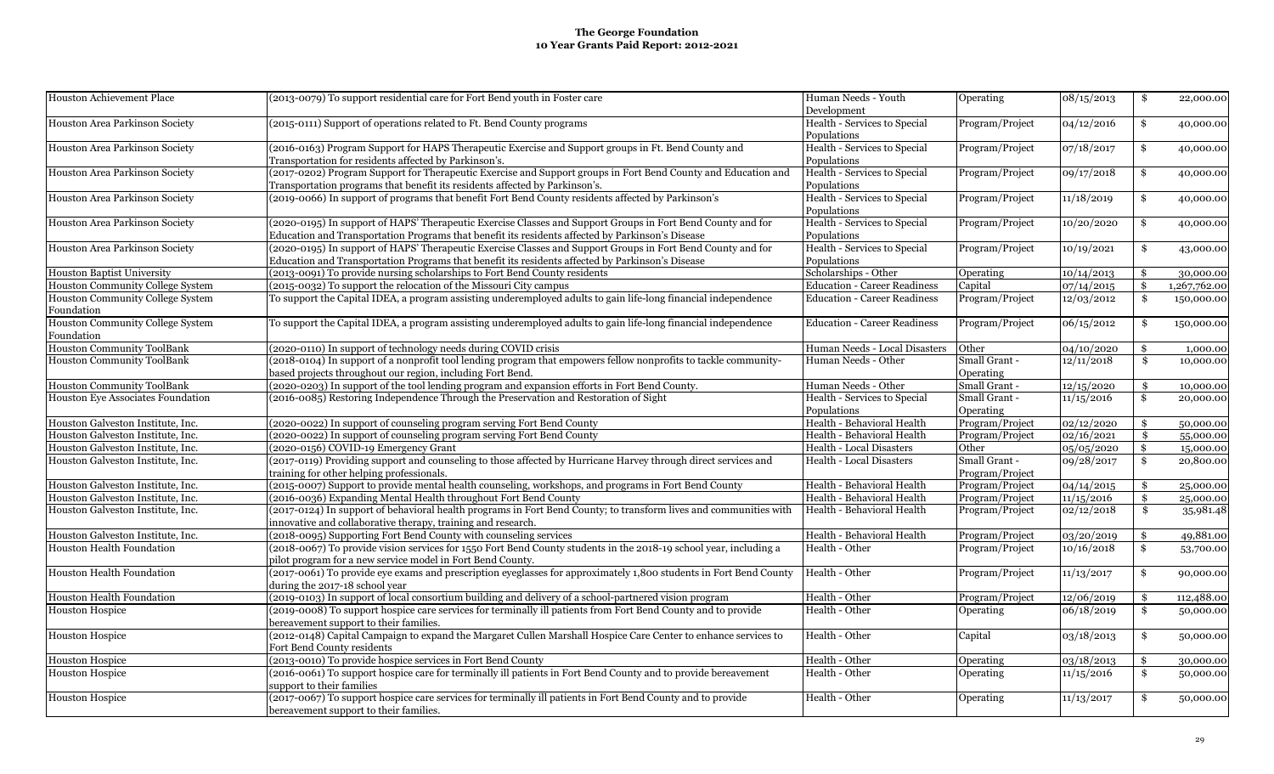| <b>Houston Achievement Place</b>                 | (2013-0079) To support residential care for Fort Bend youth in Foster care                                                               | Human Needs - Youth                         | Operating       | 08/15/2013 | \$<br>22,000.00              |
|--------------------------------------------------|------------------------------------------------------------------------------------------------------------------------------------------|---------------------------------------------|-----------------|------------|------------------------------|
|                                                  |                                                                                                                                          | Development                                 |                 |            |                              |
| Houston Area Parkinson Society                   | (2015-0111) Support of operations related to Ft. Bend County programs                                                                    | Health - Services to Special<br>Populations | Program/Project | 04/12/2016 | \$<br>40,000.00              |
| Houston Area Parkinson Society                   | (2016-0163) Program Support for HAPS Therapeutic Exercise and Support groups in Ft. Bend County and                                      | Health - Services to Special                | Program/Project | 07/18/2017 | \$<br>40,000.00              |
|                                                  | Transportation for residents affected by Parkinson's.                                                                                    | Populations                                 |                 |            |                              |
| Houston Area Parkinson Society                   | (2017-0202) Program Support for Therapeutic Exercise and Support groups in Fort Bend County and Education and                            | Health - Services to Special                | Program/Project | 09/17/2018 | \$<br>40,000.00              |
|                                                  | Transportation programs that benefit its residents affected by Parkinson's.                                                              | Populations                                 |                 |            |                              |
| Houston Area Parkinson Society                   | (2019-0066) In support of programs that benefit Fort Bend County residents affected by Parkinson's                                       | Health - Services to Special<br>Populations | Program/Project | 11/18/2019 | \$<br>40,000.00              |
| Houston Area Parkinson Society                   | (2020-0195) In support of HAPS' Therapeutic Exercise Classes and Support Groups in Fort Bend County and for                              | Health - Services to Special                | Program/Project | 10/20/2020 | \$<br>40,000.00              |
|                                                  | Education and Transportation Programs that benefit its residents affected by Parkinson's Disease                                         | Populations                                 |                 |            |                              |
| Houston Area Parkinson Society                   | (2020-0195) In support of HAPS' Therapeutic Exercise Classes and Support Groups in Fort Bend County and for                              | Health - Services to Special                | Program/Project | 10/19/2021 | \$<br>43,000.00              |
|                                                  | Education and Transportation Programs that benefit its residents affected by Parkinson's Disease                                         | Populations                                 |                 |            |                              |
| <b>Houston Baptist University</b>                | (2013-0091) To provide nursing scholarships to Fort Bend County residents                                                                | Scholarships - Other                        | Operating       | 10/14/2013 | \$<br>30,000.00              |
| <b>Houston Community College System</b>          | $(2015-0032)$ To support the relocation of the Missouri City campus                                                                      | <b>Education - Career Readiness</b>         | Capital         | 07/14/2015 | \$<br>1,267,762.00           |
| <b>Houston Community College System</b>          | To support the Capital IDEA, a program assisting underemployed adults to gain life-long financial independence                           | <b>Education - Career Readiness</b>         | Program/Project | 12/03/2012 | \$<br>150,000.00             |
| Foundation                                       |                                                                                                                                          |                                             |                 |            |                              |
| <b>Houston Community College System</b>          | To support the Capital IDEA, a program assisting underemployed adults to gain life-long financial independence                           | <b>Education - Career Readiness</b>         | Program/Project | 06/15/2012 | \$<br>150,000.00             |
| Foundation                                       |                                                                                                                                          |                                             |                 |            |                              |
| <b>Houston Community ToolBank</b>                | (2020-0110) In support of technology needs during COVID crisis                                                                           | Human Needs - Local Disasters               | Other           | 04/10/2020 | \$<br>1,000.00               |
| <b>Houston Community ToolBank</b>                | (2018-0104) In support of a nonprofit tool lending program that empowers fellow nonprofits to tackle community-                          | Human Needs - Other                         | Small Grant -   | 12/11/2018 | \$<br>10,000.00              |
|                                                  | based projects throughout our region, including Fort Bend.                                                                               |                                             | Operating       |            |                              |
| <b>Houston Community ToolBank</b>                | (2020-0203) In support of the tool lending program and expansion efforts in Fort Bend County.                                            | Human Needs - Other                         | Small Grant -   | 12/15/2020 | \$<br>10,000.00              |
| Houston Eye Associates Foundation                | (2016-0085) Restoring Independence Through the Preservation and Restoration of Sight                                                     | Health - Services to Special                | Small Grant -   | 11/15/2016 | \$<br>20,000.00              |
|                                                  |                                                                                                                                          | Populations                                 | Operating       |            |                              |
| Houston Galveston Institute, Inc.                | (2020-0022) In support of counseling program serving Fort Bend County                                                                    | Health - Behavioral Health                  | Program/Project | 02/12/2020 | \$<br>50,000.00              |
| Houston Galveston Institute, Inc.                | (2020-0022) In support of counseling program serving Fort Bend County                                                                    | Health - Behavioral Health                  | Program/Project | 02/16/2021 | \$<br>55,000.00              |
| Houston Galveston Institute, Inc.                | $(2020-0156)$ COVID-19 Emergency Grant                                                                                                   | Health - Local Disasters                    | Other           | 05/05/2020 | \$<br>15,000.00              |
| Houston Galveston Institute, Inc.                | (2017-0119) Providing support and counseling to those affected by Hurricane Harvey through direct services and                           | <b>Health - Local Disasters</b>             | Small Grant -   | 09/28/2017 | \$<br>20,800.00              |
|                                                  | training for other helping professionals.                                                                                                |                                             | Program/Project |            |                              |
| Houston Galveston Institute, Inc.                | (2015-0007) Support to provide mental health counseling, workshops, and programs in Fort Bend County                                     | Health - Behavioral Health                  | Program/Project | 04/14/2015 | \$<br>25,000.00              |
| Houston Galveston Institute, Inc.                | (2016-0036) Expanding Mental Health throughout Fort Bend County                                                                          | Health - Behavioral Health                  | Program/Project | 11/15/2016 | \$<br>25,000.00              |
| Houston Galveston Institute, Inc.                | (2017-0124) In support of behavioral health programs in Fort Bend County; to transform lives and communities with                        | Health - Behavioral Health                  | Program/Project | 02/12/2018 | \$<br>35,981.48              |
|                                                  | innovative and collaborative therapy, training and research.                                                                             |                                             |                 |            |                              |
| Houston Galveston Institute, Inc.                | (2018-0095) Supporting Fort Bend County with counseling services                                                                         | Health - Behavioral Health                  | Program/Project | 03/20/2019 | \$<br>49,881.00              |
| <b>Houston Health Foundation</b>                 | (2018-0067) To provide vision services for 1550 Fort Bend County students in the 2018-19 school year, including a                        | Health - Other                              | Program/Project | 10/16/2018 | \$<br>53,700.00              |
|                                                  | pilot program for a new service model in Fort Bend County.                                                                               |                                             |                 |            |                              |
| Houston Health Foundation                        | (2017-0061) To provide eye exams and prescription eyeglasses for approximately 1,800 students in Fort Bend County                        | Health - Other                              | Program/Project | 11/13/2017 | \$<br>90,000.00              |
|                                                  | during the 2017-18 school year                                                                                                           |                                             |                 |            |                              |
| <b>Houston Health Foundation</b>                 | (2019-0103) In support of local consortium building and delivery of a school-partnered vision program                                    | Health - Other                              | Program/Project | 12/06/2019 | \$<br>112,488.00             |
|                                                  |                                                                                                                                          | Health - Other                              | Operating       | 06/18/2019 | \$<br>50,000.00              |
|                                                  |                                                                                                                                          |                                             |                 |            |                              |
| <b>Houston Hospice</b>                           | (2019-0008) To support hospice care services for terminally ill patients from Fort Bend County and to provide                            |                                             |                 |            |                              |
|                                                  | bereavement support to their families.                                                                                                   |                                             |                 |            |                              |
|                                                  | (2012-0148) Capital Campaign to expand the Margaret Cullen Marshall Hospice Care Center to enhance services to                           | Health - Other                              | Capital         | 03/18/2013 | \$<br>50,000.00              |
| <b>Houston Hospice</b>                           | Fort Bend County residents                                                                                                               |                                             |                 |            |                              |
|                                                  | (2013-0010) To provide hospice services in Fort Bend County                                                                              | Health - Other                              | Operating       | 03/18/2013 | \$                           |
| <b>Houston Hospice</b><br><b>Houston Hospice</b> | (2016-0061) To support hospice care for terminally ill patients in Fort Bend County and to provide bereavement                           | Health - Other                              | Operating       | 11/15/2016 | \$<br>30,000.00<br>50,000.00 |
| <b>Houston Hospice</b>                           | support to their families<br>(2017-0067) To support hospice care services for terminally ill patients in Fort Bend County and to provide | Health - Other                              | Operating       | 11/13/2017 | \$<br>50,000.00              |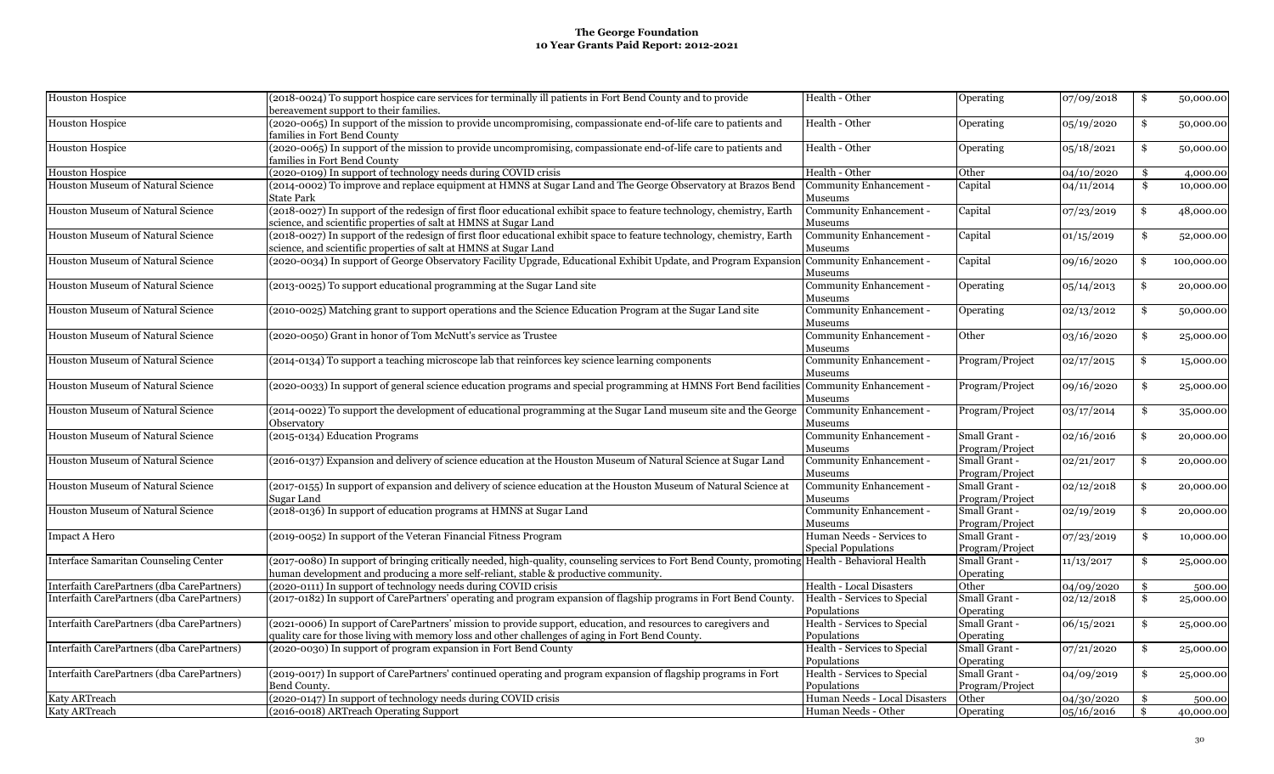| <b>Houston Hospice</b>                     | (2018-0024) To support hospice care services for terminally ill patients in Fort Bend County and to provide<br>bereavement support to their families. | Health - Other                  | Operating       | 07/09/2018 | \$<br>50,000.00  |
|--------------------------------------------|-------------------------------------------------------------------------------------------------------------------------------------------------------|---------------------------------|-----------------|------------|------------------|
| <b>Houston Hospice</b>                     | (2020-0065) In support of the mission to provide uncompromising, compassionate end-of-life care to patients and<br>amilies in Fort Bend County        | Health - Other                  | Operating       | 05/19/2020 | \$<br>50,000.00  |
| <b>Houston Hospice</b>                     | (2020-0065) In support of the mission to provide uncompromising, compassionate end-of-life care to patients and<br>families in Fort Bend County       | Health - Other                  | Operating       | 05/18/2021 | \$<br>50,000.00  |
| Houston Hospice                            | (2020-0109) In support of technology needs during COVID crisis                                                                                        | Health - Other                  | Other           | 04/10/2020 | \$<br>4,000.00   |
| Houston Museum of Natural Science          | (2014-0002) To improve and replace equipment at HMNS at Sugar Land and The George Observatory at Brazos Bend                                          | Community Enhancement -         | Capital         | 04/11/2014 | \$<br>10,000.00  |
|                                            | State Park                                                                                                                                            | Museums                         |                 |            |                  |
| Houston Museum of Natural Science          | (2018-0027) In support of the redesign of first floor educational exhibit space to feature technology, chemistry, Earth                               | Community Enhancement -         | Capital         | 07/23/2019 | \$<br>48,000.00  |
|                                            | science, and scientific properties of salt at HMNS at Sugar Land                                                                                      | Museums                         |                 |            |                  |
| Houston Museum of Natural Science          | (2018-0027) In support of the redesign of first floor educational exhibit space to feature technology, chemistry, Earth                               | Community Enhancement -         | Capital         | 01/15/2019 | \$<br>52,000.00  |
|                                            | science, and scientific properties of salt at HMNS at Sugar Land                                                                                      | Museums                         |                 |            |                  |
| Houston Museum of Natural Science          | (2020-0034) In support of George Observatory Facility Upgrade, Educational Exhibit Update, and Program Expansion                                      | Community Enhancement -         | Capital         | 09/16/2020 | \$<br>100,000.00 |
|                                            |                                                                                                                                                       |                                 |                 |            |                  |
|                                            |                                                                                                                                                       | Museums                         |                 |            |                  |
| Houston Museum of Natural Science          | (2013-0025) To support educational programming at the Sugar Land site                                                                                 | Community Enhancement -         | Operating       | 05/14/2013 | \$<br>20,000.00  |
|                                            |                                                                                                                                                       | Museums                         |                 |            |                  |
| Houston Museum of Natural Science          | (2010-0025) Matching grant to support operations and the Science Education Program at the Sugar Land site                                             | Community Enhancement -         | Operating       | 02/13/2012 | \$<br>50,000.00  |
|                                            |                                                                                                                                                       | Museums                         |                 |            |                  |
| Houston Museum of Natural Science          | (2020-0050) Grant in honor of Tom McNutt's service as Trustee                                                                                         | Community Enhancement -         | Other           | 03/16/2020 | \$<br>25,000.00  |
|                                            |                                                                                                                                                       | Museums                         |                 |            |                  |
| Houston Museum of Natural Science          | (2014-0134) To support a teaching microscope lab that reinforces key science learning components                                                      | Community Enhancement -         | Program/Project | 02/17/2015 | \$<br>15,000.00  |
|                                            |                                                                                                                                                       | Museums                         |                 |            |                  |
| Houston Museum of Natural Science          | (2020-0033) In support of general science education programs and special programming at HMNS Fort Bend facilities                                     | Community Enhancement -         | Program/Project | 09/16/2020 | \$<br>25,000.00  |
|                                            |                                                                                                                                                       | Museums                         |                 |            |                  |
| Houston Museum of Natural Science          | (2014-0022) To support the development of educational programming at the Sugar Land museum site and the George                                        | Community Enhancement -         | Program/Project | 03/17/2014 | \$<br>35,000.00  |
|                                            | Observatorv                                                                                                                                           | Museums                         |                 |            |                  |
| Houston Museum of Natural Science          | (2015-0134) Education Programs                                                                                                                        | Community Enhancement -         | Small Grant -   | 02/16/2016 | \$<br>20,000.00  |
|                                            |                                                                                                                                                       | Museums                         | Program/Project |            |                  |
| Houston Museum of Natural Science          | (2016-0137) Expansion and delivery of science education at the Houston Museum of Natural Science at Sugar Land                                        | Community Enhancement -         | Small Grant -   | 02/21/2017 | \$<br>20,000.00  |
|                                            |                                                                                                                                                       | Museums                         | Program/Project |            |                  |
| Houston Museum of Natural Science          | (2017-0155) In support of expansion and delivery of science education at the Houston Museum of Natural Science at                                     | Community Enhancement -         | Small Grant -   | 02/12/2018 | \$<br>20,000.00  |
|                                            | Sugar Land                                                                                                                                            | Museums                         | Program/Project |            |                  |
| Houston Museum of Natural Science          | (2018-0136) In support of education programs at HMNS at Sugar Land                                                                                    | Community Enhancement -         | Small Grant -   | 02/19/2019 | \$<br>20,000.00  |
|                                            |                                                                                                                                                       | Museums                         | Program/Project |            |                  |
|                                            | (2019-0052) In support of the Veteran Financial Fitness Program                                                                                       | Human Needs - Services to       | Small Grant -   |            | \$               |
| <b>Impact A Hero</b>                       |                                                                                                                                                       |                                 |                 | 07/23/2019 | 10,000.00        |
|                                            |                                                                                                                                                       | Special Populations             | Program/Project |            |                  |
| Interface Samaritan Counseling Center      | (2017-0080) In support of bringing critically needed, high-quality, counseling services to Fort Bend County, promoting Health - Behavioral Health     |                                 | Small Grant -   | 11/13/2017 | \$<br>25,000.00  |
|                                            | human development and producing a more self-reliant, stable & productive community.                                                                   |                                 | Operating       |            |                  |
| Interfaith CarePartners (dba CarePartners) | (2020-0111) In support of technology needs during COVID crisis                                                                                        | <b>Health - Local Disasters</b> | Other           | 04/09/2020 | \$<br>500.00     |
| Interfaith CarePartners (dba CarePartners) | (2017-0182) In support of CarePartners' operating and program expansion of flagship programs in Fort Bend County.                                     | Health - Services to Special    | Small Grant -   | 02/12/2018 | \$<br>25,000.00  |
|                                            |                                                                                                                                                       | Populations                     | Operating       |            |                  |
| Interfaith CarePartners (dba CarePartners) | (2021-0006) In support of CarePartners' mission to provide support, education, and resources to caregivers and                                        | Health - Services to Special    | Small Grant -   | 06/15/2021 | \$<br>25,000.00  |
|                                            | quality care for those living with memory loss and other challenges of aging in Fort Bend County.                                                     | Populations                     | Operating       |            |                  |
| Interfaith CarePartners (dba CarePartners) | (2020-0030) In support of program expansion in Fort Bend County                                                                                       | Health - Services to Special    | Small Grant -   | 07/21/2020 | \$<br>25,000.00  |
|                                            |                                                                                                                                                       | Populations                     | Operating       |            |                  |
| Interfaith CarePartners (dba CarePartners) | (2019-0017) In support of CarePartners' continued operating and program expansion of flagship programs in Fort                                        | Health - Services to Special    | Small Grant -   | 04/09/2019 | \$<br>25,000.00  |
|                                            | Bend County.                                                                                                                                          | Populations                     | Program/Project |            |                  |
| <b>Katy ARTreach</b>                       | (2020-0147) In support of technology needs during COVID crisis                                                                                        | Human Needs - Local Disasters   | Other           | 04/30/2020 | \$<br>500.00     |
| Katy ARTreach                              | (2016-0018) ARTreach Operating Support                                                                                                                | Human Needs - Other             | Operating       | 05/16/2016 | \$<br>40,000.00  |
|                                            |                                                                                                                                                       |                                 |                 |            |                  |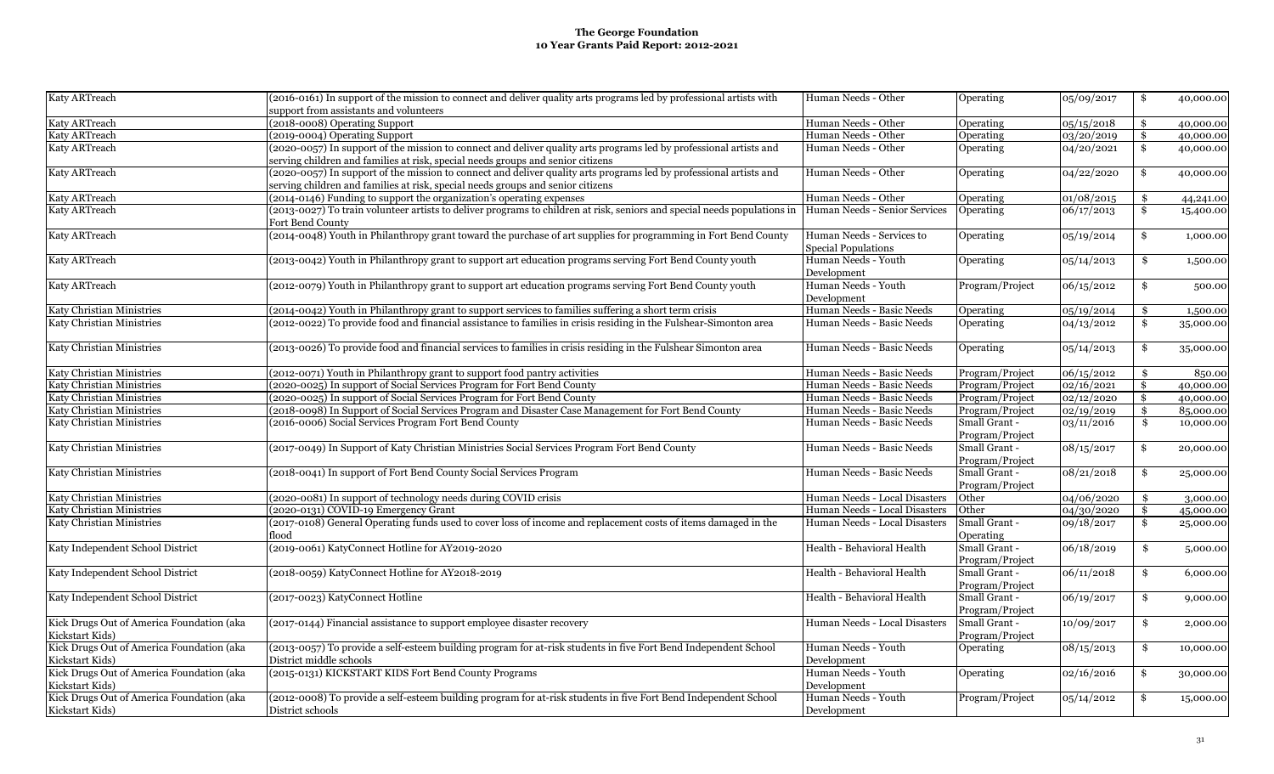| Human Needs - Other<br>\$<br>support from assistants and volunteers<br>Katy ARTreach<br>(2018-0008) Operating Support<br>Human Needs - Other<br>05/15/2018<br>Operating<br>\$<br>40,000.00<br>Katy ARTreach<br>(2019-0004) Operating Support<br>Human Needs - Other<br>Operating<br>03/20/2019<br>\$<br>40,000.00<br>(2020-0057) In support of the mission to connect and deliver quality arts programs led by professional artists and<br>Katy ARTreach<br>Human Needs - Other<br>\$<br>Operating<br>04/20/2021<br>40,000.00<br>serving children and families at risk, special needs groups and senior citizens<br>(2020-0057) In support of the mission to connect and deliver quality arts programs led by professional artists and<br>Human Needs - Other<br>04/22/2020<br>Operating<br>\$<br>40,000.00<br>serving children and families at risk, special needs groups and senior citizens<br>(2014-0146) Funding to support the organization's operating expenses<br>Human Needs - Other<br>01/08/2015<br>Operating<br>\$<br>44,241.00<br>Katy ARTreach<br>(2013-0027) To train volunteer artists to deliver programs to children at risk, seniors and special needs populations in<br>Human Needs - Senior Services<br>06/17/2013<br>\$<br>Operating<br>15,400.00<br>Fort Bend County<br>(2014-0048) Youth in Philanthropy grant toward the purchase of art supplies for programming in Fort Bend County<br>Human Needs - Services to<br>05/19/2014<br>\$<br>Operating<br>1,000.00<br><b>Special Populations</b><br>Katy ARTreach<br>(2013-0042) Youth in Philanthropy grant to support art education programs serving Fort Bend County youth<br>Human Needs - Youth<br>Operating<br>05/14/2013<br>\$<br>1,500.00<br>Development<br>Katy ARTreach<br>(2012-0079) Youth in Philanthropy grant to support art education programs serving Fort Bend County youth<br>Human Needs - Youth<br>Program/Project<br>06/15/2012<br>\$<br>500.00<br>Development<br>(2014-0042) Youth in Philanthropy grant to support services to families suffering a short term crisis<br>Human Needs - Basic Needs<br>05/19/2014<br>Operating<br>\$<br>1,500.00<br>(2012-0022) To provide food and financial assistance to families in crisis residing in the Fulshear-Simonton area<br>Human Needs - Basic Needs<br>04/13/2012<br>Operating<br>\$<br>35,000.00<br>(2013-0026) To provide food and financial services to families in crisis residing in the Fulshear Simonton area<br>Human Needs - Basic Needs<br>Operating<br>05/14/2013<br>\$<br>35,000.00<br>Katy Christian Ministries<br>(2012-0071) Youth in Philanthropy grant to support food pantry activities<br>Human Needs - Basic Needs<br>Program/Project<br>06/15/2012<br>850.00<br>Katy Christian Ministries<br>(2020-0025) In support of Social Services Program for Fort Bend County<br>Human Needs - Basic Needs<br>02/16/2021<br>Program/Project<br>\$<br>40,000.00<br>(2020-0025) In support of Social Services Program for Fort Bend County<br>Katy Christian Ministries<br>Human Needs - Basic Needs<br>Program/Project<br>02/12/2020<br>\$<br>40,000.00<br>Katy Christian Ministries<br>(2018-0098) In Support of Social Services Program and Disaster Case Management for Fort Bend County<br>Human Needs - Basic Needs<br>Program/Project<br>02/19/2019<br>$\mathbf{\$}$<br>85,000.00<br>(2016-0006) Social Services Program Fort Bend County<br>Katy Christian Ministries<br>Human Needs - Basic Needs<br>Small Grant -<br>03/11/2016<br>\$<br>10,000.00<br>Program/Project<br>(2017-0049) In Support of Katy Christian Ministries Social Services Program Fort Bend County<br>Small Grant -<br>Katy Christian Ministries<br>Human Needs - Basic Needs<br>08/15/2017<br>\$<br>20,000.00<br>Program/Project<br>Katy Christian Ministries<br>(2018-0041) In support of Fort Bend County Social Services Program<br>Human Needs - Basic Needs<br>Small Grant -<br>08/21/2018<br>\$<br>25,000.00<br>Program/Project<br>Katy Christian Ministries<br>(2020-0081) In support of technology needs during COVID crisis<br>Human Needs - Local Disasters<br>04/06/2020<br>Other<br>\$<br>3,000.00<br>(2020-0131) COVID-19 Emergency Grant<br>Katy Christian Ministries<br>Human Needs - Local Disasters<br>Other<br>04/30/2020<br>\$<br>45,000.00<br>(2017-0108) General Operating funds used to cover loss of income and replacement costs of items damaged in the<br>Katy Christian Ministries<br>Human Needs - Local Disasters<br>Small Grant -<br>09/18/2017<br>\$<br>25,000.00<br>Operating<br>flood<br>Katy Independent School District<br>(2019-0061) KatyConnect Hotline for AY2019-2020<br>Health - Behavioral Health<br>Small Grant -<br>06/18/2019<br>\$<br>5,000.00<br>Program/Project<br>Katy Independent School District<br>(2018-0059) KatyConnect Hotline for AY2018-2019<br>Health - Behavioral Health<br>Small Grant -<br>06/11/2018<br>\$<br>6,000.00<br>Program/Project<br>Small Grant -<br>Katy Independent School District<br>(2017-0023) KatyConnect Hotline<br>Health - Behavioral Health<br>06/19/2017<br>\$<br>9,000.00<br>Program/Project<br>Kick Drugs Out of America Foundation (aka<br>(2017-0144) Financial assistance to support employee disaster recovery<br>Small Grant -<br>Human Needs - Local Disasters<br>10/09/2017<br>2,000.00<br>\$<br>Program/Project<br>Kick Drugs Out of America Foundation (aka<br>(2013-0057) To provide a self-esteem building program for at-risk students in five Fort Bend Independent School<br>Human Needs - Youth<br>Operating<br>08/15/2013<br>10,000.00<br>\$<br>District middle schools<br>Development<br>Kick Drugs Out of America Foundation (aka<br>(2015-0131) KICKSTART KIDS Fort Bend County Programs<br>Human Needs - Youth<br>02/16/2016<br>Operating<br>\$<br>30,000.00<br>Kickstart Kids)<br>Development<br>Kick Drugs Out of America Foundation (aka<br>(2012-0008) To provide a self-esteem building program for at-risk students in five Fort Bend Independent School<br>Human Needs - Youth<br>Program/Project<br>05/14/2012<br>\$<br>15,000.00<br>District schools<br>Development |                           |                                                                                                                     |           |            |           |
|---------------------------------------------------------------------------------------------------------------------------------------------------------------------------------------------------------------------------------------------------------------------------------------------------------------------------------------------------------------------------------------------------------------------------------------------------------------------------------------------------------------------------------------------------------------------------------------------------------------------------------------------------------------------------------------------------------------------------------------------------------------------------------------------------------------------------------------------------------------------------------------------------------------------------------------------------------------------------------------------------------------------------------------------------------------------------------------------------------------------------------------------------------------------------------------------------------------------------------------------------------------------------------------------------------------------------------------------------------------------------------------------------------------------------------------------------------------------------------------------------------------------------------------------------------------------------------------------------------------------------------------------------------------------------------------------------------------------------------------------------------------------------------------------------------------------------------------------------------------------------------------------------------------------------------------------------------------------------------------------------------------------------------------------------------------------------------------------------------------------------------------------------------------------------------------------------------------------------------------------------------------------------------------------------------------------------------------------------------------------------------------------------------------------------------------------------------------------------------------------------------------------------------------------------------------------------------------------------------------------------------------------------------------------------------------------------------------------------------------------------------------------------------------------------------------------------------------------------------------------------------------------------------------------------------------------------------------------------------------------------------------------------------------------------------------------------------------------------------------------------------------------------------------------------------------------------------------------------------------------------------------------------------------------------------------------------------------------------------------------------------------------------------------------------------------------------------------------------------------------------------------------------------------------------------------------------------------------------------------------------------------------------------------------------------------------------------------------------------------------------------------------------------------------------------------------------------------------------------------------------------------------------------------------------------------------------------------------------------------------------------------------------------------------------------------------------------------------------------------------------------------------------------------------------------------------------------------------------------------------------------------------------------------------------------------------------------------------------------------------------------------------------------------------------------------------------------------------------------------------------------------------------------------------------------------------------------------------------------------------------------------------------------------------------------------------------------------------------------------------------------------------------------------------------------------------------------------------------------------------------------------------------------------------------------------------------------------------------------------------------------------------------------------------------------------------------------------------------------------------------------------------------------------------------------------------------------------------------------------------------------------------------------------------------------------------------------------------------------------------------------------------------------------------------------------------------------------------------------------------------------------------------------------------------------------------------------------------------------------------------------------------------------------------------------------------------------------------------------------------------------------------------------------------------------------------------------------------------------------------------------------------------------------------------------------------------------------------------------------------------------------------------------------------------------------------------------------------------------------------------|---------------------------|---------------------------------------------------------------------------------------------------------------------|-----------|------------|-----------|
|                                                                                                                                                                                                                                                                                                                                                                                                                                                                                                                                                                                                                                                                                                                                                                                                                                                                                                                                                                                                                                                                                                                                                                                                                                                                                                                                                                                                                                                                                                                                                                                                                                                                                                                                                                                                                                                                                                                                                                                                                                                                                                                                                                                                                                                                                                                                                                                                                                                                                                                                                                                                                                                                                                                                                                                                                                                                                                                                                                                                                                                                                                                                                                                                                                                                                                                                                                                                                                                                                                                                                                                                                                                                                                                                                                                                                                                                                                                                                                                                                                                                                                                                                                                                                                                                                                                                                                                                                                                                                                                                                                                                                                                                                                                                                                                                                                                                                                                                                                                                                                                                                                                                                                                                                                                                                                                                                                                                                                                                                                                                                                                                                                                                                                                                                                                                                                                                                                                                                                                                                                                                                                                           | Katy ARTreach             | (2016-0161) In support of the mission to connect and deliver quality arts programs led by professional artists with | Operating | 05/09/2017 | 40,000.00 |
|                                                                                                                                                                                                                                                                                                                                                                                                                                                                                                                                                                                                                                                                                                                                                                                                                                                                                                                                                                                                                                                                                                                                                                                                                                                                                                                                                                                                                                                                                                                                                                                                                                                                                                                                                                                                                                                                                                                                                                                                                                                                                                                                                                                                                                                                                                                                                                                                                                                                                                                                                                                                                                                                                                                                                                                                                                                                                                                                                                                                                                                                                                                                                                                                                                                                                                                                                                                                                                                                                                                                                                                                                                                                                                                                                                                                                                                                                                                                                                                                                                                                                                                                                                                                                                                                                                                                                                                                                                                                                                                                                                                                                                                                                                                                                                                                                                                                                                                                                                                                                                                                                                                                                                                                                                                                                                                                                                                                                                                                                                                                                                                                                                                                                                                                                                                                                                                                                                                                                                                                                                                                                                                           |                           |                                                                                                                     |           |            |           |
|                                                                                                                                                                                                                                                                                                                                                                                                                                                                                                                                                                                                                                                                                                                                                                                                                                                                                                                                                                                                                                                                                                                                                                                                                                                                                                                                                                                                                                                                                                                                                                                                                                                                                                                                                                                                                                                                                                                                                                                                                                                                                                                                                                                                                                                                                                                                                                                                                                                                                                                                                                                                                                                                                                                                                                                                                                                                                                                                                                                                                                                                                                                                                                                                                                                                                                                                                                                                                                                                                                                                                                                                                                                                                                                                                                                                                                                                                                                                                                                                                                                                                                                                                                                                                                                                                                                                                                                                                                                                                                                                                                                                                                                                                                                                                                                                                                                                                                                                                                                                                                                                                                                                                                                                                                                                                                                                                                                                                                                                                                                                                                                                                                                                                                                                                                                                                                                                                                                                                                                                                                                                                                                           |                           |                                                                                                                     |           |            |           |
|                                                                                                                                                                                                                                                                                                                                                                                                                                                                                                                                                                                                                                                                                                                                                                                                                                                                                                                                                                                                                                                                                                                                                                                                                                                                                                                                                                                                                                                                                                                                                                                                                                                                                                                                                                                                                                                                                                                                                                                                                                                                                                                                                                                                                                                                                                                                                                                                                                                                                                                                                                                                                                                                                                                                                                                                                                                                                                                                                                                                                                                                                                                                                                                                                                                                                                                                                                                                                                                                                                                                                                                                                                                                                                                                                                                                                                                                                                                                                                                                                                                                                                                                                                                                                                                                                                                                                                                                                                                                                                                                                                                                                                                                                                                                                                                                                                                                                                                                                                                                                                                                                                                                                                                                                                                                                                                                                                                                                                                                                                                                                                                                                                                                                                                                                                                                                                                                                                                                                                                                                                                                                                                           |                           |                                                                                                                     |           |            |           |
|                                                                                                                                                                                                                                                                                                                                                                                                                                                                                                                                                                                                                                                                                                                                                                                                                                                                                                                                                                                                                                                                                                                                                                                                                                                                                                                                                                                                                                                                                                                                                                                                                                                                                                                                                                                                                                                                                                                                                                                                                                                                                                                                                                                                                                                                                                                                                                                                                                                                                                                                                                                                                                                                                                                                                                                                                                                                                                                                                                                                                                                                                                                                                                                                                                                                                                                                                                                                                                                                                                                                                                                                                                                                                                                                                                                                                                                                                                                                                                                                                                                                                                                                                                                                                                                                                                                                                                                                                                                                                                                                                                                                                                                                                                                                                                                                                                                                                                                                                                                                                                                                                                                                                                                                                                                                                                                                                                                                                                                                                                                                                                                                                                                                                                                                                                                                                                                                                                                                                                                                                                                                                                                           |                           |                                                                                                                     |           |            |           |
|                                                                                                                                                                                                                                                                                                                                                                                                                                                                                                                                                                                                                                                                                                                                                                                                                                                                                                                                                                                                                                                                                                                                                                                                                                                                                                                                                                                                                                                                                                                                                                                                                                                                                                                                                                                                                                                                                                                                                                                                                                                                                                                                                                                                                                                                                                                                                                                                                                                                                                                                                                                                                                                                                                                                                                                                                                                                                                                                                                                                                                                                                                                                                                                                                                                                                                                                                                                                                                                                                                                                                                                                                                                                                                                                                                                                                                                                                                                                                                                                                                                                                                                                                                                                                                                                                                                                                                                                                                                                                                                                                                                                                                                                                                                                                                                                                                                                                                                                                                                                                                                                                                                                                                                                                                                                                                                                                                                                                                                                                                                                                                                                                                                                                                                                                                                                                                                                                                                                                                                                                                                                                                                           | Katy ARTreach             |                                                                                                                     |           |            |           |
|                                                                                                                                                                                                                                                                                                                                                                                                                                                                                                                                                                                                                                                                                                                                                                                                                                                                                                                                                                                                                                                                                                                                                                                                                                                                                                                                                                                                                                                                                                                                                                                                                                                                                                                                                                                                                                                                                                                                                                                                                                                                                                                                                                                                                                                                                                                                                                                                                                                                                                                                                                                                                                                                                                                                                                                                                                                                                                                                                                                                                                                                                                                                                                                                                                                                                                                                                                                                                                                                                                                                                                                                                                                                                                                                                                                                                                                                                                                                                                                                                                                                                                                                                                                                                                                                                                                                                                                                                                                                                                                                                                                                                                                                                                                                                                                                                                                                                                                                                                                                                                                                                                                                                                                                                                                                                                                                                                                                                                                                                                                                                                                                                                                                                                                                                                                                                                                                                                                                                                                                                                                                                                                           |                           |                                                                                                                     |           |            |           |
|                                                                                                                                                                                                                                                                                                                                                                                                                                                                                                                                                                                                                                                                                                                                                                                                                                                                                                                                                                                                                                                                                                                                                                                                                                                                                                                                                                                                                                                                                                                                                                                                                                                                                                                                                                                                                                                                                                                                                                                                                                                                                                                                                                                                                                                                                                                                                                                                                                                                                                                                                                                                                                                                                                                                                                                                                                                                                                                                                                                                                                                                                                                                                                                                                                                                                                                                                                                                                                                                                                                                                                                                                                                                                                                                                                                                                                                                                                                                                                                                                                                                                                                                                                                                                                                                                                                                                                                                                                                                                                                                                                                                                                                                                                                                                                                                                                                                                                                                                                                                                                                                                                                                                                                                                                                                                                                                                                                                                                                                                                                                                                                                                                                                                                                                                                                                                                                                                                                                                                                                                                                                                                                           | Katy ARTreach             |                                                                                                                     |           |            |           |
|                                                                                                                                                                                                                                                                                                                                                                                                                                                                                                                                                                                                                                                                                                                                                                                                                                                                                                                                                                                                                                                                                                                                                                                                                                                                                                                                                                                                                                                                                                                                                                                                                                                                                                                                                                                                                                                                                                                                                                                                                                                                                                                                                                                                                                                                                                                                                                                                                                                                                                                                                                                                                                                                                                                                                                                                                                                                                                                                                                                                                                                                                                                                                                                                                                                                                                                                                                                                                                                                                                                                                                                                                                                                                                                                                                                                                                                                                                                                                                                                                                                                                                                                                                                                                                                                                                                                                                                                                                                                                                                                                                                                                                                                                                                                                                                                                                                                                                                                                                                                                                                                                                                                                                                                                                                                                                                                                                                                                                                                                                                                                                                                                                                                                                                                                                                                                                                                                                                                                                                                                                                                                                                           |                           |                                                                                                                     |           |            |           |
|                                                                                                                                                                                                                                                                                                                                                                                                                                                                                                                                                                                                                                                                                                                                                                                                                                                                                                                                                                                                                                                                                                                                                                                                                                                                                                                                                                                                                                                                                                                                                                                                                                                                                                                                                                                                                                                                                                                                                                                                                                                                                                                                                                                                                                                                                                                                                                                                                                                                                                                                                                                                                                                                                                                                                                                                                                                                                                                                                                                                                                                                                                                                                                                                                                                                                                                                                                                                                                                                                                                                                                                                                                                                                                                                                                                                                                                                                                                                                                                                                                                                                                                                                                                                                                                                                                                                                                                                                                                                                                                                                                                                                                                                                                                                                                                                                                                                                                                                                                                                                                                                                                                                                                                                                                                                                                                                                                                                                                                                                                                                                                                                                                                                                                                                                                                                                                                                                                                                                                                                                                                                                                                           |                           |                                                                                                                     |           |            |           |
|                                                                                                                                                                                                                                                                                                                                                                                                                                                                                                                                                                                                                                                                                                                                                                                                                                                                                                                                                                                                                                                                                                                                                                                                                                                                                                                                                                                                                                                                                                                                                                                                                                                                                                                                                                                                                                                                                                                                                                                                                                                                                                                                                                                                                                                                                                                                                                                                                                                                                                                                                                                                                                                                                                                                                                                                                                                                                                                                                                                                                                                                                                                                                                                                                                                                                                                                                                                                                                                                                                                                                                                                                                                                                                                                                                                                                                                                                                                                                                                                                                                                                                                                                                                                                                                                                                                                                                                                                                                                                                                                                                                                                                                                                                                                                                                                                                                                                                                                                                                                                                                                                                                                                                                                                                                                                                                                                                                                                                                                                                                                                                                                                                                                                                                                                                                                                                                                                                                                                                                                                                                                                                                           | Katy ARTreach             |                                                                                                                     |           |            |           |
|                                                                                                                                                                                                                                                                                                                                                                                                                                                                                                                                                                                                                                                                                                                                                                                                                                                                                                                                                                                                                                                                                                                                                                                                                                                                                                                                                                                                                                                                                                                                                                                                                                                                                                                                                                                                                                                                                                                                                                                                                                                                                                                                                                                                                                                                                                                                                                                                                                                                                                                                                                                                                                                                                                                                                                                                                                                                                                                                                                                                                                                                                                                                                                                                                                                                                                                                                                                                                                                                                                                                                                                                                                                                                                                                                                                                                                                                                                                                                                                                                                                                                                                                                                                                                                                                                                                                                                                                                                                                                                                                                                                                                                                                                                                                                                                                                                                                                                                                                                                                                                                                                                                                                                                                                                                                                                                                                                                                                                                                                                                                                                                                                                                                                                                                                                                                                                                                                                                                                                                                                                                                                                                           |                           |                                                                                                                     |           |            |           |
|                                                                                                                                                                                                                                                                                                                                                                                                                                                                                                                                                                                                                                                                                                                                                                                                                                                                                                                                                                                                                                                                                                                                                                                                                                                                                                                                                                                                                                                                                                                                                                                                                                                                                                                                                                                                                                                                                                                                                                                                                                                                                                                                                                                                                                                                                                                                                                                                                                                                                                                                                                                                                                                                                                                                                                                                                                                                                                                                                                                                                                                                                                                                                                                                                                                                                                                                                                                                                                                                                                                                                                                                                                                                                                                                                                                                                                                                                                                                                                                                                                                                                                                                                                                                                                                                                                                                                                                                                                                                                                                                                                                                                                                                                                                                                                                                                                                                                                                                                                                                                                                                                                                                                                                                                                                                                                                                                                                                                                                                                                                                                                                                                                                                                                                                                                                                                                                                                                                                                                                                                                                                                                                           |                           |                                                                                                                     |           |            |           |
|                                                                                                                                                                                                                                                                                                                                                                                                                                                                                                                                                                                                                                                                                                                                                                                                                                                                                                                                                                                                                                                                                                                                                                                                                                                                                                                                                                                                                                                                                                                                                                                                                                                                                                                                                                                                                                                                                                                                                                                                                                                                                                                                                                                                                                                                                                                                                                                                                                                                                                                                                                                                                                                                                                                                                                                                                                                                                                                                                                                                                                                                                                                                                                                                                                                                                                                                                                                                                                                                                                                                                                                                                                                                                                                                                                                                                                                                                                                                                                                                                                                                                                                                                                                                                                                                                                                                                                                                                                                                                                                                                                                                                                                                                                                                                                                                                                                                                                                                                                                                                                                                                                                                                                                                                                                                                                                                                                                                                                                                                                                                                                                                                                                                                                                                                                                                                                                                                                                                                                                                                                                                                                                           |                           |                                                                                                                     |           |            |           |
|                                                                                                                                                                                                                                                                                                                                                                                                                                                                                                                                                                                                                                                                                                                                                                                                                                                                                                                                                                                                                                                                                                                                                                                                                                                                                                                                                                                                                                                                                                                                                                                                                                                                                                                                                                                                                                                                                                                                                                                                                                                                                                                                                                                                                                                                                                                                                                                                                                                                                                                                                                                                                                                                                                                                                                                                                                                                                                                                                                                                                                                                                                                                                                                                                                                                                                                                                                                                                                                                                                                                                                                                                                                                                                                                                                                                                                                                                                                                                                                                                                                                                                                                                                                                                                                                                                                                                                                                                                                                                                                                                                                                                                                                                                                                                                                                                                                                                                                                                                                                                                                                                                                                                                                                                                                                                                                                                                                                                                                                                                                                                                                                                                                                                                                                                                                                                                                                                                                                                                                                                                                                                                                           |                           |                                                                                                                     |           |            |           |
|                                                                                                                                                                                                                                                                                                                                                                                                                                                                                                                                                                                                                                                                                                                                                                                                                                                                                                                                                                                                                                                                                                                                                                                                                                                                                                                                                                                                                                                                                                                                                                                                                                                                                                                                                                                                                                                                                                                                                                                                                                                                                                                                                                                                                                                                                                                                                                                                                                                                                                                                                                                                                                                                                                                                                                                                                                                                                                                                                                                                                                                                                                                                                                                                                                                                                                                                                                                                                                                                                                                                                                                                                                                                                                                                                                                                                                                                                                                                                                                                                                                                                                                                                                                                                                                                                                                                                                                                                                                                                                                                                                                                                                                                                                                                                                                                                                                                                                                                                                                                                                                                                                                                                                                                                                                                                                                                                                                                                                                                                                                                                                                                                                                                                                                                                                                                                                                                                                                                                                                                                                                                                                                           | Katy Christian Ministries |                                                                                                                     |           |            |           |
|                                                                                                                                                                                                                                                                                                                                                                                                                                                                                                                                                                                                                                                                                                                                                                                                                                                                                                                                                                                                                                                                                                                                                                                                                                                                                                                                                                                                                                                                                                                                                                                                                                                                                                                                                                                                                                                                                                                                                                                                                                                                                                                                                                                                                                                                                                                                                                                                                                                                                                                                                                                                                                                                                                                                                                                                                                                                                                                                                                                                                                                                                                                                                                                                                                                                                                                                                                                                                                                                                                                                                                                                                                                                                                                                                                                                                                                                                                                                                                                                                                                                                                                                                                                                                                                                                                                                                                                                                                                                                                                                                                                                                                                                                                                                                                                                                                                                                                                                                                                                                                                                                                                                                                                                                                                                                                                                                                                                                                                                                                                                                                                                                                                                                                                                                                                                                                                                                                                                                                                                                                                                                                                           | Katy Christian Ministries |                                                                                                                     |           |            |           |
|                                                                                                                                                                                                                                                                                                                                                                                                                                                                                                                                                                                                                                                                                                                                                                                                                                                                                                                                                                                                                                                                                                                                                                                                                                                                                                                                                                                                                                                                                                                                                                                                                                                                                                                                                                                                                                                                                                                                                                                                                                                                                                                                                                                                                                                                                                                                                                                                                                                                                                                                                                                                                                                                                                                                                                                                                                                                                                                                                                                                                                                                                                                                                                                                                                                                                                                                                                                                                                                                                                                                                                                                                                                                                                                                                                                                                                                                                                                                                                                                                                                                                                                                                                                                                                                                                                                                                                                                                                                                                                                                                                                                                                                                                                                                                                                                                                                                                                                                                                                                                                                                                                                                                                                                                                                                                                                                                                                                                                                                                                                                                                                                                                                                                                                                                                                                                                                                                                                                                                                                                                                                                                                           |                           |                                                                                                                     |           |            |           |
|                                                                                                                                                                                                                                                                                                                                                                                                                                                                                                                                                                                                                                                                                                                                                                                                                                                                                                                                                                                                                                                                                                                                                                                                                                                                                                                                                                                                                                                                                                                                                                                                                                                                                                                                                                                                                                                                                                                                                                                                                                                                                                                                                                                                                                                                                                                                                                                                                                                                                                                                                                                                                                                                                                                                                                                                                                                                                                                                                                                                                                                                                                                                                                                                                                                                                                                                                                                                                                                                                                                                                                                                                                                                                                                                                                                                                                                                                                                                                                                                                                                                                                                                                                                                                                                                                                                                                                                                                                                                                                                                                                                                                                                                                                                                                                                                                                                                                                                                                                                                                                                                                                                                                                                                                                                                                                                                                                                                                                                                                                                                                                                                                                                                                                                                                                                                                                                                                                                                                                                                                                                                                                                           | Katy Christian Ministries |                                                                                                                     |           |            |           |
|                                                                                                                                                                                                                                                                                                                                                                                                                                                                                                                                                                                                                                                                                                                                                                                                                                                                                                                                                                                                                                                                                                                                                                                                                                                                                                                                                                                                                                                                                                                                                                                                                                                                                                                                                                                                                                                                                                                                                                                                                                                                                                                                                                                                                                                                                                                                                                                                                                                                                                                                                                                                                                                                                                                                                                                                                                                                                                                                                                                                                                                                                                                                                                                                                                                                                                                                                                                                                                                                                                                                                                                                                                                                                                                                                                                                                                                                                                                                                                                                                                                                                                                                                                                                                                                                                                                                                                                                                                                                                                                                                                                                                                                                                                                                                                                                                                                                                                                                                                                                                                                                                                                                                                                                                                                                                                                                                                                                                                                                                                                                                                                                                                                                                                                                                                                                                                                                                                                                                                                                                                                                                                                           |                           |                                                                                                                     |           |            |           |
|                                                                                                                                                                                                                                                                                                                                                                                                                                                                                                                                                                                                                                                                                                                                                                                                                                                                                                                                                                                                                                                                                                                                                                                                                                                                                                                                                                                                                                                                                                                                                                                                                                                                                                                                                                                                                                                                                                                                                                                                                                                                                                                                                                                                                                                                                                                                                                                                                                                                                                                                                                                                                                                                                                                                                                                                                                                                                                                                                                                                                                                                                                                                                                                                                                                                                                                                                                                                                                                                                                                                                                                                                                                                                                                                                                                                                                                                                                                                                                                                                                                                                                                                                                                                                                                                                                                                                                                                                                                                                                                                                                                                                                                                                                                                                                                                                                                                                                                                                                                                                                                                                                                                                                                                                                                                                                                                                                                                                                                                                                                                                                                                                                                                                                                                                                                                                                                                                                                                                                                                                                                                                                                           |                           |                                                                                                                     |           |            |           |
|                                                                                                                                                                                                                                                                                                                                                                                                                                                                                                                                                                                                                                                                                                                                                                                                                                                                                                                                                                                                                                                                                                                                                                                                                                                                                                                                                                                                                                                                                                                                                                                                                                                                                                                                                                                                                                                                                                                                                                                                                                                                                                                                                                                                                                                                                                                                                                                                                                                                                                                                                                                                                                                                                                                                                                                                                                                                                                                                                                                                                                                                                                                                                                                                                                                                                                                                                                                                                                                                                                                                                                                                                                                                                                                                                                                                                                                                                                                                                                                                                                                                                                                                                                                                                                                                                                                                                                                                                                                                                                                                                                                                                                                                                                                                                                                                                                                                                                                                                                                                                                                                                                                                                                                                                                                                                                                                                                                                                                                                                                                                                                                                                                                                                                                                                                                                                                                                                                                                                                                                                                                                                                                           |                           |                                                                                                                     |           |            |           |
|                                                                                                                                                                                                                                                                                                                                                                                                                                                                                                                                                                                                                                                                                                                                                                                                                                                                                                                                                                                                                                                                                                                                                                                                                                                                                                                                                                                                                                                                                                                                                                                                                                                                                                                                                                                                                                                                                                                                                                                                                                                                                                                                                                                                                                                                                                                                                                                                                                                                                                                                                                                                                                                                                                                                                                                                                                                                                                                                                                                                                                                                                                                                                                                                                                                                                                                                                                                                                                                                                                                                                                                                                                                                                                                                                                                                                                                                                                                                                                                                                                                                                                                                                                                                                                                                                                                                                                                                                                                                                                                                                                                                                                                                                                                                                                                                                                                                                                                                                                                                                                                                                                                                                                                                                                                                                                                                                                                                                                                                                                                                                                                                                                                                                                                                                                                                                                                                                                                                                                                                                                                                                                                           |                           |                                                                                                                     |           |            |           |
|                                                                                                                                                                                                                                                                                                                                                                                                                                                                                                                                                                                                                                                                                                                                                                                                                                                                                                                                                                                                                                                                                                                                                                                                                                                                                                                                                                                                                                                                                                                                                                                                                                                                                                                                                                                                                                                                                                                                                                                                                                                                                                                                                                                                                                                                                                                                                                                                                                                                                                                                                                                                                                                                                                                                                                                                                                                                                                                                                                                                                                                                                                                                                                                                                                                                                                                                                                                                                                                                                                                                                                                                                                                                                                                                                                                                                                                                                                                                                                                                                                                                                                                                                                                                                                                                                                                                                                                                                                                                                                                                                                                                                                                                                                                                                                                                                                                                                                                                                                                                                                                                                                                                                                                                                                                                                                                                                                                                                                                                                                                                                                                                                                                                                                                                                                                                                                                                                                                                                                                                                                                                                                                           |                           |                                                                                                                     |           |            |           |
|                                                                                                                                                                                                                                                                                                                                                                                                                                                                                                                                                                                                                                                                                                                                                                                                                                                                                                                                                                                                                                                                                                                                                                                                                                                                                                                                                                                                                                                                                                                                                                                                                                                                                                                                                                                                                                                                                                                                                                                                                                                                                                                                                                                                                                                                                                                                                                                                                                                                                                                                                                                                                                                                                                                                                                                                                                                                                                                                                                                                                                                                                                                                                                                                                                                                                                                                                                                                                                                                                                                                                                                                                                                                                                                                                                                                                                                                                                                                                                                                                                                                                                                                                                                                                                                                                                                                                                                                                                                                                                                                                                                                                                                                                                                                                                                                                                                                                                                                                                                                                                                                                                                                                                                                                                                                                                                                                                                                                                                                                                                                                                                                                                                                                                                                                                                                                                                                                                                                                                                                                                                                                                                           |                           |                                                                                                                     |           |            |           |
|                                                                                                                                                                                                                                                                                                                                                                                                                                                                                                                                                                                                                                                                                                                                                                                                                                                                                                                                                                                                                                                                                                                                                                                                                                                                                                                                                                                                                                                                                                                                                                                                                                                                                                                                                                                                                                                                                                                                                                                                                                                                                                                                                                                                                                                                                                                                                                                                                                                                                                                                                                                                                                                                                                                                                                                                                                                                                                                                                                                                                                                                                                                                                                                                                                                                                                                                                                                                                                                                                                                                                                                                                                                                                                                                                                                                                                                                                                                                                                                                                                                                                                                                                                                                                                                                                                                                                                                                                                                                                                                                                                                                                                                                                                                                                                                                                                                                                                                                                                                                                                                                                                                                                                                                                                                                                                                                                                                                                                                                                                                                                                                                                                                                                                                                                                                                                                                                                                                                                                                                                                                                                                                           |                           |                                                                                                                     |           |            |           |
|                                                                                                                                                                                                                                                                                                                                                                                                                                                                                                                                                                                                                                                                                                                                                                                                                                                                                                                                                                                                                                                                                                                                                                                                                                                                                                                                                                                                                                                                                                                                                                                                                                                                                                                                                                                                                                                                                                                                                                                                                                                                                                                                                                                                                                                                                                                                                                                                                                                                                                                                                                                                                                                                                                                                                                                                                                                                                                                                                                                                                                                                                                                                                                                                                                                                                                                                                                                                                                                                                                                                                                                                                                                                                                                                                                                                                                                                                                                                                                                                                                                                                                                                                                                                                                                                                                                                                                                                                                                                                                                                                                                                                                                                                                                                                                                                                                                                                                                                                                                                                                                                                                                                                                                                                                                                                                                                                                                                                                                                                                                                                                                                                                                                                                                                                                                                                                                                                                                                                                                                                                                                                                                           |                           |                                                                                                                     |           |            |           |
|                                                                                                                                                                                                                                                                                                                                                                                                                                                                                                                                                                                                                                                                                                                                                                                                                                                                                                                                                                                                                                                                                                                                                                                                                                                                                                                                                                                                                                                                                                                                                                                                                                                                                                                                                                                                                                                                                                                                                                                                                                                                                                                                                                                                                                                                                                                                                                                                                                                                                                                                                                                                                                                                                                                                                                                                                                                                                                                                                                                                                                                                                                                                                                                                                                                                                                                                                                                                                                                                                                                                                                                                                                                                                                                                                                                                                                                                                                                                                                                                                                                                                                                                                                                                                                                                                                                                                                                                                                                                                                                                                                                                                                                                                                                                                                                                                                                                                                                                                                                                                                                                                                                                                                                                                                                                                                                                                                                                                                                                                                                                                                                                                                                                                                                                                                                                                                                                                                                                                                                                                                                                                                                           |                           |                                                                                                                     |           |            |           |
|                                                                                                                                                                                                                                                                                                                                                                                                                                                                                                                                                                                                                                                                                                                                                                                                                                                                                                                                                                                                                                                                                                                                                                                                                                                                                                                                                                                                                                                                                                                                                                                                                                                                                                                                                                                                                                                                                                                                                                                                                                                                                                                                                                                                                                                                                                                                                                                                                                                                                                                                                                                                                                                                                                                                                                                                                                                                                                                                                                                                                                                                                                                                                                                                                                                                                                                                                                                                                                                                                                                                                                                                                                                                                                                                                                                                                                                                                                                                                                                                                                                                                                                                                                                                                                                                                                                                                                                                                                                                                                                                                                                                                                                                                                                                                                                                                                                                                                                                                                                                                                                                                                                                                                                                                                                                                                                                                                                                                                                                                                                                                                                                                                                                                                                                                                                                                                                                                                                                                                                                                                                                                                                           |                           |                                                                                                                     |           |            |           |
|                                                                                                                                                                                                                                                                                                                                                                                                                                                                                                                                                                                                                                                                                                                                                                                                                                                                                                                                                                                                                                                                                                                                                                                                                                                                                                                                                                                                                                                                                                                                                                                                                                                                                                                                                                                                                                                                                                                                                                                                                                                                                                                                                                                                                                                                                                                                                                                                                                                                                                                                                                                                                                                                                                                                                                                                                                                                                                                                                                                                                                                                                                                                                                                                                                                                                                                                                                                                                                                                                                                                                                                                                                                                                                                                                                                                                                                                                                                                                                                                                                                                                                                                                                                                                                                                                                                                                                                                                                                                                                                                                                                                                                                                                                                                                                                                                                                                                                                                                                                                                                                                                                                                                                                                                                                                                                                                                                                                                                                                                                                                                                                                                                                                                                                                                                                                                                                                                                                                                                                                                                                                                                                           |                           |                                                                                                                     |           |            |           |
|                                                                                                                                                                                                                                                                                                                                                                                                                                                                                                                                                                                                                                                                                                                                                                                                                                                                                                                                                                                                                                                                                                                                                                                                                                                                                                                                                                                                                                                                                                                                                                                                                                                                                                                                                                                                                                                                                                                                                                                                                                                                                                                                                                                                                                                                                                                                                                                                                                                                                                                                                                                                                                                                                                                                                                                                                                                                                                                                                                                                                                                                                                                                                                                                                                                                                                                                                                                                                                                                                                                                                                                                                                                                                                                                                                                                                                                                                                                                                                                                                                                                                                                                                                                                                                                                                                                                                                                                                                                                                                                                                                                                                                                                                                                                                                                                                                                                                                                                                                                                                                                                                                                                                                                                                                                                                                                                                                                                                                                                                                                                                                                                                                                                                                                                                                                                                                                                                                                                                                                                                                                                                                                           |                           |                                                                                                                     |           |            |           |
|                                                                                                                                                                                                                                                                                                                                                                                                                                                                                                                                                                                                                                                                                                                                                                                                                                                                                                                                                                                                                                                                                                                                                                                                                                                                                                                                                                                                                                                                                                                                                                                                                                                                                                                                                                                                                                                                                                                                                                                                                                                                                                                                                                                                                                                                                                                                                                                                                                                                                                                                                                                                                                                                                                                                                                                                                                                                                                                                                                                                                                                                                                                                                                                                                                                                                                                                                                                                                                                                                                                                                                                                                                                                                                                                                                                                                                                                                                                                                                                                                                                                                                                                                                                                                                                                                                                                                                                                                                                                                                                                                                                                                                                                                                                                                                                                                                                                                                                                                                                                                                                                                                                                                                                                                                                                                                                                                                                                                                                                                                                                                                                                                                                                                                                                                                                                                                                                                                                                                                                                                                                                                                                           |                           |                                                                                                                     |           |            |           |
|                                                                                                                                                                                                                                                                                                                                                                                                                                                                                                                                                                                                                                                                                                                                                                                                                                                                                                                                                                                                                                                                                                                                                                                                                                                                                                                                                                                                                                                                                                                                                                                                                                                                                                                                                                                                                                                                                                                                                                                                                                                                                                                                                                                                                                                                                                                                                                                                                                                                                                                                                                                                                                                                                                                                                                                                                                                                                                                                                                                                                                                                                                                                                                                                                                                                                                                                                                                                                                                                                                                                                                                                                                                                                                                                                                                                                                                                                                                                                                                                                                                                                                                                                                                                                                                                                                                                                                                                                                                                                                                                                                                                                                                                                                                                                                                                                                                                                                                                                                                                                                                                                                                                                                                                                                                                                                                                                                                                                                                                                                                                                                                                                                                                                                                                                                                                                                                                                                                                                                                                                                                                                                                           |                           |                                                                                                                     |           |            |           |
|                                                                                                                                                                                                                                                                                                                                                                                                                                                                                                                                                                                                                                                                                                                                                                                                                                                                                                                                                                                                                                                                                                                                                                                                                                                                                                                                                                                                                                                                                                                                                                                                                                                                                                                                                                                                                                                                                                                                                                                                                                                                                                                                                                                                                                                                                                                                                                                                                                                                                                                                                                                                                                                                                                                                                                                                                                                                                                                                                                                                                                                                                                                                                                                                                                                                                                                                                                                                                                                                                                                                                                                                                                                                                                                                                                                                                                                                                                                                                                                                                                                                                                                                                                                                                                                                                                                                                                                                                                                                                                                                                                                                                                                                                                                                                                                                                                                                                                                                                                                                                                                                                                                                                                                                                                                                                                                                                                                                                                                                                                                                                                                                                                                                                                                                                                                                                                                                                                                                                                                                                                                                                                                           |                           |                                                                                                                     |           |            |           |
|                                                                                                                                                                                                                                                                                                                                                                                                                                                                                                                                                                                                                                                                                                                                                                                                                                                                                                                                                                                                                                                                                                                                                                                                                                                                                                                                                                                                                                                                                                                                                                                                                                                                                                                                                                                                                                                                                                                                                                                                                                                                                                                                                                                                                                                                                                                                                                                                                                                                                                                                                                                                                                                                                                                                                                                                                                                                                                                                                                                                                                                                                                                                                                                                                                                                                                                                                                                                                                                                                                                                                                                                                                                                                                                                                                                                                                                                                                                                                                                                                                                                                                                                                                                                                                                                                                                                                                                                                                                                                                                                                                                                                                                                                                                                                                                                                                                                                                                                                                                                                                                                                                                                                                                                                                                                                                                                                                                                                                                                                                                                                                                                                                                                                                                                                                                                                                                                                                                                                                                                                                                                                                                           |                           |                                                                                                                     |           |            |           |
|                                                                                                                                                                                                                                                                                                                                                                                                                                                                                                                                                                                                                                                                                                                                                                                                                                                                                                                                                                                                                                                                                                                                                                                                                                                                                                                                                                                                                                                                                                                                                                                                                                                                                                                                                                                                                                                                                                                                                                                                                                                                                                                                                                                                                                                                                                                                                                                                                                                                                                                                                                                                                                                                                                                                                                                                                                                                                                                                                                                                                                                                                                                                                                                                                                                                                                                                                                                                                                                                                                                                                                                                                                                                                                                                                                                                                                                                                                                                                                                                                                                                                                                                                                                                                                                                                                                                                                                                                                                                                                                                                                                                                                                                                                                                                                                                                                                                                                                                                                                                                                                                                                                                                                                                                                                                                                                                                                                                                                                                                                                                                                                                                                                                                                                                                                                                                                                                                                                                                                                                                                                                                                                           |                           |                                                                                                                     |           |            |           |
|                                                                                                                                                                                                                                                                                                                                                                                                                                                                                                                                                                                                                                                                                                                                                                                                                                                                                                                                                                                                                                                                                                                                                                                                                                                                                                                                                                                                                                                                                                                                                                                                                                                                                                                                                                                                                                                                                                                                                                                                                                                                                                                                                                                                                                                                                                                                                                                                                                                                                                                                                                                                                                                                                                                                                                                                                                                                                                                                                                                                                                                                                                                                                                                                                                                                                                                                                                                                                                                                                                                                                                                                                                                                                                                                                                                                                                                                                                                                                                                                                                                                                                                                                                                                                                                                                                                                                                                                                                                                                                                                                                                                                                                                                                                                                                                                                                                                                                                                                                                                                                                                                                                                                                                                                                                                                                                                                                                                                                                                                                                                                                                                                                                                                                                                                                                                                                                                                                                                                                                                                                                                                                                           |                           |                                                                                                                     |           |            |           |
|                                                                                                                                                                                                                                                                                                                                                                                                                                                                                                                                                                                                                                                                                                                                                                                                                                                                                                                                                                                                                                                                                                                                                                                                                                                                                                                                                                                                                                                                                                                                                                                                                                                                                                                                                                                                                                                                                                                                                                                                                                                                                                                                                                                                                                                                                                                                                                                                                                                                                                                                                                                                                                                                                                                                                                                                                                                                                                                                                                                                                                                                                                                                                                                                                                                                                                                                                                                                                                                                                                                                                                                                                                                                                                                                                                                                                                                                                                                                                                                                                                                                                                                                                                                                                                                                                                                                                                                                                                                                                                                                                                                                                                                                                                                                                                                                                                                                                                                                                                                                                                                                                                                                                                                                                                                                                                                                                                                                                                                                                                                                                                                                                                                                                                                                                                                                                                                                                                                                                                                                                                                                                                                           |                           |                                                                                                                     |           |            |           |
|                                                                                                                                                                                                                                                                                                                                                                                                                                                                                                                                                                                                                                                                                                                                                                                                                                                                                                                                                                                                                                                                                                                                                                                                                                                                                                                                                                                                                                                                                                                                                                                                                                                                                                                                                                                                                                                                                                                                                                                                                                                                                                                                                                                                                                                                                                                                                                                                                                                                                                                                                                                                                                                                                                                                                                                                                                                                                                                                                                                                                                                                                                                                                                                                                                                                                                                                                                                                                                                                                                                                                                                                                                                                                                                                                                                                                                                                                                                                                                                                                                                                                                                                                                                                                                                                                                                                                                                                                                                                                                                                                                                                                                                                                                                                                                                                                                                                                                                                                                                                                                                                                                                                                                                                                                                                                                                                                                                                                                                                                                                                                                                                                                                                                                                                                                                                                                                                                                                                                                                                                                                                                                                           |                           |                                                                                                                     |           |            |           |
|                                                                                                                                                                                                                                                                                                                                                                                                                                                                                                                                                                                                                                                                                                                                                                                                                                                                                                                                                                                                                                                                                                                                                                                                                                                                                                                                                                                                                                                                                                                                                                                                                                                                                                                                                                                                                                                                                                                                                                                                                                                                                                                                                                                                                                                                                                                                                                                                                                                                                                                                                                                                                                                                                                                                                                                                                                                                                                                                                                                                                                                                                                                                                                                                                                                                                                                                                                                                                                                                                                                                                                                                                                                                                                                                                                                                                                                                                                                                                                                                                                                                                                                                                                                                                                                                                                                                                                                                                                                                                                                                                                                                                                                                                                                                                                                                                                                                                                                                                                                                                                                                                                                                                                                                                                                                                                                                                                                                                                                                                                                                                                                                                                                                                                                                                                                                                                                                                                                                                                                                                                                                                                                           |                           |                                                                                                                     |           |            |           |
|                                                                                                                                                                                                                                                                                                                                                                                                                                                                                                                                                                                                                                                                                                                                                                                                                                                                                                                                                                                                                                                                                                                                                                                                                                                                                                                                                                                                                                                                                                                                                                                                                                                                                                                                                                                                                                                                                                                                                                                                                                                                                                                                                                                                                                                                                                                                                                                                                                                                                                                                                                                                                                                                                                                                                                                                                                                                                                                                                                                                                                                                                                                                                                                                                                                                                                                                                                                                                                                                                                                                                                                                                                                                                                                                                                                                                                                                                                                                                                                                                                                                                                                                                                                                                                                                                                                                                                                                                                                                                                                                                                                                                                                                                                                                                                                                                                                                                                                                                                                                                                                                                                                                                                                                                                                                                                                                                                                                                                                                                                                                                                                                                                                                                                                                                                                                                                                                                                                                                                                                                                                                                                                           |                           |                                                                                                                     |           |            |           |
|                                                                                                                                                                                                                                                                                                                                                                                                                                                                                                                                                                                                                                                                                                                                                                                                                                                                                                                                                                                                                                                                                                                                                                                                                                                                                                                                                                                                                                                                                                                                                                                                                                                                                                                                                                                                                                                                                                                                                                                                                                                                                                                                                                                                                                                                                                                                                                                                                                                                                                                                                                                                                                                                                                                                                                                                                                                                                                                                                                                                                                                                                                                                                                                                                                                                                                                                                                                                                                                                                                                                                                                                                                                                                                                                                                                                                                                                                                                                                                                                                                                                                                                                                                                                                                                                                                                                                                                                                                                                                                                                                                                                                                                                                                                                                                                                                                                                                                                                                                                                                                                                                                                                                                                                                                                                                                                                                                                                                                                                                                                                                                                                                                                                                                                                                                                                                                                                                                                                                                                                                                                                                                                           | Kickstart Kids)           |                                                                                                                     |           |            |           |
|                                                                                                                                                                                                                                                                                                                                                                                                                                                                                                                                                                                                                                                                                                                                                                                                                                                                                                                                                                                                                                                                                                                                                                                                                                                                                                                                                                                                                                                                                                                                                                                                                                                                                                                                                                                                                                                                                                                                                                                                                                                                                                                                                                                                                                                                                                                                                                                                                                                                                                                                                                                                                                                                                                                                                                                                                                                                                                                                                                                                                                                                                                                                                                                                                                                                                                                                                                                                                                                                                                                                                                                                                                                                                                                                                                                                                                                                                                                                                                                                                                                                                                                                                                                                                                                                                                                                                                                                                                                                                                                                                                                                                                                                                                                                                                                                                                                                                                                                                                                                                                                                                                                                                                                                                                                                                                                                                                                                                                                                                                                                                                                                                                                                                                                                                                                                                                                                                                                                                                                                                                                                                                                           |                           |                                                                                                                     |           |            |           |
|                                                                                                                                                                                                                                                                                                                                                                                                                                                                                                                                                                                                                                                                                                                                                                                                                                                                                                                                                                                                                                                                                                                                                                                                                                                                                                                                                                                                                                                                                                                                                                                                                                                                                                                                                                                                                                                                                                                                                                                                                                                                                                                                                                                                                                                                                                                                                                                                                                                                                                                                                                                                                                                                                                                                                                                                                                                                                                                                                                                                                                                                                                                                                                                                                                                                                                                                                                                                                                                                                                                                                                                                                                                                                                                                                                                                                                                                                                                                                                                                                                                                                                                                                                                                                                                                                                                                                                                                                                                                                                                                                                                                                                                                                                                                                                                                                                                                                                                                                                                                                                                                                                                                                                                                                                                                                                                                                                                                                                                                                                                                                                                                                                                                                                                                                                                                                                                                                                                                                                                                                                                                                                                           | Kickstart Kids)           |                                                                                                                     |           |            |           |
|                                                                                                                                                                                                                                                                                                                                                                                                                                                                                                                                                                                                                                                                                                                                                                                                                                                                                                                                                                                                                                                                                                                                                                                                                                                                                                                                                                                                                                                                                                                                                                                                                                                                                                                                                                                                                                                                                                                                                                                                                                                                                                                                                                                                                                                                                                                                                                                                                                                                                                                                                                                                                                                                                                                                                                                                                                                                                                                                                                                                                                                                                                                                                                                                                                                                                                                                                                                                                                                                                                                                                                                                                                                                                                                                                                                                                                                                                                                                                                                                                                                                                                                                                                                                                                                                                                                                                                                                                                                                                                                                                                                                                                                                                                                                                                                                                                                                                                                                                                                                                                                                                                                                                                                                                                                                                                                                                                                                                                                                                                                                                                                                                                                                                                                                                                                                                                                                                                                                                                                                                                                                                                                           |                           |                                                                                                                     |           |            |           |
|                                                                                                                                                                                                                                                                                                                                                                                                                                                                                                                                                                                                                                                                                                                                                                                                                                                                                                                                                                                                                                                                                                                                                                                                                                                                                                                                                                                                                                                                                                                                                                                                                                                                                                                                                                                                                                                                                                                                                                                                                                                                                                                                                                                                                                                                                                                                                                                                                                                                                                                                                                                                                                                                                                                                                                                                                                                                                                                                                                                                                                                                                                                                                                                                                                                                                                                                                                                                                                                                                                                                                                                                                                                                                                                                                                                                                                                                                                                                                                                                                                                                                                                                                                                                                                                                                                                                                                                                                                                                                                                                                                                                                                                                                                                                                                                                                                                                                                                                                                                                                                                                                                                                                                                                                                                                                                                                                                                                                                                                                                                                                                                                                                                                                                                                                                                                                                                                                                                                                                                                                                                                                                                           |                           |                                                                                                                     |           |            |           |
|                                                                                                                                                                                                                                                                                                                                                                                                                                                                                                                                                                                                                                                                                                                                                                                                                                                                                                                                                                                                                                                                                                                                                                                                                                                                                                                                                                                                                                                                                                                                                                                                                                                                                                                                                                                                                                                                                                                                                                                                                                                                                                                                                                                                                                                                                                                                                                                                                                                                                                                                                                                                                                                                                                                                                                                                                                                                                                                                                                                                                                                                                                                                                                                                                                                                                                                                                                                                                                                                                                                                                                                                                                                                                                                                                                                                                                                                                                                                                                                                                                                                                                                                                                                                                                                                                                                                                                                                                                                                                                                                                                                                                                                                                                                                                                                                                                                                                                                                                                                                                                                                                                                                                                                                                                                                                                                                                                                                                                                                                                                                                                                                                                                                                                                                                                                                                                                                                                                                                                                                                                                                                                                           |                           |                                                                                                                     |           |            |           |
|                                                                                                                                                                                                                                                                                                                                                                                                                                                                                                                                                                                                                                                                                                                                                                                                                                                                                                                                                                                                                                                                                                                                                                                                                                                                                                                                                                                                                                                                                                                                                                                                                                                                                                                                                                                                                                                                                                                                                                                                                                                                                                                                                                                                                                                                                                                                                                                                                                                                                                                                                                                                                                                                                                                                                                                                                                                                                                                                                                                                                                                                                                                                                                                                                                                                                                                                                                                                                                                                                                                                                                                                                                                                                                                                                                                                                                                                                                                                                                                                                                                                                                                                                                                                                                                                                                                                                                                                                                                                                                                                                                                                                                                                                                                                                                                                                                                                                                                                                                                                                                                                                                                                                                                                                                                                                                                                                                                                                                                                                                                                                                                                                                                                                                                                                                                                                                                                                                                                                                                                                                                                                                                           | Kickstart Kids)           |                                                                                                                     |           |            |           |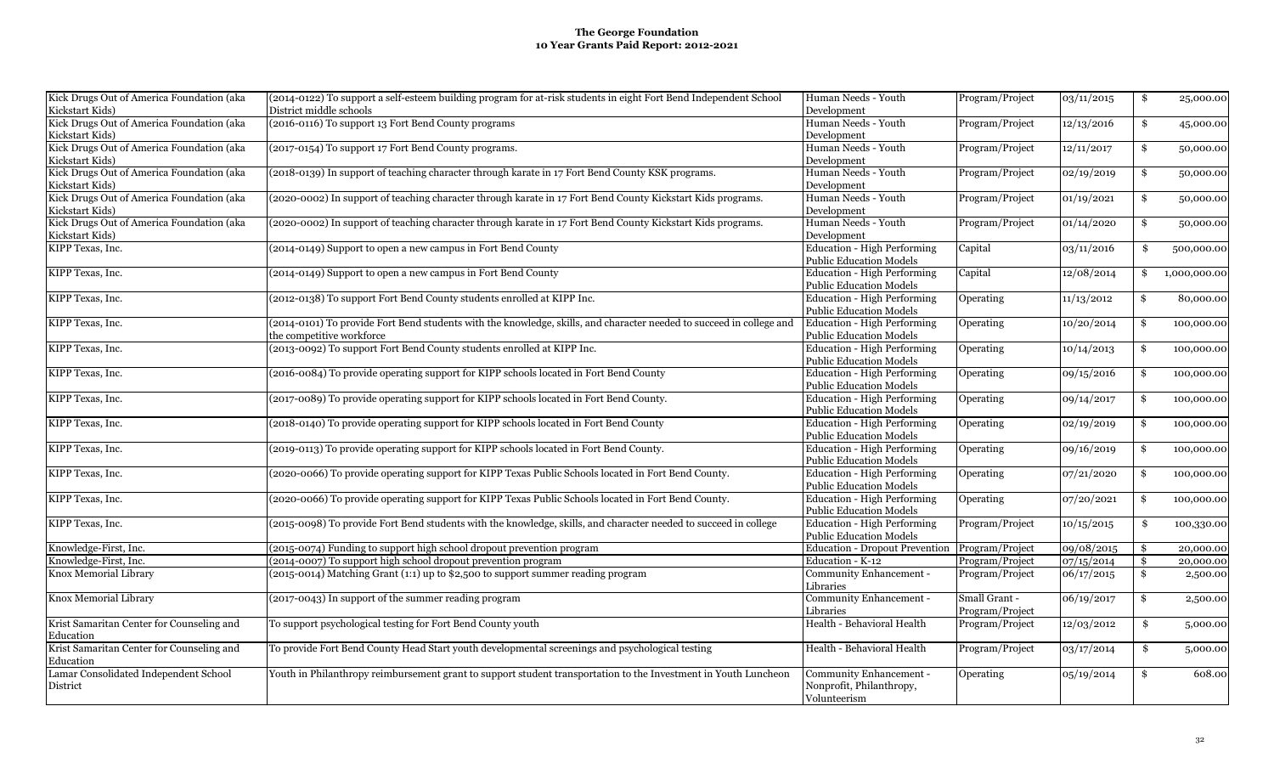| Kick Drugs Out of America Foundation (aka | (2014-0122) To support a self-esteem building program for at-risk students in eight Fort Bend Independent School     | Human Needs - Youth                            | Program/Project | 03/11/2015 | \$                 | 25,000.00    |
|-------------------------------------------|----------------------------------------------------------------------------------------------------------------------|------------------------------------------------|-----------------|------------|--------------------|--------------|
| Kickstart Kids)                           | District middle schools                                                                                              | Development                                    |                 |            |                    |              |
| Kick Drugs Out of America Foundation (aka | (2016-0116) To support 13 Fort Bend County programs                                                                  | Human Needs - Youth                            | Program/Project | 12/13/2016 | \$                 | 45,000.00    |
| Kickstart Kids)                           |                                                                                                                      | Development                                    |                 |            |                    |              |
| Kick Drugs Out of America Foundation (aka | (2017-0154) To support 17 Fort Bend County programs.                                                                 | Human Needs - Youth                            | Program/Project | 12/11/2017 | \$                 | 50,000.00    |
| Kickstart Kids)                           |                                                                                                                      | Development                                    |                 |            |                    |              |
| Kick Drugs Out of America Foundation (aka | (2018-0139) In support of teaching character through karate in 17 Fort Bend County KSK programs.                     | Human Needs - Youth                            | Program/Project | 02/19/2019 | \$                 | 50,000.00    |
| Kickstart Kids)                           |                                                                                                                      | Development                                    |                 |            |                    |              |
| Kick Drugs Out of America Foundation (aka | (2020-0002) In support of teaching character through karate in 17 Fort Bend County Kickstart Kids programs.          | Human Needs - Youth                            | Program/Project | 01/19/2021 | \$                 | 50,000.00    |
| Kickstart Kids)                           |                                                                                                                      | Development                                    |                 |            |                    |              |
| Kick Drugs Out of America Foundation (aka | (2020-0002) In support of teaching character through karate in 17 Fort Bend County Kickstart Kids programs.          | Human Needs - Youth                            | Program/Project | 01/14/2020 | \$                 | 50,000.00    |
| Kickstart Kids)                           |                                                                                                                      | Development                                    |                 |            |                    |              |
| KIPP Texas, Inc.                          | (2014-0149) Support to open a new campus in Fort Bend County                                                         | <b>Education - High Performing</b>             | Capital         | 03/11/2016 | \$                 | 500,000.00   |
|                                           |                                                                                                                      | <b>Public Education Models</b>                 |                 |            |                    |              |
| KIPP Texas, Inc.                          | (2014-0149) Support to open a new campus in Fort Bend County                                                         | <b>Education - High Performing</b>             | Capital         | 12/08/2014 | \$                 | 1,000,000.00 |
|                                           |                                                                                                                      | <b>Public Education Models</b>                 |                 |            |                    |              |
| KIPP Texas, Inc.                          | (2012-0138) To support Fort Bend County students enrolled at KIPP Inc.                                               | <b>Education - High Performing</b>             | Operating       | 11/13/2012 | \$                 | 80,000.00    |
|                                           |                                                                                                                      | <b>Public Education Models</b>                 |                 |            |                    |              |
| KIPP Texas, Inc.                          | (2014-0101) To provide Fort Bend students with the knowledge, skills, and character needed to succeed in college and | Education - High Performing                    | Operating       | 10/20/2014 | \$                 | 100,000.00   |
|                                           | the competitive workforce                                                                                            | <b>Public Education Models</b>                 |                 |            |                    |              |
| KIPP Texas, Inc.                          | (2013-0092) To support Fort Bend County students enrolled at KIPP Inc.                                               | <b>Education - High Performing</b>             | Operating       | 10/14/2013 | \$                 | 100,000.00   |
|                                           |                                                                                                                      | <b>Public Education Models</b>                 |                 |            |                    |              |
| KIPP Texas, Inc.                          | (2016-0084) To provide operating support for KIPP schools located in Fort Bend County                                | <b>Education - High Performing</b>             | Operating       | 09/15/2016 | \$                 | 100,000.00   |
|                                           |                                                                                                                      | <b>Public Education Models</b>                 |                 |            |                    |              |
| KIPP Texas, Inc.                          | (2017-0089) To provide operating support for KIPP schools located in Fort Bend County.                               | <b>Education - High Performing</b>             |                 |            |                    |              |
|                                           |                                                                                                                      |                                                | Operating       | 09/14/2017 | \$                 | 100,000.00   |
|                                           |                                                                                                                      | <b>Public Education Models</b>                 |                 |            |                    |              |
| KIPP Texas, Inc.                          | (2018-0140) To provide operating support for KIPP schools located in Fort Bend County                                | <b>Education - High Performing</b>             | Operating       | 02/19/2019 | \$                 | 100,000.00   |
|                                           |                                                                                                                      | <b>Public Education Models</b>                 |                 |            |                    |              |
| KIPP Texas, Inc.                          | (2019-0113) To provide operating support for KIPP schools located in Fort Bend County.                               | <b>Education - High Performing</b>             | Operating       | 09/16/2019 | \$                 | 100,000.00   |
|                                           |                                                                                                                      | <b>Public Education Models</b>                 |                 |            |                    |              |
| KIPP Texas, Inc.                          | (2020-0066) To provide operating support for KIPP Texas Public Schools located in Fort Bend County.                  | <b>Education - High Performing</b>             | Operating       | 07/21/2020 | \$                 | 100,000.00   |
|                                           |                                                                                                                      | <b>Public Education Models</b>                 |                 |            |                    |              |
| KIPP Texas, Inc.                          | (2020-0066) To provide operating support for KIPP Texas Public Schools located in Fort Bend County.                  | <b>Education - High Performing</b>             | Operating       | 07/20/2021 | \$                 | 100,000.00   |
|                                           |                                                                                                                      | <b>Public Education Models</b>                 |                 |            |                    |              |
| KIPP Texas, Inc.                          | (2015-0098) To provide Fort Bend students with the knowledge, skills, and character needed to succeed in college     | <b>Education - High Performing</b>             | Program/Project | 10/15/2015 | \$                 | 100,330.00   |
|                                           |                                                                                                                      | <b>Public Education Models</b>                 |                 |            |                    |              |
| Knowledge-First, Inc.                     | (2015-0074) Funding to support high school dropout prevention program                                                | Education - Dropout Prevention Program/Project |                 | 09/08/2015 | $\mathbf{\hat{s}}$ | 20,000.00    |
| Knowledge-First, Inc.                     | (2014-0007) To support high school dropout prevention program                                                        | Education - K-12                               | Program/Project | 07/15/2014 | \$                 | 20,000.00    |
| Knox Memorial Library                     | (2015-0014) Matching Grant (1:1) up to \$2,500 to support summer reading program                                     | Community Enhancement -                        | Program/Project | 06/17/2015 | \$                 | 2,500.00     |
|                                           |                                                                                                                      | Libraries                                      |                 |            |                    |              |
| Knox Memorial Library                     | (2017-0043) In support of the summer reading program                                                                 | Community Enhancement -                        | Small Grant -   | 06/19/2017 | \$                 | 2,500.00     |
|                                           |                                                                                                                      | Libraries                                      | Program/Project |            |                    |              |
| Krist Samaritan Center for Counseling and | To support psychological testing for Fort Bend County youth                                                          | Health - Behavioral Health                     | Program/Project | 12/03/2012 | \$                 | 5,000.00     |
| Education                                 |                                                                                                                      |                                                |                 |            |                    |              |
| Krist Samaritan Center for Counseling and | To provide Fort Bend County Head Start youth developmental screenings and psychological testing                      | Health - Behavioral Health                     | Program/Project | 03/17/2014 | \$                 | 5,000.00     |
| Education                                 |                                                                                                                      |                                                |                 |            |                    |              |
| Lamar Consolidated Independent School     | Youth in Philanthropy reimbursement grant to support student transportation to the Investment in Youth Luncheon      | Community Enhancement -                        | Operating       | 05/19/2014 | \$                 | 608.00       |
| District                                  |                                                                                                                      | Nonprofit, Philanthropy,                       |                 |            |                    |              |
|                                           |                                                                                                                      | Volunteerism                                   |                 |            |                    |              |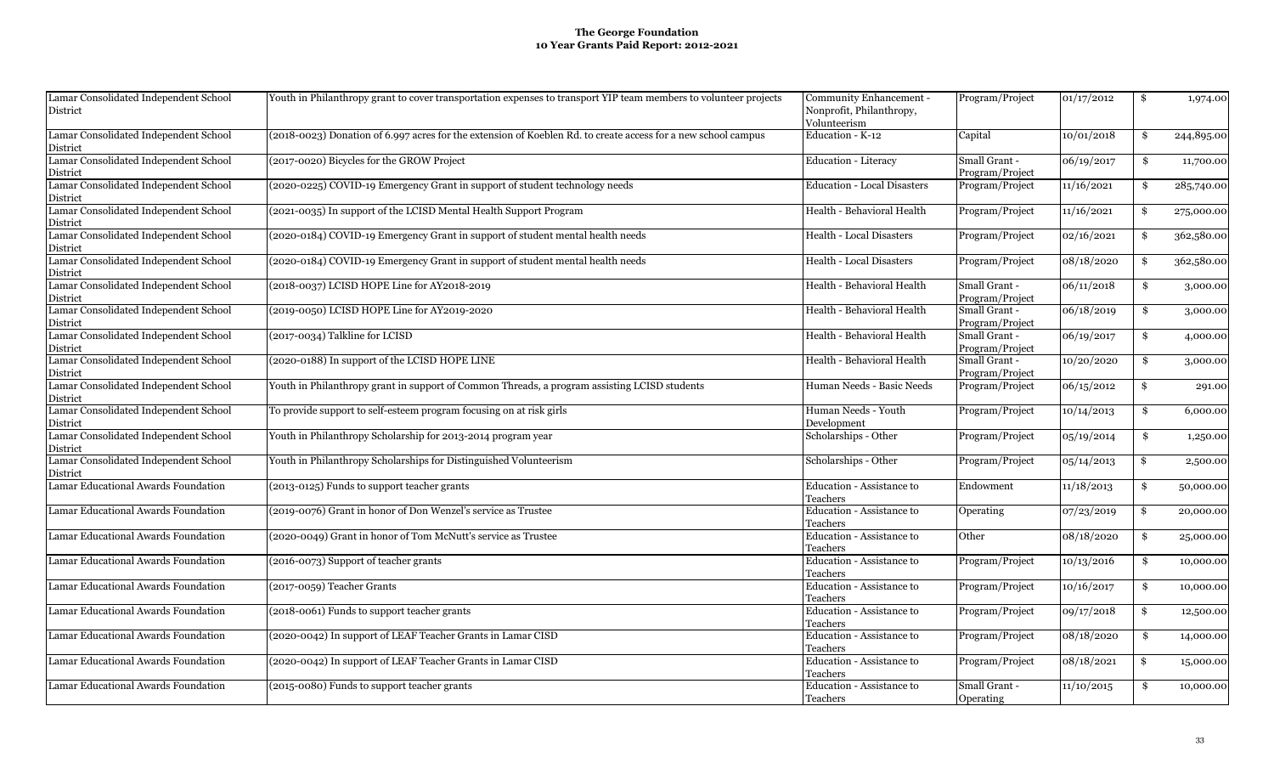| Lamar Consolidated Independent School<br>District | Youth in Philanthropy grant to cover transportation expenses to transport YIP team members to volunteer projects | Community Enhancement -<br>Nonprofit, Philanthropy,<br>Volunteerism | Program/Project                  | 01/17/2012 | \$<br>1,974.00   |
|---------------------------------------------------|------------------------------------------------------------------------------------------------------------------|---------------------------------------------------------------------|----------------------------------|------------|------------------|
| Lamar Consolidated Independent School             | (2018-0023) Donation of 6.997 acres for the extension of Koeblen Rd. to create access for a new school campus    | Education - K-12                                                    | Capital                          | 10/01/2018 | \$<br>244,895.00 |
| District                                          |                                                                                                                  |                                                                     |                                  |            |                  |
| Lamar Consolidated Independent School             | (2017-0020) Bicycles for the GROW Project                                                                        | <b>Education - Literacy</b>                                         | Small Grant -                    | 06/19/2017 | \$<br>11,700.00  |
| District                                          |                                                                                                                  |                                                                     | Program/Project                  |            |                  |
| Lamar Consolidated Independent School             | (2020-0225) COVID-19 Emergency Grant in support of student technology needs                                      | <b>Education - Local Disasters</b>                                  | Program/Project                  | 11/16/2021 | \$<br>285,740.00 |
| District                                          |                                                                                                                  |                                                                     |                                  |            |                  |
| Lamar Consolidated Independent School             | (2021-0035) In support of the LCISD Mental Health Support Program                                                | Health - Behavioral Health                                          | Program/Project                  | 11/16/2021 | \$<br>275,000.00 |
| District                                          |                                                                                                                  |                                                                     |                                  |            |                  |
| Lamar Consolidated Independent School<br>District | (2020-0184) COVID-19 Emergency Grant in support of student mental health needs                                   | Health - Local Disasters                                            | Program/Project                  | 02/16/2021 | \$<br>362,580.00 |
| Lamar Consolidated Independent School             | (2020-0184) COVID-19 Emergency Grant in support of student mental health needs                                   | Health - Local Disasters                                            | Program/Project                  | 08/18/2020 | \$<br>362,580.00 |
| District                                          |                                                                                                                  |                                                                     |                                  |            |                  |
| Lamar Consolidated Independent School             | (2018-0037) LCISD HOPE Line for AY2018-2019                                                                      | Health - Behavioral Health                                          | Small Grant -                    | 06/11/2018 | \$<br>3,000.00   |
| District                                          |                                                                                                                  |                                                                     | Program/Project                  |            |                  |
| Lamar Consolidated Independent School             | (2019-0050) LCISD HOPE Line for AY2019-2020                                                                      | Health - Behavioral Health                                          | Small Grant -                    | 06/18/2019 | \$<br>3,000.00   |
| District                                          |                                                                                                                  |                                                                     | Program/Project                  |            |                  |
| Lamar Consolidated Independent School             | (2017-0034) Talkline for LCISD                                                                                   | Health - Behavioral Health                                          | Small Grant -                    | 06/19/2017 | \$<br>4,000.00   |
| District                                          |                                                                                                                  |                                                                     | Program/Project                  |            |                  |
| Lamar Consolidated Independent School<br>District | (2020-0188) In support of the LCISD HOPE LINE                                                                    | Health - Behavioral Health                                          | Small Grant -<br>Program/Project | 10/20/2020 | \$<br>3,000.00   |
| Lamar Consolidated Independent School             | Youth in Philanthropy grant in support of Common Threads, a program assisting LCISD students                     | Human Needs - Basic Needs                                           | Program/Project                  | 06/15/2012 | \$<br>291.00     |
| District                                          |                                                                                                                  |                                                                     |                                  |            |                  |
| Lamar Consolidated Independent School             | To provide support to self-esteem program focusing on at risk girls                                              | Human Needs - Youth                                                 | Program/Project                  | 10/14/2013 | \$<br>6,000.00   |
| District                                          |                                                                                                                  | Development                                                         |                                  |            |                  |
| Lamar Consolidated Independent School             | Youth in Philanthropy Scholarship for 2013-2014 program year                                                     | Scholarships - Other                                                | Program/Project                  | 05/19/2014 | \$<br>1,250.00   |
| District                                          |                                                                                                                  |                                                                     |                                  |            |                  |
| Lamar Consolidated Independent School             | Youth in Philanthropy Scholarships for Distinguished Volunteerism                                                | Scholarships - Other                                                | Program/Project                  | 05/14/2013 | \$<br>2,500.00   |
| District                                          |                                                                                                                  |                                                                     |                                  |            |                  |
| Lamar Educational Awards Foundation               | (2013-0125) Funds to support teacher grants                                                                      | Education - Assistance to                                           | Endowment                        | 11/18/2013 | \$<br>50,000.00  |
|                                                   |                                                                                                                  | Teachers                                                            |                                  |            |                  |
| Lamar Educational Awards Foundation               | (2019-0076) Grant in honor of Don Wenzel's service as Trustee                                                    | Education - Assistance to                                           | Operating                        | 07/23/2019 | \$<br>20,000.00  |
|                                                   |                                                                                                                  | Teachers                                                            |                                  |            |                  |
| Lamar Educational Awards Foundation               | (2020-0049) Grant in honor of Tom McNutt's service as Trustee                                                    | Education - Assistance to                                           | Other                            | 08/18/2020 | \$<br>25,000.00  |
|                                                   |                                                                                                                  | Teachers                                                            |                                  |            |                  |
| Lamar Educational Awards Foundation               | (2016-0073) Support of teacher grants                                                                            | Education - Assistance to                                           | Program/Project                  | 10/13/2016 | \$<br>10,000.00  |
|                                                   |                                                                                                                  | Teachers                                                            |                                  |            |                  |
| Lamar Educational Awards Foundation               | (2017-0059) Teacher Grants                                                                                       | Education - Assistance to                                           | Program/Project                  | 10/16/2017 | \$<br>10,000.00  |
|                                                   |                                                                                                                  | Teachers                                                            |                                  |            |                  |
| Lamar Educational Awards Foundation               | (2018-0061) Funds to support teacher grants                                                                      | Education - Assistance to                                           | Program/Project                  | 09/17/2018 | \$<br>12,500.00  |
|                                                   |                                                                                                                  | Teachers                                                            |                                  |            |                  |
| Lamar Educational Awards Foundation               | (2020-0042) In support of LEAF Teacher Grants in Lamar CISD                                                      | Education - Assistance to                                           | Program/Project                  | 08/18/2020 | \$<br>14,000.00  |
|                                                   |                                                                                                                  | Teachers                                                            |                                  |            |                  |
| Lamar Educational Awards Foundation               | (2020-0042) In support of LEAF Teacher Grants in Lamar CISD                                                      | Education - Assistance to                                           | Program/Project                  | 08/18/2021 | \$<br>15,000.00  |
|                                                   |                                                                                                                  | Teachers                                                            |                                  |            |                  |
| Lamar Educational Awards Foundation               | (2015-0080) Funds to support teacher grants                                                                      | Education - Assistance to                                           | Small Grant -                    | 11/10/2015 | \$<br>10,000.00  |
|                                                   |                                                                                                                  | Teachers                                                            | Operating                        |            |                  |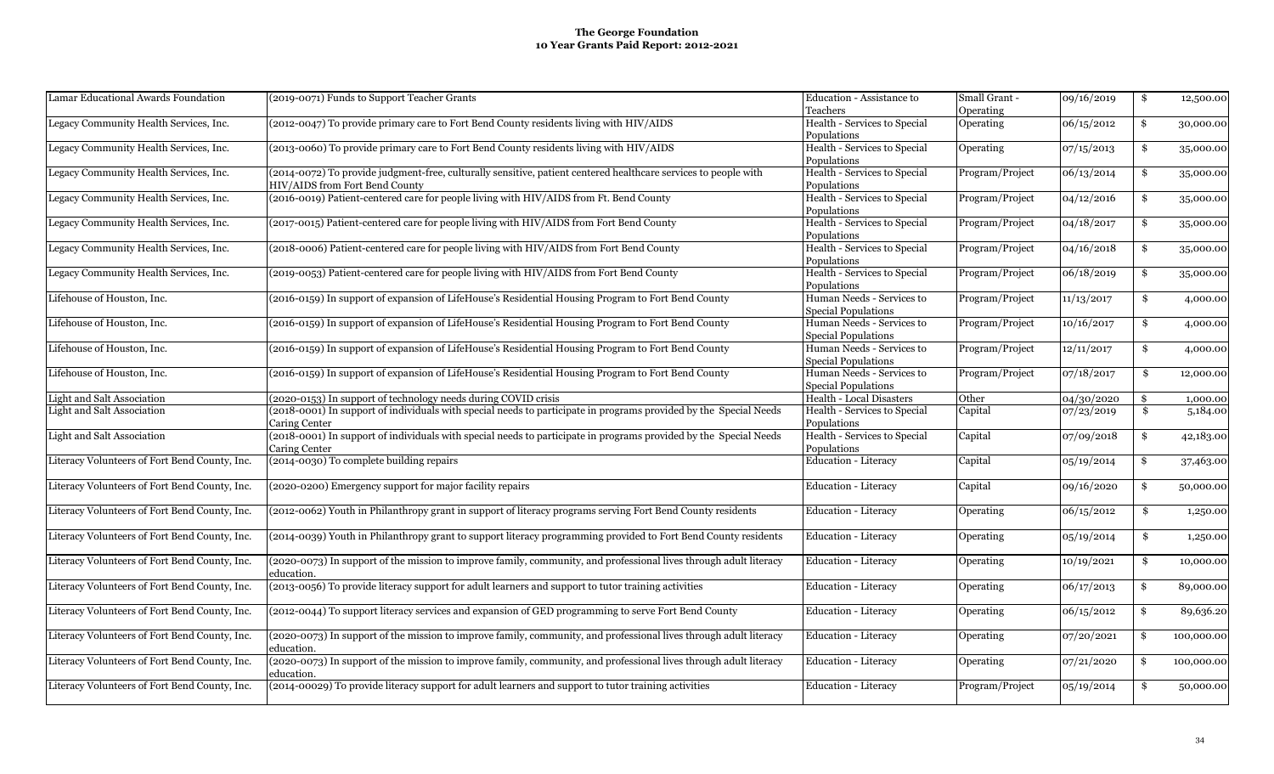| Lamar Educational Awards Foundation           | (2019-0071) Funds to Support Teacher Grants                                                                       | Education - Assistance to       | Small Grant -   | 09/16/2019 | \$<br>12,500.00  |
|-----------------------------------------------|-------------------------------------------------------------------------------------------------------------------|---------------------------------|-----------------|------------|------------------|
|                                               |                                                                                                                   | Teachers                        | Operating       |            |                  |
| Legacy Community Health Services, Inc.        | (2012-0047) To provide primary care to Fort Bend County residents living with HIV/AIDS                            | Health - Services to Special    | Operating       | 06/15/2012 | \$<br>30,000.00  |
|                                               |                                                                                                                   | Populations                     |                 |            |                  |
| Legacy Community Health Services, Inc.        | (2013-0060) To provide primary care to Fort Bend County residents living with HIV/AIDS                            | Health - Services to Special    | Operating       | 07/15/2013 | \$<br>35,000.00  |
|                                               |                                                                                                                   | Populations                     |                 |            |                  |
| Legacy Community Health Services, Inc.        | (2014-0072) To provide judgment-free, culturally sensitive, patient centered healthcare services to people with   | Health - Services to Special    | Program/Project | 06/13/2014 | \$<br>35,000.00  |
|                                               | HIV/AIDS from Fort Bend County                                                                                    | Populations                     |                 |            |                  |
| Legacy Community Health Services, Inc.        | (2016-0019) Patient-centered care for people living with HIV/AIDS from Ft. Bend County                            | Health - Services to Special    | Program/Project | 04/12/2016 | \$<br>35,000.00  |
|                                               |                                                                                                                   | Populations                     |                 |            |                  |
| Legacy Community Health Services, Inc.        | (2017-0015) Patient-centered care for people living with HIV/AIDS from Fort Bend County                           | Health - Services to Special    | Program/Project | 04/18/2017 | \$<br>35,000.00  |
|                                               |                                                                                                                   | Populations                     |                 |            |                  |
| Legacy Community Health Services, Inc.        | (2018-0006) Patient-centered care for people living with HIV/AIDS from Fort Bend County                           | Health - Services to Special    | Program/Project | 04/16/2018 | \$<br>35,000.00  |
|                                               |                                                                                                                   | Populations                     |                 |            |                  |
| Legacy Community Health Services, Inc.        | (2019-0053) Patient-centered care for people living with HIV/AIDS from Fort Bend County                           | Health - Services to Special    | Program/Project | 06/18/2019 | \$<br>35,000.00  |
|                                               |                                                                                                                   | Populations                     |                 |            |                  |
| Lifehouse of Houston, Inc.                    | (2016-0159) In support of expansion of LifeHouse's Residential Housing Program to Fort Bend County                | Human Needs - Services to       | Program/Project | 11/13/2017 | \$<br>4,000.00   |
|                                               |                                                                                                                   | Special Populations             |                 |            |                  |
| Lifehouse of Houston, Inc.                    | (2016-0159) In support of expansion of LifeHouse's Residential Housing Program to Fort Bend County                | Human Needs - Services to       | Program/Project | 10/16/2017 | \$<br>4,000.00   |
|                                               |                                                                                                                   | Special Populations             |                 |            |                  |
| Lifehouse of Houston, Inc.                    | (2016-0159) In support of expansion of LifeHouse's Residential Housing Program to Fort Bend County                | Human Needs - Services to       | Program/Project | 12/11/2017 | \$<br>4,000.00   |
|                                               |                                                                                                                   | <b>Special Populations</b>      |                 |            |                  |
| Lifehouse of Houston, Inc.                    | (2016-0159) In support of expansion of LifeHouse's Residential Housing Program to Fort Bend County                | Human Needs - Services to       | Program/Project | 07/18/2017 | \$<br>12,000.00  |
|                                               |                                                                                                                   | <b>Special Populations</b>      |                 |            |                  |
| Light and Salt Association                    | 2020-0153) In support of technology needs during COVID crisis                                                     | <b>Health - Local Disasters</b> | Other           | 04/30/2020 | \$<br>1,000.00   |
| Light and Salt Association                    | (2018-0001) In support of individuals with special needs to participate in programs provided by the Special Needs | Health - Services to Special    | Capital         | 07/23/2019 | \$<br>5,184.00   |
|                                               | Caring Center                                                                                                     | Populations                     |                 |            |                  |
| Light and Salt Association                    | (2018-0001) In support of individuals with special needs to participate in programs provided by the Special Needs | Health - Services to Special    | Capital         | 07/09/2018 | \$<br>42,183.00  |
|                                               | Caring Center                                                                                                     | Populations                     |                 |            |                  |
| Literacy Volunteers of Fort Bend County, Inc. | (2014-0030) To complete building repairs                                                                          | <b>Education - Literacy</b>     | Capital         | 05/19/2014 | \$<br>37,463.00  |
|                                               |                                                                                                                   |                                 |                 |            |                  |
| Literacy Volunteers of Fort Bend County, Inc. | (2020-0200) Emergency support for major facility repairs                                                          | Education - Literacy            | Capital         | 09/16/2020 | \$<br>50,000.00  |
|                                               |                                                                                                                   |                                 |                 |            |                  |
| Literacy Volunteers of Fort Bend County, Inc. | (2012-0062) Youth in Philanthropy grant in support of literacy programs serving Fort Bend County residents        | Education - Literacy            | Operating       | 06/15/2012 | \$<br>1,250.00   |
|                                               |                                                                                                                   |                                 |                 |            |                  |
| Literacy Volunteers of Fort Bend County, Inc. | (2014-0039) Youth in Philanthropy grant to support literacy programming provided to Fort Bend County residents    | Education - Literacy            | Operating       | 05/19/2014 | \$<br>1,250.00   |
|                                               |                                                                                                                   |                                 |                 |            |                  |
| Literacy Volunteers of Fort Bend County, Inc. | (2020-0073) In support of the mission to improve family, community, and professional lives through adult literacy | <b>Education - Literacy</b>     | Operating       | 10/19/2021 | \$<br>10,000.00  |
|                                               | education.                                                                                                        |                                 |                 |            |                  |
| Literacy Volunteers of Fort Bend County, Inc. | (2013-0056) To provide literacy support for adult learners and support to tutor training activities               | <b>Education - Literacy</b>     | Operating       | 06/17/2013 | \$<br>89,000.00  |
|                                               |                                                                                                                   |                                 |                 |            |                  |
| Literacy Volunteers of Fort Bend County, Inc. | (2012-0044) To support literacy services and expansion of GED programming to serve Fort Bend County               | <b>Education - Literacy</b>     | Operating       | 06/15/2012 | \$<br>89,636.20  |
|                                               |                                                                                                                   |                                 |                 |            |                  |
| Literacy Volunteers of Fort Bend County, Inc. | (2020-0073) In support of the mission to improve family, community, and professional lives through adult literacy | <b>Education - Literacy</b>     | Operating       | 07/20/2021 | \$<br>100,000.00 |
|                                               | education.                                                                                                        |                                 |                 |            |                  |
| Literacy Volunteers of Fort Bend County, Inc. | (2020-0073) In support of the mission to improve family, community, and professional lives through adult literacy | <b>Education - Literacy</b>     | Operating       | 07/21/2020 | \$<br>100,000.00 |
|                                               | education.                                                                                                        |                                 |                 |            |                  |
| Literacy Volunteers of Fort Bend County, Inc. | (2014-00029) To provide literacy support for adult learners and support to tutor training activities              | <b>Education - Literacy</b>     | Program/Project | 05/19/2014 | \$<br>50,000.00  |
|                                               |                                                                                                                   |                                 |                 |            |                  |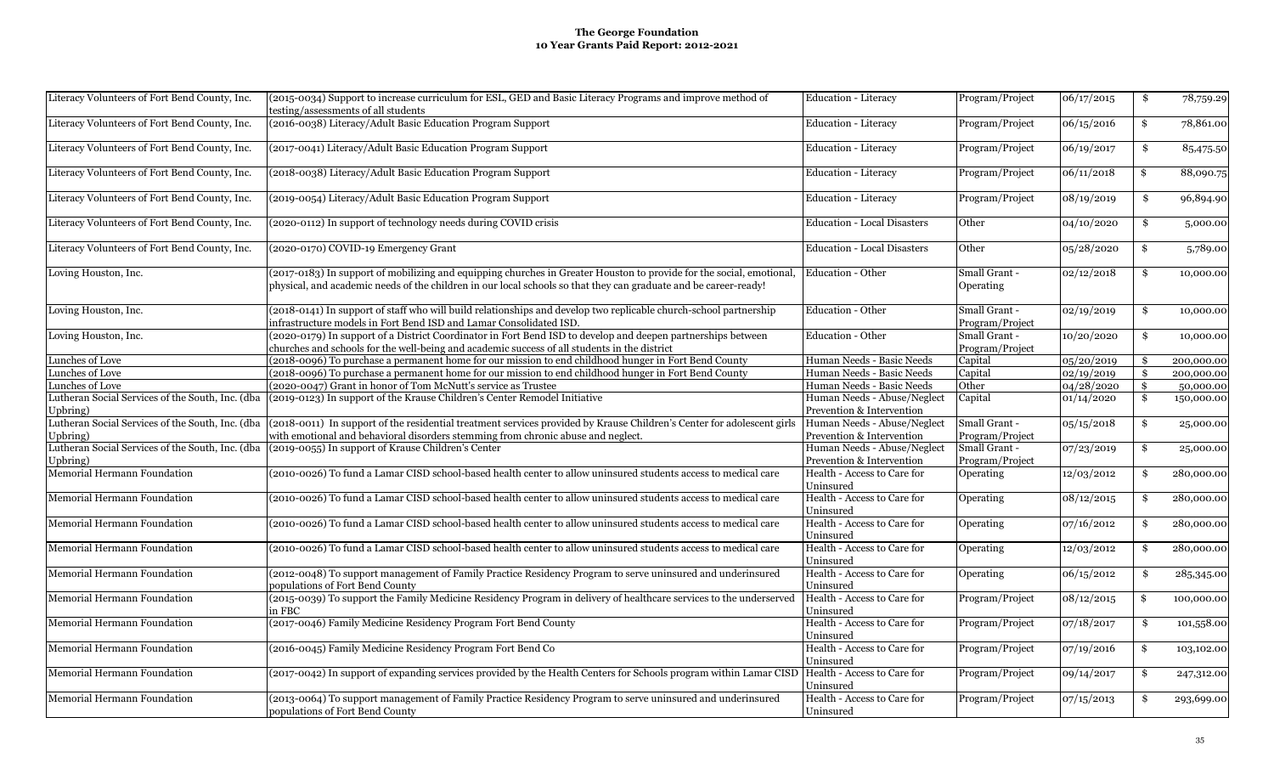| Literacy Volunteers of Fort Bend County, Inc.    | (2015-0034) Support to increase curriculum for ESL, GED and Basic Literacy Programs and improve method of<br>testing/assessments of all students                                                                                         | Education - Literacy                     | Program/Project                  | 06/17/2015 | \$  | 78,759.29  |
|--------------------------------------------------|------------------------------------------------------------------------------------------------------------------------------------------------------------------------------------------------------------------------------------------|------------------------------------------|----------------------------------|------------|-----|------------|
| Literacy Volunteers of Fort Bend County, Inc.    | (2016-0038) Literacy/Adult Basic Education Program Support                                                                                                                                                                               | <b>Education - Literacy</b>              | Program/Project                  | 06/15/2016 | \$  | 78,861.00  |
| Literacy Volunteers of Fort Bend County, Inc.    | (2017-0041) Literacy/Adult Basic Education Program Support                                                                                                                                                                               | <b>Education - Literacy</b>              | Program/Project                  | 06/19/2017 | S.  | 85,475.50  |
| Literacy Volunteers of Fort Bend County, Inc.    | (2018-0038) Literacy/Adult Basic Education Program Support                                                                                                                                                                               | <b>Education - Literacy</b>              | Program/Project                  | 06/11/2018 | \$  | 88,090.75  |
| Literacy Volunteers of Fort Bend County, Inc.    | (2019-0054) Literacy/Adult Basic Education Program Support                                                                                                                                                                               | Education - Literacy                     | Program/Project                  | 08/19/2019 | \$  | 96,894.90  |
| Literacy Volunteers of Fort Bend County, Inc.    | (2020-0112) In support of technology needs during COVID crisis                                                                                                                                                                           | <b>Education - Local Disasters</b>       | Other                            | 04/10/2020 | \$  | 5,000.00   |
| Literacy Volunteers of Fort Bend County, Inc.    | (2020-0170) COVID-19 Emergency Grant                                                                                                                                                                                                     | <b>Education - Local Disasters</b>       | Other                            | 05/28/2020 | \$  | 5,789.00   |
| Loving Houston, Inc.                             | (2017-0183) In support of mobilizing and equipping churches in Greater Houston to provide for the social, emotional,<br>physical, and academic needs of the children in our local schools so that they can graduate and be career-ready! | Education - Other                        | Small Grant -<br>Operating       | 02/12/2018 | -\$ | 10,000.00  |
| Loving Houston, Inc.                             | (2018-0141) In support of staff who will build relationships and develop two replicable church-school partnership<br>nfrastructure models in Fort Bend ISD and Lamar Consolidated ISD.                                                   | <b>Education - Other</b>                 | Small Grant -<br>Program/Project | 02/19/2019 | \$  | 10,000.00  |
| Loving Houston, Inc.                             | (2020-0179) In support of a District Coordinator in Fort Bend ISD to develop and deepen partnerships between<br>churches and schools for the well-being and academic success of all students in the district                             | <b>Education - Other</b>                 | Small Grant -<br>Program/Project | 10/20/2020 | \$  | 10,000.00  |
| Lunches of Love                                  | (2018-0096) To purchase a permanent home for our mission to end childhood hunger in Fort Bend County                                                                                                                                     | Human Needs - Basic Needs                | Capital                          | 05/20/2019 |     | 200,000.00 |
| Lunches of Love                                  | (2018-0096) To purchase a permanent home for our mission to end childhood hunger in Fort Bend County                                                                                                                                     | Human Needs - Basic Needs                | Capital                          | 02/19/2019 |     | 200,000.00 |
| Lunches of Love                                  | (2020-0047) Grant in honor of Tom McNutt's service as Trustee                                                                                                                                                                            | Human Needs - Basic Needs                | Other                            | 04/28/2020 |     | 50,000.00  |
| Lutheran Social Services of the South, Inc. (dba | (2019-0123) In support of the Krause Children's Center Remodel Initiative                                                                                                                                                                | Human Needs - Abuse/Neglect              | Capital                          | 01/14/2020 | \$  | 150,000.00 |
| Upbring)                                         |                                                                                                                                                                                                                                          | Prevention & Intervention                |                                  |            |     |            |
| Lutheran Social Services of the South, Inc. (dba | (2018-0011) In support of the residential treatment services provided by Krause Children's Center for adolescent girls                                                                                                                   | Human Needs - Abuse/Neglect              | Small Grant -                    | 05/15/2018 | \$  | 25,000.00  |
| Upbring)                                         | with emotional and behavioral disorders stemming from chronic abuse and neglect.                                                                                                                                                         | Prevention & Intervention                | Program/Project                  |            |     |            |
| Lutheran Social Services of the South, Inc. (dba | (2019-0055) In support of Krause Children's Center                                                                                                                                                                                       | Human Needs - Abuse/Neglect              | Small Grant -                    | 07/23/2019 | \$  | 25,000.00  |
| Upbring)                                         |                                                                                                                                                                                                                                          | Prevention & Intervention                | Program/Project                  |            |     |            |
| Memorial Hermann Foundation                      | (2010-0026) To fund a Lamar CISD school-based health center to allow uninsured students access to medical care                                                                                                                           | Health - Access to Care for<br>Uninsured | Operating                        | 12/03/2012 | -\$ | 280,000.00 |
| Memorial Hermann Foundation                      | (2010-0026) To fund a Lamar CISD school-based health center to allow uninsured students access to medical care                                                                                                                           | Health - Access to Care for<br>Uninsured | Operating                        | 08/12/2015 | -\$ | 280,000.00 |
| Memorial Hermann Foundation                      | (2010-0026) To fund a Lamar CISD school-based health center to allow uninsured students access to medical care                                                                                                                           | Health - Access to Care for<br>Uninsured | Operating                        | 07/16/2012 | -\$ | 280,000.00 |
| Memorial Hermann Foundation                      | (2010-0026) To fund a Lamar CISD school-based health center to allow uninsured students access to medical care                                                                                                                           | Health - Access to Care for<br>Uninsured | Operating                        | 12/03/2012 | \$  | 280,000.00 |
| Memorial Hermann Foundation                      | (2012-0048) To support management of Family Practice Residency Program to serve uninsured and underinsured<br>populations of Fort Bend County                                                                                            | Health - Access to Care for<br>Uninsured | Operating                        | 06/15/2012 | \$  | 285,345.00 |
| Memorial Hermann Foundation                      | (2015-0039) To support the Family Medicine Residency Program in delivery of healthcare services to the underserved<br>in FBC                                                                                                             | Health - Access to Care for<br>Uninsured | Program/Project                  | 08/12/2015 | \$  | 100,000.00 |
| Memorial Hermann Foundation                      | (2017-0046) Family Medicine Residency Program Fort Bend County                                                                                                                                                                           | Health - Access to Care for<br>Uninsured | Program/Project                  | 07/18/2017 | -\$ | 101,558.00 |
| Memorial Hermann Foundation                      | (2016-0045) Family Medicine Residency Program Fort Bend Co                                                                                                                                                                               | Health - Access to Care for<br>Uninsured | Program/Project                  | 07/19/2016 | \$  | 103,102.00 |
| Memorial Hermann Foundation                      | (2017-0042) In support of expanding services provided by the Health Centers for Schools program within Lamar CISD                                                                                                                        | Health - Access to Care for<br>Uninsured | Program/Project                  | 09/14/2017 | \$  | 247,312.00 |
| Memorial Hermann Foundation                      | (2013-0064) To support management of Family Practice Residency Program to serve uninsured and underinsured<br>populations of Fort Bend County                                                                                            | Health - Access to Care for<br>Uninsured | Program/Project                  | 07/15/2013 | \$  | 293,699.00 |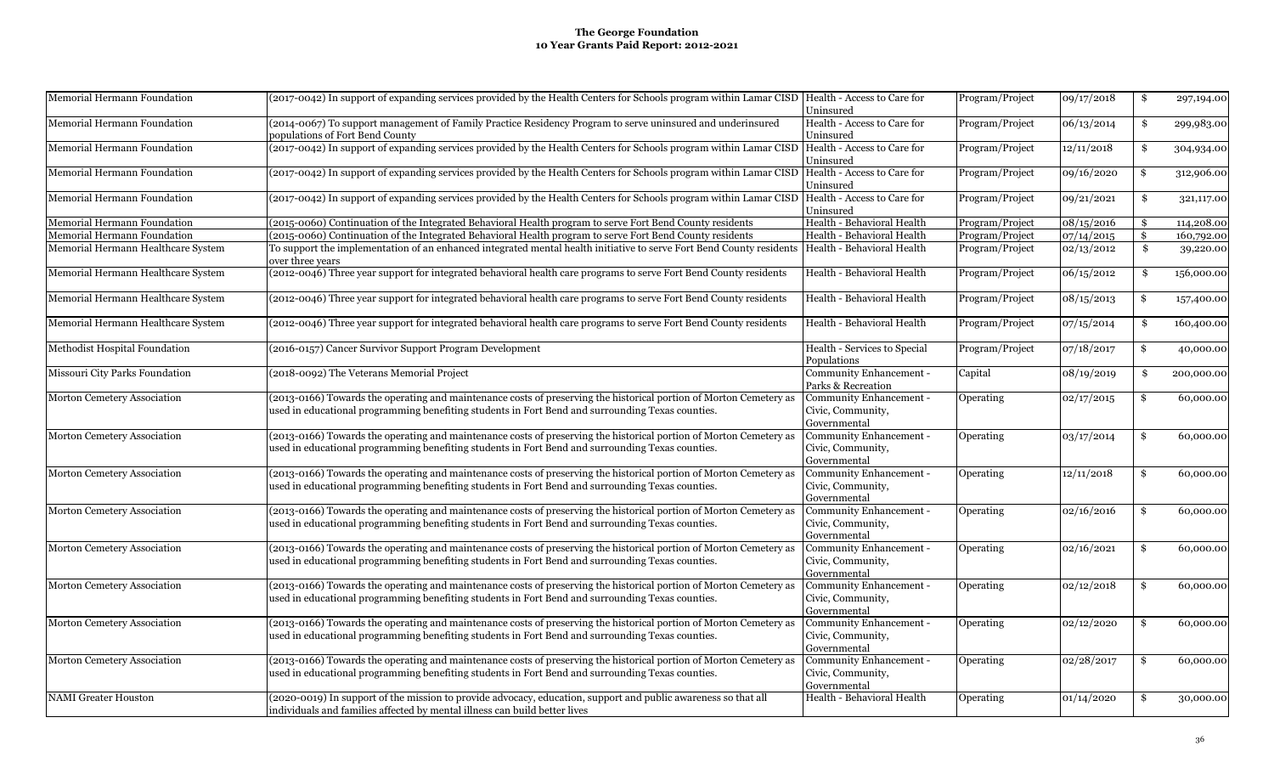| Memorial Hermann Foundation        | (2017-0042) In support of expanding services provided by the Health Centers for Schools program within Lamar CISD  Health - Access to Care for                                                                         | Uninsured                                                    | Program/Project | 09/17/2018 | \$            | 297,194.00 |
|------------------------------------|------------------------------------------------------------------------------------------------------------------------------------------------------------------------------------------------------------------------|--------------------------------------------------------------|-----------------|------------|---------------|------------|
| Memorial Hermann Foundation        | (2014-0067) To support management of Family Practice Residency Program to serve uninsured and underinsured<br>oopulations of Fort Bend County                                                                          | Health - Access to Care for<br>Uninsured                     | Program/Project | 06/13/2014 | \$            | 299,983.00 |
| Memorial Hermann Foundation        | (2017-0042) In support of expanding services provided by the Health Centers for Schools program within Lamar CISD  Health - Access to Care for                                                                         | Uninsured                                                    | Program/Project | 12/11/2018 | \$            | 304,934.00 |
| Memorial Hermann Foundation        | (2017-0042) In support of expanding services provided by the Health Centers for Schools program within Lamar CISD  Health - Access to Care for                                                                         | Uninsured                                                    | Program/Project | 09/16/2020 | \$            | 312,906.00 |
| Memorial Hermann Foundation        | (2017-0042) In support of expanding services provided by the Health Centers for Schools program within Lamar CISD  Health - Access to Care for                                                                         | Uninsured                                                    | Program/Project | 09/21/2021 | \$            | 321,117.00 |
| Memorial Hermann Foundation        | (2015-0060) Continuation of the Integrated Behavioral Health program to serve Fort Bend County residents                                                                                                               | Health - Behavioral Health                                   | Program/Project | 08/15/2016 | \$            | 114,208.00 |
| Memorial Hermann Foundation        | (2015-0060) Continuation of the Integrated Behavioral Health program to serve Fort Bend County residents                                                                                                               | Health - Behavioral Health                                   | Program/Project | 07/14/2015 | \$            | 160,792.00 |
| Memorial Hermann Healthcare System | To support the implementation of an enhanced integrated mental health initiative to serve Fort Bend County residents  Health - Behavioral Health<br>over three vears                                                   |                                                              | Program/Project | 02/13/2012 | \$            | 39,220.00  |
| Memorial Hermann Healthcare System | (2012-0046) Three year support for integrated behavioral health care programs to serve Fort Bend County residents                                                                                                      | Health - Behavioral Health                                   | Program/Project | 06/15/2012 | \$            | 156,000.00 |
| Memorial Hermann Healthcare System | (2012-0046) Three year support for integrated behavioral health care programs to serve Fort Bend County residents                                                                                                      | Health - Behavioral Health                                   | Program/Project | 08/15/2013 | \$            | 157,400.00 |
| Memorial Hermann Healthcare System | (2012-0046) Three year support for integrated behavioral health care programs to serve Fort Bend County residents                                                                                                      | Health - Behavioral Health                                   | Program/Project | 07/15/2014 | \$            | 160,400.00 |
| Methodist Hospital Foundation      | (2016-0157) Cancer Survivor Support Program Development                                                                                                                                                                | Health - Services to Special<br>Populations                  | Program/Project | 07/18/2017 | \$            | 40,000.00  |
| Missouri City Parks Foundation     | (2018-0092) The Veterans Memorial Project                                                                                                                                                                              | Community Enhancement -<br>Parks & Recreation                | Capital         | 08/19/2019 | \$            | 200,000.00 |
| Morton Cemetery Association        | (2013-0166) Towards the operating and maintenance costs of preserving the historical portion of Morton Cemetery as<br>used in educational programming benefiting students in Fort Bend and surrounding Texas counties. | Community Enhancement -<br>Civic, Community,<br>Governmental | Operating       | 02/17/2015 | \$            | 60,000.00  |
| Morton Cemetery Association        | (2013-0166) Towards the operating and maintenance costs of preserving the historical portion of Morton Cemetery as<br>used in educational programming benefiting students in Fort Bend and surrounding Texas counties. | Community Enhancement -<br>Civic, Community,<br>Governmental | Operating       | 03/17/2014 | \$            | 60,000.00  |
| Morton Cemetery Association        | (2013-0166) Towards the operating and maintenance costs of preserving the historical portion of Morton Cemetery as<br>used in educational programming benefiting students in Fort Bend and surrounding Texas counties. | Community Enhancement -<br>Civic, Community,<br>Governmental | Operating       | 12/11/2018 | \$            | 60,000.00  |
| Morton Cemetery Association        | (2013-0166) Towards the operating and maintenance costs of preserving the historical portion of Morton Cemetery as<br>used in educational programming benefiting students in Fort Bend and surrounding Texas counties. | Community Enhancement -<br>Civic, Community,<br>Governmental | Operating       | 02/16/2016 | \$            | 60,000.00  |
| Morton Cemetery Association        | (2013-0166) Towards the operating and maintenance costs of preserving the historical portion of Morton Cemetery as<br>used in educational programming benefiting students in Fort Bend and surrounding Texas counties. | Community Enhancement -<br>Civic, Community,<br>Governmental | Operating       | 02/16/2021 | \$            | 60,000.00  |
| Morton Cemetery Association        | (2013-0166) Towards the operating and maintenance costs of preserving the historical portion of Morton Cemetery as<br>used in educational programming benefiting students in Fort Bend and surrounding Texas counties. | Community Enhancement -<br>Civic, Community,<br>Governmental | Operating       | 02/12/2018 | $\mathbf{\$}$ | 60,000.00  |
| Morton Cemetery Association        | (2013-0166) Towards the operating and maintenance costs of preserving the historical portion of Morton Cemetery as<br>used in educational programming benefiting students in Fort Bend and surrounding Texas counties. | Community Enhancement -<br>Civic, Community,<br>Governmental | Operating       | 02/12/2020 | \$            | 60,000.00  |
| Morton Cemetery Association        | (2013-0166) Towards the operating and maintenance costs of preserving the historical portion of Morton Cemetery as<br>used in educational programming benefiting students in Fort Bend and surrounding Texas counties. | Community Enhancement -<br>Civic, Community,<br>Governmental | Operating       | 02/28/2017 | \$            | 60,000.00  |
| <b>NAMI</b> Greater Houston        | (2020-0019) In support of the mission to provide advocacy, education, support and public awareness so that all<br>individuals and families affected by mental illness can build better lives                           | Health - Behavioral Health                                   | Operating       | 01/14/2020 | \$            | 30,000.00  |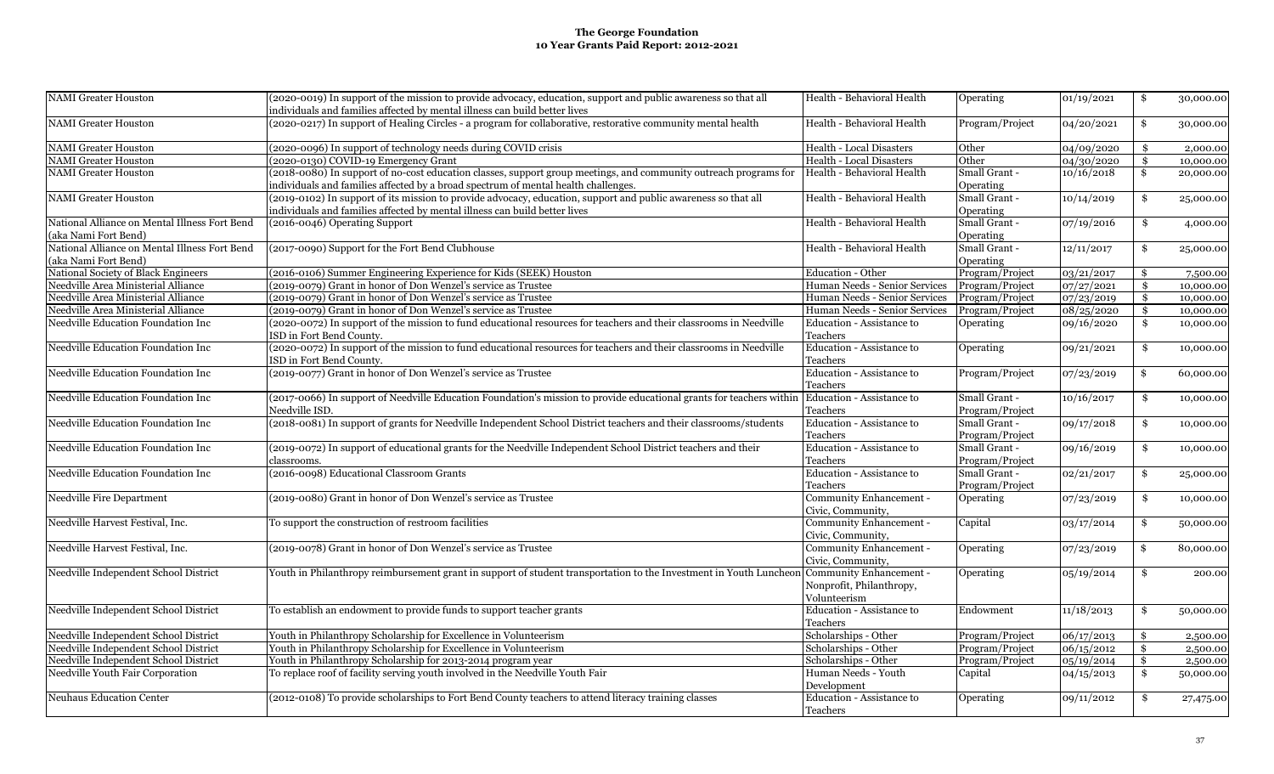| NAMI Greater Houston                                                  | (2020-0019) In support of the mission to provide advocacy, education, support and public awareness so that all<br>individuals and families affected by mental illness can build better lives           | Health - Behavioral Health                                          | Operating                        | 01/19/2021          | \$<br>30,000.00              |
|-----------------------------------------------------------------------|--------------------------------------------------------------------------------------------------------------------------------------------------------------------------------------------------------|---------------------------------------------------------------------|----------------------------------|---------------------|------------------------------|
| <b>NAMI</b> Greater Houston                                           | (2020-0217) In support of Healing Circles - a program for collaborative, restorative community mental health                                                                                           | Health - Behavioral Health                                          | Program/Project                  | 04/20/2021          | \$<br>30,000.00              |
| <b>NAMI Greater Houston</b>                                           | (2020-0096) In support of technology needs during COVID crisis                                                                                                                                         | <b>Health - Local Disasters</b>                                     | Other                            | 04/09/2020          | \$<br>2,000.00               |
| <b>NAMI Greater Houston</b>                                           | (2020-0130) COVID-19 Emergency Grant                                                                                                                                                                   | <b>Health - Local Disasters</b>                                     | Other                            | 04/30/2020          | \$<br>10,000.00              |
| <b>NAMI</b> Greater Houston                                           | (2018-0080) In support of no-cost education classes, support group meetings, and community outreach programs for<br>individuals and families affected by a broad spectrum of mental health challenges. | Health - Behavioral Health                                          | Small Grant -<br>Operating       | 10/16/2018          | \$<br>20,000.00              |
| <b>NAMI</b> Greater Houston                                           | (2019-0102) In support of its mission to provide advocacy, education, support and public awareness so that all<br>individuals and families affected by mental illness can build better lives           | Health - Behavioral Health                                          | Small Grant -<br>Operating       | 10/14/2019          | \$<br>25,000.00              |
| National Alliance on Mental Illness Fort Bend<br>(aka Nami Fort Bend) | (2016-0046) Operating Support                                                                                                                                                                          | Health - Behavioral Health                                          | Small Grant -<br>Operating       | 07/19/2016          | \$<br>4,000.00               |
| National Alliance on Mental Illness Fort Bend<br>(aka Nami Fort Bend) | (2017-0090) Support for the Fort Bend Clubhouse                                                                                                                                                        | Health - Behavioral Health                                          | Small Grant -<br>Operating       | 12/11/2017          | \$<br>25,000.00              |
| National Society of Black Engineers                                   | (2016-0106) Summer Engineering Experience for Kids (SEEK) Houston                                                                                                                                      | Education - Other                                                   | Program/Project                  | 03/21/2017          | \$<br>7,500.00               |
| Needville Area Ministerial Alliance                                   | (2019-0079) Grant in honor of Don Wenzel's service as Trustee                                                                                                                                          | Human Needs - Senior Services                                       | Program/Project                  | 07/27/2021          | \$<br>10,000.00              |
| Needville Area Ministerial Alliance                                   | (2019-0079) Grant in honor of Don Wenzel's service as Trustee                                                                                                                                          | Human Needs - Senior Services                                       | Program/Project                  | 07/23/2019          | \$<br>10,000.00              |
| Needville Area Ministerial Alliance                                   | (2019-0079) Grant in honor of Don Wenzel's service as Trustee                                                                                                                                          | Human Needs - Senior Services                                       | Program/Project                  | 08/25/2020          | \$<br>10,000.00              |
| Needville Education Foundation Inc                                    | (2020-0072) In support of the mission to fund educational resources for teachers and their classrooms in Needville<br>ISD in Fort Bend County.                                                         | Education - Assistance to<br>Teachers                               | Operating                        | 09/16/2020          | \$<br>10,000.00              |
| Needville Education Foundation Inc                                    | (2020-0072) In support of the mission to fund educational resources for teachers and their classrooms in Needville<br>ISD in Fort Bend County.                                                         | Education - Assistance to<br>Teachers                               | Operating                        | 09/21/2021          | \$<br>10,000.00              |
| Needville Education Foundation Inc                                    | (2019-0077) Grant in honor of Don Wenzel's service as Trustee                                                                                                                                          | Education - Assistance to<br>Teachers                               | Program/Project                  | 07/23/2019          | \$<br>60,000.00              |
| Needville Education Foundation Inc                                    | (2017-0066) In support of Needville Education Foundation's mission to provide educational grants for teachers within<br>Needville ISD.                                                                 | Education - Assistance to<br>Teachers                               | Small Grant -<br>Program/Project | 10/16/2017          | \$<br>10,000.00              |
| Needville Education Foundation Inc                                    | (2018-0081) In support of grants for Needville Independent School District teachers and their classrooms/students                                                                                      | Education - Assistance to<br>Teachers                               | Small Grant -<br>Program/Project | 09/17/2018          | \$<br>10,000.00              |
| Needville Education Foundation Inc                                    | (2019-0072) In support of educational grants for the Needville Independent School District teachers and their<br>classrooms.                                                                           | Education - Assistance to<br>Teachers                               | Small Grant -<br>Program/Project | 09/16/2019          | \$<br>10,000.00              |
| Needville Education Foundation Inc                                    | (2016-0098) Educational Classroom Grants                                                                                                                                                               | Education - Assistance to<br>Teachers                               | Small Grant -<br>Program/Project | 02/21/2017          | \$<br>25,000.00              |
| Needville Fire Department                                             | (2019-0080) Grant in honor of Don Wenzel's service as Trustee                                                                                                                                          | Community Enhancement -<br>Civic, Community,                        | Operating                        | 07/23/2019          | \$<br>10,000.00              |
| Needville Harvest Festival, Inc.                                      | To support the construction of restroom facilities                                                                                                                                                     | Community Enhancement -<br>Civic, Community,                        | Capital                          | 03/17/2014          | \$<br>50,000.00              |
| Needville Harvest Festival, Inc.                                      | (2019-0078) Grant in honor of Don Wenzel's service as Trustee                                                                                                                                          | Community Enhancement -<br>Civic, Community,                        | Operating                        | 07/23/2019          | \$<br>80,000.00              |
| Needville Independent School District                                 | Youth in Philanthropy reimbursement grant in support of student transportation to the Investment in Youth Luncheor                                                                                     | Community Enhancement -<br>Nonprofit, Philanthropy,<br>Volunteerism | Operating                        | 05/19/2014          | \$<br>200.00                 |
| Needville Independent School District                                 | To establish an endowment to provide funds to support teacher grants                                                                                                                                   | Education - Assistance to<br>Teachers                               | Endowment                        | 11/18/2013          | \$<br>50,000.00              |
| Needville Independent School District                                 | Youth in Philanthropy Scholarship for Excellence in Volunteerism                                                                                                                                       | Scholarships - Other                                                | Program/Project                  | 06/17/2013          | \$<br>2,500.00               |
| Needville Independent School District                                 | Youth in Philanthropy Scholarship for Excellence in Volunteerism                                                                                                                                       | Scholarships - Other                                                | Program/Project                  | 06/15/2012          | \$<br>2,500.00               |
| Needville Independent School District                                 | Youth in Philanthropy Scholarship for 2013-2014 program year                                                                                                                                           | Scholarships - Other                                                | Program/Project                  | 05/19/2014          | \$<br>2,500.00               |
| Needville Youth Fair Corporation                                      | To replace roof of facility serving youth involved in the Needville Youth Fair                                                                                                                         | Human Needs - Youth<br>Development                                  | Capital                          | $\sqrt{04}/15/2013$ | \$<br>$\overline{50,000.00}$ |
| <b>Neuhaus Education Center</b>                                       | (2012-0108) To provide scholarships to Fort Bend County teachers to attend literacy training classes                                                                                                   | Education - Assistance to<br>Teachers                               | Operating                        | 09/11/2012          | \$<br>27,475.00              |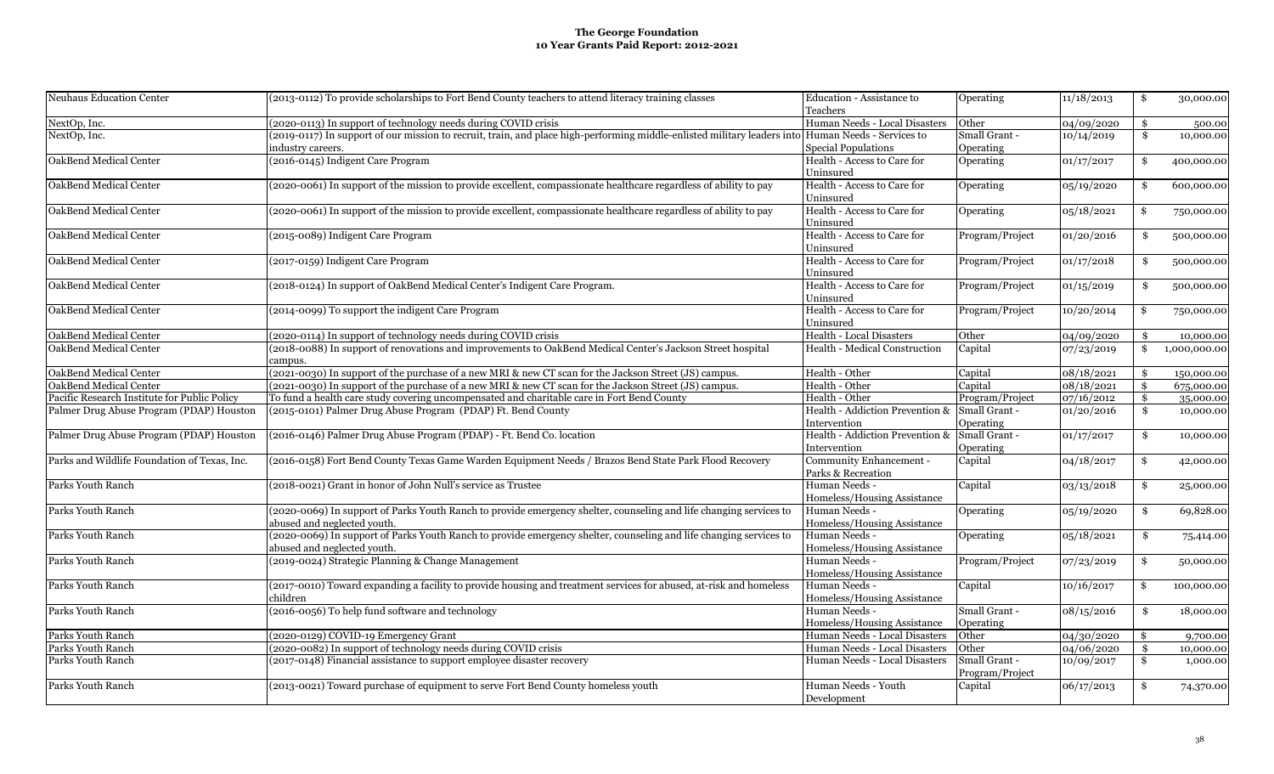| Neuhaus Education Center                     | (2013-0112) To provide scholarships to Fort Bend County teachers to attend literacy training classes                                               | Education - Assistance to<br>Teachers         | Operating       | 11/18/2013 | \$            | 30,000.00           |
|----------------------------------------------|----------------------------------------------------------------------------------------------------------------------------------------------------|-----------------------------------------------|-----------------|------------|---------------|---------------------|
| NextOp, Inc.                                 | (2020-0113) In support of technology needs during COVID crisis                                                                                     | Human Needs - Local Disasters                 | Other           | 04/09/2020 | \$            |                     |
| NextOp, Inc.                                 | (2019-0117) In support of our mission to recruit, train, and place high-performing middle-enlisted military leaders into Human Needs - Services to |                                               | Small Grant -   | 10/14/2019 | \$            | 500.00<br>10,000.00 |
|                                              | industry careers.                                                                                                                                  | <b>Special Populations</b>                    | Operating       |            |               |                     |
| OakBend Medical Center                       | (2016-0145) Indigent Care Program                                                                                                                  | Health - Access to Care for                   |                 |            |               |                     |
|                                              |                                                                                                                                                    | Uninsured                                     | Operating       | 01/17/2017 | \$            | 400,000.00          |
| OakBend Medical Center                       | (2020-0061) In support of the mission to provide excellent, compassionate healthcare regardless of ability to pay                                  | Health - Access to Care for                   |                 |            |               |                     |
|                                              |                                                                                                                                                    |                                               | Operating       | 05/19/2020 | \$            | 600,000.00          |
|                                              | (2020-0061) In support of the mission to provide excellent, compassionate healthcare regardless of ability to pay                                  | Uninsured<br>Health - Access to Care for      |                 |            |               |                     |
| OakBend Medical Center                       |                                                                                                                                                    |                                               | Operating       | 05/18/2021 | \$            | 750,000.00          |
|                                              |                                                                                                                                                    | Uninsured                                     |                 |            |               |                     |
| OakBend Medical Center                       | (2015-0089) Indigent Care Program                                                                                                                  | Health - Access to Care for                   | Program/Project | 01/20/2016 | \$            | 500,000.00          |
|                                              |                                                                                                                                                    | Uninsured                                     |                 |            |               |                     |
| OakBend Medical Center                       | (2017-0159) Indigent Care Program                                                                                                                  | Health - Access to Care for                   | Program/Project | 01/17/2018 | \$            | 500,000.00          |
|                                              |                                                                                                                                                    | Uninsured                                     |                 |            |               |                     |
| OakBend Medical Center                       | (2018-0124) In support of OakBend Medical Center's Indigent Care Program.                                                                          | Health - Access to Care for                   | Program/Project | 01/15/2019 | \$            | 500,000.00          |
|                                              |                                                                                                                                                    | Uninsured                                     |                 |            |               |                     |
| OakBend Medical Center                       | (2014-0099) To support the indigent Care Program                                                                                                   | Health - Access to Care for                   | Program/Project | 10/20/2014 | \$            | 750,000.00          |
|                                              |                                                                                                                                                    | Uninsured                                     |                 |            |               |                     |
| OakBend Medical Center                       | (2020-0114) In support of technology needs during COVID crisis                                                                                     | Health - Local Disasters                      | Other           | 04/09/2020 | \$            | 10,000.00           |
| OakBend Medical Center                       | (2018-0088) In support of renovations and improvements to OakBend Medical Center's Jackson Street hospital                                         | Health - Medical Construction                 | Capital         | 07/23/2019 | \$            | 1,000,000.00        |
|                                              | campus.                                                                                                                                            |                                               |                 |            |               |                     |
| OakBend Medical Center                       | (2021-0030) In support of the purchase of a new MRI & new CT scan for the Jackson Street (JS) campus.                                              | Health - Other                                | Capital         | 08/18/2021 | \$            | 150,000.00          |
| OakBend Medical Center                       | (2021-0030) In support of the purchase of a new MRI & new CT scan for the Jackson Street (JS) campus.                                              | Health - Other                                | Capital         | 08/18/2021 | $\mathbf{\$}$ | 675,000.00          |
| Pacific Research Institute for Public Policy | To fund a health care study covering uncompensated and charitable care in Fort Bend County                                                         | Health - Other                                | Program/Project | 07/16/2012 | $\mathbf{\$}$ | 35,000.00           |
| Palmer Drug Abuse Program (PDAP) Houston     | (2015-0101) Palmer Drug Abuse Program (PDAP) Ft. Bend County                                                                                       | Health - Addiction Prevention & Small Grant - |                 | 01/20/2016 | \$            | 10,000.00           |
|                                              |                                                                                                                                                    | Intervention                                  | Operating       |            |               |                     |
| Palmer Drug Abuse Program (PDAP) Houston     | (2016-0146) Palmer Drug Abuse Program (PDAP) - Ft. Bend Co. location                                                                               | Health - Addiction Prevention &               | Small Grant -   | 01/17/2017 | \$            | 10,000.00           |
|                                              |                                                                                                                                                    | Intervention                                  | Operating       |            |               |                     |
| Parks and Wildlife Foundation of Texas, Inc. | (2016-0158) Fort Bend County Texas Game Warden Equipment Needs / Brazos Bend State Park Flood Recovery                                             | Community Enhancement -                       | Capital         | 04/18/2017 | \$            | 42,000.00           |
|                                              |                                                                                                                                                    | Parks & Recreation                            |                 |            |               |                     |
| Parks Youth Ranch                            | (2018-0021) Grant in honor of John Null's service as Trustee                                                                                       | Human Needs -                                 | Capital         | 03/13/2018 | \$            | 25,000.00           |
|                                              |                                                                                                                                                    | Homeless/Housing Assistance                   |                 |            |               |                     |
| Parks Youth Ranch                            | (2020-0069) In support of Parks Youth Ranch to provide emergency shelter, counseling and life changing services to                                 | Human Needs -                                 | Operating       | 05/19/2020 | \$            | 69,828.00           |
|                                              | abused and neglected youth.                                                                                                                        | Homeless/Housing Assistance                   |                 |            |               |                     |
| Parks Youth Ranch                            | (2020-0069) In support of Parks Youth Ranch to provide emergency shelter, counseling and life changing services to                                 | Human Needs -                                 | Operating       | 05/18/2021 | \$            | 75,414.00           |
|                                              | abused and neglected youth.                                                                                                                        | Homeless/Housing Assistance                   |                 |            |               |                     |
| Parks Youth Ranch                            | (2019-0024) Strategic Planning & Change Management                                                                                                 | Human Needs -                                 | Program/Project | 07/23/2019 | \$            |                     |
|                                              |                                                                                                                                                    | Homeless/Housing Assistance                   |                 |            |               | 50,000.00           |
| Parks Youth Ranch                            | (2017-0010) Toward expanding a facility to provide housing and treatment services for abused, at-risk and homeless                                 |                                               |                 |            |               |                     |
|                                              |                                                                                                                                                    | Human Needs -                                 | Capital         | 10/16/2017 | \$            | 100,000.00          |
|                                              | children                                                                                                                                           | Homeless/Housing Assistance                   |                 |            |               |                     |
| Parks Youth Ranch                            | (2016-0056) To help fund software and technology                                                                                                   | Human Needs -                                 | Small Grant -   | 08/15/2016 | \$            | 18,000.00           |
|                                              |                                                                                                                                                    | Homeless/Housing Assistance                   | Operating       |            |               |                     |
| Parks Youth Ranch                            | (2020-0129) COVID-19 Emergency Grant                                                                                                               | Human Needs - Local Disasters                 | Other           | 04/30/2020 | \$            | 9,700.00            |
| Parks Youth Ranch                            | (2020-0082) In support of technology needs during COVID crisis                                                                                     | Human Needs - Local Disasters                 | Other           | 04/06/2020 | \$            | 10,000.00           |
| Parks Youth Ranch                            | (2017-0148) Financial assistance to support employee disaster recovery                                                                             | Human Needs - Local Disasters                 | Small Grant -   | 10/09/2017 | \$            | 1,000.00            |
|                                              |                                                                                                                                                    |                                               | Program/Project |            |               |                     |
| Parks Youth Ranch                            | (2013-0021) Toward purchase of equipment to serve Fort Bend County homeless youth                                                                  | Human Needs - Youth                           | Capital         | 06/17/2013 | \$            | 74,370.00           |
|                                              |                                                                                                                                                    | Development                                   |                 |            |               |                     |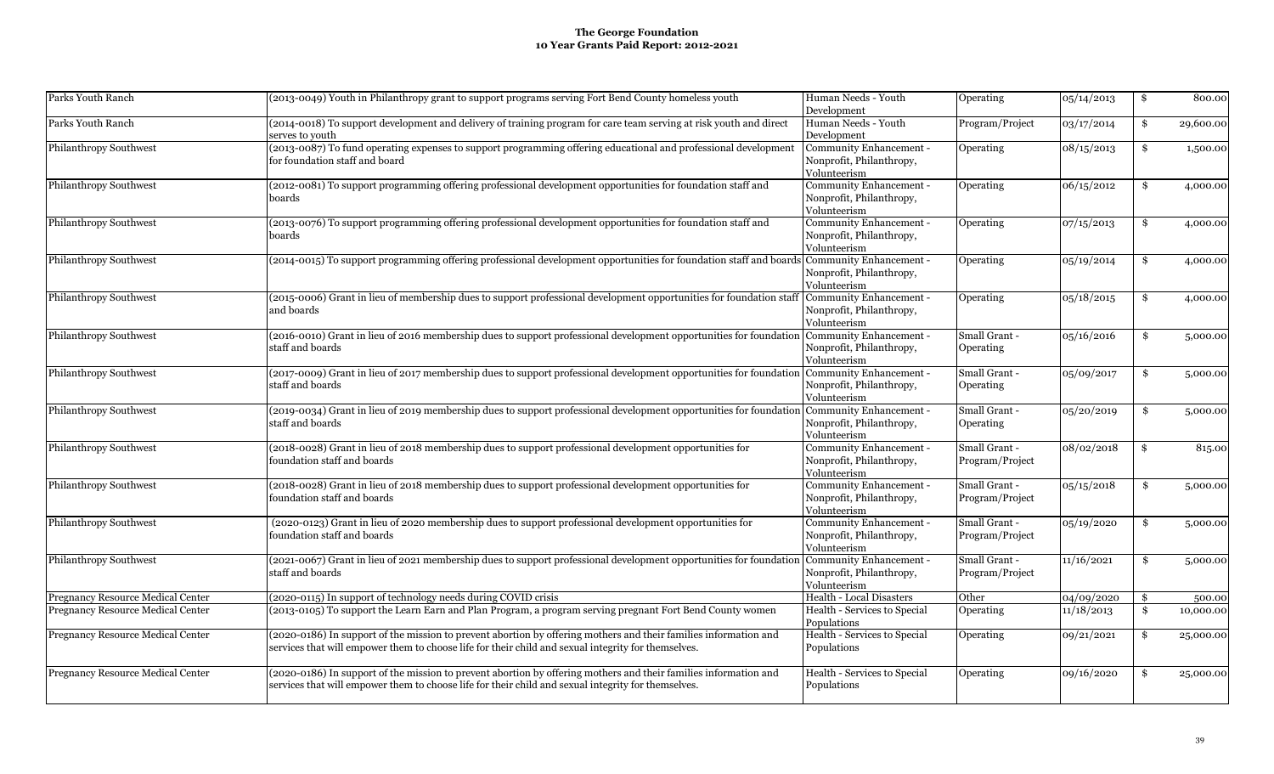| Parks Youth Ranch                        | (2013-0049) Youth in Philanthropy grant to support programs serving Fort Bend County homeless youth                                                                                                                     | Human Needs - Youth<br>Development                                    | <b>Operating</b>                  | 05/14/2013 | \$<br>800.00    |
|------------------------------------------|-------------------------------------------------------------------------------------------------------------------------------------------------------------------------------------------------------------------------|-----------------------------------------------------------------------|-----------------------------------|------------|-----------------|
| Parks Youth Ranch                        | (2014-0018) To support development and delivery of training program for care team serving at risk youth and direct<br>serves to vouth                                                                                   | Human Needs - Youth<br>Development                                    | Program/Project                   | 03/17/2014 | \$<br>29,600.00 |
| Philanthropy Southwest                   | (2013-0087) To fund operating expenses to support programming offering educational and professional development<br>for foundation staff and board                                                                       | Community Enhancement -<br>Nonprofit, Philanthropy,<br>Volunteerism   | Operating                         | 08/15/2013 | \$<br>1,500.00  |
| Philanthropy Southwest                   | (2012-0081) To support programming offering professional development opportunities for foundation staff and<br>boards                                                                                                   | Community Enhancement -<br>Nonprofit, Philanthropy,<br>Volunteerism   | Operating                         | 06/15/2012 | \$<br>4,000.00  |
| Philanthropy Southwest                   | (2013-0076) To support programming offering professional development opportunities for foundation staff and<br>boards                                                                                                   | Community Enhancement -<br>Nonprofit, Philanthropy,<br>Volunteerism   | Operating                         | 07/15/2013 | \$<br>4,000.00  |
| Philanthropy Southwest                   | (2014-0015) To support programming offering professional development opportunities for foundation staff and boards Community Enhancement -                                                                              | Nonprofit, Philanthropy,<br>Volunteerism                              | Operating                         | 05/19/2014 | \$<br>4,000.00  |
| Philanthropy Southwest                   | (2015-0006) Grant in lieu of membership dues to support professional development opportunities for foundation staff<br>and boards                                                                                       | Community Enhancement -<br>Nonprofit, Philanthropy,<br>Volunteerism   | Operating                         | 05/18/2015 | \$<br>4,000.00  |
| Philanthropy Southwest                   | (2016-0010) Grant in lieu of 2016 membership dues to support professional development opportunities for foundation Community Enhancement -<br>staff and boards                                                          | Nonprofit, Philanthropy,<br>Volunteerism                              | Small Grant -<br>Operating        | 05/16/2016 | \$<br>5,000.00  |
| Philanthropy Southwest                   | (2017-0009) Grant in lieu of 2017 membership dues to support professional development opportunities for foundation<br>staff and boards                                                                                  | 1 Community Enhancement -<br>Nonprofit, Philanthropy,<br>Volunteerism | Small Grant -<br>Operating        | 05/09/2017 | \$<br>5,000.00  |
| Philanthropy Southwest                   | (2019-0034) Grant in lieu of 2019 membership dues to support professional development opportunities for foundation<br>staff and boards                                                                                  | n Community Enhancement -<br>Nonprofit, Philanthropy,<br>Volunteerism | Small Grant -<br><b>Operating</b> | 05/20/2019 | \$<br>5,000.00  |
| Philanthropy Southwest                   | (2018-0028) Grant in lieu of 2018 membership dues to support professional development opportunities for<br>foundation staff and boards                                                                                  | Community Enhancement -<br>Nonprofit, Philanthropy,<br>Volunteerism   | Small Grant -<br>Program/Project  | 08/02/2018 | \$<br>815.00    |
| Philanthropy Southwest                   | (2018-0028) Grant in lieu of 2018 membership dues to support professional development opportunities for<br>foundation staff and boards                                                                                  | Community Enhancement -<br>Nonprofit, Philanthropy,<br>Volunteerism   | Small Grant -<br>Program/Project  | 05/15/2018 | \$<br>5,000.00  |
| Philanthropy Southwest                   | (2020-0123) Grant in lieu of 2020 membership dues to support professional development opportunities for<br>foundation staff and boards                                                                                  | Community Enhancement -<br>Nonprofit, Philanthropy,<br>Volunteerism   | Small Grant -<br>Program/Project  | 05/19/2020 | \$<br>5,000.00  |
| Philanthropy Southwest                   | (2021-0067) Grant in lieu of 2021 membership dues to support professional development opportunities for foundation<br>staff and boards                                                                                  | Community Enhancement -<br>Nonprofit, Philanthropy,<br>Volunteerism   | Small Grant -<br>Program/Project  | 11/16/2021 | \$<br>5,000.00  |
| Pregnancy Resource Medical Center        | (2020-0115) In support of technology needs during COVID crisis                                                                                                                                                          | Health - Local Disasters                                              | Other                             | 04/09/2020 | \$<br>500.00    |
| Pregnancy Resource Medical Center        | (2013-0105) To support the Learn Earn and Plan Program, a program serving pregnant Fort Bend County women                                                                                                               | Health - Services to Special<br>Populations                           | <b>Operating</b>                  | 11/18/2013 | \$<br>10,000.00 |
| <b>Pregnancy Resource Medical Center</b> | (2020-0186) In support of the mission to prevent abortion by offering mothers and their families information and<br>services that will empower them to choose life for their child and sexual integrity for themselves. | Health - Services to Special<br>Populations                           | Operating                         | 09/21/2021 | \$<br>25,000.00 |
| <b>Pregnancy Resource Medical Center</b> | (2020-0186) In support of the mission to prevent abortion by offering mothers and their families information and<br>services that will empower them to choose life for their child and sexual integrity for themselves. | Health - Services to Special<br>Populations                           | Operating                         | 09/16/2020 | \$<br>25,000.00 |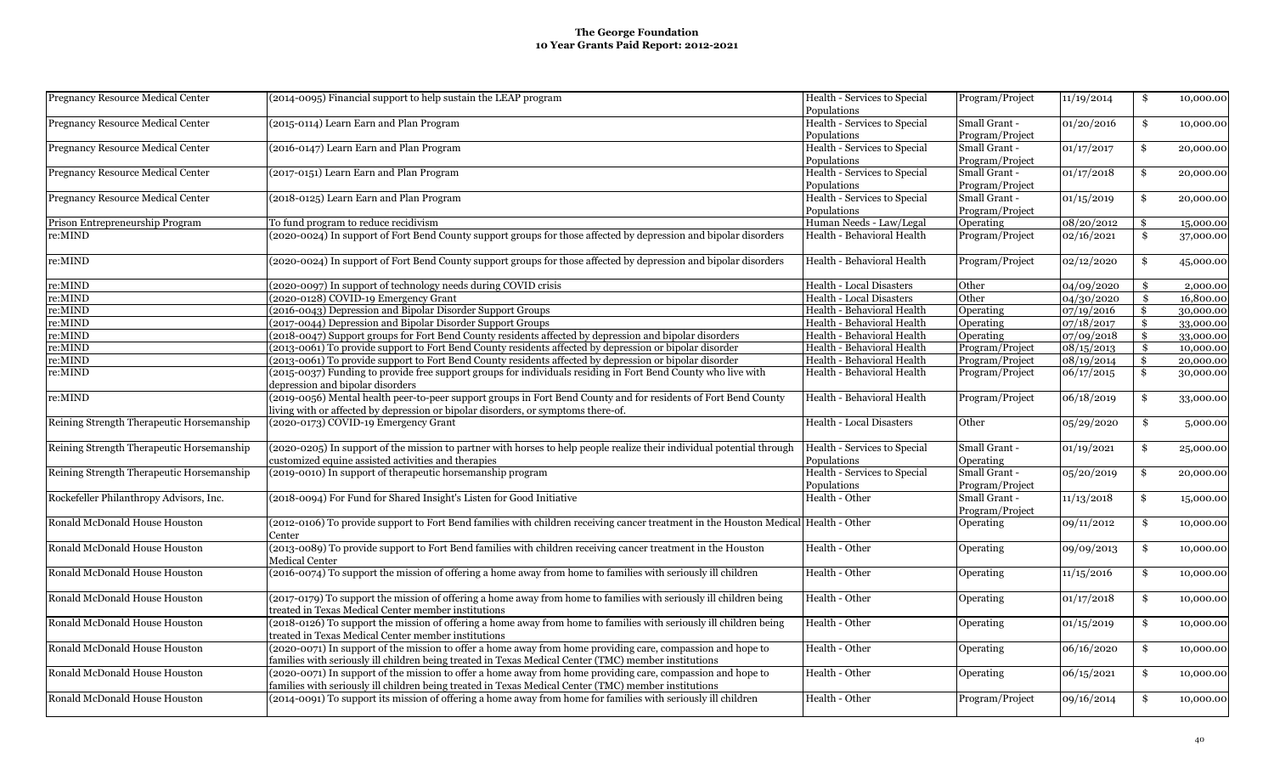| <b>Pregnancy Resource Medical Center</b>  | (2014-0095) Financial support to help sustain the LEAP program                                                                                    | Health - Services to Special    | Program/Project  | 11/19/2014 | \$            | 10,000.00 |
|-------------------------------------------|---------------------------------------------------------------------------------------------------------------------------------------------------|---------------------------------|------------------|------------|---------------|-----------|
|                                           |                                                                                                                                                   | Populations                     |                  |            |               |           |
| Pregnancy Resource Medical Center         | (2015-0114) Learn Earn and Plan Program                                                                                                           | Health - Services to Special    | Small Grant -    | 01/20/2016 | \$            | 10,000.00 |
|                                           |                                                                                                                                                   | Populations                     | Program/Project  |            |               |           |
| <b>Pregnancy Resource Medical Center</b>  | (2016-0147) Learn Earn and Plan Program                                                                                                           | Health - Services to Special    | Small Grant -    | 01/17/2017 | \$            | 20,000.00 |
|                                           |                                                                                                                                                   | Populations                     | Program/Project  |            |               |           |
| <b>Pregnancy Resource Medical Center</b>  | (2017-0151) Learn Earn and Plan Program                                                                                                           | Health - Services to Special    | Small Grant -    | 01/17/2018 | \$            | 20,000.00 |
|                                           |                                                                                                                                                   | Populations                     | Program/Project  |            |               |           |
| Pregnancy Resource Medical Center         | (2018-0125) Learn Earn and Plan Program                                                                                                           | Health - Services to Special    | Small Grant -    | 01/15/2019 | \$            | 20,000.00 |
|                                           |                                                                                                                                                   | Populations                     | Program/Project  |            |               |           |
| Prison Entrepreneurship Program           | To fund program to reduce recidivism                                                                                                              | Human Needs - Law/Legal         | Operating        | 08/20/2012 | \$            | 15,000.00 |
| re:MIND                                   | (2020-0024) In support of Fort Bend County support groups for those affected by depression and bipolar disorders                                  | Health - Behavioral Health      | Program/Project  | 02/16/2021 | \$            | 37,000.00 |
|                                           |                                                                                                                                                   |                                 |                  |            |               |           |
| re:MIND                                   | (2020-0024) In support of Fort Bend County support groups for those affected by depression and bipolar disorders                                  | Health - Behavioral Health      | Program/Project  | 02/12/2020 | \$            | 45,000.00 |
| re:MIND                                   | (2020-0097) In support of technology needs during COVID crisis                                                                                    | <b>Health - Local Disasters</b> | Other            | 04/09/2020 | \$            | 2,000.00  |
| re:MIND                                   | (2020-0128) COVID-19 Emergency Grant                                                                                                              | Health - Local Disasters        | Other            | 04/30/2020 | \$            | 16,800.00 |
| re:MIND                                   | (2016-0043) Depression and Bipolar Disorder Support Groups                                                                                        | Health - Behavioral Health      | Operating        | 07/19/2016 | \$            | 30,000.00 |
| re:MIND                                   | (2017-0044) Depression and Bipolar Disorder Support Groups                                                                                        | Health - Behavioral Health      | Operating        | 07/18/2017 | \$            | 33,000.00 |
| re:MIND                                   | (2018-0047) Support groups for Fort Bend County residents affected by depression and bipolar disorders                                            | Health - Behavioral Health      | Operating        | 07/09/2018 | \$            | 33,000.00 |
| re:MIND                                   | (2013-0061) To provide support to Fort Bend County residents affected by depression or bipolar disorder                                           | Health - Behavioral Health      | Program/Project  | 08/15/2013 | \$            | 10,000.00 |
| re:MIND                                   | (2013-0061) To provide support to Fort Bend County residents affected by depression or bipolar disorder                                           | Health - Behavioral Health      | Program/Project  | 08/19/2014 | $\mathbf{\$}$ | 20,000.00 |
| re:MIND                                   |                                                                                                                                                   |                                 |                  |            |               |           |
|                                           | (2015-0037) Funding to provide free support groups for individuals residing in Fort Bend County who live with<br>depression and bipolar disorders | Health - Behavioral Health      | Program/Project  | 06/17/2015 | \$            | 30,000.00 |
| re:MIND                                   | (2019-0056) Mental health peer-to-peer support groups in Fort Bend County and for residents of Fort Bend County                                   | Health - Behavioral Health      | Program/Project  | 06/18/2019 | \$            | 33,000.00 |
|                                           | living with or affected by depression or bipolar disorders, or symptoms there-of.                                                                 |                                 |                  |            |               |           |
| Reining Strength Therapeutic Horsemanship | (2020-0173) COVID-19 Emergency Grant                                                                                                              | Health - Local Disasters        | Other            | 05/29/2020 | \$            | 5,000.00  |
| Reining Strength Therapeutic Horsemanship | (2020-0205) In support of the mission to partner with horses to help people realize their individual potential through                            | Health - Services to Special    | Small Grant -    | 01/19/2021 | \$            | 25,000.00 |
|                                           | customized equine assisted activities and therapies                                                                                               | Populations                     | Operating        |            |               |           |
| Reining Strength Therapeutic Horsemanship | (2019-0010) In support of therapeutic horsemanship program                                                                                        | Health - Services to Special    | Small Grant -    | 05/20/2019 | \$            | 20,000.00 |
|                                           |                                                                                                                                                   | Populations                     | Program/Project  |            |               |           |
| Rockefeller Philanthropy Advisors, Inc.   | (2018-0094) For Fund for Shared Insight's Listen for Good Initiative                                                                              | Health - Other                  | Small Grant -    | 11/13/2018 | \$            | 15,000.00 |
|                                           |                                                                                                                                                   |                                 | Program/Project  |            |               |           |
| Ronald McDonald House Houston             | (2012-0106) To provide support to Fort Bend families with children receiving cancer treatment in the Houston Medical   Health - Other             |                                 | Operating        | 09/11/2012 | \$            | 10,000.00 |
|                                           | Center                                                                                                                                            |                                 |                  |            |               |           |
| Ronald McDonald House Houston             | (2013-0089) To provide support to Fort Bend families with children receiving cancer treatment in the Houston                                      | Health - Other                  | Operating        | 09/09/2013 | \$            | 10,000.00 |
|                                           | Medical Center                                                                                                                                    |                                 |                  |            |               |           |
| Ronald McDonald House Houston             | (2016-0074) To support the mission of offering a home away from home to families with seriously ill children                                      | Health - Other                  | <b>Operating</b> | 11/15/2016 | \$            | 10,000.00 |
|                                           |                                                                                                                                                   |                                 |                  |            |               |           |
| Ronald McDonald House Houston             | (2017-0179) To support the mission of offering a home away from home to families with seriously ill children being                                | Health - Other                  | <b>Operating</b> | 01/17/2018 | \$            | 10,000.00 |
|                                           | treated in Texas Medical Center member institutions                                                                                               |                                 |                  |            |               |           |
| Ronald McDonald House Houston             | (2018-0126) To support the mission of offering a home away from home to families with seriously ill children being                                | Health - Other                  | Operating        | 01/15/2019 | \$            | 10,000.00 |
|                                           | treated in Texas Medical Center member institutions                                                                                               |                                 |                  |            |               |           |
| Ronald McDonald House Houston             | (2020-0071) In support of the mission to offer a home away from home providing care, compassion and hope to                                       | Health - Other                  | Operating        | 06/16/2020 | \$            | 10,000.00 |
|                                           | families with seriously ill children being treated in Texas Medical Center (TMC) member institutions                                              |                                 |                  |            |               |           |
| Ronald McDonald House Houston             | (2020-0071) In support of the mission to offer a home away from home providing care, compassion and hope to                                       | Health - Other                  | <b>Operating</b> | 06/15/2021 | \$            | 10,000.00 |
|                                           | families with seriously ill children being treated in Texas Medical Center (TMC) member institutions                                              |                                 |                  |            |               |           |
|                                           | (2014-0091) To support its mission of offering a home away from home for families with seriously ill children                                     |                                 |                  |            |               |           |
| Ronald McDonald House Houston             |                                                                                                                                                   | Health - Other                  | Program/Project  | 09/16/2014 | \$            | 10,000.00 |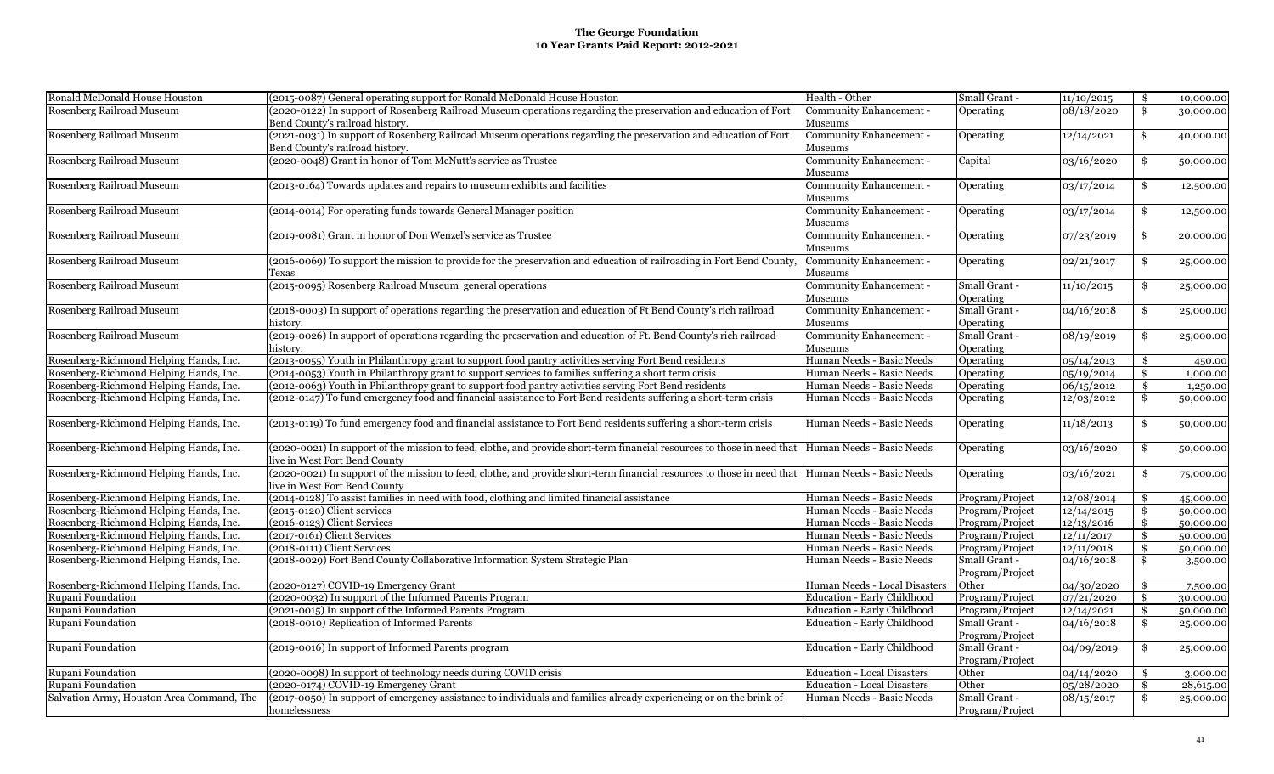| Ronald McDonald House Houston             | (2015-0087) General operating support for Ronald McDonald House Houston                                                                           | Health - Other                     | Small Grant -   | 11/10/2015 | \$            | 10,000.00 |
|-------------------------------------------|---------------------------------------------------------------------------------------------------------------------------------------------------|------------------------------------|-----------------|------------|---------------|-----------|
| Rosenberg Railroad Museum                 | (2020-0122) In support of Rosenberg Railroad Museum operations regarding the preservation and education of Fort                                   | Community Enhancement -            | Operating       | 08/18/2020 | \$            | 30,000.00 |
|                                           | Bend County's railroad history.                                                                                                                   | Museums                            |                 |            |               |           |
| Rosenberg Railroad Museum                 | (2021-0031) In support of Rosenberg Railroad Museum operations regarding the preservation and education of Fort                                   | Community Enhancement -            | Operating       | 12/14/2021 | \$            | 40,000.00 |
|                                           | Bend County's railroad history.                                                                                                                   | Museums                            |                 |            |               |           |
| Rosenberg Railroad Museum                 | (2020-0048) Grant in honor of Tom McNutt's service as Trustee                                                                                     | Community Enhancement -            | Capital         | 03/16/2020 | \$            | 50,000.00 |
|                                           |                                                                                                                                                   | Museums                            |                 |            |               |           |
| Rosenberg Railroad Museum                 | (2013-0164) Towards updates and repairs to museum exhibits and facilities                                                                         | Community Enhancement -            | Operating       | 03/17/2014 | \$            | 12,500.00 |
|                                           |                                                                                                                                                   | Museums                            |                 |            |               |           |
| Rosenberg Railroad Museum                 | (2014-0014) For operating funds towards General Manager position                                                                                  | Community Enhancement -            | Operating       | 03/17/2014 | \$            | 12,500.00 |
|                                           |                                                                                                                                                   | Museums                            |                 |            |               |           |
| Rosenberg Railroad Museum                 | (2019-0081) Grant in honor of Don Wenzel's service as Trustee                                                                                     | Community Enhancement -            | Operating       | 07/23/2019 | \$            | 20,000.00 |
|                                           |                                                                                                                                                   | Museums                            |                 |            |               |           |
| Rosenberg Railroad Museum                 | (2016-0069) To support the mission to provide for the preservation and education of railroading in Fort Bend County,                              | Community Enhancement -            | Operating       | 02/21/2017 | \$            | 25,000.00 |
|                                           | Fexas                                                                                                                                             | Museums                            |                 |            |               |           |
| Rosenberg Railroad Museum                 | (2015-0095) Rosenberg Railroad Museum general operations                                                                                          | Community Enhancement -            | Small Grant -   | 11/10/2015 | \$            | 25,000.00 |
|                                           |                                                                                                                                                   | Museums                            | Operating       |            |               |           |
| Rosenberg Railroad Museum                 | (2018-0003) In support of operations regarding the preservation and education of Ft Bend County's rich railroad                                   | Community Enhancement -            | Small Grant -   | 04/16/2018 | \$            | 25,000.00 |
|                                           | istory.                                                                                                                                           | Museums                            | Operating       |            |               |           |
| Rosenberg Railroad Museum                 | (2019-0026) In support of operations regarding the preservation and education of Ft. Bend County's rich railroad                                  | Community Enhancement -            | Small Grant -   | 08/19/2019 | \$            | 25,000.00 |
|                                           | istory.                                                                                                                                           | Museums                            | Operating       |            |               |           |
| Rosenberg-Richmond Helping Hands, Inc.    | (2013-0055) Youth in Philanthropy grant to support food pantry activities serving Fort Bend residents                                             | Human Needs - Basic Needs          | Operating       | 05/14/2013 | \$            | 450.00    |
| Rosenberg-Richmond Helping Hands, Inc.    | (2014-0053) Youth in Philanthropy grant to support services to families suffering a short term crisis                                             | Human Needs - Basic Needs          | Operating       | 05/19/2014 | \$            | 1,000.00  |
| Rosenberg-Richmond Helping Hands, Inc.    | (2012-0063) Youth in Philanthropy grant to support food pantry activities serving Fort Bend residents                                             | Human Needs - Basic Needs          | Operating       | 06/15/2012 | \$            | 1,250.00  |
| Rosenberg-Richmond Helping Hands, Inc.    | (2012-0147) To fund emergency food and financial assistance to Fort Bend residents suffering a short-term crisis                                  | Human Needs - Basic Needs          | Operating       | 12/03/2012 | \$            | 50,000.00 |
| Rosenberg-Richmond Helping Hands, Inc.    | (2013-0119) To fund emergency food and financial assistance to Fort Bend residents suffering a short-term crisis                                  | Human Needs - Basic Needs          | Operating       | 11/18/2013 | \$            | 50,000.00 |
|                                           |                                                                                                                                                   |                                    |                 |            |               |           |
| Rosenberg-Richmond Helping Hands, Inc.    | (2020-0021) In support of the mission to feed, clothe, and provide short-term financial resources to those in need that Human Needs - Basic Needs |                                    | Operating       | 03/16/2020 | \$            | 50,000.00 |
|                                           | ive in West Fort Bend County                                                                                                                      |                                    |                 |            |               |           |
| Rosenberg-Richmond Helping Hands, Inc.    | (2020-0021) In support of the mission to feed, clothe, and provide short-term financial resources to those in need that Human Needs - Basic Needs |                                    | Operating       | 03/16/2021 | \$            | 75,000.00 |
|                                           | ive in West Fort Bend County                                                                                                                      |                                    |                 |            |               |           |
| Rosenberg-Richmond Helping Hands, Inc.    | (2014-0128) To assist families in need with food, clothing and limited financial assistance                                                       | Human Needs - Basic Needs          | Program/Project | 12/08/2014 | \$            | 45,000.00 |
| Rosenberg-Richmond Helping Hands, Inc.    | (2015-0120) Client services                                                                                                                       | Human Needs - Basic Needs          | Program/Project | 12/14/2015 | \$            | 50,000.00 |
| Rosenberg-Richmond Helping Hands, Inc.    | (2016-0123) Client Services                                                                                                                       | Human Needs - Basic Needs          | Program/Project | 12/13/2016 | \$            | 50,000.00 |
| Rosenberg-Richmond Helping Hands, Inc.    | (2017-0161) Client Services                                                                                                                       | Human Needs - Basic Needs          | Program/Project | 12/11/2017 | $\mathbf{\$}$ | 50,000.00 |
| Rosenberg-Richmond Helping Hands, Inc.    | (2018-0111) Client Services                                                                                                                       | Human Needs - Basic Needs          | Program/Project | 12/11/2018 | \$            | 50,000.00 |
| Rosenberg-Richmond Helping Hands, Inc.    | (2018-0029) Fort Bend County Collaborative Information System Strategic Plan                                                                      | Human Needs - Basic Needs          | Small Grant -   | 04/16/2018 | \$            | 3,500.00  |
|                                           |                                                                                                                                                   |                                    | Program/Project |            |               |           |
| Rosenberg-Richmond Helping Hands, Inc.    | (2020-0127) COVID-19 Emergency Grant                                                                                                              | Human Needs - Local Disasters      | Other           | 04/30/2020 | \$            | 7,500.00  |
| Rupani Foundation                         | (2020-0032) In support of the Informed Parents Program                                                                                            | Education - Early Childhood        | Program/Project | 07/21/2020 | \$            | 30,000.00 |
| Rupani Foundation                         | (2021-0015) In support of the Informed Parents Program                                                                                            | Education - Early Childhood        | Program/Project | 12/14/2021 | \$            | 50,000.00 |
| Rupani Foundation                         | (2018-0010) Replication of Informed Parents                                                                                                       | Education - Early Childhood        | Small Grant -   | 04/16/2018 | \$            | 25,000.00 |
|                                           |                                                                                                                                                   |                                    | Program/Project |            |               |           |
| Rupani Foundation                         | (2019-0016) In support of Informed Parents program                                                                                                | Education - Early Childhood        | Small Grant -   | 04/09/2019 | \$            | 25,000.00 |
|                                           |                                                                                                                                                   |                                    | Program/Project |            |               |           |
| Rupani Foundation                         | (2020-0098) In support of technology needs during COVID crisis                                                                                    | <b>Education - Local Disasters</b> | Other           | 04/14/2020 | \$            | 3,000.00  |
| Rupani Foundation                         | (2020-0174) COVID-19 Emergency Grant                                                                                                              | <b>Education - Local Disasters</b> | Other           | 05/28/2020 | $\mathbf{\$}$ | 28,615.00 |
| Salvation Army, Houston Area Command, The | (2017-0050) In support of emergency assistance to individuals and families already experiencing or on the brink of                                | Human Needs - Basic Needs          | Small Grant -   | 08/15/2017 | \$            | 25,000.00 |
|                                           | homelessness                                                                                                                                      |                                    | Program/Project |            |               |           |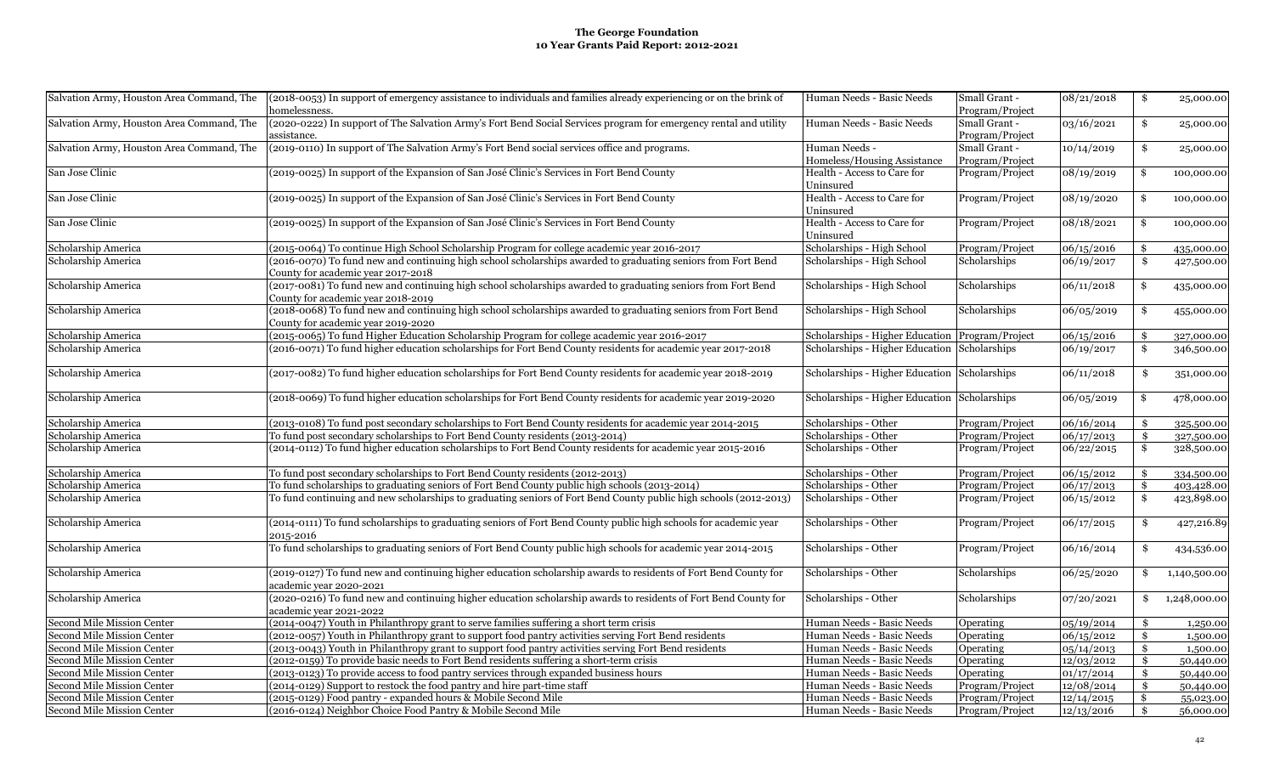| Salvation Army, Houston Area Command, The                | (2018-0053) In support of emergency assistance to individuals and families already experiencing or on the brink of<br>homelessness. | Human Needs - Basic Needs                              | Small Grant -   | 08/21/2018          | \$                        | 25,000.00    |
|----------------------------------------------------------|-------------------------------------------------------------------------------------------------------------------------------------|--------------------------------------------------------|-----------------|---------------------|---------------------------|--------------|
|                                                          |                                                                                                                                     |                                                        | Program/Project |                     |                           |              |
| Salvation Army, Houston Area Command, The                | (2020-0222) In support of The Salvation Army's Fort Bend Social Services program for emergency rental and utility                   | Human Needs - Basic Needs                              | Small Grant -   | 03/16/2021          | \$                        | 25,000.00    |
|                                                          | assistance.                                                                                                                         |                                                        | Program/Project |                     |                           |              |
| Salvation Army, Houston Area Command, The                | (2019-0110) In support of The Salvation Army's Fort Bend social services office and programs.                                       | Human Needs -                                          | Small Grant -   | 10/14/2019          | \$                        | 25,000.00    |
|                                                          |                                                                                                                                     | Homeless/Housing Assistance                            | Program/Project |                     |                           |              |
| San Jose Clinic                                          | (2019-0025) In support of the Expansion of San José Clinic's Services in Fort Bend County                                           | Health - Access to Care for                            | Program/Project | 08/19/2019          | Ŝ.                        | 100,000.00   |
|                                                          |                                                                                                                                     | Uninsured                                              |                 |                     |                           |              |
| San Jose Clinic                                          | (2019-0025) In support of the Expansion of San José Clinic's Services in Fort Bend County                                           | Health - Access to Care for                            | Program/Project | 08/19/2020          | Ŝ.                        | 100,000.00   |
|                                                          |                                                                                                                                     | Uninsured                                              |                 |                     |                           |              |
| San Jose Clinic                                          | (2019-0025) In support of the Expansion of San José Clinic's Services in Fort Bend County                                           | Health - Access to Care for                            | Program/Project | 08/18/2021          | Ŝ.                        | 100,000.00   |
|                                                          |                                                                                                                                     | Uninsured                                              |                 |                     |                           |              |
| Scholarship America                                      | (2015-0064) To continue High School Scholarship Program for college academic year 2016-2017                                         | Scholarships - High School                             | Program/Project | 06/15/2016          | \$                        | 435,000.00   |
| Scholarship America                                      | (2016-0070) To fund new and continuing high school scholarships awarded to graduating seniors from Fort Bend                        | Scholarships - High School                             | Scholarships    | 06/19/2017          | $\mathbf{\$}$             | 427,500.00   |
|                                                          | County for academic year 2017-2018                                                                                                  |                                                        |                 |                     |                           |              |
| Scholarship America                                      | (2017-0081) To fund new and continuing high school scholarships awarded to graduating seniors from Fort Bend                        | Scholarships - High School                             | Scholarships    | 06/11/2018          | \$                        | 435,000.00   |
|                                                          | County for academic year 2018-2019                                                                                                  |                                                        |                 |                     |                           |              |
| Scholarship America                                      | (2018-0068) To fund new and continuing high school scholarships awarded to graduating seniors from Fort Bend                        | Scholarships - High School                             | Scholarships    | 06/05/2019          | \$                        | 455,000.00   |
|                                                          | County for academic year 2019-2020                                                                                                  |                                                        |                 |                     |                           |              |
| Scholarship America                                      | (2015-0065) To fund Higher Education Scholarship Program for college academic year 2016-2017                                        | Scholarships - Higher Education Program/Project        |                 | 06/15/2016          | -\$                       | 327,000.00   |
| Scholarship America                                      | (2016-0071) To fund higher education scholarships for Fort Bend County residents for academic year 2017-2018                        | Scholarships - Higher Education Scholarships           |                 | 06/19/2017          | $\boldsymbol{\mathsf{s}}$ | 346,500.00   |
|                                                          |                                                                                                                                     |                                                        |                 |                     |                           |              |
| Scholarship America                                      | (2017-0082) To fund higher education scholarships for Fort Bend County residents for academic year 2018-2019                        | Scholarships - Higher Education                        | Scholarships    | 06/11/2018          | \$                        |              |
|                                                          |                                                                                                                                     |                                                        |                 |                     |                           | 351,000.00   |
|                                                          | (2018-0069) To fund higher education scholarships for Fort Bend County residents for academic year 2019-2020                        |                                                        |                 |                     |                           |              |
| Scholarship America                                      |                                                                                                                                     | Scholarships - Higher Education                        | Scholarships    | 06/05/2019          | \$                        | 478,000.00   |
| Scholarship America                                      | (2013-0108) To fund post secondary scholarships to Fort Bend County residents for academic year 2014-2015                           | Scholarships - Other                                   | Program/Project | 06/16/2014          | \$                        | 325,500.00   |
| Scholarship America                                      | To fund post secondary scholarships to Fort Bend County residents (2013-2014)                                                       | Scholarships - Other                                   | Program/Project | 06/17/2013          | \$                        | 327,500.00   |
| Scholarship America                                      | (2014-0112) To fund higher education scholarships to Fort Bend County residents for academic year 2015-2016                         | Scholarships - Other                                   | Program/Project | $\sqrt{06}/22/2015$ | \$                        | 328,500.00   |
|                                                          |                                                                                                                                     |                                                        |                 |                     |                           |              |
| Scholarship America                                      | To fund post secondary scholarships to Fort Bend County residents (2012-2013)                                                       | Scholarships - Other                                   | Program/Project | 06/15/2012          | -\$                       | 334,500.00   |
| Scholarship America                                      | To fund scholarships to graduating seniors of Fort Bend County public high schools (2013-2014)                                      | Scholarships - Other                                   | Program/Project | 06/17/2013          | \$                        | 403,428.00   |
| Scholarship America                                      | To fund continuing and new scholarships to graduating seniors of Fort Bend County public high schools (2012-2013)                   | Scholarships - Other                                   | Program/Project | 06/15/2012          | $\boldsymbol{\mathsf{s}}$ | 423,898.00   |
|                                                          |                                                                                                                                     |                                                        |                 |                     |                           |              |
| Scholarship America                                      | (2014-0111) To fund scholarships to graduating seniors of Fort Bend County public high schools for academic year                    | Scholarships - Other                                   | Program/Project | 06/17/2015          | \$                        | 427,216.89   |
|                                                          | 2015-2016                                                                                                                           |                                                        |                 |                     |                           |              |
| Scholarship America                                      | To fund scholarships to graduating seniors of Fort Bend County public high schools for academic year 2014-2015                      | Scholarships - Other                                   | Program/Project | 06/16/2014          | \$                        | 434,536.00   |
|                                                          |                                                                                                                                     |                                                        |                 |                     |                           |              |
| Scholarship America                                      | (2019-0127) To fund new and continuing higher education scholarship awards to residents of Fort Bend County for                     | Scholarships - Other                                   | Scholarships    | 06/25/2020          | \$                        | 1,140,500.00 |
|                                                          | academic year 2020-2021                                                                                                             |                                                        |                 |                     |                           |              |
| Scholarship America                                      | (2020-0216) To fund new and continuing higher education scholarship awards to residents of Fort Bend County for                     | Scholarships - Other                                   | Scholarships    | 07/20/2021          | \$                        | 1,248,000.00 |
|                                                          | academic year 2021-2022                                                                                                             |                                                        |                 |                     |                           |              |
|                                                          | (2014-0047) Youth in Philanthropy grant to serve families suffering a short term crisis                                             |                                                        |                 |                     |                           |              |
| Second Mile Mission Center<br>Second Mile Mission Center | (2012-0057) Youth in Philanthropy grant to support food pantry activities serving Fort Bend residents                               | Human Needs - Basic Needs<br>Human Needs - Basic Needs | Operating       | 05/19/2014          | \$                        | 1,250.00     |
|                                                          |                                                                                                                                     |                                                        | Operating       | 06/15/2012          | \$                        | 1,500.00     |
| Second Mile Mission Center                               | (2013-0043) Youth in Philanthropy grant to support food pantry activities serving Fort Bend residents                               | Human Needs - Basic Needs                              | Operating       | 05/14/2013          | \$                        | 1,500.00     |
| Second Mile Mission Center                               | (2012-0159) To provide basic needs to Fort Bend residents suffering a short-term crisis                                             | Human Needs - Basic Needs                              | Operating       | 12/03/2012          | \$                        | 50,440.00    |
| Second Mile Mission Center                               | (2013-0123) To provide access to food pantry services through expanded business hours                                               | Human Needs - Basic Needs                              | Operating       | 01/17/2014          | \$                        | 50,440.00    |
| Second Mile Mission Center                               | (2014-0129) Support to restock the food pantry and hire part-time staff                                                             | Human Needs - Basic Needs                              | Program/Project | 12/08/2014          | \$                        | 50,440.00    |
| Second Mile Mission Center                               | (2015-0129) Food pantry - expanded hours & Mobile Second Mile                                                                       | Human Needs - Basic Needs                              | Program/Project | 12/14/2015          | \$                        | 55,023.00    |
| Second Mile Mission Center                               | (2016-0124) Neighbor Choice Food Pantry & Mobile Second Mile                                                                        | Human Needs - Basic Needs                              | Program/Project | 12/13/2016          | \$                        | 56,000.00    |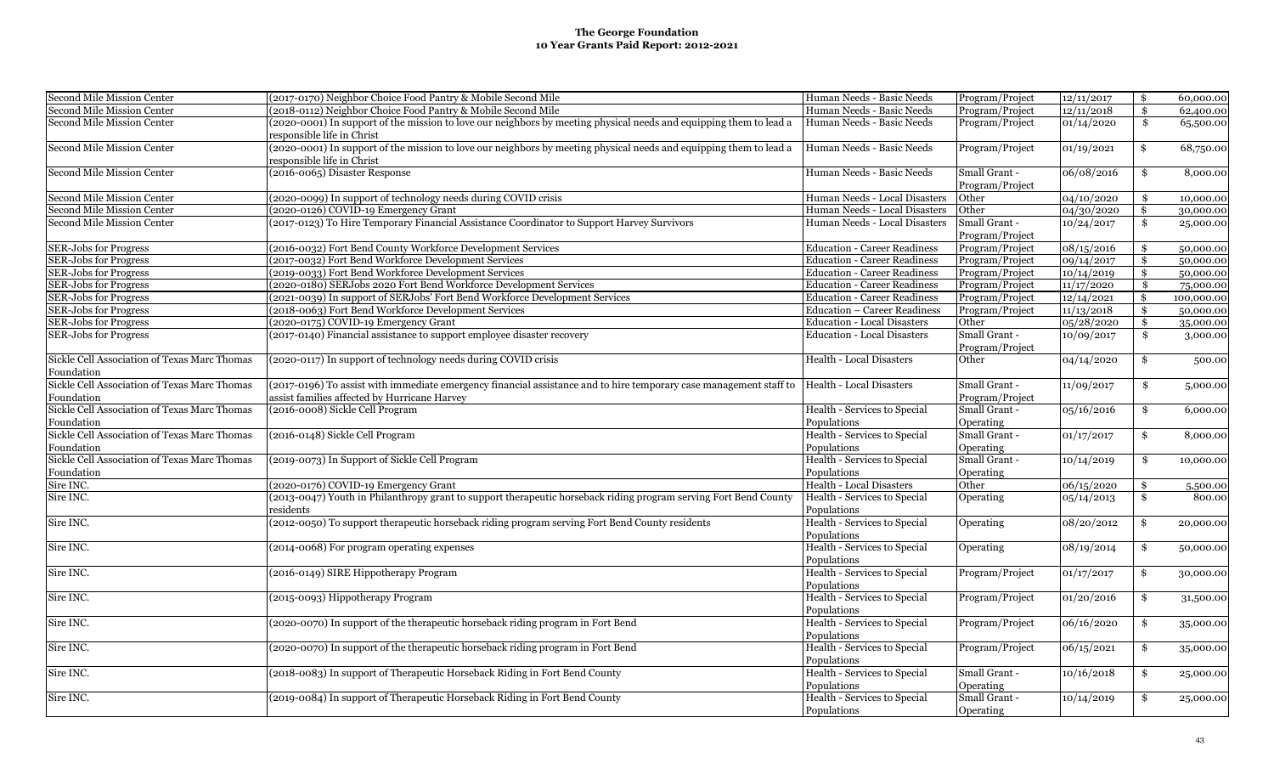| Second Mile Mission Center                                 | (2017-0170) Neighbor Choice Food Pantry & Mobile Second Mile                                                                                                       | Human Needs - Basic Needs                   | Program/Project                  | 12/11/2017 | \$<br>60,000.00  |
|------------------------------------------------------------|--------------------------------------------------------------------------------------------------------------------------------------------------------------------|---------------------------------------------|----------------------------------|------------|------------------|
| Second Mile Mission Center                                 | (2018-0112) Neighbor Choice Food Pantry & Mobile Second Mile                                                                                                       | Human Needs - Basic Needs                   | Program/Project                  | 12/11/2018 | \$<br>62,400.00  |
| Second Mile Mission Center                                 | (2020-0001) In support of the mission to love our neighbors by meeting physical needs and equipping them to lead a<br>responsible life in Christ                   | Human Needs - Basic Needs                   | Program/Project                  | 01/14/2020 | \$<br>65,500.00  |
| Second Mile Mission Center                                 | (2020-0001) In support of the mission to love our neighbors by meeting physical needs and equipping them to lead a<br>responsible life in Christ                   | Human Needs - Basic Needs                   | Program/Project                  | 01/19/2021 | \$<br>68,750.00  |
| Second Mile Mission Center                                 | (2016-0065) Disaster Response                                                                                                                                      | Human Needs - Basic Needs                   | Small Grant -<br>Program/Project | 06/08/2016 | \$<br>8,000.00   |
| Second Mile Mission Center                                 | (2020-0099) In support of technology needs during COVID crisis                                                                                                     | Human Needs - Local Disasters               | Other                            | 04/10/2020 | \$<br>10,000.00  |
| <b>Second Mile Mission Center</b>                          | (2020-0126) COVID-19 Emergency Grant                                                                                                                               | Human Needs - Local Disasters               | Other                            | 04/30/2020 | \$<br>30,000.00  |
| <b>Second Mile Mission Center</b>                          | (2017-0123) To Hire Temporary Financial Assistance Coordinator to Support Harvey Survivors                                                                         | Human Needs - Local Disasters               | Small Grant -<br>Program/Project | 10/24/2017 | \$<br>25,000.00  |
| <b>SER-Jobs for Progress</b>                               | (2016-0032) Fort Bend County Workforce Development Services                                                                                                        | <b>Education - Career Readiness</b>         | Program/Project                  | 08/15/2016 | \$<br>50,000.00  |
| <b>SER-Jobs for Progress</b>                               | (2017-0032) Fort Bend Workforce Development Services                                                                                                               | <b>Education - Career Readiness</b>         | Program/Project                  | 09/14/2017 | \$<br>50,000.00  |
| <b>SER-Jobs for Progress</b>                               | (2019-0033) Fort Bend Workforce Development Services                                                                                                               | <b>Education - Career Readiness</b>         | Program/Project                  | 10/14/2019 | \$<br>50,000.00  |
| <b>SER-Jobs for Progress</b>                               | (2020-0180) SERJobs 2020 Fort Bend Workforce Development Services                                                                                                  | <b>Education - Career Readiness</b>         | Program/Project                  | 11/17/2020 | \$<br>75,000.00  |
| <b>SER-Jobs for Progress</b>                               | (2021-0039) In support of SERJobs' Fort Bend Workforce Development Services                                                                                        | <b>Education - Career Readiness</b>         | Program/Project                  | 12/14/2021 | \$<br>100,000.00 |
| <b>SER-Jobs for Progress</b>                               | (2018-0063) Fort Bend Workforce Development Services                                                                                                               | Education - Career Readiness                | Program/Project                  | 11/13/2018 | \$<br>50,000.00  |
| <b>SER-Jobs for Progress</b>                               | (2020-0175) COVID-19 Emergency Grant                                                                                                                               | <b>Education - Local Disasters</b>          | Other                            | 05/28/2020 | \$<br>35,000.00  |
| <b>SER-Jobs for Progress</b>                               | (2017-0140) Financial assistance to support employee disaster recovery                                                                                             | <b>Education - Local Disasters</b>          | Small Grant -<br>Program/Project | 10/09/2017 | \$<br>3,000.00   |
| Sickle Cell Association of Texas Marc Thomas<br>Foundation | (2020-0117) In support of technology needs during COVID crisis                                                                                                     | Health - Local Disasters                    | Other                            | 04/14/2020 | \$<br>500.00     |
| Sickle Cell Association of Texas Marc Thomas<br>Foundation | (2017-0196) To assist with immediate emergency financial assistance and to hire temporary case management staff to<br>assist families affected by Hurricane Harvey | Health - Local Disasters                    | Small Grant -<br>Program/Project | 11/09/2017 | \$<br>5,000.00   |
| Sickle Cell Association of Texas Marc Thomas<br>Foundation | (2016-0008) Sickle Cell Program                                                                                                                                    | Health - Services to Special<br>Populations | Small Grant -<br>Operating       | 05/16/2016 | \$<br>6,000.00   |
| Sickle Cell Association of Texas Marc Thomas<br>Foundation | (2016-0148) Sickle Cell Program                                                                                                                                    | Health - Services to Special<br>Populations | Small Grant -<br>Operating       | 01/17/2017 | \$<br>8,000.00   |
| Sickle Cell Association of Texas Marc Thomas<br>Foundation | (2019-0073) In Support of Sickle Cell Program                                                                                                                      | Health - Services to Special<br>Populations | Small Grant -<br>Operating       | 10/14/2019 | \$<br>10,000.00  |
| Sire INC.                                                  | (2020-0176) COVID-19 Emergency Grant                                                                                                                               | <b>Health - Local Disasters</b>             | Other                            | 06/15/2020 | \$<br>5,500.00   |
| Sire INC.                                                  | (2013-0047) Youth in Philanthropy grant to support therapeutic horseback riding program serving Fort Bend County<br>residents                                      | Health - Services to Special<br>Populations | Operating                        | 05/14/2013 | \$<br>800.00     |
| Sire INC.                                                  | (2012-0050) To support therapeutic horseback riding program serving Fort Bend County residents                                                                     | Health - Services to Special<br>Populations | Operating                        | 08/20/2012 | \$<br>20,000.00  |
| Sire INC.                                                  | (2014-0068) For program operating expenses                                                                                                                         | Health - Services to Special<br>Populations | Operating                        | 08/19/2014 | \$<br>50,000.00  |
| Sire INC.                                                  | (2016-0149) SIRE Hippotherapy Program                                                                                                                              | Health - Services to Special<br>Populations | Program/Project                  | 01/17/2017 | \$<br>30,000.00  |
| Sire INC.                                                  | (2015-0093) Hippotherapy Program                                                                                                                                   | Health - Services to Special<br>Populations | Program/Project                  | 01/20/2016 | \$<br>31,500.00  |
| Sire INC.                                                  | (2020-0070) In support of the therapeutic horseback riding program in Fort Bend                                                                                    | Health - Services to Special<br>Populations | Program/Project                  | 06/16/2020 | \$<br>35,000.00  |
| Sire INC.                                                  | (2020-0070) In support of the therapeutic horseback riding program in Fort Bend                                                                                    | Health - Services to Special<br>Populations | Program/Project                  | 06/15/2021 | \$<br>35,000.00  |
| Sire INC.                                                  | (2018-0083) In support of Therapeutic Horseback Riding in Fort Bend County                                                                                         | Health - Services to Special<br>Populations | Small Grant -<br>Operating       | 10/16/2018 | \$<br>25,000.00  |
| Sire INC.                                                  | (2019-0084) In support of Therapeutic Horseback Riding in Fort Bend County                                                                                         | Health - Services to Special<br>Populations | Small Grant -<br>Operating       | 10/14/2019 | \$<br>25,000.00  |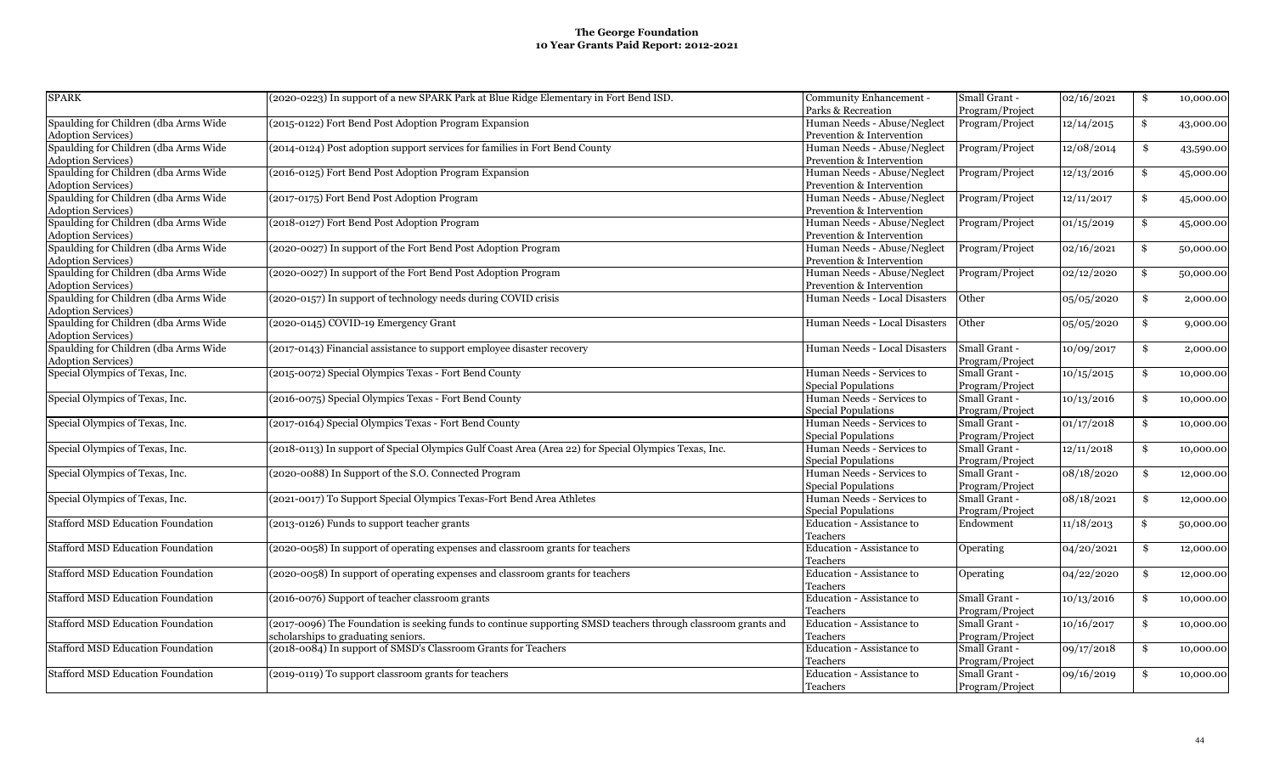| <b>SPARK</b>                             | (2020-0223) In support of a new SPARK Park at Blue Ridge Elementary in Fort Bend ISD.                         | Community Enhancement -       | Small Grant -   | 02/16/2021 | \$<br>10,000.00 |
|------------------------------------------|---------------------------------------------------------------------------------------------------------------|-------------------------------|-----------------|------------|-----------------|
|                                          |                                                                                                               | Parks & Recreation            | Program/Project |            |                 |
| Spaulding for Children (dba Arms Wide    | (2015-0122) Fort Bend Post Adoption Program Expansion                                                         | Human Needs - Abuse/Neglect   | Program/Project | 12/14/2015 | \$              |
|                                          |                                                                                                               |                               |                 |            | 43,000.00       |
| <b>Adoption Services)</b>                |                                                                                                               | Prevention & Intervention     |                 |            |                 |
| Spaulding for Children (dba Arms Wide    | (2014-0124) Post adoption support services for families in Fort Bend County                                   | Human Needs - Abuse/Neglect   | Program/Project | 12/08/2014 | \$<br>43,590.00 |
| <b>Adoption Services)</b>                |                                                                                                               | Prevention & Intervention     |                 |            |                 |
| Spaulding for Children (dba Arms Wide    | (2016-0125) Fort Bend Post Adoption Program Expansion                                                         | Human Needs - Abuse/Neglect   | Program/Project | 12/13/2016 | \$<br>45,000.00 |
| <b>Adoption Services</b> )               |                                                                                                               | Prevention & Intervention     |                 |            |                 |
| Spaulding for Children (dba Arms Wide    | (2017-0175) Fort Bend Post Adoption Program                                                                   | Human Needs - Abuse/Neglect   | Program/Project | 12/11/2017 | \$<br>45,000.00 |
| Adoption Services)                       |                                                                                                               | Prevention & Intervention     |                 |            |                 |
| Spaulding for Children (dba Arms Wide    | (2018-0127) Fort Bend Post Adoption Program                                                                   | Human Needs - Abuse/Neglect   | Program/Project | 01/15/2019 | \$<br>45,000.00 |
| Adoption Services)                       |                                                                                                               | Prevention & Intervention     |                 |            |                 |
| Spaulding for Children (dba Arms Wide    | (2020-0027) In support of the Fort Bend Post Adoption Program                                                 | Human Needs - Abuse/Neglect   | Program/Project | 02/16/2021 | \$<br>50,000.00 |
| <b>Adoption Services)</b>                |                                                                                                               | Prevention & Intervention     |                 |            |                 |
| Spaulding for Children (dba Arms Wide    | (2020-0027) In support of the Fort Bend Post Adoption Program                                                 | Human Needs - Abuse/Neglect   | Program/Project | 02/12/2020 | \$              |
| Adoption Services)                       |                                                                                                               | Prevention & Intervention     |                 |            | 50,000.00       |
|                                          |                                                                                                               |                               |                 |            |                 |
| Spaulding for Children (dba Arms Wide    | (2020-0157) In support of technology needs during COVID crisis                                                | Human Needs - Local Disasters | Other           | 05/05/2020 | \$<br>2,000.00  |
| <b>Adoption Services)</b>                |                                                                                                               |                               |                 |            |                 |
| Spaulding for Children (dba Arms Wide    | (2020-0145) COVID-19 Emergency Grant                                                                          | Human Needs - Local Disasters | Other           | 05/05/2020 | \$<br>9,000.00  |
| <b>Adoption Services)</b>                |                                                                                                               |                               |                 |            |                 |
| Spaulding for Children (dba Arms Wide    | (2017-0143) Financial assistance to support employee disaster recovery                                        | Human Needs - Local Disasters | Small Grant -   | 10/09/2017 | \$<br>2,000.00  |
| <b>Adoption Services)</b>                |                                                                                                               |                               | Program/Project |            |                 |
| Special Olympics of Texas, Inc.          | (2015-0072) Special Olympics Texas - Fort Bend County                                                         | Human Needs - Services to     | Small Grant -   | 10/15/2015 | \$<br>10,000.00 |
|                                          |                                                                                                               | <b>Special Populations</b>    | Program/Project |            |                 |
| Special Olympics of Texas, Inc.          | (2016-0075) Special Olympics Texas - Fort Bend County                                                         | Human Needs - Services to     | Small Grant -   | 10/13/2016 | \$<br>10,000.00 |
|                                          |                                                                                                               | <b>Special Populations</b>    | Program/Project |            |                 |
|                                          |                                                                                                               |                               | Small Grant -   |            |                 |
| Special Olympics of Texas, Inc.          | (2017-0164) Special Olympics Texas - Fort Bend County                                                         | Human Needs - Services to     |                 | 01/17/2018 | \$<br>10,000.00 |
|                                          |                                                                                                               | <b>Special Populations</b>    | Program/Project |            |                 |
| Special Olympics of Texas, Inc.          | (2018-0113) In support of Special Olympics Gulf Coast Area (Area 22) for Special Olympics Texas, Inc.         | Human Needs - Services to     | Small Grant -   | 12/11/2018 | \$<br>10,000.00 |
|                                          |                                                                                                               | <b>Special Populations</b>    | Program/Project |            |                 |
| Special Olympics of Texas, Inc.          | (2020-0088) In Support of the S.O. Connected Program                                                          | Human Needs - Services to     | Small Grant -   | 08/18/2020 | \$<br>12,000.00 |
|                                          |                                                                                                               | <b>Special Populations</b>    | Program/Project |            |                 |
| Special Olympics of Texas, Inc.          | (2021-0017) To Support Special Olympics Texas-Fort Bend Area Athletes                                         | Human Needs - Services to     | Small Grant -   | 08/18/2021 | \$<br>12,000.00 |
|                                          |                                                                                                               | <b>Special Populations</b>    | Program/Project |            |                 |
| <b>Stafford MSD Education Foundation</b> | (2013-0126) Funds to support teacher grants                                                                   | Education - Assistance to     | Endowment       | 11/18/2013 | \$<br>50,000.00 |
|                                          |                                                                                                               | Teachers                      |                 |            |                 |
| <b>Stafford MSD Education Foundation</b> | (2020-0058) In support of operating expenses and classroom grants for teachers                                | Education - Assistance to     | Operating       | 04/20/2021 | \$<br>12,000.00 |
|                                          |                                                                                                               | Teachers                      |                 |            |                 |
|                                          |                                                                                                               | Education - Assistance to     |                 |            |                 |
| <b>Stafford MSD Education Foundation</b> | (2020-0058) In support of operating expenses and classroom grants for teachers                                |                               | Operating       | 04/22/2020 | \$<br>12,000.00 |
|                                          |                                                                                                               | Teachers                      |                 |            |                 |
| <b>Stafford MSD Education Foundation</b> | (2016-0076) Support of teacher classroom grants                                                               | Education - Assistance to     | Small Grant -   | 10/13/2016 | \$<br>10,000.00 |
|                                          |                                                                                                               | Teachers                      | Program/Project |            |                 |
| <b>Stafford MSD Education Foundation</b> | (2017-0096) The Foundation is seeking funds to continue supporting SMSD teachers through classroom grants and | Education - Assistance to     | Small Grant -   | 10/16/2017 | \$<br>10,000.00 |
|                                          | scholarships to graduating seniors.                                                                           | Teachers                      | Program/Project |            |                 |
| <b>Stafford MSD Education Foundation</b> | (2018-0084) In support of SMSD's Classroom Grants for Teachers                                                | Education - Assistance to     | Small Grant -   | 09/17/2018 | \$<br>10,000.00 |
|                                          |                                                                                                               | Teachers                      | Program/Project |            |                 |
| <b>Stafford MSD Education Foundation</b> | (2019-0119) To support classroom grants for teachers                                                          | Education - Assistance to     | Small Grant -   | 09/16/2019 | \$<br>10,000.00 |
|                                          |                                                                                                               | Teachers                      | Program/Project |            |                 |
|                                          |                                                                                                               |                               |                 |            |                 |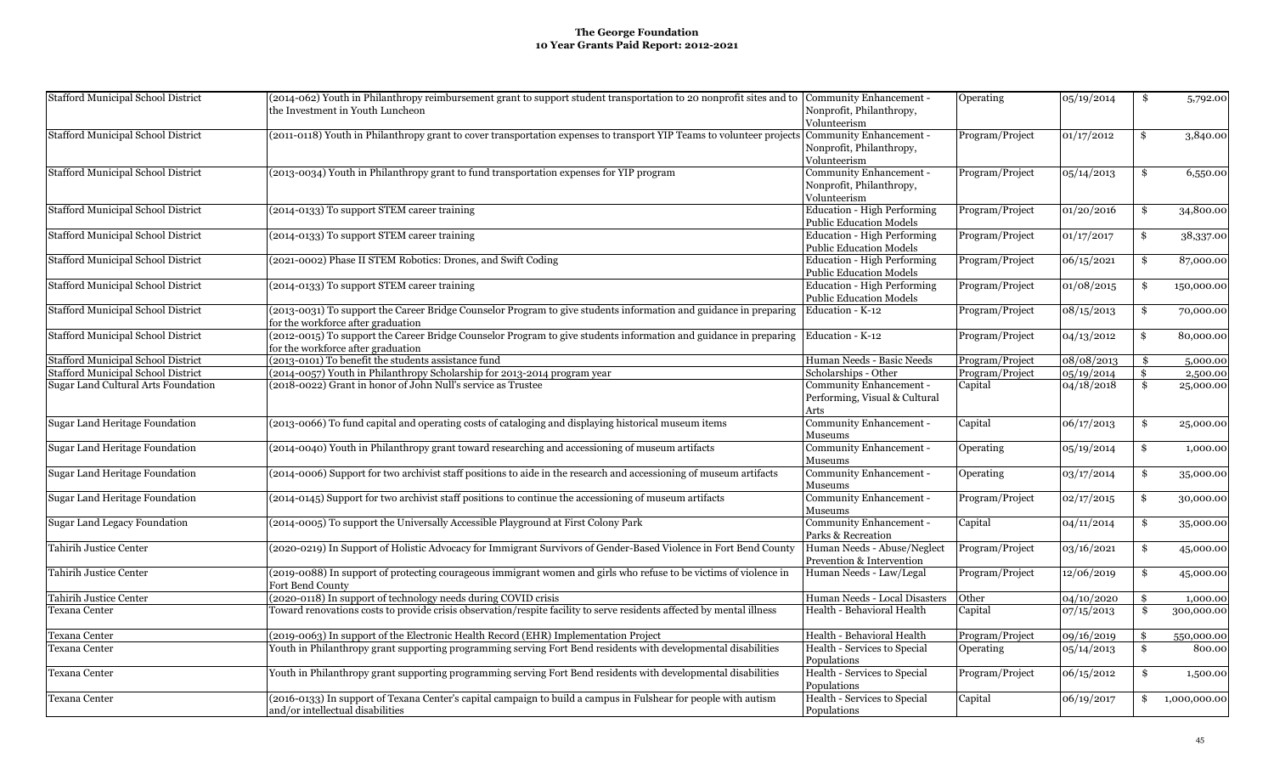| <b>Stafford Municipal School District</b> | (2014-062) Youth in Philanthropy reimbursement grant to support student transportation to 20 nonprofit sites and to Community Enhancement -<br>the Investment in Youth Luncheon | Nonprofit, Philanthropy,                                            | Operating       | 05/19/2014 | \$<br>5,792.00     |
|-------------------------------------------|---------------------------------------------------------------------------------------------------------------------------------------------------------------------------------|---------------------------------------------------------------------|-----------------|------------|--------------------|
| <b>Stafford Municipal School District</b> | (2011-0118) Youth in Philanthropy grant to cover transportation expenses to transport YIP Teams to volunteer projects Community Enhancement -                                   | Volunteerism<br>Nonprofit, Philanthropy,                            | Program/Project | 01/17/2012 | \$<br>3,840.00     |
|                                           |                                                                                                                                                                                 | Volunteerism                                                        |                 |            |                    |
| <b>Stafford Municipal School District</b> | (2013-0034) Youth in Philanthropy grant to fund transportation expenses for YIP program                                                                                         | Community Enhancement -<br>Nonprofit, Philanthropy,<br>Volunteerism | Program/Project | 05/14/2013 | \$<br>6,550.00     |
| <b>Stafford Municipal School District</b> | (2014-0133) To support STEM career training                                                                                                                                     | Education - High Performing<br><b>Public Education Models</b>       | Program/Project | 01/20/2016 | \$<br>34,800.00    |
| <b>Stafford Municipal School District</b> | (2014-0133) To support STEM career training                                                                                                                                     | Education - High Performing<br><b>Public Education Models</b>       | Program/Project | 01/17/2017 | \$<br>38,337.00    |
| <b>Stafford Municipal School District</b> | (2021-0002) Phase II STEM Robotics: Drones, and Swift Coding                                                                                                                    | Education - High Performing<br><b>Public Education Models</b>       | Program/Project | 06/15/2021 | \$<br>87,000.00    |
| <b>Stafford Municipal School District</b> | (2014-0133) To support STEM career training                                                                                                                                     | Education - High Performing<br><b>Public Education Models</b>       | Program/Project | 01/08/2015 | \$<br>150,000.00   |
| <b>Stafford Municipal School District</b> | (2013-0031) To support the Career Bridge Counselor Program to give students information and guidance in preparing Education - K-12<br>for the workforce after graduation        |                                                                     | Program/Project | 08/15/2013 | \$<br>70,000.00    |
| <b>Stafford Municipal School District</b> | (2012-0015) To support the Career Bridge Counselor Program to give students information and guidance in preparing Education - K-12<br>for the workforce after graduation        |                                                                     | Program/Project | 04/13/2012 | \$<br>80,000.00    |
| <b>Stafford Municipal School District</b> | (2013-0101) To benefit the students assistance fund                                                                                                                             | Human Needs - Basic Needs                                           | Program/Project | 08/08/2013 | \$<br>5,000.00     |
| <b>Stafford Municipal School District</b> | (2014-0057) Youth in Philanthropy Scholarship for 2013-2014 program year                                                                                                        | Scholarships - Other                                                | Program/Project | 05/19/2014 | \$<br>2,500.00     |
| Sugar Land Cultural Arts Foundation       | (2018-0022) Grant in honor of John Null's service as Trustee                                                                                                                    | Community Enhancement -<br>Performing, Visual & Cultural<br>Arts    | Capital         | 04/18/2018 | \$<br>25,000.00    |
| Sugar Land Heritage Foundation            | (2013-0066) To fund capital and operating costs of cataloging and displaying historical museum items                                                                            | Community Enhancement -<br>Museums                                  | Capital         | 06/17/2013 | \$<br>25,000.00    |
| Sugar Land Heritage Foundation            | (2014-0040) Youth in Philanthropy grant toward researching and accessioning of museum artifacts                                                                                 | Community Enhancement -<br>Museums                                  | Operating       | 05/19/2014 | \$<br>1,000.00     |
| Sugar Land Heritage Foundation            | (2014-0006) Support for two archivist staff positions to aide in the research and accessioning of museum artifacts                                                              | Community Enhancement -<br>Museums                                  | Operating       | 03/17/2014 | \$<br>35,000.00    |
| Sugar Land Heritage Foundation            | (2014-0145) Support for two archivist staff positions to continue the accessioning of museum artifacts                                                                          | Community Enhancement -<br>Museums                                  | Program/Project | 02/17/2015 | \$<br>30,000.00    |
| <b>Sugar Land Legacy Foundation</b>       | (2014-0005) To support the Universally Accessible Playground at First Colony Park                                                                                               | Community Enhancement -<br>Parks & Recreation                       | Capital         | 04/11/2014 | \$<br>35,000.00    |
| Tahirih Justice Center                    | (2020-0219) In Support of Holistic Advocacy for Immigrant Survivors of Gender-Based Violence in Fort Bend County                                                                | Human Needs - Abuse/Neglect<br>Prevention & Intervention            | Program/Project | 03/16/2021 | \$<br>45,000.00    |
| Tahirih Justice Center                    | (2019-0088) In support of protecting courageous immigrant women and girls who refuse to be victims of violence in<br>Fort Bend County                                           | Human Needs - Law/Legal                                             | Program/Project | 12/06/2019 | \$<br>45,000.00    |
| Tahirih Justice Center                    | (2020-0118) In support of technology needs during COVID crisis                                                                                                                  | Human Needs - Local Disasters                                       | Other           | 04/10/2020 | \$<br>1,000.00     |
| <b>Texana Center</b>                      | Toward renovations costs to provide crisis observation/respite facility to serve residents affected by mental illness                                                           | Health - Behavioral Health                                          | Capital         | 07/15/2013 | \$<br>300,000.00   |
| <b>Texana Center</b>                      | (2019-0063) In support of the Electronic Health Record (EHR) Implementation Project                                                                                             | Health - Behavioral Health                                          | Program/Project | 09/16/2019 | \$<br>550,000.00   |
| <b>Texana Center</b>                      | Youth in Philanthropy grant supporting programming serving Fort Bend residents with developmental disabilities                                                                  | Health - Services to Special<br>Populations                         | Operating       | 05/14/2013 | \$<br>800.00       |
| <b>Texana Center</b>                      | Youth in Philanthropy grant supporting programming serving Fort Bend residents with developmental disabilities                                                                  | Health - Services to Special<br>Populations                         | Program/Project | 06/15/2012 | \$<br>1,500.00     |
| <b>Texana Center</b>                      | (2016-0133) In support of Texana Center's capital campaign to build a campus in Fulshear for people with autism<br>and/or intellectual disabilities                             | Health - Services to Special<br>Populations                         | Capital         | 06/19/2017 | \$<br>1,000,000.00 |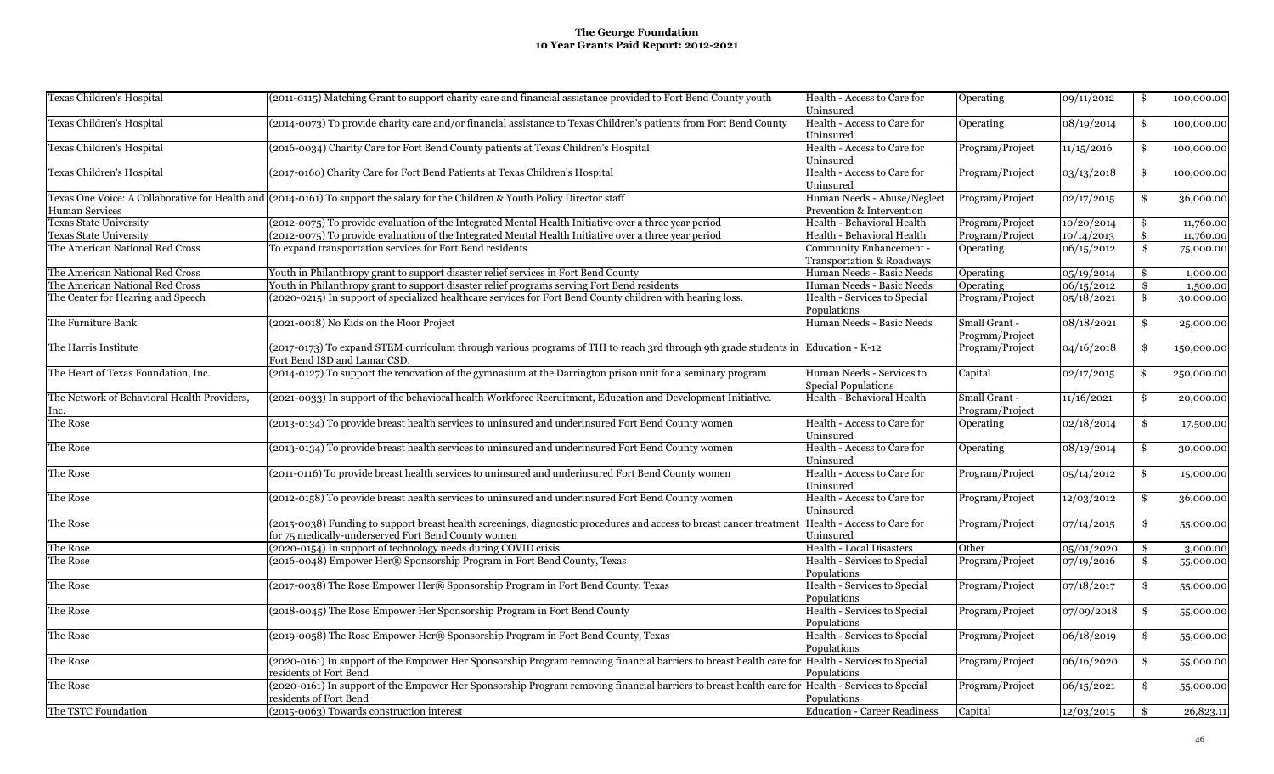| Texas Children's Hospital                           | (2011-0115) Matching Grant to support charity care and financial assistance provided to Fort Bend County youth                                                              | Health - Access to Care for<br>Uninsured                 | Operating                        | 09/11/2012 | \$<br>100,000.00 |
|-----------------------------------------------------|-----------------------------------------------------------------------------------------------------------------------------------------------------------------------------|----------------------------------------------------------|----------------------------------|------------|------------------|
| Texas Children's Hospital                           | (2014-0073) To provide charity care and/or financial assistance to Texas Children's patients from Fort Bend County                                                          | Health - Access to Care for<br>Uninsured                 | Operating                        | 08/19/2014 | \$<br>100,000.00 |
| Texas Children's Hospital                           | (2016-0034) Charity Care for Fort Bend County patients at Texas Children's Hospital                                                                                         | Health - Access to Care for<br>Uninsured                 | Program/Project                  | 11/15/2016 | \$<br>100,000.00 |
| Texas Children's Hospital                           | (2017-0160) Charity Care for Fort Bend Patients at Texas Children's Hospital                                                                                                | Health - Access to Care for<br>Uninsured                 | Program/Project                  | 03/13/2018 | \$<br>100,000.00 |
| <b>Human Services</b>                               | Texas One Voice: A Collaborative for Health and (2014-0161) To support the salary for the Children & Youth Policy Director staff                                            | Human Needs - Abuse/Neglect<br>Prevention & Intervention | Program/Project                  | 02/17/2015 | \$<br>36,000.00  |
| <b>Texas State University</b>                       | (2012-0075) To provide evaluation of the Integrated Mental Health Initiative over a three year period                                                                       | Health - Behavioral Health                               | Program/Project                  | 10/20/2014 | \$<br>11,760.00  |
| <b>Texas State University</b>                       | (2012-0075) To provide evaluation of the Integrated Mental Health Initiative over a three year period                                                                       | Health - Behavioral Health                               | Program/Project                  | 10/14/2013 | \$<br>11,760.00  |
| The American National Red Cross                     | To expand transportation services for Fort Bend residents                                                                                                                   | Community Enhancement -<br>Transportation & Roadways     | Operating                        | 06/15/2012 | \$<br>75,000.00  |
| The American National Red Cross                     | Youth in Philanthropy grant to support disaster relief services in Fort Bend County                                                                                         | Human Needs - Basic Needs                                | Operating                        | 05/19/2014 | \$<br>1,000.00   |
| The American National Red Cross                     | Youth in Philanthropy grant to support disaster relief programs serving Fort Bend residents                                                                                 | Human Needs - Basic Needs                                | Operating                        | 06/15/2012 | \$<br>1,500.00   |
| The Center for Hearing and Speech                   | (2020-0215) In support of specialized healthcare services for Fort Bend County children with hearing loss.                                                                  | Health - Services to Special<br>Populations              | Program/Project                  | 05/18/2021 | \$<br>30,000.00  |
| The Furniture Bank                                  | (2021-0018) No Kids on the Floor Project                                                                                                                                    | Human Needs - Basic Needs                                | Small Grant -<br>Program/Project | 08/18/2021 | \$<br>25,000.00  |
| The Harris Institute                                | (2017-0173) To expand STEM curriculum through various programs of THI to reach 3rd through 9th grade students in Education - K-12<br>Fort Bend ISD and Lamar CSD.           |                                                          | Program/Project                  | 04/16/2018 | \$<br>150,000.00 |
| The Heart of Texas Foundation, Inc.                 | (2014-0127) To support the renovation of the gymnasium at the Darrington prison unit for a seminary program                                                                 | Human Needs - Services to<br>Special Populations         | Capital                          | 02/17/2015 | \$<br>250,000.00 |
| The Network of Behavioral Health Providers,<br>Inc. | (2021-0033) In support of the behavioral health Workforce Recruitment, Education and Development Initiative.                                                                | Health - Behavioral Health                               | Small Grant -<br>Program/Project | 11/16/2021 | \$<br>20,000.00  |
| The Rose                                            | (2013-0134) To provide breast health services to uninsured and underinsured Fort Bend County women                                                                          | Health - Access to Care for<br>Uninsured                 | Operating                        | 02/18/2014 | \$<br>17,500.00  |
| The Rose                                            | (2013-0134) To provide breast health services to uninsured and underinsured Fort Bend County women                                                                          | Health - Access to Care for<br>Uninsured                 | Operating                        | 08/19/2014 | \$<br>30,000.00  |
| The Rose                                            | (2011-0116) To provide breast health services to uninsured and underinsured Fort Bend County women                                                                          | Health - Access to Care for<br>Uninsured                 | Program/Project                  | 05/14/2012 | \$<br>15,000.00  |
| The Rose                                            | (2012-0158) To provide breast health services to uninsured and underinsured Fort Bend County women                                                                          | Health - Access to Care for<br>Uninsured                 | Program/Project                  | 12/03/2012 | \$<br>36,000.00  |
| The Rose                                            | (2015-0038) Funding to support breast health screenings, diagnostic procedures and access to breast cancer treatment<br>for 75 medically-underserved Fort Bend County women | Health - Access to Care for<br>Uninsured                 | Program/Project                  | 07/14/2015 | \$<br>55,000.00  |
| The Rose                                            | (2020-0154) In support of technology needs during COVID crisis                                                                                                              | <b>Health - Local Disasters</b>                          | Other                            | 05/01/2020 | \$<br>3,000.00   |
| The Rose                                            | (2016-0048) Empower Her® Sponsorship Program in Fort Bend County, Texas                                                                                                     | Health - Services to Special<br>Populations              | Program/Project                  | 07/19/2016 | \$<br>55,000.00  |
| The Rose                                            | (2017-0038) The Rose Empower Her® Sponsorship Program in Fort Bend County, Texas                                                                                            | Health - Services to Special<br>Populations              | Program/Project                  | 07/18/2017 | \$<br>55,000.00  |
| The Rose                                            | (2018-0045) The Rose Empower Her Sponsorship Program in Fort Bend County                                                                                                    | Health - Services to Special<br>Populations              | Program/Project                  | 07/09/2018 | \$<br>55,000.00  |
| The Rose                                            | (2019-0058) The Rose Empower Her® Sponsorship Program in Fort Bend County, Texas                                                                                            | Health - Services to Special<br>Populations              | Program/Project                  | 06/18/2019 | \$<br>55,000.00  |
| The Rose                                            | (2020-0161) In support of the Empower Her Sponsorship Program removing financial barriers to breast health care for Health - Services to Special<br>esidents of Fort Bend   | Populations                                              | Program/Project                  | 06/16/2020 | \$<br>55,000.00  |
| The Rose                                            | 2020-0161) In support of the Empower Her Sponsorship Program removing financial barriers to breast health care for Health - Services to Special<br>residents of Fort Bend   | Populations                                              | Program/Project                  | 06/15/2021 | \$<br>55,000.00  |
| The TSTC Foundation                                 | (2015-0063) Towards construction interest                                                                                                                                   | <b>Education - Career Readiness</b>                      | Capital                          | 12/03/2015 | \$<br>26,823.11  |
|                                                     |                                                                                                                                                                             |                                                          |                                  |            |                  |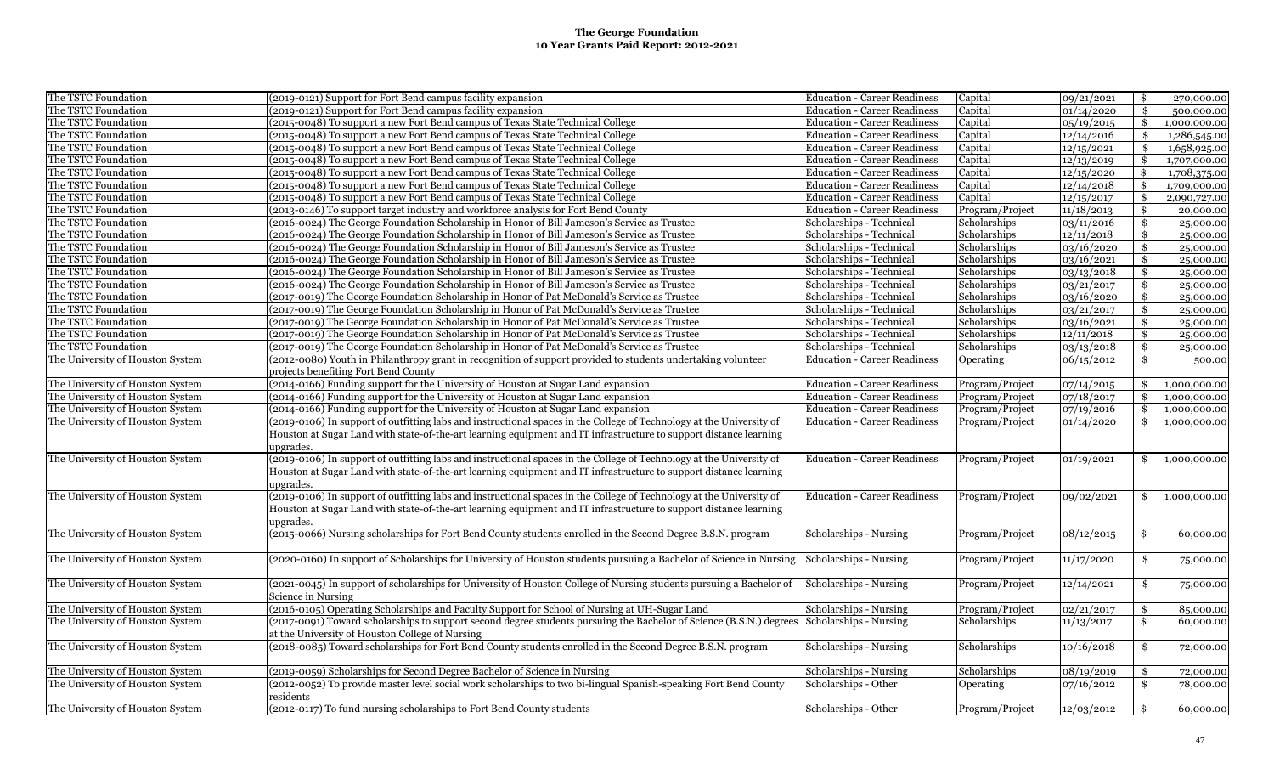| The TSTC Foundation              | (2019-0121) Support for Fort Bend campus facility expansion                                                          | <b>Education - Career Readiness</b> | Capital         | 09/21/2021 | \$  | 270,000.00   |
|----------------------------------|----------------------------------------------------------------------------------------------------------------------|-------------------------------------|-----------------|------------|-----|--------------|
| The TSTC Foundation              | (2019-0121) Support for Fort Bend campus facility expansion                                                          | <b>Education - Career Readiness</b> | Capital         | 01/14/2020 | \$  | 500,000.00   |
| The TSTC Foundation              | (2015-0048) To support a new Fort Bend campus of Texas State Technical College                                       | <b>Education - Career Readiness</b> | Capital         | 05/19/2015 | \$  | 1,000,000.00 |
| The TSTC Foundation              | (2015-0048) To support a new Fort Bend campus of Texas State Technical College                                       | <b>Education - Career Readiness</b> | Capital         | 12/14/2016 | \$  | 1,286,545.00 |
| The TSTC Foundation              | (2015-0048) To support a new Fort Bend campus of Texas State Technical College                                       | <b>Education - Career Readiness</b> | Capital         | 12/15/2021 | \$  | 1,658,925.00 |
| The TSTC Foundation              | (2015-0048) To support a new Fort Bend campus of Texas State Technical College                                       | <b>Education - Career Readiness</b> | Capital         | 12/13/2019 | \$  | 1,707,000.00 |
| The TSTC Foundation              | (2015-0048) To support a new Fort Bend campus of Texas State Technical College                                       | <b>Education - Career Readiness</b> | Capital         | 12/15/2020 | \$  | 1,708,375.00 |
| The TSTC Foundation              | (2015-0048) To support a new Fort Bend campus of Texas State Technical College                                       | <b>Education - Career Readiness</b> | Capital         | 12/14/2018 |     | 1,709,000.00 |
| The TSTC Foundation              | (2015-0048) To support a new Fort Bend campus of Texas State Technical College                                       | <b>Education - Career Readiness</b> | Capital         | 12/15/2017 | \$  | 2,090,727.00 |
| The TSTC Foundation              | (2013-0146) To support target industry and workforce analysis for Fort Bend County                                   | <b>Education - Career Readiness</b> | Program/Project | 11/18/2013 | \$  | 20,000.00    |
| The TSTC Foundation              | (2016-0024) The George Foundation Scholarship in Honor of Bill Jameson's Service as Trustee                          | Scholarships - Technical            | Scholarships    | 03/11/2016 | \$  | 25,000.00    |
| The TSTC Foundation              | (2016-0024) The George Foundation Scholarship in Honor of Bill Jameson's Service as Trustee                          | Scholarships - Technical            | Scholarships    | 12/11/2018 | \$  | 25,000.00    |
| The TSTC Foundation              | (2016-0024) The George Foundation Scholarship in Honor of Bill Jameson's Service as Trustee                          | Scholarships - Technical            | Scholarships    | 03/16/2020 | \$  | 25,000.00    |
| The TSTC Foundation              | (2016-0024) The George Foundation Scholarship in Honor of Bill Jameson's Service as Trustee                          | Scholarships - Technical            | Scholarships    | 03/16/2021 | \$  | 25,000.00    |
| The TSTC Foundation              | (2016-0024) The George Foundation Scholarship in Honor of Bill Jameson's Service as Trustee                          | Scholarships - Technical            | Scholarships    | 03/13/2018 | \$  | 25,000.00    |
| The TSTC Foundation              | (2016-0024) The George Foundation Scholarship in Honor of Bill Jameson's Service as Trustee                          | Scholarships - Technical            | Scholarships    | 03/21/2017 | \$  | 25,000.00    |
| The TSTC Foundation              | (2017-0019) The George Foundation Scholarship in Honor of Pat McDonald's Service as Trustee                          | Scholarships - Technical            | Scholarships    | 03/16/2020 | \$  | 25,000.00    |
| The TSTC Foundation              | (2017-0019) The George Foundation Scholarship in Honor of Pat McDonald's Service as Trustee                          | Scholarships - Technical            | Scholarships    | 03/21/2017 | \$  | 25,000.00    |
| The TSTC Foundation              | (2017-0019) The George Foundation Scholarship in Honor of Pat McDonald's Service as Trustee                          | Scholarships - Technical            | Scholarships    | 03/16/2021 | \$  | 25,000.00    |
| The TSTC Foundation              | (2017-0019) The George Foundation Scholarship in Honor of Pat McDonald's Service as Trustee                          | Scholarships - Technical            | Scholarships    | 12/11/2018 | \$  | 25,000.00    |
| The TSTC Foundation              | (2017-0019) The George Foundation Scholarship in Honor of Pat McDonald's Service as Trustee                          | Scholarships - Technical            | Scholarships    | 03/13/2018 | \$  | 25,000.00    |
| The University of Houston System | (2012-0080) Youth in Philanthropy grant in recognition of support provided to students undertaking volunteer         | <b>Education - Career Readiness</b> | Operating       | 06/15/2012 | \$  | 500.00       |
|                                  | projects benefiting Fort Bend County                                                                                 |                                     |                 |            |     |              |
| The University of Houston System | (2014-0166) Funding support for the University of Houston at Sugar Land expansion                                    | <b>Education - Career Readiness</b> | Program/Project | 07/14/2015 | \$  | 1,000,000.00 |
| The University of Houston System | (2014-0166) Funding support for the University of Houston at Sugar Land expansion                                    | <b>Education - Career Readiness</b> | Program/Project | 07/18/2017 | \$. | 1,000,000.00 |
| The University of Houston System | (2014-0166) Funding support for the University of Houston at Sugar Land expansion                                    | <b>Education - Career Readiness</b> | Program/Project | 07/19/2016 | \$  | 1,000,000.00 |
| The University of Houston System | (2019-0106) In support of outfitting labs and instructional spaces in the College of Technology at the University of | <b>Education - Career Readiness</b> | Program/Project | 01/14/2020 |     | 1,000,000.00 |
|                                  | Houston at Sugar Land with state-of-the-art learning equipment and IT infrastructure to support distance learning    |                                     |                 |            |     |              |
|                                  | upgrades.                                                                                                            |                                     |                 |            |     |              |
| The University of Houston System | (2019-0106) In support of outfitting labs and instructional spaces in the College of Technology at the University of | <b>Education - Career Readiness</b> | Program/Project | 01/19/2021 | \$  | 1,000,000.00 |
|                                  | Houston at Sugar Land with state-of-the-art learning equipment and IT infrastructure to support distance learning    |                                     |                 |            |     |              |
|                                  | upgrades.                                                                                                            |                                     |                 |            |     |              |
| The University of Houston System | (2019-0106) In support of outfitting labs and instructional spaces in the College of Technology at the University of | <b>Education - Career Readiness</b> | Program/Project | 09/02/2021 | \$  | 1,000,000.00 |
|                                  | Houston at Sugar Land with state-of-the-art learning equipment and IT infrastructure to support distance learning    |                                     |                 |            |     |              |
|                                  | upgrades.                                                                                                            |                                     |                 |            |     |              |
| The University of Houston System | (2015-0066) Nursing scholarships for Fort Bend County students enrolled in the Second Degree B.S.N. program          | Scholarships - Nursing              | Program/Project | 08/12/2015 | \$  | 60,000.00    |
|                                  |                                                                                                                      |                                     |                 |            |     |              |
| The University of Houston System | (2020-0160) In support of Scholarships for University of Houston students pursuing a Bachelor of Science in Nursing  | Scholarships - Nursing              | Program/Project | 11/17/2020 | \$  | 75,000.00    |
|                                  |                                                                                                                      |                                     |                 |            |     |              |
| The University of Houston System | (2021-0045) In support of scholarships for University of Houston College of Nursing students pursuing a Bachelor of  | Scholarships - Nursing              | Program/Project | 12/14/2021 | \$  | 75,000.00    |
|                                  | Science in Nursing                                                                                                   |                                     |                 |            |     |              |
| The University of Houston System | (2016-0105) Operating Scholarships and Faculty Support for School of Nursing at UH-Sugar Land                        | Scholarships - Nursing              | Program/Project | 02/21/2017 | \$  | 85,000.00    |
| The University of Houston System | (2017-0091) Toward scholarships to support second degree students pursuing the Bachelor of Science (B.S.N.) degrees  | Scholarships - Nursing              | Scholarships    | 11/13/2017 | \$  | 60,000.00    |
|                                  | at the University of Houston College of Nursing                                                                      |                                     |                 |            |     |              |
| The University of Houston System | (2018-0085) Toward scholarships for Fort Bend County students enrolled in the Second Degree B.S.N. program           | Scholarships - Nursing              | Scholarships    | 10/16/2018 | \$  | 72,000.00    |
|                                  |                                                                                                                      |                                     |                 |            |     |              |
| The University of Houston System | (2019-0059) Scholarships for Second Degree Bachelor of Science in Nursing                                            | Scholarships - Nursing              | Scholarships    | 08/19/2019 | \$  | 72,000.00    |
| The University of Houston System | (2012-0052) To provide master level social work scholarships to two bi-lingual Spanish-speaking Fort Bend County     | Scholarships - Other                | Operating       | 07/16/2012 | \$  | 78,000.00    |
|                                  | residents                                                                                                            |                                     |                 |            |     |              |
| The University of Houston System | (2012-0117) To fund nursing scholarships to Fort Bend County students                                                | Scholarships - Other                | Program/Project | 12/03/2012 | \$  | 60,000.00    |
|                                  |                                                                                                                      |                                     |                 |            |     |              |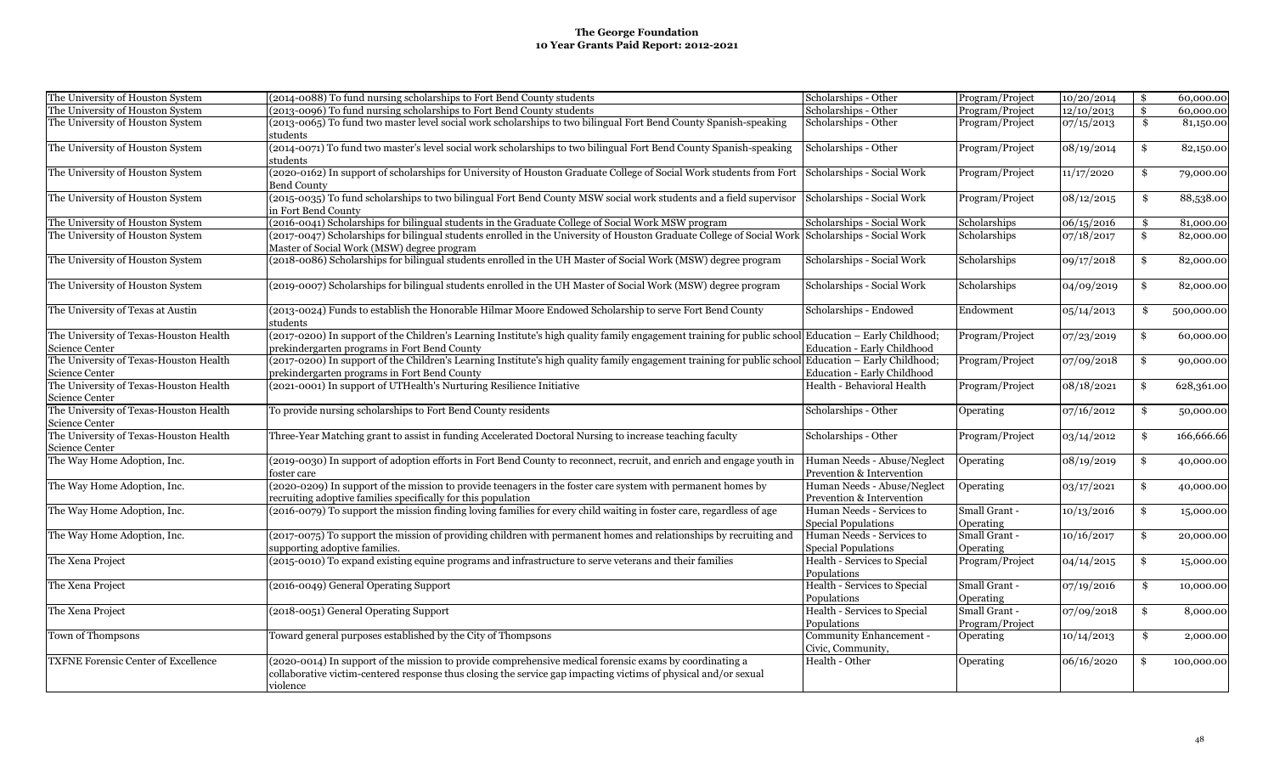| The University of Houston System                         | (2014-0088) To fund nursing scholarships to Fort Bend County students                                                                                                                                                                  | Scholarships - Other                                    | Program/Project | 10/20/2014          | \$<br>60,000.00  |
|----------------------------------------------------------|----------------------------------------------------------------------------------------------------------------------------------------------------------------------------------------------------------------------------------------|---------------------------------------------------------|-----------------|---------------------|------------------|
| The University of Houston System                         | (2013-0096) To fund nursing scholarships to Fort Bend County students                                                                                                                                                                  | Scholarships - Other                                    | Program/Project | 12/10/2013          | \$<br>60,000.00  |
| The University of Houston System                         | (2013-0065) To fund two master level social work scholarships to two bilingual Fort Bend County Spanish-speaking<br>students                                                                                                           | Scholarships - Other                                    | Program/Project | 07/15/2013          | \$<br>81,150.00  |
| The University of Houston System                         | (2014-0071) To fund two master's level social work scholarships to two bilingual Fort Bend County Spanish-speaking<br>students                                                                                                         | Scholarships - Other                                    | Program/Project | 08/19/2014          | \$<br>82,150.00  |
| The University of Houston System                         | (2020-0162) In support of scholarships for University of Houston Graduate College of Social Work students from Fort<br>Bend County                                                                                                     | Scholarships - Social Work                              | Program/Project | 11/17/2020          | \$<br>79,000.00  |
| The University of Houston System                         | (2015-0035) To fund scholarships to two bilingual Fort Bend County MSW social work students and a field supervisor<br>in Fort Bend County                                                                                              | Scholarships - Social Work                              | Program/Project | $\sqrt{08}/12/2015$ | \$<br>88,538.00  |
| The University of Houston System                         | (2016-0041) Scholarships for bilingual students in the Graduate College of Social Work MSW program                                                                                                                                     | Scholarships - Social Work                              | Scholarships    | 06/15/2016          | \$<br>81,000.00  |
| The University of Houston System                         | (2017-0047) Scholarships for bilingual students enrolled in the University of Houston Graduate College of Social Work Scholarships - Social Work<br>Master of Social Work (MSW) degree program                                         |                                                         | Scholarships    | 07/18/2017          | \$<br>82,000.00  |
| The University of Houston System                         | (2018-0086) Scholarships for bilingual students enrolled in the UH Master of Social Work (MSW) degree program                                                                                                                          | Scholarships - Social Work                              | Scholarships    | 09/17/2018          | \$<br>82,000.00  |
| The University of Houston System                         | (2019-0007) Scholarships for bilingual students enrolled in the UH Master of Social Work (MSW) degree program                                                                                                                          | Scholarships - Social Work                              | Scholarships    | 04/09/2019          | \$<br>82,000.00  |
| The University of Texas at Austin                        | (2013-0024) Funds to establish the Honorable Hilmar Moore Endowed Scholarship to serve Fort Bend County<br>students                                                                                                                    | Scholarships - Endowed                                  | Endowment       | 05/14/2013          | \$<br>500,000.00 |
| The University of Texas-Houston Health                   | (2017-0200) In support of the Children's Learning Institute's high quality family engagement training for public school Education - Early Childhood;                                                                                   |                                                         | Program/Project | 07/23/2019          | \$<br>60,000.00  |
| Science Center                                           | prekindergarten programs in Fort Bend County                                                                                                                                                                                           | Education - Early Childhood                             |                 |                     |                  |
| The University of Texas-Houston Health                   | (2017-0200) In support of the Children's Learning Institute's high quality family engagement training for public school Education - Early Childhood;                                                                                   |                                                         | Program/Project | 07/09/2018          | \$<br>90,000.00  |
| Science Center                                           | prekindergarten programs in Fort Bend County                                                                                                                                                                                           | Education - Early Childhood                             |                 |                     |                  |
| The University of Texas-Houston Health<br>Science Center | (2021-0001) In support of UTHealth's Nurturing Resilience Initiative                                                                                                                                                                   | Health - Behavioral Health                              | Program/Project | 08/18/2021          | \$<br>628,361.00 |
| The University of Texas-Houston Health<br>Science Center | To provide nursing scholarships to Fort Bend County residents                                                                                                                                                                          | Scholarships - Other                                    | Operating       | 07/16/2012          | \$<br>50,000.00  |
| The University of Texas-Houston Health<br>Science Center | Three-Year Matching grant to assist in funding Accelerated Doctoral Nursing to increase teaching faculty                                                                                                                               | Scholarships - Other                                    | Program/Project | 03/14/2012          | \$<br>166,666.66 |
| The Way Home Adoption, Inc.                              | (2019-0030) In support of adoption efforts in Fort Bend County to reconnect, recruit, and enrich and engage youth in                                                                                                                   | Human Needs - Abuse/Neglect                             | Operating       | 08/19/2019          | \$<br>40,000.00  |
|                                                          | foster care                                                                                                                                                                                                                            | Prevention & Intervention                               |                 |                     |                  |
| The Way Home Adoption, Inc.                              | (2020-0209) In support of the mission to provide teenagers in the foster care system with permanent homes by                                                                                                                           | Human Needs - Abuse/Neglect                             | Operating       | 03/17/2021          | \$<br>40,000.00  |
|                                                          | recruiting adoptive families specifically for this population                                                                                                                                                                          | Prevention & Intervention                               |                 |                     |                  |
| The Way Home Adoption, Inc.                              | (2016-0079) To support the mission finding loving families for every child waiting in foster care, regardless of age                                                                                                                   | Human Needs - Services to                               | Small Grant -   | 10/13/2016          | \$<br>15,000.00  |
|                                                          |                                                                                                                                                                                                                                        | <b>Special Populations</b>                              | Operating       |                     |                  |
| The Way Home Adoption, Inc.                              | (2017-0075) To support the mission of providing children with permanent homes and relationships by recruiting and<br>supporting adoptive families.                                                                                     | Human Needs - Services to<br><b>Special Populations</b> | Small Grant -   | 10/16/2017          | \$<br>20,000.00  |
| The Xena Project                                         | (2015-0010) To expand existing equine programs and infrastructure to serve veterans and their families                                                                                                                                 | Health - Services to Special                            | Operating       |                     | \$               |
|                                                          |                                                                                                                                                                                                                                        | Populations                                             | Program/Project | 04/14/2015          | 15,000.00        |
| The Xena Project                                         | (2016-0049) General Operating Support                                                                                                                                                                                                  | Health - Services to Special                            | Small Grant -   | 07/19/2016          | \$<br>10,000.00  |
|                                                          |                                                                                                                                                                                                                                        | Populations                                             | Operating       |                     |                  |
| The Xena Project                                         | (2018-0051) General Operating Support                                                                                                                                                                                                  | Health - Services to Special                            | Small Grant -   | 07/09/2018          | \$<br>8,000.00   |
|                                                          |                                                                                                                                                                                                                                        | Populations                                             | Program/Project |                     |                  |
| Town of Thompsons                                        | Toward general purposes established by the City of Thompsons                                                                                                                                                                           | Community Enhancement -<br>Civic, Community,            | Operating       | 10/14/2013          | \$<br>2,000.00   |
| <b>TXFNE Forensic Center of Excellence</b>               | (2020-0014) In support of the mission to provide comprehensive medical forensic exams by coordinating a<br>collaborative victim-centered response thus closing the service gap impacting victims of physical and/or sexual<br>violence | Health - Other                                          | Operating       | 06/16/2020          | \$<br>100,000.00 |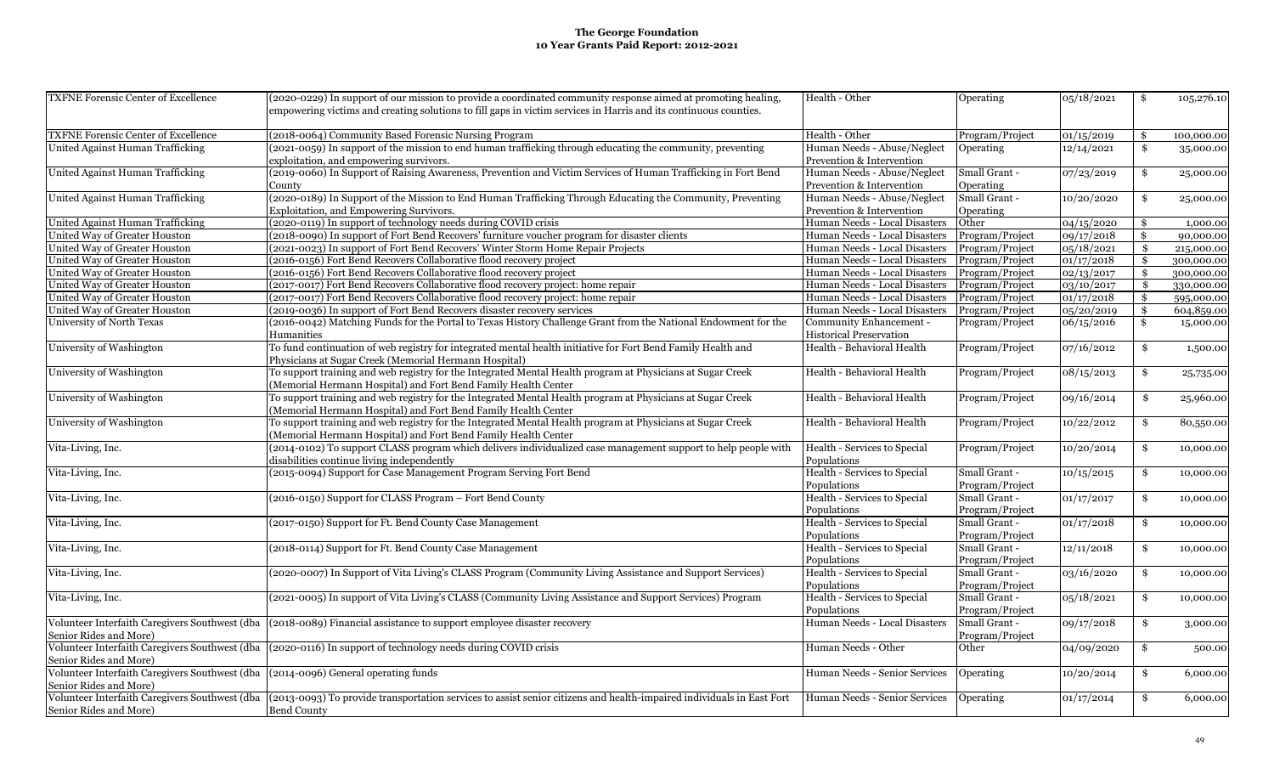| <b>TXFNE Forensic Center of Excellence</b>                                         | (2020-0229) In support of our mission to provide a coordinated community response aimed at promoting healing,                                                        | Health - Other                 | Operating       | 05/18/2021 | \$            | 105,276.10 |
|------------------------------------------------------------------------------------|----------------------------------------------------------------------------------------------------------------------------------------------------------------------|--------------------------------|-----------------|------------|---------------|------------|
|                                                                                    | empowering victims and creating solutions to fill gaps in victim services in Harris and its continuous counties.                                                     |                                |                 |            |               |            |
|                                                                                    |                                                                                                                                                                      |                                |                 |            |               |            |
| <b>TXFNE Forensic Center of Excellence</b>                                         | (2018-0064) Community Based Forensic Nursing Program                                                                                                                 | Health - Other                 | Program/Project | 01/15/2019 | \$            | 100,000.00 |
| United Against Human Trafficking                                                   | (2021-0059) In support of the mission to end human trafficking through educating the community, preventing                                                           | Human Needs - Abuse/Neglect    | Operating       | 12/14/2021 | \$            | 35,000.00  |
|                                                                                    | exploitation, and empowering survivors.                                                                                                                              | Prevention & Intervention      |                 |            |               |            |
| United Against Human Trafficking                                                   | (2019-0060) In Support of Raising Awareness, Prevention and Victim Services of Human Trafficking in Fort Bend                                                        | Human Needs - Abuse/Neglect    | Small Grant -   | 07/23/2019 | \$            | 25,000.00  |
|                                                                                    | County                                                                                                                                                               | Prevention & Intervention      | Operating       |            |               |            |
| United Against Human Trafficking                                                   | (2020-0189) In Support of the Mission to End Human Trafficking Through Educating the Community, Preventing                                                           | Human Needs - Abuse/Neglect    | Small Grant -   | 10/20/2020 | \$            | 25,000.00  |
|                                                                                    | Exploitation, and Empowering Survivors.                                                                                                                              | Prevention & Intervention      | Operating       |            |               |            |
| United Against Human Trafficking                                                   | 2020-0119) In support of technology needs during COVID crisis                                                                                                        | Human Needs - Local Disasters  | Other           | 04/15/2020 | \$            | 1,000.00   |
| United Way of Greater Houston                                                      | (2018-0090) In support of Fort Bend Recovers' furniture voucher program for disaster clients                                                                         | Human Needs - Local Disasters  | Program/Project | 09/17/2018 | \$            | 90,000.00  |
| United Way of Greater Houston                                                      | 2021-0023) In support of Fort Bend Recovers' Winter Storm Home Repair Projects                                                                                       | Human Needs - Local Disasters  | Program/Project | 05/18/2021 | \$            | 215,000.00 |
| United Way of Greater Houston                                                      | (2016-0156) Fort Bend Recovers Collaborative flood recovery project                                                                                                  | Human Needs - Local Disasters  | Program/Project | 01/17/2018 | \$            | 300,000.00 |
| United Way of Greater Houston                                                      | 2016-0156) Fort Bend Recovers Collaborative flood recovery project                                                                                                   | Human Needs - Local Disasters  | Program/Project | 02/13/2017 | \$            | 300,000.00 |
| United Way of Greater Houston                                                      | (2017-0017) Fort Bend Recovers Collaborative flood recovery project: home repair                                                                                     | Human Needs - Local Disasters  | Program/Project | 03/10/2017 | $\mathbf{\$}$ | 330,000.00 |
| United Way of Greater Houston                                                      | (2017-0017) Fort Bend Recovers Collaborative flood recovery project: home repair                                                                                     | Human Needs - Local Disasters  | Program/Project | 01/17/2018 | \$            | 595,000.00 |
| United Way of Greater Houston                                                      | (2019-0036) In support of Fort Bend Recovers disaster recovery services                                                                                              | Human Needs - Local Disasters  | Program/Project | 05/20/2019 | \$            | 604,859.00 |
| University of North Texas                                                          | (2016-0042) Matching Funds for the Portal to Texas History Challenge Grant from the National Endowment for the                                                       | Community Enhancement -        | Program/Project | 06/15/2016 | \$            | 15,000.00  |
|                                                                                    | Humanities                                                                                                                                                           | <b>Historical Preservation</b> |                 |            |               |            |
| University of Washington                                                           | To fund continuation of web registry for integrated mental health initiative for Fort Bend Family Health and                                                         | Health - Behavioral Health     | Program/Project | 07/16/2012 | \$            | 1,500.00   |
|                                                                                    | Physicians at Sugar Creek (Memorial Hermann Hospital)                                                                                                                |                                |                 |            |               |            |
| University of Washington                                                           | To support training and web registry for the Integrated Mental Health program at Physicians at Sugar Creek                                                           | Health - Behavioral Health     | Program/Project | 08/15/2013 | \$            | 25,735.00  |
|                                                                                    | (Memorial Hermann Hospital) and Fort Bend Family Health Center                                                                                                       |                                |                 |            |               |            |
| University of Washington                                                           | To support training and web registry for the Integrated Mental Health program at Physicians at Sugar Creek                                                           | Health - Behavioral Health     | Program/Project | 09/16/2014 | \$            | 25,960.00  |
|                                                                                    | (Memorial Hermann Hospital) and Fort Bend Family Health Center                                                                                                       |                                |                 |            |               |            |
| University of Washington                                                           | To support training and web registry for the Integrated Mental Health program at Physicians at Sugar Creek                                                           | Health - Behavioral Health     | Program/Project | 10/22/2012 | \$            | 80,550.00  |
|                                                                                    | (Memorial Hermann Hospital) and Fort Bend Family Health Center                                                                                                       |                                |                 |            |               |            |
| Vita-Living, Inc.                                                                  | (2014-0102) To support CLASS program which delivers individualized case management support to help people with                                                       | Health - Services to Special   | Program/Project | 10/20/2014 | \$            | 10,000.00  |
|                                                                                    | disabilities continue living independently                                                                                                                           | Populations                    |                 |            |               |            |
| Vita-Living, Inc.                                                                  | (2015-0094) Support for Case Management Program Serving Fort Bend                                                                                                    | Health - Services to Special   | Small Grant -   | 10/15/2015 | \$            | 10,000.00  |
|                                                                                    |                                                                                                                                                                      | Populations                    | Program/Project |            |               |            |
| Vita-Living, Inc.                                                                  | (2016-0150) Support for CLASS Program - Fort Bend County                                                                                                             | Health - Services to Special   | Small Grant -   | 01/17/2017 | \$            | 10,000.00  |
|                                                                                    |                                                                                                                                                                      | Populations                    | Program/Project |            |               |            |
| Vita-Living, Inc.                                                                  | (2017-0150) Support for Ft. Bend County Case Management                                                                                                              | Health - Services to Special   | Small Grant -   | 01/17/2018 | \$            | 10,000.00  |
|                                                                                    |                                                                                                                                                                      | Populations                    | Program/Project |            |               |            |
| Vita-Living, Inc.                                                                  | (2018-0114) Support for Ft. Bend County Case Management                                                                                                              | Health - Services to Special   | Small Grant -   | 12/11/2018 | \$            | 10,000.00  |
|                                                                                    |                                                                                                                                                                      | Populations                    | Program/Project |            |               |            |
| Vita-Living, Inc.                                                                  | (2020-0007) In Support of Vita Living's CLASS Program (Community Living Assistance and Support Services)                                                             | Health - Services to Special   | Small Grant -   | 03/16/2020 | \$            | 10,000.00  |
|                                                                                    |                                                                                                                                                                      | Populations                    | Program/Project |            |               |            |
| Vita-Living, Inc.                                                                  | (2021-0005) In support of Vita Living's CLASS (Community Living Assistance and Support Services) Program                                                             | Health - Services to Special   | Small Grant -   | 05/18/2021 | \$            | 10,000.00  |
|                                                                                    |                                                                                                                                                                      | Populations                    | Program/Project |            |               |            |
|                                                                                    | Volunteer Interfaith Caregivers Southwest (dba (2018-0089) Financial assistance to support employee disaster recovery                                                | Human Needs - Local Disasters  | Small Grant -   | 09/17/2018 | \$            | 3,000.00   |
| Senior Rides and More)                                                             |                                                                                                                                                                      |                                | Program/Project |            |               |            |
|                                                                                    | Volunteer Interfaith Caregivers Southwest (dba (2020-0116) In support of technology needs during COVID crisis                                                        | Human Needs - Other            | Other           | 04/09/2020 | \$            | 500.00     |
| Senior Rides and More)                                                             |                                                                                                                                                                      |                                |                 |            |               |            |
| Volunteer Interfaith Caregivers Southwest (dba (2014-0096) General operating funds |                                                                                                                                                                      | Human Needs - Senior Services  | Operating       | 10/20/2014 | \$            | 6,000.00   |
| Senior Rides and More)                                                             |                                                                                                                                                                      |                                |                 |            |               |            |
|                                                                                    | Volunteer Interfaith Caregivers Southwest (dba (2013-0093) To provide transportation services to assist senior citizens and health-impaired individuals in East Fort | Human Needs - Senior Services  | Operating       | 01/17/2014 | \$            | 6,000.00   |
| Senior Rides and More)                                                             | <b>Bend County</b>                                                                                                                                                   |                                |                 |            |               |            |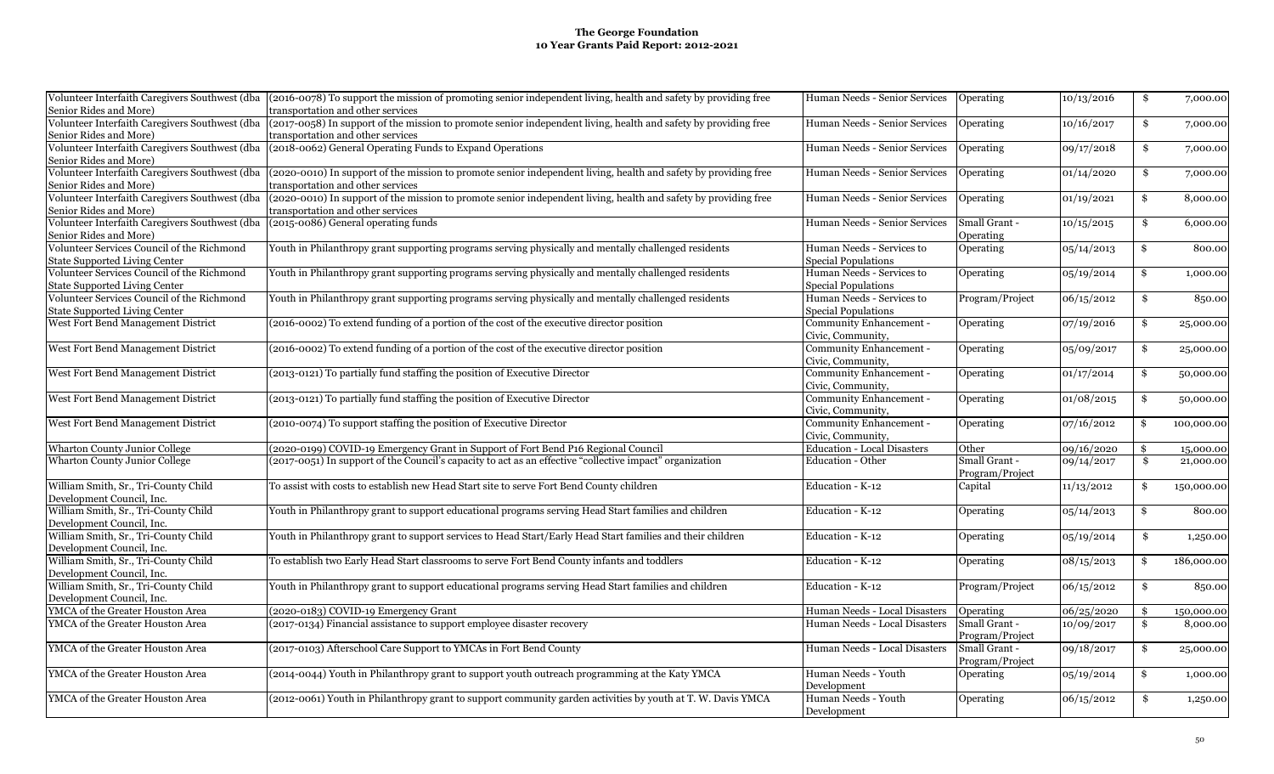|                                                | Volunteer Interfaith Caregivers Southwest (dba (2016-0078) To support the mission of promoting senior independent living, health and safety by providing free | Human Needs - Senior Services      | Operating        | 10/13/2016 | \$<br>7,000.00   |
|------------------------------------------------|---------------------------------------------------------------------------------------------------------------------------------------------------------------|------------------------------------|------------------|------------|------------------|
| Senior Rides and More)                         | transportation and other services                                                                                                                             |                                    |                  |            |                  |
| Volunteer Interfaith Caregivers Southwest (dba | (2017-0058) In support of the mission to promote senior independent living, health and safety by providing free                                               | Human Needs - Senior Services      | <b>Operating</b> | 10/16/2017 | \$<br>7,000.00   |
| Senior Rides and More)                         | transportation and other services                                                                                                                             |                                    |                  |            |                  |
|                                                | Volunteer Interfaith Caregivers Southwest (dba (2018-0062) General Operating Funds to Expand Operations                                                       | Human Needs - Senior Services      | Operating        | 09/17/2018 | \$<br>7,000.00   |
| Senior Rides and More)                         |                                                                                                                                                               |                                    |                  |            |                  |
| Volunteer Interfaith Caregivers Southwest (dba | (2020-0010) In support of the mission to promote senior independent living, health and safety by providing free                                               | Human Needs - Senior Services      | <b>Operating</b> | 01/14/2020 | \$<br>7,000.00   |
| Senior Rides and More)                         | transportation and other services                                                                                                                             |                                    |                  |            |                  |
| Volunteer Interfaith Caregivers Southwest (dba | (2020-0010) In support of the mission to promote senior independent living, health and safety by providing free                                               | Human Needs - Senior Services      | Operating        | 01/19/2021 | \$<br>8,000.00   |
| Senior Rides and More)                         | transportation and other services                                                                                                                             |                                    |                  |            |                  |
| Volunteer Interfaith Caregivers Southwest (dba | (2015-0086) General operating funds                                                                                                                           | Human Needs - Senior Services      | Small Grant -    | 10/15/2015 | \$<br>6,000.00   |
| Senior Rides and More)                         |                                                                                                                                                               |                                    | Operating        |            |                  |
| Volunteer Services Council of the Richmond     | Youth in Philanthropy grant supporting programs serving physically and mentally challenged residents                                                          | Human Needs - Services to          | Operating        | 05/14/2013 | \$<br>800.00     |
| <b>State Supported Living Center</b>           |                                                                                                                                                               | <b>Special Populations</b>         |                  |            |                  |
| Volunteer Services Council of the Richmond     | Youth in Philanthropy grant supporting programs serving physically and mentally challenged residents                                                          | Human Needs - Services to          | Operating        | 05/19/2014 | \$<br>1,000.00   |
| <b>State Supported Living Center</b>           |                                                                                                                                                               | Special Populations                |                  |            |                  |
| Volunteer Services Council of the Richmond     | Youth in Philanthropy grant supporting programs serving physically and mentally challenged residents                                                          | Human Needs - Services to          | Program/Project  | 06/15/2012 | \$<br>850.00     |
| <b>State Supported Living Center</b>           |                                                                                                                                                               | Special Populations                |                  |            |                  |
|                                                |                                                                                                                                                               |                                    |                  |            |                  |
| West Fort Bend Management District             | (2016-0002) To extend funding of a portion of the cost of the executive director position                                                                     | Community Enhancement -            | Operating        | 07/19/2016 | \$<br>25,000.00  |
|                                                |                                                                                                                                                               | Civic, Community,                  |                  |            |                  |
| West Fort Bend Management District             | (2016-0002) To extend funding of a portion of the cost of the executive director position                                                                     | Community Enhancement -            | Operating        | 05/09/2017 | \$<br>25,000.00  |
|                                                |                                                                                                                                                               | Civic, Community,                  |                  |            |                  |
| West Fort Bend Management District             | (2013-0121) To partially fund staffing the position of Executive Director                                                                                     | Community Enhancement -            | Operating        | 01/17/2014 | \$<br>50,000.00  |
|                                                |                                                                                                                                                               | Civic, Community,                  |                  |            |                  |
| West Fort Bend Management District             | (2013-0121) To partially fund staffing the position of Executive Director                                                                                     | Community Enhancement -            | Operating        | 01/08/2015 | \$<br>50,000.00  |
|                                                |                                                                                                                                                               | Civic, Community,                  |                  |            |                  |
| West Fort Bend Management District             | (2010-0074) To support staffing the position of Executive Director                                                                                            | Community Enhancement -            | Operating        | 07/16/2012 | \$<br>100,000.00 |
|                                                |                                                                                                                                                               | Civic, Community,                  |                  |            |                  |
| <b>Wharton County Junior College</b>           | (2020-0199) COVID-19 Emergency Grant in Support of Fort Bend P16 Regional Council                                                                             | <b>Education - Local Disasters</b> | Other            | 09/16/2020 | \$<br>15,000.00  |
| <b>Wharton County Junior College</b>           | (2017-0051) In support of the Council's capacity to act as an effective "collective impact" organization                                                      | <b>Education - Other</b>           | Small Grant -    | 09/14/2017 | \$<br>21,000.00  |
|                                                |                                                                                                                                                               |                                    | Program/Project  |            |                  |
| William Smith, Sr., Tri-County Child           | To assist with costs to establish new Head Start site to serve Fort Bend County children                                                                      | Education - K-12                   | Capital          | 11/13/2012 | \$<br>150,000.00 |
| Development Council, Inc.                      |                                                                                                                                                               |                                    |                  |            |                  |
| William Smith, Sr., Tri-County Child           | Youth in Philanthropy grant to support educational programs serving Head Start families and children                                                          | Education - K-12                   | Operating        | 05/14/2013 | \$<br>800.00     |
| Development Council, Inc.                      |                                                                                                                                                               |                                    |                  |            |                  |
| William Smith, Sr., Tri-County Child           | Youth in Philanthropy grant to support services to Head Start/Early Head Start families and their children                                                    | Education - K-12                   | Operating        | 05/19/2014 | \$<br>1,250.00   |
| Development Council, Inc.                      |                                                                                                                                                               |                                    |                  |            |                  |
| William Smith, Sr., Tri-County Child           | To establish two Early Head Start classrooms to serve Fort Bend County infants and toddlers                                                                   |                                    |                  |            | 186,000.00       |
|                                                |                                                                                                                                                               | Education - K-12                   | Operating        | 08/15/2013 | \$               |
| Development Council, Inc.                      |                                                                                                                                                               |                                    |                  |            |                  |
| William Smith, Sr., Tri-County Child           | Youth in Philanthropy grant to support educational programs serving Head Start families and children                                                          | Education - K-12                   | Program/Project  | 06/15/2012 | \$<br>850.00     |
| Development Council, Inc.                      |                                                                                                                                                               |                                    |                  |            |                  |
| YMCA of the Greater Houston Area               | (2020-0183) COVID-19 Emergency Grant                                                                                                                          | Human Needs - Local Disasters      | Operating        | 06/25/2020 | \$<br>150,000.00 |
| YMCA of the Greater Houston Area               | (2017-0134) Financial assistance to support employee disaster recovery                                                                                        | Human Needs - Local Disasters      | Small Grant -    | 10/09/2017 | \$<br>8,000.00   |
|                                                |                                                                                                                                                               |                                    | Program/Project  |            |                  |
| YMCA of the Greater Houston Area               | (2017-0103) Afterschool Care Support to YMCAs in Fort Bend County                                                                                             | Human Needs - Local Disasters      | Small Grant -    | 09/18/2017 | \$<br>25,000.00  |
|                                                |                                                                                                                                                               |                                    | Program/Project  |            |                  |
| YMCA of the Greater Houston Area               | (2014-0044) Youth in Philanthropy grant to support youth outreach programming at the Katy YMCA                                                                | Human Needs - Youth                | Operating        | 05/19/2014 | \$<br>1,000.00   |
|                                                |                                                                                                                                                               | Development                        |                  |            |                  |
| YMCA of the Greater Houston Area               | (2012-0061) Youth in Philanthropy grant to support community garden activities by youth at T. W. Davis YMCA                                                   | Human Needs - Youth                | Operating        | 06/15/2012 | \$<br>1,250.00   |
|                                                |                                                                                                                                                               | Development                        |                  |            |                  |